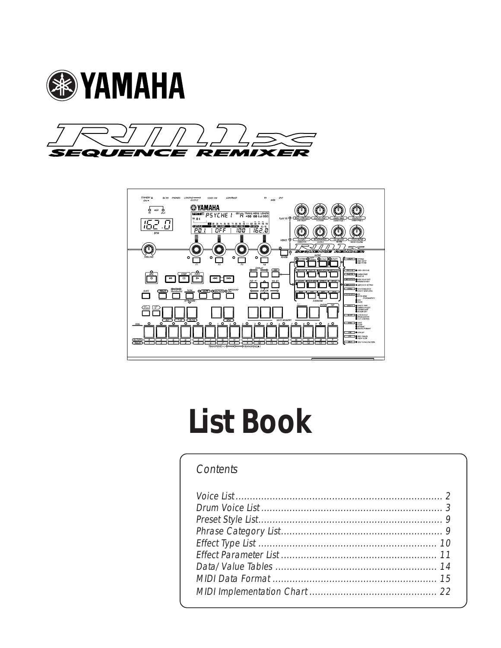





# **List Book**

### Contents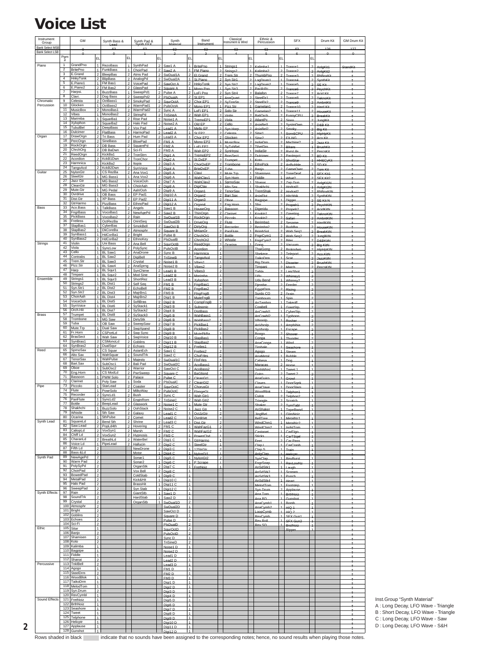### <span id="page-1-0"></span>**Voice List**

| Instrument<br>Group                              |                         | GM                           |                                  | Synth Bass &                           |                                  | Synth Pad &                 |                                  | Synth                              |                                  | Band<br>Instrume             |                                            | Classical<br>Instrument & Wind |                                  | Fthnic &<br>Percussion         |                                  | <b>SFX</b>                           |                                  | Drum Kit                           | <b>GM Drum Kit</b> |
|--------------------------------------------------|-------------------------|------------------------------|----------------------------------|----------------------------------------|----------------------------------|-----------------------------|----------------------------------|------------------------------------|----------------------------------|------------------------------|--------------------------------------------|--------------------------------|----------------------------------|--------------------------------|----------------------------------|--------------------------------------|----------------------------------|------------------------------------|--------------------|
| <b>Bank Select MSB</b><br><b>Bank Select LSB</b> |                         |                              |                                  |                                        |                                  |                             |                                  |                                    |                                  |                              |                                            |                                |                                  |                                |                                  |                                      |                                  | $+26$                              | 127                |
|                                                  | $Pgm_{\#}$              |                              | EL                               |                                        | EL                               |                             | EL                               |                                    | EL.                              |                              | EL                                         |                                | lFı.                             |                                | FL                               |                                      | EL                               |                                    |                    |
| Piano                                            | $\mathbf{1}$            | GrandPno                     | $\mathbf{1}$                     | RezoBass                               | $\mathbf{1}$                     | SynthPad                    | $\overline{2}$                   | Saw1 A                             | $\overline{1}$                   | BritePno                     |                                            | Strings1                       | $\overline{2}$                   | Kalimba1                       |                                  | Trance <sub>1</sub>                  | $\overline{2}$                   | AnigKit1                           | StandKit           |
|                                                  | $\overline{2}$<br>3     | <b>BritePno</b><br>E.Grand   | $\overline{2}$                   | 1 FunkBass<br>BleepBas                 | $\overline{2}$                   | 1 ChoirPad<br>Atms Pad      | $\overline{2}$                   | 2 Saw2 A<br>SwDual1A               | 1<br>$\overline{2}$              | FM Piano<br>El.Grand         | $\mathcal{P}$<br>$\overline{2}$            | Strings2<br>Trem.Str           | 1<br>$\overline{2}$              | Kalimha2<br>ThumbPno           | $\mathcal{D}$<br>$\overline{2}$  | Trance <sub>2</sub><br>Trance3       | $\overline{a}$<br>2              | AnigKit2<br>RhBoxKit               |                    |
|                                                  | $\overline{4}$<br>5     | HnkyTonk<br>E.Piano1         |                                  | 2   BlipBass<br>1 FM Bas1              |                                  | AnalogPd<br>2 VoicePad      | $\overline{2}$                   | 2 SwDual2A<br>SawOct A             | $\mathbf{1}$<br>$\overline{2}$   | St Piano                     | $\overline{2}$                             | Syn Str                        | $\overline{2}$                   | LogDrum1                       | $\mathbf{1}$                     | Trance                               |                                  | SynthKit                           |                    |
|                                                  | 6<br>$\overline{7}$     | E.Piano2                     |                                  | 2 FM Bas2                              | $\mathcal{P}$                    | GlassPad                    | $\mathfrak{p}$                   | Square A                           | 1                                | <b>HnkyTonk</b><br>Mono Pno  | $\overline{1}$                             | Syn Str2<br>Syn Str3           | $\overline{2}$                   | LogDrum2<br>PacifoPo           | $\overline{a}$                   | Trance <sub>5</sub><br>Trance6       | $\overline{2}$<br>$\overline{ }$ | SE Kit<br>PsychKi                  |                    |
|                                                  | $\overline{\mathbf{8}}$ | Harpsi.<br>Clavi.            |                                  | 1 BuzzBass<br>2 Dog Bass               |                                  | 1 SweepPd1<br>2 SweepPd2    |                                  | 2 Pulse A<br>2 PlsDualA            | $\overline{2}$<br>$\overline{2}$ | LoFi Pno<br>St FP1           | $\mathcal{P}$<br>$\overline{\mathbf{c}}$   | Syn Str4<br>AnaQuar            | $\mathcal{P}$<br>$\overline{2}$  | Balafon<br>SteelDr1            | $\mathcal{P}$                    | Trance7<br>Trance <sub>R</sub>       | $\overline{2}$<br>$\Omega$       | Acid Kit<br>Teknoki                |                    |
| Chromatic<br>Percussion                          | 9<br>10                 | Celesta<br>Glocken           | 2<br>1                           | OctBass1<br>OctBass2                   | $\overline{2}$                   | SmokyPad<br>WarmPad1        |                                  | 2 SqurOctA<br>2 PulsOctA           | $\overline{2}$<br>$\mathfrak{p}$ | Chor.EP1<br>Mono EP1         | $\overline{2}$<br>$\overline{1}$           | SyTrmStr<br>Pizz St            | $\overline{2}$                   | SteelDr2<br>Gamelan1           | $\overline{2}$<br>$\mathcal{P}$  | Trance <sub>9</sub><br>Trance10      | -24                              | AmbntKit                           |                    |
|                                                  | 11<br>12                | MusicBox                     |                                  | 2 MonoBas1                             | $\overline{2}$                   | WarmPad2                    | $\overline{2}$                   | Sync A                             | $\overline{1}$                   | LoFi EP1                     | $\overline{2}$                             | Solo Str                       | $\overline{1}$                   | Gamelan2                       | $\overline{1}$                   | Trance <sub>11</sub>                 | $\overline{2}$                   | <b>Hard Kit</b><br>HouseKit        |                    |
|                                                  | 13                      | Vibes<br>Marimba             | 1                                | 1 MonoBas2<br>SquarBa1                 | 2 <br>$\overline{2}$             | StringPd<br>Rise Pad        |                                  | 2 TriSineA<br>2 Noise1 A           | $\mathcal{P}$<br>$\overline{1}$  | Wah EP1<br>TremoEP1          | $\mathcal{L}$<br>$\overline{2}$            | Violin<br>Viola                | $\sim$<br>$\overline{2}$         | <b>BaliOrch</b><br>AtlantPo    | $\sim$<br>$\mathcal{P}$          | EunnyCPU<br>Siren                    | $\overline{2}$<br>24             | BreakKit<br>JunglKit               |                    |
|                                                  | 14<br>15                | Xylophon<br>TubulBel         | $\overline{2}$                   | SquarBa2<br>2 DeepBass                 |                                  | Halo Pad<br>Vox Pad         | $\mathfrak{p}$                   | 2 Noise2 A<br>Lead1 A              | 1<br>$\mathbf{1}$                | Old EP<br>Mello EP           | $\overline{2}$<br>$\mathcal{L}$            | Cello<br>Syn Harp              |                                  | AsiaBel1<br>AsiaBel2           | $\overline{2}$<br>$\mathcal{P}$  | SystmDwn                             |                                  | D.R.R. Kit                         |                    |
| Organ                                            |                         | 16 Dulcimer<br>17 DrawOrgn   |                                  | 2 FlatBass<br>2 Tri Bass               | 1                                | HarmoPad                    |                                  | 2 Lead2 A                          | $\mathbf{1}$                     | St FP2                       | $\overline{2}$                             | Celests                        | $\sim$                           | Sitar1                         |                                  | Smoky<br><b>Sonr&amp;CDI</b>         |                                  | Big Kit<br><b>HipHpKit</b>         |                    |
|                                                  |                         | 18 PercOrgn                  |                                  | 2 SineBass                             | $\overline{a}$                   | Hum Pad<br>BlowPad          |                                  | $2$ Lead3 A<br>$2$ FM1 A           | 1<br>$\overline{1}$              | Chor.EP2<br>Mono FP2         | $\overline{2}$<br>$\overline{1}$           | Glocken<br>MusicBox            | $\overline{1}$<br>$\overline{2}$ | Sitar <sub>2</sub><br>IndiaDrr | $\overline{2}$<br>$\mathcal{D}$  | <b>FX-NG</b><br>Machine?             | $\overline{2}$<br>-2             | Aco.Kit<br>Jazz Kil                |                    |
|                                                  | 19<br>20                | RockOrgn<br>ChrchOrg         |                                  | 2 DB Bass<br>2 DB BaDwn                | $\overline{2}$<br>$\overline{2}$ | SquarePd<br>Sci-Fi          |                                  | $2$ FM2 A<br>$2$ FM3 A             | $\mathbf{1}$<br>1                | LoFi EP2<br>Wah EP2          | $\overline{2}$<br>$\overline{2}$           | SvTubBel<br>SynHrpsi           | $\overline{2}$                   | TibetDm<br>IndiaStr            |                                  | 2 Bikers<br>RyrsLife                 | $\overline{1}$                   | BrushKit<br>PercsKit               |                    |
|                                                  | 21<br>22                | ReedOrgn<br>Acordion         |                                  | 2 KickBa1<br>2   KckB1Dwn              | $\overline{2}$<br>$\overline{2}$ | TronStrn                    | $\overline{2}$<br>$\mathfrak{p}$ | Digi1 A                            | $\mathbf{1}$<br>1                | TremoEP2                     | $\overline{2}$<br>$\overline{\phantom{a}}$ | <b>BrasSect</b>                | $\overline{2}$                   | Dulcimer                       | $\mathcal{D}$                    | PanImpct                             | 21                               | BD Kit                             |                    |
|                                                  | 23                      | Harmnica                     |                                  | 1 KickBa2                              | $\mathcal{P}$                    | TronChor<br>Itopia          |                                  | Digi2 A<br>2 Digi3 A               | $\mathbf{1}$                     | St.DxEP<br>ChorDxEP          | $\mathcal{L}$                              | Trumpet<br>Trombone            | $\overline{1}$<br>$\overline{2}$ | Koto<br>EthnPick               | $\overline{2}$<br>$\overline{2}$ | <b>ShotSt:</b><br>AnBubble           | $\overline{1}$<br>$\overline{2}$ | <b>HH&amp;CyKit</b><br>SD Kit      |                    |
| Guitar                                           | 24<br>25                | TangoAcd<br>NylonGtr         |                                  | 2   KckB2Dwn<br>1 CS RezBa             | $\overline{2}$                   | 2 SynVoice<br>Ana Vox1      |                                  | $2$ Digi4 A<br>$2$ Digis A         | 1<br>1                           | BrteDxFP<br>Clavi            | $\overline{\phantom{0}}$<br>$\overline{2}$ | Tuba<br>Mute.Trp               | $\mathcal{D}$<br>$\overline{1}$  | Ranic<br>Shamiser              | $\mathcal{P}$                    | GameOve<br>2 ToneDeaf                | $\overline{2}$<br>$\overline{1}$ | Tom Kit<br>SFX Kit1                |                    |
|                                                  | 26<br>27                | SteelGtr<br>Jazz Gtr         |                                  | 1 MG Bass1<br>1   MG Bass2             | $\overline{1}$                   | Ana Vox2<br>VoiceOoh        | $\overline{2}$<br>$\overline{2}$ | Digi6 A<br>Digi7 A                 | $\overline{1}$<br>$\overline{1}$ | WahClav1<br>WahClav2         | $\overline{2}$<br>$\overline{1}$           | Syn Hom<br>SpmoSay             | $\mathcal{P}$<br>$\overline{a}$  | Fiddle<br>Shana                | $\mathfrak{D}$                   | What?                                | $\overline{2}$                   | SFX Kit2                           |                    |
|                                                  | 29                      | 28 CleanGtr                  |                                  | 1   MG Bass3                           | 1                                | ChoirAah                    |                                  | 2 Digi8 A                          | $\mathbf{1}$                     | DigiClav                     | $\overline{2}$                             | Alto Sax                       | $\overline{1}$                   | Shakhchi                       | $\overline{1}$                   | Zap Gun<br>Hndrail1                  | $\overline{1}$                   | AnigKt1N<br>AnigKt2N               |                    |
|                                                  | 30                      | Mute.Gtr<br>Ovrdrive         | 1 <sup>1</sup>                   | 1 MG Pedal<br>OB Bass                  | $\overline{2}$                   | 1 Aah/Ooh<br>EP Pad1        |                                  | 2 Digi9 A<br>2 Digi10 A            | $\mathbf{1}$                     | Organ1<br>Organ2             | $\mathcal{P}$                              | TenorSax<br>Bari.Sax           | $\overline{1}$                   | TremShak<br>AsiaFlut           |                                  | 2 Hndrail2<br>2 Hitchhik             | $\overline{2}$<br>-2             | RhBoxKtN<br><b>SynthKtN</b>        |                    |
|                                                  | 31<br>32                | Dist.Gtr<br>GtrHarmo         |                                  | 1 XP Bass<br>1 PizzBass                |                                  | EP Pad2<br>2 EthnoPad       |                                  | 2 Digi11 A<br>2 Digi12 A           | $\mathbf{1}$<br>$\overline{1}$   | Organ <sub>3</sub><br>Organ4 | $\mathcal{L}$<br>$\mathbf{\hat{z}}$        | Oboe<br>Eng.Horr               | $\blacksquare$                   | Bagpipe<br>Sho                 | $\mathfrak{D}$                   | $\Box$                               |                                  | SE Kit N                           |                    |
| Bass                                             | 33                      | Aco.Bass                     |                                  | 1 TalkBass                             | $\overline{2}$                   | Angels                      | $\overline{2}$                   | Saw1 <sub>B</sub>                  | $\overline{1}$                   | HouseOrd                     | $\overline{2}$                             | Bassoon                        | $\overline{1}$                   | Digeridu                       | $\overline{2}$                   | Propeir<br>Propeir2                  | 2                                | 2 PsychKtN<br>AcidKitN             |                    |
|                                                  | 34                      | FngrBass<br>35 PickBass      |                                  | 1 VocoBas1<br>1 VocoBas2               |                                  | 2 NewAgePd<br>2 Rain        |                                  | $2$ Saw2 B<br>2 SwDual1B           | $\mathbf{1}$<br>$\overline{2}$   | ThinOrgn<br>RockOrgn         | $\overline{2}$<br>$\overline{2}$           | Clarinet<br>Piccolo            | $\mathbf{1}$                     | Koukin1<br>Koukin2             | $\mathcal{P}$<br>$\mathcal{P}$   | Greeting<br>Safari                   | $\overline{a}$<br>2              | <b>TeknoKtN</b><br><b>AmbntKtN</b> |                    |
|                                                  | 36<br>37                | Fretless<br>SlapBas1         |                                  | 1 OctRezBa<br>1 CyberBas               | $\overline{2}$                   | OrintSeq<br>SmokBell        | $\mathfrak{p}$                   | 2 SwDual2B<br>SawOct B             | 1<br>$\mathfrak{p}$              | DriveOrg<br>DirtyOrg         | $\overline{2}$                             | <b>Flute</b><br>Recorder       | $\mathbf{1}$<br>$\sim$           | Berimba1                       | $\overline{2}$                   | Sesame                               | -24                              | <b>HardKitN</b>                    |                    |
|                                                  | 38                      | SlapBas2                     |                                  | 1   DkCoreBa                           | $\overline{2}$                   | Atmosphr                    | $\overline{2}$                   | Square B                           | 1                                | <b>MrtianOr</b>              | $\overline{2}$                             | PanFlute                       | $\overline{1}$                   | Berimba2<br>BrimbSol           | $\overline{2}$                   | $2$ Buddha<br>Wah Seg1               | $\overline{2}$                   | <b>HouseKtN</b><br><b>BreakKtN</b> |                    |
|                                                  | 39<br>40                | SynBass1<br>SynBass2         |                                  | 1 HdCorBa1<br>2 HdCorBa2               |                                  | 2 Bright<br>2 EthnoKey      |                                  | $2$ Pulse B<br>2 PIsDualB          | $\mathcal{P}$<br>$\overline{2}$  | ChrchOr1<br>ChrchOr2         | $\mathcal{P}$<br>$\mathcal{L}$             | <b>Bottle</b><br>Whistle       | $\sim$                           | FngrCym1<br>1 EngrCym2         |                                  | 2 Wah Seq2<br>2 Biter                | $\overline{a}$                   | JunglKtN<br>$2$ D&BKitN            |                    |
| Strings                                          | 41<br>42                | Violin<br>Viola              | 1 <sup>1</sup>                   | Uni Bass<br>1 SyncLow                  | 2<br>$\overline{2}$              | Ana Bell<br>PolySync        | $\overline{2}$                   | 2 SqurOctB<br>PulsOctB             | $\overline{2}$<br>$\mathfrak{p}$ | ReedOrgn<br><b>Acordion</b>  | $\overline{z}$<br>$\overline{2}$           | Ocarina                        |                                  | Gona                           |                                  | 2 Vacuum                             |                                  | 2 Big KitN                         |                    |
|                                                  | 43<br>44                | Cello                        |                                  | 1 BL Saw1                              | $\overline{2}$                   | AnaDrone                    | $\overline{2}$                   | Sync B                             | $\overline{1}$                   | Harmnica                     | $\overline{1}$                             |                                |                                  | ThaiGong<br>Sheker             | $\mathfrak{D}$                   | 2 Brokndwn<br>Teleport               |                                  | 2 HipHpKtN<br>Aco.KitN             |                    |
|                                                  | 45                      | Contrabs<br>Trem.Str         |                                  | 1 BL Saw2<br>1   BL Saw3               | $\overline{2}$                   | DigiBell<br>2 Crystal       | $\overline{2}$                   | TriSineB<br>2 Noise1 B             | $\overline{2}$<br>$\mathbf{1}$   | TangoAcd<br>Vibes1           | $\overline{2}$<br>$\overline{1}$           |                                |                                  | TaikoDrm<br><b>Big Drum</b>    | $\overline{1}$<br>1              | Scal<br>Disaster                     | $\overline{2}$<br>2              | JazzKitN<br><b>BrushKtN</b>        |                    |
|                                                  | 46<br>47                | Pizz.Str<br>Harp             |                                  | 1 BL Saw4<br>2 BL Squr1                | $\overline{2}$<br>1 <sup>1</sup> | AnaSprng<br>SynChime        |                                  | 2 Noise2 B<br>$2$ Lead1 B          | $\mathbf{1}$<br>$\mathbf{1}$     | Vibes2                       | $\overline{2}$<br>b                        |                                |                                  | Timpani                        |                                  | $2$ Match                            | -2                               | PeresKtN                           |                    |
|                                                  | 48                      | Timpani                      |                                  | 1 BL Squr2                             |                                  | 1 Mod Sine                  |                                  | $2$ Lead2 B                        | $\overline{1}$                   | Vibes3<br>Marimha            | $\overline{1}$                             |                                |                                  | Tabla<br>Lldu                  |                                  | LasrShot<br>Whimsy1                  | $\overline{ }$                   |                                    |                    |
| Ensemble                                         | 49                      | Strings1<br>50 Strings2      |                                  | 1   BL Squr3<br>1 BL Dist1             | 1 <sup>1</sup>                   | ShortRez<br>2 Self Seq      |                                  | $2$ Lead 3B<br>$2$ FM1 B           | 1<br>$\mathbf{1}$                | Xylophon<br>FngrBas1         | $\mathcal{P}$<br>$\mathcal{D}$             |                                |                                  | Udu Bend<br>Djembe             | $\blacksquare$                   | Whimsy2<br>$2$ Feeder                | $\overline{2}$                   |                                    |                    |
|                                                  | 51<br>52                | Syn.Str1<br>Syn.Str2         | 2                                | 2 BL Dist2<br><b>BL</b> Dist3          |                                  | 2 EchoBell<br>MajrBrs1      |                                  | $2$ FM2 B                          | 1<br>$\mathbf{1}$                | FngrBas2                     | $\overline{\phantom{0}}$                   |                                |                                  | EgyptDrm                       | $\overline{2}$                   | Rising                               | $\overline{2}$                   |                                    |                    |
|                                                  | 53                      | ChoirAah                     |                                  | 1   BL Dist4                           | $\overline{2}$<br>$\overline{2}$ | MajrBrs2                    | $\mathfrak{p}$                   | $2$ FM3 B<br>Digi1 B               | $\mathbf{1}$                     | EingEngB<br>MuteFngB         | $\overline{2}$<br>b                        |                                |                                  | Surdo CO<br>Tambourn           |                                  | $2$ Drain<br>Spin                    | $\overline{2}$<br>$\overline{ }$ |                                    |                    |
|                                                  | 54<br>55                | VoiceOoh<br>SynVoice         |                                  | 1 BL Dist5<br>$1$ BL Dist <sub>6</sub> | $\overline{2}$<br>2              | SoftBras<br>SyStack1        | $\overline{2}$                   | Digi2 <sub>B</sub><br>2 Digi3 B    | $\overline{1}$<br>$\overline{1}$ | CompFngB.<br>Subsonic        | $\overline{2}$<br>$\mathcal{D}$            |                                |                                  | AnTambrn<br>Cowbel             | $\overline{1}$                   | Takeof<br>GiantStp                   | $\overline{2}$<br>$\overline{2}$ |                                    |                    |
| <b>Brass</b>                                     | 56<br>57                | Orch.Hit                     |                                  | 1 BL Dist7                             |                                  | 2 SyStack2                  |                                  | $2$ Digi4 B                        | 1                                | DistRass                     | 2                                          |                                |                                  | AnCowhl1                       |                                  | CyberStr                             | $\overline{ }$                   |                                    |                    |
|                                                  | 58                      | Trumpet<br>Trombone          |                                  | 1 BL Dist8<br>1   MG Saw               | $\overline{2}$                   | SyStack3<br><b>DirtyStk</b> | $\mathfrak{p}$                   | 2 Digi5 B<br>Digi6 B               | $\mathbf{1}$<br>$\mathbf{1}$     | WahBass1<br>WahBass2         | 2                                          |                                |                                  | AnCowbl2<br>Vibraslp           |                                  | Typhoon<br>Rocker                    | -2                               |                                    |                    |
|                                                  |                         | $59$ Tuba<br>60 Mute.Trp     |                                  | 1 OB Saw<br>1 Dual Saw                 | $\overline{2}$<br>$\overline{2}$ | SweepSaw<br>SwpXpand        | $\overline{2}$                   | 2 Digi7 B<br>Digi8 <sub>B</sub>    | $\overline{1}$<br>1              | PickBas1<br>PickBas2         | $\mathcal{L}$<br>2                         |                                |                                  | AnVbrslo                       |                                  | Amphibia                             | $\overline{2}$                   |                                    |                    |
|                                                  | 61                      | Fr.Horn                      |                                  | 2 CSPortLd                             | $\overline{2}$                   | Swp Sync                    |                                  | 2 Digi9 B                          | $\mathbf{1}$                     | MutePkBa                     | 2                                          |                                |                                  | SyVbrsip<br>Bongo              | $\mathcal{D}$                    | Escape<br>Shower                     | 2<br>4                           |                                    |                    |
|                                                  | 62<br>63                | <b>BrasSect</b><br>SynBras1  | $\overline{2}$                   | 1 Wah Saw<br>CSMonoLd                  |                                  | 1 SwpVoice<br>Goblins       |                                  | $2$ Digi10 B<br>2 Digi11 B         | $\mathbf{1}$<br>1                | SlapBas1<br>SlapBas2         | $\overline{1}$                             |                                |                                  | Conga<br>AnaConga              | $\mathbf{1}$                     | Thunder<br>Wind                      | 2                                |                                    |                    |
| Reed                                             | 64<br>65                | SynBras2<br>SprnoSax         |                                  | 2 DualSqur<br>1 CS Squar               | $\overline{2}$<br>$\overline{2}$ | Echoes<br>AsianEch          | $\overline{2}$<br>$\overline{2}$ | Digi12 B<br>Saw1 C                 | $\mathbf{1}$<br>$\overline{1}$   | Fretles1<br>Fretles2         | $\overline{1}$<br>$\overline{2}$           |                                |                                  | Timhale                        |                                  |                                      |                                  |                                    |                    |
|                                                  |                         | 66 Alto Sax                  |                                  | 1   WahSquar                           |                                  | 1 SoundTrk                  | $\overline{2}$                   | Saw2 C                             | $\overline{1}$                   | ChoFries                     | $\mathcal{D}$                              |                                |                                  | Agogo<br>AnaMetal              | $\overline{1}$                   | Steam<br><b>Bubble</b>               | 4                                |                                    |                    |
|                                                  | 67<br>68                | TenorSax<br>Bari.Sax         |                                  | 1 WahPulse<br>1   SubOsc1              | $\overline{2}$                   | 1 Majesty<br>Bali Pad       | $\overline{2}$                   | 2 SwDual1C<br>SwDual <sub>2C</sub> | $\overline{2}$                   | <b>FInFries</b><br>AcoBass1  | $\overline{2}$                             |                                |                                  | Cabasa<br>Maracas              | $\overline{1}$<br>$\overline{2}$ | Dog<br>Horse                         | $\overline{1}$                   |                                    |                    |
|                                                  | 69                      | Oboe<br>70 Eng.Hom           |                                  | 1 SubOsc2<br>1 CS ModLd                | $\overline{2}$<br>$\overline{2}$ | Warrior<br>PwrSweep         | $\overline{2}$<br>$\overline{2}$ | SawOct C                           | $\mathfrak{p}$<br>$\mathbf{1}$   | AcoBass2                     | $\overline{2}$<br>$\overline{2}$           |                                |                                  | SmbWhisl                       | $\mathfrak{p}$                   | Tweet 1                              | $\overline{ }$                   |                                    |                    |
|                                                  | 71                      | Bassoon                      |                                  | 1 PWM Solo                             | $\mathcal{P}$                    | Palace                      |                                  | Square C<br>$2$ Pulse C            | 2                                | BaGlisnd<br>CleanGt1         | 2                                          |                                |                                  | Guirc<br>AnaGuiro              | $\overline{1}$                   | Tweet 2<br>Growl                     |                                  |                                    |                    |
| Pipe                                             | 72<br>73                | Clarinet<br>Piccolo          | 1                                | 1 Poly Saw<br>StarLead                 | $\overline{2}$                   | 1 Soda<br>Coaster           | $\mathfrak{p}$<br>$\overline{2}$ | PisDualC<br>SqurOctC               | $\overline{2}$                   | CleanGt2<br>ChorusGt         | $\overline{2}$                             |                                |                                  | Clave<br>AnaClave              | $\overline{1}$<br>1              | DoorSook<br>DoorSlam                 |                                  |                                    |                    |
|                                                  | 74<br>75                | Flute<br>Recorder            |                                  | 1 PowrSolo<br>2 SyncLd1                |                                  | MilkyWay<br>2 Bush          | $\mathcal{P}$                    | PulsOctC<br>$2$ Sync C             | $\mathcal{P}$<br>$\overline{1}$  | FlangeG1<br>Wah Gtr1         | $\overline{2}$                             |                                |                                  | WoodBlok                       |                                  | Telnhon1                             | $\overline{1}$                   |                                    |                    |
|                                                  | 76                      | PanFlute                     |                                  | 1 SyncLd2                              |                                  | 2 EnginRom                  |                                  | 2 TriSineC                         | $\overline{2}$                   | Wah Gtr2                     |                                            |                                |                                  | Cuica<br>Triangle              | $\mathfrak{p}$                   | $2$ Telphon2<br>Scratch              |                                  |                                    |                    |
|                                                  | 77<br>78                | Bottle<br>Shakhchi           |                                  | 2 BeepLead<br>1 BuzzSolo               |                                  | 2 Glaswork<br>2 OohStack    |                                  | 2 Noise1 C<br>2 Noise2 C           | 1 <sup>1</sup>                   | Mute Gtr<br>1 Jazz Gtr       | $\overline{1}$                             |                                |                                  | Sha<br>AnShaker                | $\sim$<br>1                      | TapeRwnd                             | $\overline{4}$                   |                                    |                    |
|                                                  | 79<br>80                | Whistle<br>Ocarina           | $\mathbf{1}$<br>1                | 5th Saw<br>5thPulse                    | $\overline{2}$<br>$\mathcal{L}$  | Galaxy                      | $\mathfrak{p}$                   | $2$ Lead1 C                        | 1                                | OctJzGtr<br>Ovrdrive         | $\overline{2}$<br>b                        |                                |                                  | <b>JingIBel</b>                |                                  | GlasNoiz                             |                                  |                                    |                    |
| Synth Lead                                       | 81                      | SquareLd                     | $\overline{2}$                   | Bend 5th                               | $\overline{2}$                   | Comet<br>Shrine             | $\overline{2}$                   | Lead2 C<br>Lead3 C                 | 1                                | Dist.Gtr                     | $\overline{2}$                             |                                |                                  | RellTree<br>WindChm1           |                                  | MetalNz1<br>MetalNz2                 | $\overline{1}$                   |                                    |                    |
|                                                  | 82<br>83                | Saw.Lead<br>CaliopLd         |                                  | 2 PopLd4th<br>2 VoxSyn1                | 2 <br>$\overline{2}$             | Hovering<br>Marsh           |                                  | $2$ FM1 C<br>$2$ FM2 C             | $\overline{1}$<br>1              | WahFazG1<br>WahFazG2         | $\gamma$<br>$\mathcal{D}$                  |                                |                                  | WindChm2<br>Castanet           | $\overline{1}$                   | IndstTon<br>1 CarElgn                | $\overline{a}$<br>$\overline{1}$ |                                    |                    |
|                                                  | 84<br>85                | Chiff Ld<br>CharanLd         | $\mathfrak{D}$<br>$\overline{2}$ | VoxSyn2<br>BreathLd                    | $\overline{2}$                   | Hypnosis<br>WaterBel        | $\overline{2}$                   | $2$ FM3 C                          | 1<br>$\mathbf{1}$                | PowerChd                     |                                            |                                |                                  | <b>Sticks</b>                  |                                  | CarTSgel                             |                                  |                                    |                    |
|                                                  | 86                      | Voice Ld                     |                                  | 1 PipeLead                             | $\mathcal{L}$                    | Hallucin                    | $\overline{2}$                   | Digi1 C<br>Digi2 C                 | $\mathbf{1}$                     | GtrHarmo<br>SteelGtr         | $\overline{1}$                             |                                |                                  | Eeet<br>Clap <sub>1</sub>      |                                  | 2 Car Pass<br>CarCras                |                                  |                                    |                    |
|                                                  | 87<br>88                | Fifth Ld<br>Bass &Ld         | $\overline{2}$<br>$\overline{2}$ |                                        |                                  | NewDrone<br>Motor           | $\mathfrak{p}$                   | Digi3 C<br>1 Digi4 C               | $\overline{1}$<br>$\mathbf{1}$   | 12StrGtr<br>NylonGt1         | $\overline{2}$                             |                                |                                  | Clap S<br>AnigClap             | $\overline{1}$                   | Train                                | 4                                |                                    |                    |
| Synth Pad                                        | 89<br>90                | NewAgePd<br>Warm Pad         | $\overline{2}$<br>$\mathcal{P}$  |                                        |                                  | Sonar1<br>Sonar2            |                                  | 1 Digis C                          | $\mathbf{1}$<br>1                | NylonGt2                     | $\overline{2}$                             |                                |                                  | SynClap                        |                                  | 1 RevBurst                           | $\overline{1}$                   |                                    |                    |
|                                                  | 91                      | PolySyPd                     | $\overline{2}$                   |                                        |                                  | OrganStk                    | $\mathfrak{p}$                   | 1 Digi6 C<br>Digi7 C               | $\mathbf{1}$                     | <b>P.Scrape</b><br>FretNoiz  | $\overline{1}$                             |                                |                                  | EngrSnap<br>AnSdStk1           |                                  | RevLowN:<br>Laugh                    |                                  |                                    |                    |
|                                                  | 92                      | ChoirPad<br>93 BowedPad      | $\mathcal{P}$<br>$\overline{2}$  |                                        |                                  | Vox Bell<br>ColdStab        | $\mathfrak{p}$                   | Digi8 C<br>1 Digi9 C               | 1                                |                              |                                            |                                |                                  | AnSdStk2<br>AnSdStk3           |                                  | Scream<br>Punch                      | 4                                |                                    |                    |
|                                                  | 95                      | 94 MetalPad<br>Halo Pad      | $\overline{2}$<br>$\overline{2}$ |                                        |                                  | Kick&Hit                    |                                  | 1 Digi10 C                         | 1<br>$\overline{1}$              |                              |                                            |                                |                                  | AnSdStk4                       | $\mathbf{1}$                     | Heart                                | $\overline{1}$                   |                                    |                    |
|                                                  | 96                      | SweepPad                     | $\mathcal{P}$                    |                                        |                                  | <b>BrassHit</b><br>Syn Stab |                                  | 1 Digi11 C<br>Digi12 C             | $\mathbf{1}$                     |                              |                                            |                                |                                  | MelodTom<br>Syn Drum           |                                  | Footstep<br>Applause                 |                                  |                                    |                    |
| Synth Effects                                    | 97<br>98                | Rain<br>SoundTrk             | $\overline{2}$<br>$\overline{2}$ |                                        |                                  | GiantStb<br><b>HardStab</b> | $\overline{1}$<br>$\mathbf{1}$   | Saw1D<br>Saw2 D                    | $\overline{1}$<br>1              |                              |                                            |                                |                                  | Ana Tom<br>Ana BD              | $\overline{1}$                   | <b>RrthNoiz</b><br>Gunshot           | $\overline{1}$<br>$\overline{1}$ |                                    |                    |
|                                                  | 99                      | Crystal<br>100 Atmosphr      | $\overline{2}$<br>$\mathfrak{p}$ |                                        |                                  | OrganStb                    | $\mathbf{1}$                     | SwDual1D                           | $\overline{2}$                   |                              |                                            |                                |                                  | AnaCymb1                       | $\overline{1}$                   | Bomb                                 | 4                                |                                    |                    |
|                                                  |                         | 101 Bright                   | $\overline{2}$                   |                                        |                                  |                             |                                  | SwDual2D<br>SawOct D               | $\mathfrak{D}$                   |                              |                                            |                                |                                  | AnaCymb2<br>LoopCymb           |                                  | HiO <sub>1</sub><br>HiQ <sub>2</sub> |                                  |                                    |                    |
|                                                  |                         | 102 Goblins<br>103 Echoes    | $\overline{2}$<br>$\overline{2}$ |                                        |                                  |                             |                                  | Square D<br>Pulse D                | $\overline{1}$<br>2              |                              |                                            |                                |                                  | RevCymb<br><b>Rev Roll</b>     |                                  | SFX Gun1<br>SFX Gun2                 |                                  |                                    |                    |
| Ethic                                            |                         | 104 Sci-Fi<br>105 Sitar      | $\overline{2}$                   |                                        |                                  |                             |                                  | PIsDualD                           | $\mathfrak{p}$                   |                              |                                            |                                |                                  | Rev SD                         |                                  | BretNe                               |                                  |                                    |                    |
|                                                  | 106                     | Banjo                        | 1<br>$\overline{2}$              |                                        |                                  |                             |                                  | SqurOctD<br>PulsOctD               | $\overline{2}$                   |                              |                                            |                                |                                  |                                |                                  | Ripper                               | $\overline{1}$                   |                                    |                    |
|                                                  |                         | 107 Shamisen<br>108 Koto     | $\overline{2}$<br>$\overline{2}$ |                                        |                                  |                             |                                  | Sync <sub>D</sub><br>TriSineD      | $\mathbf{1}$<br>$\overline{2}$   |                              |                                            |                                |                                  |                                |                                  |                                      |                                  |                                    |                    |
|                                                  |                         | 109 Kalimba                  | $\overline{1}$                   |                                        |                                  |                             |                                  | Noise1 <sub>D</sub>                | $\overline{1}$                   |                              |                                            |                                |                                  |                                |                                  |                                      |                                  |                                    |                    |
|                                                  |                         | 110 Bagpipe<br>111 Fiddle    | 1<br>$\mathbf{1}$                |                                        |                                  |                             |                                  | Noise2 <sub>D</sub><br>Lead1D      | $\overline{1}$<br>1              |                              |                                            |                                |                                  |                                |                                  |                                      |                                  |                                    |                    |
| Percussive                                       | 112                     | Shanai<br>113 TnklBell       | $\overline{2}$<br>$\overline{2}$ |                                        |                                  |                             |                                  | Lead2D<br>Lead3D                   | 1<br>$\overline{1}$              |                              |                                            |                                |                                  |                                |                                  |                                      |                                  |                                    |                    |
|                                                  |                         | 114 Agogo                    | $\overline{1}$                   |                                        |                                  |                             |                                  | FM <sub>1</sub> D                  | $\overline{1}$                   |                              |                                            |                                |                                  |                                |                                  |                                      |                                  |                                    |                    |
|                                                  |                         | 115 SteelDrm<br>116 WoodBlok | $\overline{2}$<br>1              |                                        |                                  |                             |                                  | FM <sub>2</sub> D<br>FM3D          | $\mathbf{1}$<br>1                |                              |                                            |                                |                                  |                                |                                  |                                      |                                  |                                    |                    |
|                                                  |                         | 117 TaikoDrm<br>118 MelodTom | $\mathbf{1}$<br>$\overline{1}$   |                                        |                                  |                             |                                  | Digi1 D                            | $\overline{1}$<br>$\overline{1}$ |                              |                                            |                                |                                  |                                |                                  |                                      |                                  |                                    |                    |
|                                                  |                         | 119 Syn.Drum                 | $\overline{\phantom{a}}$         |                                        |                                  |                             |                                  | Digi2 D<br>Digi3 D                 | $\mathbf{1}$                     |                              |                                            |                                |                                  |                                |                                  |                                      |                                  |                                    |                    |
| Sound Effects                                    |                         | 120 RevCymbl<br>121 FretNoiz | 1<br>1                           |                                        |                                  |                             |                                  | Digi4 D<br>Digi5 <sub>D</sub>      | $\mathbf{1}$<br>$\mathbf{1}$     |                              |                                            |                                |                                  |                                |                                  |                                      |                                  |                                    |                    |
|                                                  | 122                     | <b>BrthNoiz</b>              | $\mathbf{1}$                     |                                        |                                  |                             |                                  | Digi6 <sub>D</sub>                 | 1                                |                              |                                            |                                |                                  |                                |                                  |                                      |                                  |                                    |                    |
|                                                  | 123                     | Seashore<br>124 Tweet        | $\mathbf{1}$<br>$\mathbf{1}$     |                                        |                                  |                             |                                  | Digi7 D<br>Digi8 <sub>D</sub>      | $\mathbf{1}$<br>$\overline{1}$   |                              |                                            |                                |                                  |                                |                                  |                                      |                                  |                                    |                    |
|                                                  |                         | 125 Telphone<br>126 Helicptr | $\overline{1}$<br>$\overline{1}$ |                                        |                                  |                             |                                  | Digi9 D<br>Digi10 <sub>D</sub>     | $\mathbf{1}$<br>$\overline{1}$   |                              |                                            |                                |                                  |                                |                                  |                                      |                                  |                                    |                    |
|                                                  |                         | 127 Applause                 | $\mathbf{1}$                     |                                        |                                  |                             |                                  | Digi11 D                           |                                  |                              |                                            |                                |                                  |                                |                                  |                                      |                                  |                                    |                    |
|                                                  |                         | 128 Gunshot                  | $\mathbf{1}$                     |                                        |                                  |                             |                                  | Digi12 D                           | $\overline{1}$                   |                              |                                            |                                |                                  |                                |                                  |                                      |                                  |                                    |                    |

Inst.Group "Synth Material" A : Long Decay, LFO Wave - Triangle B : Short Decay, LFO Wave - Triangle

C : Long Decay, LFO Wave - Saw D : Long Decay, LFO Wave - S&H

**2**

↑ Rows shaded in black indicate that no sounds have been assigned to the corresponding notes; hence, no sound results when playing those notes.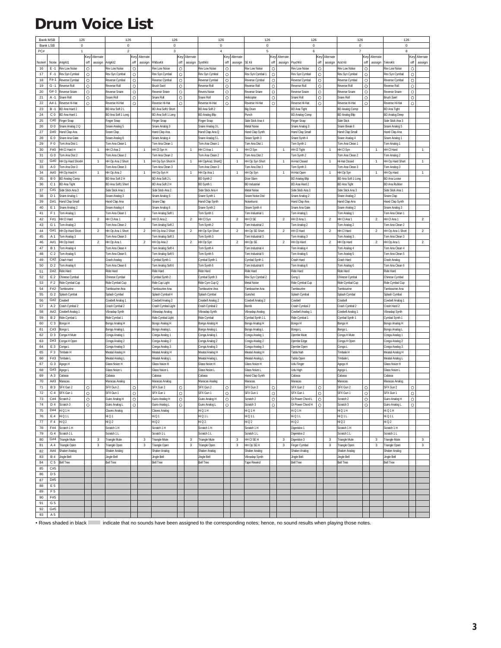### <span id="page-2-0"></span>**Drum Voice List**

| <b>Bank MSB</b> |                | 126                       |         |                      | 126                   |         |                | 126                |         |                | 126                       |         |                  | 126                     |         |                         | 126                   |         |                | 126                   |         |                | 126                   |          |                  |
|-----------------|----------------|---------------------------|---------|----------------------|-----------------------|---------|----------------|--------------------|---------|----------------|---------------------------|---------|------------------|-------------------------|---------|-------------------------|-----------------------|---------|----------------|-----------------------|---------|----------------|-----------------------|----------|------------------|
| <b>Bank LSB</b> |                | $\mathbf 0$               |         |                      | $\circ$               |         |                | $\mathbf 0$        |         |                | $\mathbf 0$               |         |                  | $^{\circ}$              |         |                         | $\mathbf 0$           |         |                | $\mathbf 0$           |         |                | $\mathbf 0$           |          |                  |
| PC#             |                |                           |         |                      | $\overline{2}$        |         |                | 3                  |         |                | $\overline{4}$            |         |                  | 5                       |         |                         | 6                     |         |                | $\overline{7}$        |         |                | 8                     |          |                  |
|                 |                |                           | Key     | Alternate            |                       | Key     | Alternate      |                    | Key     | Alternate      |                           |         | Key Alternate    |                         |         | Key Alternate           |                       | Key     | Alternate      |                       | Key     | Alternate      |                       | Key      | Alternate        |
| <b>Note#</b>    | Note           | AnlgKit1                  | off     | assign               | AnlgKit2              | off     | assign         | RhBoxKit           | off     | assign         | SynthKit                  | off     | assign           | SE Kit                  | off     | assign                  | PsychKit              | off     | assign         | Acid Kit              | off     | assign         | TeknoKit              | off      | assign           |
| 16              | $F - 1$        | Rev Low Noise             | $\circ$ |                      | Rev I ow Noise        | $\circ$ |                | Rev Low Noise      | $\circ$ |                | Rev I aw Naise            | $\circ$ |                  | Rev I ow Noise          | $\circ$ |                         | Rev I aw Naise        | $\circ$ |                | Rev I ow Noise        | $\circ$ |                | Rev Low Noise         | $\Omega$ |                  |
| 17              | $F - 1$        | Rev Syn Cymbal            | $\circ$ |                      | —<br>Rev Syn Cymbal   | $\circ$ |                | Rev Syn Cymbal     | $\circ$ |                | Rev Syn Cymbal            | $\circ$ |                  | Rev Syn Cymbal 1        | O       |                         | Rev Syn Cymbal        | $\circ$ |                | Rev Syn Cymbal        | $\circ$ |                | Rev Syn Cymbal        | $\circ$  |                  |
| 18              | $F#-1$         | Reverse Cymbal            | $\circ$ |                      | Reverse Cymba         | $\circ$ |                | Reverse Cymbal     | $\circ$ |                | Reverse Cymbal            | $\circ$ |                  | Reverse Cymbal          | O       |                         | Reverse Cymbal        | $\circ$ |                | Reverse Cymbal        | $\circ$ |                | Reverse Cymbal        | $\circ$  |                  |
| 19              | $G - 1$        | Reverse Roll              | $\circ$ |                      | Reverse Roll          | $\circ$ |                | <b>Brush Swirl</b> | $\circ$ |                | Reverse Roll              | $\circ$ |                  | Reverse Roll            | O       |                         | Reverse Roll          | $\circ$ |                | Reverse Roll          | $\circ$ |                | Reverse Roll          | $\circ$  |                  |
| 20              | $G#-1$         | Reverse Snare             | $\circ$ |                      | Reverse Snare         | $\circ$ |                | Reverse Snare      | $\circ$ |                | <b>Revers Noise</b>       | $\circ$ |                  | Reverse Snare           | $\circ$ |                         | <b>Reverse Snare</b>  | $\circ$ |                | Reverse Snare         | $\circ$ |                | Reverse Snare         | $\circ$  |                  |
| 21              | A-1            | Snare Rol                 | $\circ$ |                      | Snare Roll            | $\circ$ |                | Snare Rol          | $\circ$ |                | Snare Roll                | $\circ$ |                  | Helicoote               | $\circ$ |                         | Snare Roll            | $\circ$ |                | Snare Rol             | $\circ$ |                | <b>Brush Swirl</b>    | $\circ$  |                  |
| 22              | A#-1           | Reverse Hi-Hat            | O       |                      | Reverse Hi-Hat        | $\circ$ |                | Reverse Hi-Hat     | O       |                | Reverse Hi-Hat            | O       |                  | Reverse Hi-Hat          | O       |                         | Reverse Hi-Hat        | $\circ$ |                | Reverse Hi-Hat        | $\circ$ |                | Reverse Hi-Hat        | O        |                  |
| 23              | $B - 1$        | BD Ana Hard 2             |         |                      | BD Ana Soft 2 L       |         |                | BD Ana Soft1 Shor  |         |                | BD Ana Soft 2             |         |                  | Big Drum                |         |                         | <b>BD Ana Tight</b>   |         |                | <b>BD Analog Comp</b> |         |                | <b>BD Ana Tight</b>   |          |                  |
| 24              | C <sub>0</sub> | BD Ana Hard 1             |         |                      | BD Ana Soft 1 Long    |         |                | BD Ana Soft 1 Long |         |                | <b>BD Analog Blip</b>     |         |                  | Punch                   |         |                         | <b>BD Analog Comp</b> |         |                | <b>BD Analog Blip</b> |         |                | <b>BD Analog Deep</b> |          |                  |
| 25              | C#0            | inger Snap                |         |                      | inger Snap            |         |                | Finger Snap        |         |                | inger Snap                |         |                  | Side Stick Ana 4        |         |                         | Finger Snap           |         |                | Side Stick            |         |                | Side Stick Ana 3      |          |                  |
| 26              | D <sub>0</sub> | Snare Analog 2 Q          |         |                      | Snare Analog 5        |         |                | Snare Analog 3     |         |                | Snare Analog 3 L          |         |                  | Metal Noise             |         |                         | Snare Analog 3        |         |                | Snare Break 6         |         |                | Snare Analog 5        |          |                  |
| 27              | D#O            | Hand Clap Ana             |         |                      | Snare Clap            |         |                | Hand Clap Ana      |         |                | Hand Clap Ana Q           |         |                  | Hand Clap Synth         |         |                         | Hand Clap Small       |         |                | Hand Clap Small       |         |                | Hand Clap Ana         |          |                  |
| 28              | E <sub>0</sub> | Snare Ana Gate            |         |                      | Snare Analog 6        |         |                | Snare Analog 4     |         |                | Snare Analog 5 L          |         |                  | Snare Synth 3           |         |                         | Snare Synth 4         |         |                | Snare Analog 4        |         |                | Snare Analog *        |          |                  |
| 29              | F <sub>0</sub> | Tom Ana Dist              |         |                      | Tom Ana Clean 1       |         |                | Tom Ana Clean 1    |         |                | Tom Ana Clean 1           |         |                  | Tom Ana Dist            |         |                         | Tom Synth 1           |         |                | Tom Ana Clean 1       |         |                | Tom Analog 1          |          |                  |
| 30              | F#0            | HH CI Hard H              |         | $\mathbf{1}$         | HH CI Ana 2           |         | $\overline{1}$ | HH CI Syn H        |         | $\overline{1}$ | HH CI Ana 1               |         | $\overline{1}$   | HH CI Syr               |         | $\mathbf{1}$            | HH CI Tight           |         | $\overline{1}$ | HH CI Syn             |         | $\overline{1}$ | HH CI Hard            |          | $\overline{1}$   |
| 31              | G <sub>0</sub> | Tom Ana Dist 2            |         |                      | Tom Ana Clean 2       |         |                | Tom Ana Clean 2    |         |                | Tom Ana Clean 2           |         |                  | Tom Ana Dist 2          |         |                         | Tom Synth 2           |         |                | Tom Ana Clean 2       |         |                | Tom Analog 2          |          |                  |
| 32              | G#0            | HH Op Hard Shorth         |         | $\ddot{\phantom{1}}$ | HH Op Ana 2 Short     |         | $\overline{1}$ | HH Op Syn Short H  |         | $\overline{1}$ | HH OpAna1 ShortQ          |         | $\mathbf{1}$     | HH Op Syn Short         |         | $\mathbf{1}$            | Hi-Hat Closed         |         | $\overline{1}$ | Hi-Hat Closed         |         | $\overline{1}$ | HH Op Hard Short      |          | $\overline{1}$   |
| 33              | A <sub>0</sub> | Tom Ana Dist 3            |         |                      | Tom Ana Clean 3       |         |                | Tom Ana Clean 3    |         |                | Tom Ana Clean 3           |         |                  | Tom Ana Dist 3          |         |                         | Tom Synth 3           |         |                | om Ana Clean 3        |         |                | Fom Analog 3          |          |                  |
| 34              | At()           | HH Op Hard H              |         | $\mathbf{1}$         | HH Op Ana 2           |         | $\mathbf{1}$   | HH Op Syn H        |         | $\overline{1}$ | HH Op Ana 1               |         | $\mathbf{1}$     | HH Op Syn               |         | 1                       | Hi-Hat Open           |         | $\overline{1}$ | HH Op Syn             |         | $\overline{1}$ | HH Op Hard            |          | $\mathbf{1}$     |
| 35              | <b>B0</b>      | <b>BD Analog Comp</b>     |         |                      | BD Ana Soft 2 H       |         |                | BD Ana Soft 2 L    |         |                | BD Synth 2                |         |                  | Door Slam               |         |                         | <b>BD Analog Blip</b> |         |                | BD Ana Soft 1 Long    |         |                | <b>BD Ana Loose</b>   |          |                  |
| 36              | C <sub>1</sub> | <b>BD Ana Tight</b>       |         |                      | BD Ana Soft1 Short    |         |                | BD Ana Soft 2 H    |         |                | BD Synth 1                |         |                  | <b>BD</b> Industrial    |         |                         | BD Ana Hard 2         |         |                | <b>BD Ana Tight</b>   |         |                | <b>BD Ana Rubber</b>  |          |                  |
| 37              | C#1            | Side Stick Ana 3          |         |                      | Side Stick Ana 1      |         |                | Side Stick Ana 2   |         |                | Side Stick Ana 4          |         |                  | Metal Noise             |         |                         | Side Stick Ana 3      |         |                | Side Stick Ana 3      |         |                | Side Stick Ana 1      |          |                  |
| 38              | D <sub>1</sub> | Snare Analog <sup>.</sup> |         |                      | Snare Analog 3        |         |                | Snare Analog 5     |         |                | Snare Synth               |         |                  | <b>Snare Noise Dist</b> |         |                         | Snare Analog 2        |         |                | Snare Analog 2        |         |                | Snare Clad            |          |                  |
| 39              | D#1            | Hand Clap Small           |         |                      | land Clap Ana         |         |                | Snare Clad         |         |                | land Clap Synth           |         |                  | Noiseburst              |         |                         | land Clap Ana         |         |                | land Clap Ana         |         |                | land Clap Synth       |          |                  |
| 40              | E 1            | Snare Analog 2            |         |                      | Snare Analog 4        |         |                | Snare Analog 6     |         |                | Snare Synth 2             |         |                  | Snare Synth 4           |         |                         | Snare Ana Gate        |         |                | Snare Analog 2        |         |                | Snare Analog 3        |          |                  |
| 41              | F <sub>1</sub> | Tom Analog '              |         |                      | om Ana Clean 1        |         |                | om Analog Soft 1   |         |                | Tom Synth 1               |         |                  | Tom Industrial 1        |         |                         | Tom Analog 1          |         |                | om Analog 1           |         |                | Tom Ana Clean 1       |          |                  |
| 42              | F#1            | HH CI Hard                |         | $\overline{2}$       | HH CI Ana 1           |         | $\overline{2}$ | HH CI Ana 2        |         | $\mathbf 2$    | HH CI Syn                 |         | $\overline{2}$   | HH CI SE                |         | $\overline{2}$          | HH CI Ana 1           |         | $\overline{2}$ | HH CI Ana 1           |         | $\overline{2}$ | HH CI Ana 1           |          | $\boldsymbol{2}$ |
| 43              | G <sub>1</sub> | Tom Analog 2              |         |                      | Tom Ana Clean 2       |         |                | Tom Analog Soft 2  |         |                | Tom Synth 2               |         |                  | om Industrial 2         |         |                         | Tom Analog 2          |         |                | Tom Analog 2          |         |                | Tom Ana Clean 2       |          |                  |
| 44              | G#1            | HH Op Hard Short          |         | $\overline{c}$       | HH Op Ana 1 Short     |         | $\overline{2}$ | HH Op Ana 2 Short  |         | $\overline{c}$ | HH Op Syn Short           |         | $\overline{2}$   | HH Op SE Short          |         | $\overline{\mathbf{c}}$ | HH CI Hard            |         | $\overline{2}$ | HH CI Hard            |         | $\overline{c}$ | HH Op Ana 1 Short     |          | $\overline{2}$   |
| 45              | A 1            | Tom Analog 3              |         |                      | Tom Ana Clean 3       |         |                | Tom Analog Soft 3  |         |                | Tom Synth 3               |         |                  | Tom Industrial 3        |         |                         | Tom Analog 3          |         |                | Tom Analog 3          |         |                | Tom Ana Clean 3       |          |                  |
| 46              | A#1            | HH Op Hard                |         | $\overline{2}$       | HH Op Ana 1           |         | $\overline{2}$ | HH Op Ana 2        |         | $\overline{2}$ | HH Op Syn                 |         | $\boldsymbol{2}$ | HH Op SE                |         | $\overline{\mathbf{2}}$ | HH Op Hard            |         | $\overline{2}$ | HH Op Hard            |         | $\overline{2}$ | HH Op Ana             |          | $\overline{2}$   |
| 47              | <b>B</b> 1     | Tom Analog 4              |         |                      | Tom Ana Clean 4       |         |                | Tom Analog Soft 4  |         |                | Tom Synth 4               |         |                  | Tom Industrial 4        |         |                         | Tom Analog 4          |         |                | Tom Analog 4          |         |                | Tom Ana Clean 4       |          |                  |
| 48              | C <sub>2</sub> | Tom Analog 5              |         |                      | Tom Ana Clean 5       |         |                | Tom Analog Soft 5  |         |                | Tom Synth 5               |         |                  | Tom Industrial 5        |         |                         | Tom Analog 5          |         |                | Tom Analog 5          |         |                | Tom Ana Clean 5       |          |                  |
| 49              | C#2            | <b>Crash Hard</b>         |         |                      | Crash Analoc          |         |                | Cymbal Synth       |         |                | Cymbal Synth <sup>-</sup> |         |                  | Cymbal Synth            |         |                         | Crash Hard            |         |                | Crash Hard            |         |                | Crash Analoc          |          |                  |
| 50              | D <sub>2</sub> | Tom Analog 6              |         |                      | Tom Ana Clean 6       |         |                | Tom Analog Soft 6  |         |                | Tom Synth 6               |         |                  | Tom Industrial 6        |         |                         | Tom Analog 6          |         |                | Tom Analog 6          |         |                | Tom Ana Clean 6       |          |                  |
| 51              | D#2            | Ride Hard                 |         |                      | Ride Hard             |         |                | Ride Hard          |         |                | Ride Hard                 |         |                  | Ride Hard               |         |                         | Ride Hard             |         |                | Ride Hard             |         |                | Ride Hard             |          |                  |
| 52              | E <sub>2</sub> | Chinese Cymbal            |         |                      | Chinese Cymbal        |         |                | Cymbal Synth 2     |         |                | Cymbal Synth 3            |         |                  | Rev Syn Cymbal 2        |         |                         | Gong 1                |         |                | Chinese Cymbal        |         |                | Chinese Cymbal        |          |                  |
| 53              | F <sub>2</sub> | Ride Cymbal Cup           |         |                      | Ride Cymbal Cup       |         |                | Ride Cup Light     |         |                | Ride Cym Cup Q            |         |                  | Metal Noise             |         |                         | Ride Cymbal Cup       |         |                | Ride Cymbal Cup       |         |                | Ride Cymbal Cup       |          |                  |
| 54              | F#2            | Tambourine                |         |                      | <b>Tambourine Ana</b> |         |                | Tambourine Ana     |         |                | Tambourine Ana            |         |                  | Tambourine Ana          |         |                         | Tambourine            |         |                | Tambourine            |         |                | Tambourine Ana        |          |                  |
| 55              | G <sub>2</sub> | Splash Cymbal             |         |                      | Splash Cymbal         |         |                | Splash Cymbal H    |         |                | Splash Cymbal             |         |                  | Gunshot                 |         |                         | Splash Cymbal         |         |                | Splash Cymba          |         |                | Splash Cymba          |          |                  |
| 56              | G#2            | Cowbell                   |         |                      | Cowbell Analog 1      |         |                | Cowbell Analog 2   |         |                | Cowbell Analog 2          |         |                  | Cowbell Analog 2        |         |                         | Cowbell               |         |                | Cowbell               |         |                | Cowbell Analog 1      |          |                  |
| 57              | A <sub>2</sub> | Crash Cymbal 2            |         |                      | Crash Cymbal 2        |         |                | Crash Cymbal Ligh  |         |                | Crash Cymbal 2            |         |                  | Bomb                    |         |                         | Crash Cymbal 2        |         |                | Crash Cymbal 2        |         |                | Crash Hard 2          |          |                  |
| 58              | A#2            | Cowbell Analog 1          |         |                      | /ibraslap Synth       |         |                | Vibraslap Analog   |         |                | Vibraslap Synth           |         |                  | /ibraslap Analog        |         |                         | Cowbell Analog 1      |         |                | Cowbell Analog 1      |         |                | /ibraslap Synth       |          |                  |
| 59              | B <sub>2</sub> | Ride Cymbal 1             |         |                      | Ride Cymbal 1         |         |                | Ride Cymbal Light  |         |                | Ride Cymbal               |         |                  | Cymbal Synth 1 L        |         |                         | Ride Cymbal 1         |         |                | ymbal Synth           |         |                | Cymbal Synth 1        |          |                  |
| 60              | C <sub>3</sub> | Bongo H                   |         |                      | Bongo Analog H        |         |                | Bongo Analog H     |         |                | Bongo Analog H            |         |                  | Bongo Analog H          |         |                         | Bongo H               |         |                | Bongo H               |         |                | Bongo Analog H        |          |                  |
| 61              | C#3            | Bongo L                   |         |                      | Bongo Analog L        |         |                | Bongo Analog L     |         |                | Bongo Analog L            |         |                  | Bongo Analog L          |         |                         | Bongo L               |         |                | Bongo L               |         |                | Bongo Analog L        |          |                  |
| 62              | D <sub>3</sub> | Conga H Mute              |         |                      | Conga Analog 1        |         |                | Conga Analog       |         |                | Conga Analog 1            |         |                  | Conga Analog 1          |         |                         | Djembe Mute           |         |                | Conga H Mute          |         |                | Conga Analog 1        |          |                  |
| 63              | D#3            | Conga H Open              |         |                      | Conga Analog 2        |         |                | Conga Analog 2     |         |                | Conga Analog 2            |         |                  | Conga Analog 2          |         |                         | Djembe Edge           |         |                | Conga H Open          |         |                | Conga Analog 2        |          |                  |
| 64              | E <sub>3</sub> | Conga L                   |         |                      | Conga Analog 3        |         |                | Conga Analog 3     |         |                | Conga Analog 3            |         |                  | Conga Analog 3          |         |                         | Diembe Open           |         |                | Conga L               |         |                | Conga Analog 3        |          |                  |
| 65              | F <sub>3</sub> | Timbale H                 |         |                      | Meatal Analog H       |         |                | Meatal Analog H    |         |                | Meatal Analog H           |         |                  | Meatal Analog H         |         |                         | Tabla Nah             |         |                | Timbale H             |         |                | Meatal Analog H       |          |                  |
| 66              | F#3            | Timbale L                 |         |                      | Meatal Analog L       |         |                | Meatal Analog I    |         |                | Meatal Analog L           |         |                  | Aeatal Analog L         |         |                         | <b>Tabla Oper</b>     |         |                | Timbale L             |         |                | Meatal Analog L       |          |                  |
| 67              | G <sub>3</sub> | Agogo H                   |         |                      | <b>Glass Noize H</b>  |         |                | Glass Noize H      |         |                | Glass Noize H             |         |                  | Glass Noize H           |         |                         | Udu Finger            |         |                | Agogo H               |         |                | <b>Glass Noize H</b>  |          |                  |
| 68              | G#3            | Agogo L                   |         |                      | <b>Glass Noize L</b>  |         |                | Glass Noize L      |         |                | Glass Noize L             |         |                  | <b>Glass Noize L</b>    |         |                         | Udu High              |         |                | Agogo L               |         |                | Glass Noize L         |          |                  |
| 69              | A <sub>3</sub> | Cabasa                    |         |                      | Cabasa                |         |                | Cabasa             |         |                | Cabasa                    |         |                  | Hand Clap Synth         |         |                         | Cabasa                |         |                | Cabasa                |         |                | Cabasa                |          |                  |
| 70              | A#3            | Maracas                   |         |                      | Maracas Analog        |         |                | Maracas Analog     |         |                | Maracas Analog            |         |                  | Maracas                 |         |                         | Maracas               |         |                | Maracas               |         |                | Maracas Analog        |          |                  |
| 71              | <b>B3</b>      | SFX Gun 2                 | $\circ$ |                      | SFX Gun 2             | $\circ$ |                | SFX Gun 2          | $\circ$ |                | SFX Gun 2                 | $\circ$ |                  | SFX Gun 2               | Ō       |                         | SFX Gun 2             | $\circ$ |                | SFX Gun 2             | $\circ$ |                | SFX Gun 2             | $\circ$  |                  |
| 72              | C <sub>4</sub> | SFX Gun                   | $\circ$ |                      | SFX Gun 1             | $\circ$ |                | SFX Gun 1          | Ō       |                | SFX Gun 1                 | O       |                  | SFX Gun                 | Ō       |                         | SFX Gun 1             | $\circ$ |                | SFX Gun 1             | $\circ$ |                | SFX Gun 1             | $\circ$  |                  |
| 73              | C#4            | Scratch 2                 | $\circ$ |                      | <b>Guiro Analog H</b> | $\circ$ |                | Guiro Analog H     | $\circ$ |                | Guiro Analog H            | O       |                  | Scratch 2               | $\circ$ |                         | Gt Power Chord L      | $\circ$ |                | Scratch 2             | $\circ$ |                | Guiro Analog H        | $\circ$  |                  |
| 74              | D <sub>4</sub> | Scratch <sub>3</sub>      | $\circ$ |                      | Guiro Analog L        | $\circ$ |                | Guiro Analog L     | $\circ$ |                | Guiro Analog L            | O       |                  | Scratch 3               | $\circ$ |                         | Gt Power Chord H      | $\circ$ |                | Scratch <sub>3</sub>  | $\circ$ |                | Guiro Analog L        | $\circ$  |                  |
| 75              | D#4            | HiQ1H                     |         |                      | Claves Analog         |         |                | Claves Analog      |         |                | Hi Q 1 H                  |         |                  | Hi Q 1 H                |         |                         | Hi Q 1 H              |         |                | HiQ1H                 |         |                | Hi Q 1 H              |          |                  |
| 76              | E 4            | HiQ1L                     |         |                      | Hi Q 1                |         |                | HiQ1               |         |                | HiQ1L                     |         |                  | HiQ1L                   |         |                         | HiQ1L                 |         |                | HiQ1L                 |         |                | Hi Q 1 L              |          |                  |
| 77              | F <sub>4</sub> | Hi Q 2                    |         |                      | Hi Q 2                |         |                | HiQ2               |         |                | Hi Q 2                    |         |                  | Hi Q 2                  |         |                         | Hi Q 2                |         |                | Hi Q 2                |         |                | Hi Q 2                |          |                  |
| 78              | F#4            | Scratch 1 H               |         |                      | Scratch 1 H           |         |                | Scratch 1 H        |         |                | Scratch 1 H               |         |                  | Scratch 1 H             |         |                         | Digeridoo 1           |         |                | Scratch 1 H           |         |                | Scratch 1 H           |          |                  |
| 79              | G <sub>4</sub> | Scratch 1 L               |         |                      | Scratch 1 L           |         |                | Scratch 1 L        |         |                | Scratch 1 L               |         |                  | Scratch 1 L             |         |                         | Digeridoo 2           |         |                | Scratch 1 L           |         |                | Scratch 1 L           |          |                  |
| 80              | G#4            | <b>Triangle Mute</b>      |         | 3                    | <b>Triangle Mute</b>  |         | 3              | Triangle Mute      |         | 3              | Triangle Mute             |         | 3                | HH CI SE H              |         | 3                       | Digeridoo 3           |         | 3              | Triangle Mute         |         | 3              | <b>Triangle Mute</b>  |          | $\mathbf 3$      |
| 81              | A 4            | Triangle Open             |         | 3                    | Triangle Open         |         | 3              | Triangle Open      |         | 3              | Triangle Open             |         | 3                | HH Op SE H              |         | 3                       | Finger Cymbal         |         | 3              | <b>Triangle Open</b>  |         | 3              | Triangle Open         |          | $\mathsf 3$      |
| 82              | A#4            | Shaker Analog             |         |                      | Shaker Analog         |         |                | Shaker Analog      |         |                | Shaker Analog             |         |                  | Shaker Analog           |         |                         | Shaker Analog         |         |                | Shaker Analog         |         |                | Shaker Analog         |          |                  |
| 83              | <b>B4</b>      | <b>Jingle Bell</b>        |         |                      | Jingle Bell           |         |                | Jingle Bell        |         |                | Jingle Bell               |         |                  | /ibraslap Synth         |         |                         | Jingle Bell           |         |                | Jingle Bell           |         |                | Jingle Bell           |          |                  |
| 84              | C <sub>5</sub> | <b>Bell Tree</b>          |         |                      | <b>Bell Tree</b>      |         |                | <b>Bell Tree</b>   |         |                | <b>Bell Tree</b>          |         |                  | Tape Rewind             |         |                         | <b>Bell Tree</b>      |         |                | <b>Bell Tree</b>      |         |                | <b>Bell Tree</b>      |          |                  |
| 85              | C#5            |                           |         |                      |                       |         |                |                    |         |                |                           |         |                  |                         |         |                         |                       |         |                |                       |         |                |                       |          |                  |
| 86              | D <sub>5</sub> |                           |         |                      |                       |         |                |                    |         |                |                           |         |                  |                         |         |                         |                       |         |                |                       |         |                |                       |          |                  |
| 87              | D#5            |                           |         |                      |                       |         |                |                    |         |                |                           |         |                  |                         |         |                         |                       |         |                |                       |         |                |                       |          |                  |
| 88              | E 5            |                           |         |                      |                       |         |                |                    |         |                |                           |         |                  |                         |         |                         |                       |         |                |                       |         |                |                       |          |                  |
| 89              | F <sub>5</sub> |                           |         |                      |                       |         |                |                    |         |                |                           |         |                  |                         |         |                         |                       |         |                |                       |         |                |                       |          |                  |
| 90              | F#5            |                           |         |                      |                       |         |                |                    |         |                |                           |         |                  |                         |         |                         |                       |         |                |                       |         |                |                       |          |                  |
| 91              | G <sub>5</sub> |                           |         |                      |                       |         |                |                    |         |                |                           |         |                  |                         |         |                         |                       |         |                |                       |         |                |                       |          |                  |
| 92              | G#5            |                           |         |                      |                       |         |                |                    |         |                |                           |         |                  |                         |         |                         |                       |         |                |                       |         |                |                       |          |                  |
| 93              | A 5            |                           |         |                      |                       |         |                |                    |         |                |                           |         |                  |                         |         |                         |                       |         |                |                       |         |                |                       |          |                  |

• Rows shaded in black indicate that no sounds have been assigned to the corresponding notes; hence, no sound results when playing those notes.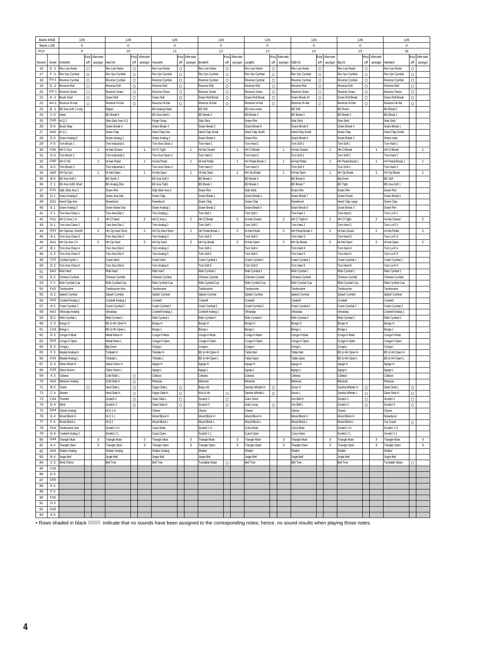| <b>Bank MSB</b> |                       | 126                              |                    |                         | 126                              |                    |                         | 126                              |         |                         | 126                              |         |                | 126                              |                    |                         | 126                              |                    |                         | 126                              |                    |                | 126                              |         |                  |
|-----------------|-----------------------|----------------------------------|--------------------|-------------------------|----------------------------------|--------------------|-------------------------|----------------------------------|---------|-------------------------|----------------------------------|---------|----------------|----------------------------------|--------------------|-------------------------|----------------------------------|--------------------|-------------------------|----------------------------------|--------------------|----------------|----------------------------------|---------|------------------|
|                 | <b>Bank LSB</b>       | 0                                |                    |                         | $\pmb{0}$                        |                    |                         | 0                                |         |                         | 0                                |         |                | 0                                |                    |                         | 0                                |                    |                         | $\pmb{0}$                        |                    |                | 0                                |         |                  |
| PC#             |                       | $\mathbf{Q}$                     |                    |                         | 10                               |                    |                         | 11                               |         |                         | 12                               |         |                | 13                               |                    |                         | 14                               |                    |                         | 15                               |                    |                | 16                               |         |                  |
|                 |                       |                                  | Key                | Alternate               |                                  | Key                | Alternate               |                                  |         | Key Alternate           |                                  |         | Key Alternate  |                                  |                    | Key Alternate           |                                  | Key                | Alternate               |                                  |                    | Key Alternate  |                                  |         | Key Alternate    |
| Note#           | Note                  | AmhntKit                         | off                | assign                  | Hard Kit                         | off                | assign                  | HouseKit                         | off     | assign                  | BreakKit                         | off     | assign         | JunglKit                         | off                | assign                  | D&B Kit                          | off                | assign                  | <b>Big Kit</b>                   | off                | assign         | HipHpKit                         | off     | assign           |
| 16              | $E - 1$<br>$F - 1$    | Rev Low Noise                    | $\circ$            |                         | Rev Low Noise                    | $\circ$            |                         | Rev Low Noise                    | $\circ$ |                         | Rev Low Noise                    | $\circ$ |                | Rev Low Noise                    | $\circ$            |                         | Rev Low Noise                    | $\circ$            |                         | Rev Low Noise                    | $\circ$            |                | Rev Low Noise                    | $\circ$ |                  |
| 17<br>18        | F#-1                  | Rev Syn Cymbal<br>Reverse Cymbal | $\circ$<br>$\circ$ |                         | Rev Syn Cymbal<br>Reverse Cymbal | $\circ$<br>$\circ$ |                         | Rev Syn Cymbal<br>Reverse Cymbal | O<br>O  |                         | Rev Syn Cymbal<br>Reverse Cymbal | O<br>O  |                | Rev Syn Cymbal<br>Reverse Cymbal | $\circ$<br>$\circ$ |                         | Rev Syn Cymbal<br>Reverse Cymbal | $\circ$<br>$\circ$ |                         | Rev Syn Cymbal<br>Reverse Cymbal | $\circ$<br>$\circ$ |                | Rev Syn Cymbal<br>Reverse Cymbal | O<br>O  |                  |
| 19              | $G - 1$               | Reverse Rol                      | $\circ$            |                         | Reverse Roll                     | $\circ$            |                         | Reverse Roll                     | $\circ$ |                         | Reverse Roll                     | $\circ$ |                | Reverse Rol                      | $\circ$            |                         | Reverse Roll                     | $\circ$            |                         | Reverse Roll                     | $\circ$            |                | Reverse Roll                     | $\circ$ |                  |
| 20              | $G#-1$                | Reverse Snare                    | $\circ$            |                         | Reverse Snare                    | $\circ$            |                         | Reverse Snare                    | $\circ$ |                         | <b>Reverse Snare</b>             | $\circ$ |                | <b>Reverse Snare</b>             | $\circ$            |                         | Reverse Snare                    | $\circ$            |                         | Reverse Snare                    | $\circ$            |                | Reverse Snare                    | $\circ$ |                  |
| 21              | A -1                  | <b>Brush Swirl</b>               | $\circ$            |                         | Snare Rol                        | $\circ$            |                         | Snare Roll                       | O       |                         | Snare Roll Break                 | $\circ$ |                | Snare Roll Breal                 | $\circ$            |                         | Snare Break 10                   | $\circ$            |                         | Snare Roll Break                 | $\circ$            |                | Snare Roll Break                 | O       |                  |
| 22              | $At - 1$              | Reverse Hi-Hat                   | $\circ$            |                         | Reverse Hi-Hat                   | $\circ$            |                         | Reverse Hi-Hat                   | Ō       |                         | Reverse Hi-Hat                   | $\circ$ |                | Reverse Hi-Hat                   | $\circ$            |                         | Reverse Hi-Hat                   | $\circ$            |                         | Reverse Hi-Hat                   | $\circ$            |                | Reverse Hi-Hat                   | Ō       |                  |
| 23              | $B - 1$               | BD Ana Soft 1 Long               |                    |                         | Ripper                           |                    |                         | <b>BD Analog Deep</b>            |         |                         | <b>BD Soft</b>                   |         |                | <b>BD Ana Loose</b>              |                    |                         | <b>BD Soft</b>                   |                    |                         | <b>BD Room</b>                   |                    |                | <b>BD Break 2</b>                |         |                  |
| 24              | C <sub>0</sub>        | Heart                            |                    |                         | BD Break 6                       |                    |                         | BD Ana Hard 1                    |         |                         | <b>BD Break 3</b>                |         |                | <b>BD Break 4</b>                |                    |                         | <b>BD Break 3</b>                |                    |                         | <b>BD Break 2</b>                |                    |                | <b>BD</b> Break                  |         |                  |
| 25              | C#0                   | Hi Q 2                           |                    |                         | Side Stick Ana 3 Q               |                    |                         | Finger Snap                      |         |                         | Side Stick                       |         |                | Snare Rim                        |                    |                         | Side Stick                       |                    |                         | Side Stick                       |                    |                | Side Stick                       |         |                  |
| 26              | D <sub>0</sub>        | <b>Brush Slap</b>                |                    |                         | Snare Break 4                    |                    |                         | Snare Break 4                    |         |                         | Snare Break 3                    |         |                | Snare Break 6                    |                    |                         | Snare Break 9                    |                    |                         | Snare Break 4                    |                    |                | Snare Break 1                    |         |                  |
| 27              | D#0                   | li Q 1                           |                    |                         | Snare Clad                       |                    |                         | Hand Clap Ana                    |         |                         | land Clap Small                  |         |                | Hand Clap Synth                  |                    |                         | Hand Clap Small                  |                    |                         | Snare Clap                       |                    |                | Hand Clap Small                  |         |                  |
| 28              | E <sub>0</sub>        | Snare Analog 5                   |                    |                         | Snare Analog 2                   |                    |                         | Snare Analog 2                   |         |                         | Inare Break 4                    |         |                | Snare Rim                        |                    |                         | Snare Break 4                    |                    |                         | Snare Break 2                    |                    |                | Snare Hard                       |         |                  |
| 29              | F <sub>0</sub>        | Tom Brush 1                      |                    |                         | Fom Industrial *                 |                    |                         | Tom Ana Clean 1                  |         |                         | Tom Hard 1                       |         |                | Tom Hard 1                       |                    |                         | Tom Soft 1                       |                    |                         | Tom Soft 1                       |                    |                | Tom Hard 1                       |         |                  |
| 30              | F#0                   | HH CI Syn                        |                    | $\overline{1}$          | Hi-Hat Closed                    |                    | 1                       | HH CI Tight                      |         | 1                       | Hi-Hat Closed                    |         | 1              | <b>HH CI Break</b>               |                    | $\overline{1}$          | Hi-Hat Closed                    |                    | $\overline{1}$          | HH CI Break                      |                    | $\overline{1}$ | HH CI Breal                      |         | 1                |
| 31              | GO                    | Tom Brush 2                      |                    |                         | Tom Industrial 2                 |                    |                         | om Ana Clean 2                   |         |                         | om Hard 2                        |         |                | Tom Hard 2                       |                    |                         | Tom Soft 2                       |                    |                         | Tom Soft 2                       |                    |                | Tom Hard 2                       |         |                  |
| 32              | G#0                   | HH CI SE                         |                    | $\overline{1}$          | Hi-Hat Pedal                     |                    | $\overline{1}$          | Hi-Hat Peda                      |         | $\mathbf{1}$            | <b>Hi-Hat Pedal</b>              |         | $\overline{1}$ | HH Pedal Break *                 |                    | $\mathbf{1}$            | Hi-Hat Pedal                     |                    | $\overline{1}$          | HH Pedal Break 1                 |                    | $\overline{1}$ | HH Pedal Break 1                 |         | $\mathbf{1}$     |
| 33              | A <sub>0</sub>        | Tom Brush 3                      |                    |                         | Fom Industrial 3                 |                    |                         | Tom Ana Clean 3                  |         |                         | Tom Hard 3                       |         |                | Tom Hard 3                       |                    |                         | Tom Soft 3                       |                    |                         | Tom Soft 3                       |                    |                | Tom Hard 3                       |         |                  |
| 34              | A#0                   | HH Op Syr                        |                    | $\mathbf{1}$            | Hi-Hat Open                      |                    | 1                       | Hi-Hat Oper                      |         | 1                       | li-Hat Open                      |         | 1              | HH Op Break                      |                    | $\overline{1}$          | Hi-Hat Open                      |                    | $\mathbf{1}$            | HH Op Break                      |                    | 1              | HH Op Break                      |         | 1                |
| 35              | B <sub>0</sub>        | BD Ana Soft 2                    |                    |                         | BD Synth 2                       |                    |                         | BD Ana Soft 2                    |         |                         | <b>BD Break 2</b>                |         |                | <b>BD Break 5</b>                |                    |                         | BD Break 6                       |                    |                         | <b>Big Drum</b>                  |                    |                | <b>BD Soft</b>                   |         |                  |
| 36              | C <sub>1</sub>        | BD Ana Soft1 Short               |                    |                         | <b>BD Analog Dist</b>            |                    |                         | <b>BD Ana Tight</b>              |         |                         | <b>BD Break 1</b>                |         |                | <b>BD Break 3</b>                |                    |                         | <b>BD Break 7</b>                |                    |                         | <b>BD Tight</b>                  |                    |                | BD Ana Soft 1                    |         |                  |
| 37              | C#1                   | Side Stick Ana 1                 |                    |                         | Snare Rim                        |                    |                         | Side Stick Ana 3                 |         |                         | Snare Rim                        |         |                | Side Stick                       |                    |                         | Snare Rim                        |                    |                         | Snare Rim                        |                    |                | Snare Rim                        |         |                  |
| 38              | D <sub>1</sub>        | Snare Analog 6                   |                    |                         | Snare Ana Dist                   |                    |                         | Snare Clap                       |         |                         | Snare Break *                    |         |                | Snare Break 4                    |                    |                         | Snare Break 7                    |                    |                         | Snare Powe                       |                    |                | Snare Break 4                    |         |                  |
| 39              | D#1                   | Hand Clap Ana                    |                    |                         | Noiseburst                       |                    |                         | Noiseburst                       |         |                         | Snare Clap                       |         |                | Snare Clap                       |                    |                         | Voiseburst                       |                    |                         | Hand Clap Large                  |                    |                | Snare Clap                       |         |                  |
| 40              | E 1                   | Snare Analog 3                   |                    |                         | Snare Noise Dist                 |                    |                         | Snare Analog *                   |         |                         | Snare Break 2                    |         |                | Snare Break 5                    |                    |                         | Snare Break 8                    |                    |                         | Snare Break 3                    |                    |                | Snare Rim                        |         |                  |
| 41              | F <sub>1</sub>        | Tom Ana Clean <sup>.</sup>       |                    |                         | Tom Ana Dist                     |                    |                         | Tom Analog 1                     |         |                         | Tom Soft 1                       |         |                | Tom Soft 1                       |                    |                         | Tom Hard                         |                    |                         | Tom Hard                         |                    |                | Tom Lo-Fi 1                      |         |                  |
| 42              | F#1                   | HH CI Ana 1 H                    |                    | $\overline{\mathbf{2}}$ | HH CI Hard                       |                    | $\overline{\mathbf{2}}$ | HH Cl Ana 1                      |         | $\overline{\mathbf{c}}$ | <b>IH CI Break</b>               |         | $\overline{2}$ | Hi-Hat Closed                    |                    | $\overline{\mathbf{c}}$ | HH CI Tight H                    |                    | $\overline{\mathbf{c}}$ | H CI Tight                       |                    | $\sqrt{2}$     | li-Hat Closed                    |         | 2                |
| 43              | G <sub>1</sub><br>G#1 | Tom Ana Clean 2                  |                    |                         | Tom Ana Dist 2                   |                    |                         | Tom Analog 2                     |         |                         | Tom Soft 2                       |         |                | Tom Soft 2                       |                    |                         | Tom Hard 2                       |                    |                         | Tom Hard 2                       |                    |                | Tom Lo-Fi 2                      |         |                  |
| 44              |                       | HH OpAna1 Shorth                 |                    | $\overline{\mathbf{2}}$ | HH Op Hard Short                 |                    | $\overline{\mathbf{c}}$ | HH Op Hard Short                 |         | $\overline{\mathbf{c}}$ | HH Pedal Break 1                 |         | $\overline{c}$ | Hi-Hat Pedal                     |                    | $\sqrt{2}$              | HH Pedal Break 2                 |                    | $\overline{\mathbf{c}}$ | Hi-Hat Closed                    |                    | $\overline{2}$ | Hi-Hat Peda                      |         | $\boldsymbol{2}$ |
| 45              | A 1<br>A#1            | Tom Ana Clean 3                  |                    | $\overline{2}$          | Tom Ana Dist 3                   |                    | $\overline{2}$          | om Analog 3                      |         | $\overline{2}$          | om Soft 3                        |         | $\overline{2}$ | Tom Soft 3<br>Hi-Hat Open        |                    | $\overline{2}$          | Tom Hard 3                       |                    | $\overline{2}$          | Tom Hard 3<br>Hi-Hat Open        |                    | $\overline{2}$ | Tom Lo-Fi 3<br>Hi-Hat Oper       |         | $\boldsymbol{2}$ |
| 46<br>47        | <b>B1</b>             | HH Op Ana 1 H<br>Tom Ana Clean 4 |                    |                         | HH Op Hard<br>Tom Ana Dist 4     |                    |                         | HH Op Hard                       |         |                         | HH Op Break<br>Tom Soft 4        |         |                | Tom Soft 4                       |                    |                         | HH Op Breal<br>Tom Hard 4        |                    |                         | Tom Hard 4                       |                    |                | Tom Lo-Fi 4                      |         |                  |
| 48              | C <sub>2</sub>        | Tom Ana Clean 5                  |                    |                         | Tom Ana Dist 5                   |                    |                         | Tom Analog 4                     |         |                         | Tom Soft 5                       |         |                | Tom Soft 5                       |                    |                         | Tom Hard 5                       |                    |                         | Tom Hard 5                       |                    |                | Tom Lo-Fi 5                      |         |                  |
| 49              | C#2                   | Cymbal Synth 1                   |                    |                         | Crash Hard                       |                    |                         | Tom Analog 5<br>Crash Hard       |         |                         | Crash Cymbal 1                   |         |                | Crash Cymbal 1                   |                    |                         | Crash Cymbal 1                   |                    |                         | Crash Cymbal 1                   |                    |                | Crash Cymbal                     |         |                  |
| 50              | D <sub>2</sub>        | Tom Ana Clean 6                  |                    |                         | Tom Ana Dist 6                   |                    |                         | Tom Analog 6                     |         |                         | Tom Soft 6                       |         |                | Tom Soft 6                       |                    |                         | Tom Hard 6                       |                    |                         | Tom Hard 6                       |                    |                | Tom Lo-Fi 6                      |         |                  |
| 51              | D#2                   | Ride Hard                        |                    |                         | Ride Hard                        |                    |                         | Ride Hard                        |         |                         | Ride Cymbal                      |         |                | Ride Cymbal                      |                    |                         | Ride Cymbal <sup>.</sup>         |                    |                         | Ride Cymbal 1                    |                    |                | Ride Cymbal                      |         |                  |
| 52              | E <sub>2</sub>        | Chinese Cymbal                   |                    |                         | Chinese Cymbal                   |                    |                         | Chinese Cymbal                   |         |                         | Chinese Cymbal                   |         |                | Chinese Cymba                    |                    |                         | Chinese Cymbal                   |                    |                         | Chinese Cymbal                   |                    |                | Chinese Cymbal                   |         |                  |
| 53              | F <sub>2</sub>        | Ride Cymbal Cup                  |                    |                         | Ride Cymbal Cup                  |                    |                         | Ride Cymbal Cup                  |         |                         | Ride Cymbal Cup                  |         |                | Ride Cymbal Cup                  |                    |                         | Ride Cymbal Cup                  |                    |                         | Ride Cymbal Cup                  |                    |                | Ride Cymbal Cup                  |         |                  |
| 54              | F#2                   | Tambourine                       |                    |                         | <b>Tambourine Ana</b>            |                    |                         | Tambourine                       |         |                         | Tambourine                       |         |                | Tambourine                       |                    |                         | Tambourine                       |                    |                         | Tambourine                       |                    |                | Tambourine                       |         |                  |
| 55              | G <sub>2</sub>        | Splash Cymbal                    |                    |                         | Splash Cymbal                    |                    |                         | Solash Cymbal                    |         |                         | Solash Cymbal                    |         |                | Solash Cymbal                    |                    |                         | Splash Cymbai                    |                    |                         | Splash Cymbal                    |                    |                | Solash Cymbal                    |         |                  |
| 56              | G#2                   | Cowbell Analog 1                 |                    |                         | Cowbell Analog 1                 |                    |                         | Cowbel                           |         |                         | cowbell                          |         |                | Cowbell                          |                    |                         | Cowbel                           |                    |                         | Cowbell                          |                    |                | owbel                            |         |                  |
| 57              | A <sub>2</sub>        | Crash Cymbal 2                   |                    |                         | Crash Cymbal 2                   |                    |                         | Crash Cymbal 2                   |         |                         | Crash Cymbal 2                   |         |                | Crash Cymbal 2                   |                    |                         | Crash Cymbal 2                   |                    |                         | Crash Cymbal 2                   |                    |                | Crash Cymbal 2                   |         |                  |
| 58              | A#2                   | /ibraslap Analog                 |                    |                         | Vibraslap                        |                    |                         | cowbell Analog                   |         |                         | Cowbell Analog 1                 |         |                | Vibraslap                        |                    |                         | Vibraslap                        |                    |                         | /ibraslap                        |                    |                | owbell Analog 1                  |         |                  |
| 59              | B <sub>2</sub>        | Ride Cymbal 1                    |                    |                         | Ride Cymbal 1                    |                    |                         | Ride Cymbal <sup>®</sup>         |         |                         | Ride Cymbal 2                    |         |                | Ride Cymbal 2                    |                    |                         | Ride Cymbal 2                    |                    |                         | Ride Cymbal 2                    |                    |                | Ride Cymbal 2                    |         |                  |
| 60              | C <sub>3</sub>        | Bongo H                          |                    |                         | BD & HH Open H                   |                    |                         | Bongo H                          |         |                         | Bongo H                          |         |                | Bongo H                          |                    |                         | Bongo H                          |                    |                         | Bongo H                          |                    |                | Bongo H                          |         |                  |
| 61              | C#3                   | Bongo L                          |                    |                         | BD & HH Open L                   |                    |                         | Bongo L                          |         |                         | Bongo L                          |         |                | Bongo L                          |                    |                         | Bongo L                          |                    |                         | Bongo L                          |                    |                | Bongo l                          |         |                  |
| 62              | D <sub>3</sub>        | Conga H Mute                     |                    |                         | Metal Noise H                    |                    |                         | Conga H Mute                     |         |                         | Conga H Mute                     |         |                | Conga H Mute                     |                    |                         | Conga H Mute                     |                    |                         | Conga H Mute                     |                    |                | onga H Mute                      |         |                  |
| 63              | D#3                   | Conga H Open                     |                    |                         | Metal Noise L                    |                    |                         | Conga H Open                     |         |                         | Conga H Open                     |         |                | Conga H Open                     |                    |                         | Conga H Open                     |                    |                         | Conga H Open                     |                    |                | Conga H Open                     |         |                  |
| 64              | E <sub>3</sub>        | Conga L                          |                    |                         | Big Drum                         |                    |                         | Conga L                          |         |                         | Conga L                          |         |                | Conga L                          |                    |                         | Conga L                          |                    |                         | Conga L                          |                    |                | Conga L                          |         |                  |
| 65              | F <sub>3</sub>        | Meatal Analog H                  |                    |                         | Timbale H                        |                    |                         | Timbale H                        |         |                         | BD & HH Open H                   |         |                | Tabla Nah                        |                    |                         | Tabla Nah                        |                    |                         | BD & HH Open H                   |                    |                | BD & HH Open H                   |         |                  |
| 66              | F#3                   | Meatal Analog L                  |                    |                         | Timbale I                        |                    |                         | Timbale                          |         |                         | BD & HH Open L                   |         |                | Tabla Open                       |                    |                         | <b>Tabla Oper</b>                |                    |                         | BD & HH Open L                   |                    |                | BD & HH Open L                   |         |                  |
| 67              | G <sub>3</sub>        | <b>Glass Noize H</b>             |                    |                         | <b>Glass Noize H</b>             |                    |                         | Agogo H                          |         |                         | Agogo H                          |         |                | Agogo H                          |                    |                         | Agogo H                          |                    |                         | Agogo H                          |                    |                | Agogo H                          |         |                  |
| 68              | G#3                   | <b>Glass Noize I</b>             |                    |                         | Glass Noize L                    |                    |                         | Agogo L                          |         |                         | Agogo L                          |         |                | Agogo L                          |                    |                         | Agogo I                          |                    |                         | Agogo L                          |                    |                | Agogo I                          |         |                  |
| 69<br>70        | A <sub>3</sub><br>A#3 | abasa<br>Maracas Analog          |                    |                         | Cold Stab L<br>Cold Stab H       | $\circ$            |                         | Cabasa                           |         |                         | Cabasa                           |         |                | Cabasa                           |                    |                         | Cabasa                           |                    |                         | Cabasa                           |                    |                | abasa<br>Maracas                 |         |                  |
| 71              | <b>B3</b>             | weet                             |                    |                         | Hard Stab                        | $\circ$<br>$\circ$ |                         | Maracas                          |         |                         | Aaracas                          |         |                | Maracas<br>Samba Whistle H       |                    |                         | Maracas                          |                    |                         | Vlaracas<br>Samba Whistle H      |                    |                | Giant Stab I                     |         |                  |
| 72              | C <sub>4</sub>        | Stream                           | O                  |                         | Hard Stab H                      | $\circ$            |                         | Organ Stab L<br>Organ Stab H     | O<br>O  |                         | Brass Hit<br>Kick & Hit          | O       |                | Samba Whistle L                  | O<br>$\circ$       |                         | Sonar H<br>Sonar L               |                    |                         | Samba Whistle L                  | $\circ$<br>O       |                | Giant Stab H                     | O<br>Ō  |                  |
| 73              | C#4                   | Thunder                          |                    |                         | Scratch <sub>2</sub>             | $\circ$            |                         | Giant Stab L                     | O       |                         | Scratch <sub>2</sub>             | $\circ$ |                | Guiro Short                      |                    |                         | Vox Bell H                       |                    |                         | Scratch <sub>2</sub>             | $\circ$            |                | Scratch <sub>2</sub>             | O       |                  |
| 74              | D 4                   | Wind                             |                    |                         | Scratch 3                        | $\circ$            |                         | Giant Stab H                     | $\circ$ |                         | Scratch 3                        | $\circ$ |                | Guiro Long                       | $\circ$            |                         | Vox Bell L                       |                    |                         | Scratch 3                        | $\circ$            |                | Scratch 3                        | $\circ$ |                  |
| 75              | D#4                   | Claves Analog                    |                    |                         | Hi Q 1 H                         |                    |                         | Claves                           |         |                         | Claves                           |         |                | Claves                           |                    |                         | Claves                           |                    |                         | Claves                           |                    |                | Claves                           |         |                  |
| 76              | E 4                   | Wood Block H                     |                    |                         | Hi Q 1 L                         |                    |                         | Wood Block H                     |         |                         | Wood Block H                     |         |                | Wood Block H                     |                    |                         | Wood Block H                     |                    |                         | Wood Block H                     |                    |                | Noiseburst                       |         |                  |
| 77              | F <sub>4</sub>        | Wood Block L                     |                    |                         | Hi Q 2                           |                    |                         | Wood Block L                     |         |                         | Wood Block L                     |         |                | Wood Block L                     |                    |                         | Wood Block L                     |                    |                         | Wood Block L                     |                    |                | Car Crash                        | $\circ$ |                  |
| 78              | F#4                   | Tambourine Ana                   |                    |                         | Scratch 1 H                      |                    |                         | Cuica Mute                       |         |                         | Scratch 1 H                      |         |                | Cuica Mute                       |                    |                         | Cuica Mute                       |                    |                         | Scratch 1 H                      |                    |                | Scratch 1 H                      |         |                  |
| 79              | G <sub>4</sub>        | Cowbell Analog 2                 |                    |                         | Scratch 1 L                      |                    |                         | Cuica Open                       |         |                         | Scratch 1 L                      |         |                | Cuica Open                       |                    |                         | Cuica Open                       |                    |                         | Scratch 1 L                      |                    |                | Scratch 1 L                      |         |                  |
| 80              | G#4                   | Triangle Mute                    |                    | 3                       | <b>Triangle Mute</b>             |                    | 3                       | Triangle Mute                    |         | 3                       | <b>Friangle Mute</b>             |         | 3              | Triangle Mute                    |                    | 3                       | <b>Triangle Mute</b>             |                    | 3                       | Triangle Mute                    |                    | 3              | Triangle Mute                    |         | 3                |
| 81              | A 4                   | Triangle Open                    |                    | 3                       | Triangle Open                    |                    | 3                       | Triangle Open                    |         | 3                       | <b>Triangle Open</b>             |         | 3              | Triangle Open                    |                    | $\mathsf 3$             | Triangle Open                    |                    | 3                       | Triangle Open                    |                    | 3              | Triangle Open                    |         | 3                |
| 82              | A#4                   | Shaker Analog                    |                    |                         | Shaker Analog                    |                    |                         | Shaker Analog                    |         |                         | Shaker                           |         |                | Shaker                           |                    |                         | Shaker                           |                    |                         | Shaker                           |                    |                | Shaker                           |         |                  |
| 83              | <b>B4</b>             | Jingle Bell                      |                    |                         | Jingle Bell                      |                    |                         | Jingle Bell                      |         |                         | Jingle Bell                      |         |                | Jingle Bell                      |                    |                         | Jingle Bell                      |                    |                         | Jingle Bell                      |                    |                | Jingle Bell                      |         |                  |
| 84              | C <sub>5</sub>        | Wind Chime                       |                    |                         | <b>Bell Tree</b>                 |                    |                         | <b>Bell Tree</b>                 |         |                         | Tumtable Noise                   | $\circ$ |                | <b>Bell Tree</b>                 |                    |                         | <b>Bell Tree</b>                 |                    |                         | <b>Bell Tree</b>                 |                    |                | Turntable Noise                  | O       |                  |
| 85              | C#5                   |                                  |                    |                         |                                  |                    |                         |                                  |         |                         |                                  |         |                |                                  |                    |                         |                                  |                    |                         |                                  |                    |                |                                  |         |                  |
| 86              | D <sub>5</sub>        |                                  |                    |                         |                                  |                    |                         |                                  |         |                         |                                  |         |                |                                  |                    |                         |                                  |                    |                         |                                  |                    |                |                                  |         |                  |
| 87              | D#5                   |                                  |                    |                         |                                  |                    |                         |                                  |         |                         |                                  |         |                |                                  |                    |                         |                                  |                    |                         |                                  |                    |                |                                  |         |                  |
| 88              | E 5                   |                                  |                    |                         |                                  |                    |                         |                                  |         |                         |                                  |         |                |                                  |                    |                         |                                  |                    |                         |                                  |                    |                |                                  |         |                  |
| 89              | F <sub>5</sub>        |                                  |                    |                         |                                  |                    |                         |                                  |         |                         |                                  |         |                |                                  |                    |                         |                                  |                    |                         |                                  |                    |                |                                  |         |                  |
| 90              | F#5                   |                                  |                    |                         |                                  |                    |                         |                                  |         |                         |                                  |         |                |                                  |                    |                         |                                  |                    |                         |                                  |                    |                |                                  |         |                  |
| 91              | G <sub>5</sub>        |                                  |                    |                         |                                  |                    |                         |                                  |         |                         |                                  |         |                |                                  |                    |                         |                                  |                    |                         |                                  |                    |                |                                  |         |                  |
| 92              | G#5                   |                                  |                    |                         |                                  |                    |                         |                                  |         |                         |                                  |         |                |                                  |                    |                         |                                  |                    |                         |                                  |                    |                |                                  |         |                  |
| 93              | A 5                   |                                  |                    |                         |                                  |                    |                         |                                  |         |                         |                                  |         |                |                                  |                    |                         |                                  |                    |                         |                                  |                    |                |                                  |         |                  |

• Rows shaded in black indicate that no sounds have been assigned to the corresponding notes; hence, no sound results when playing those notes.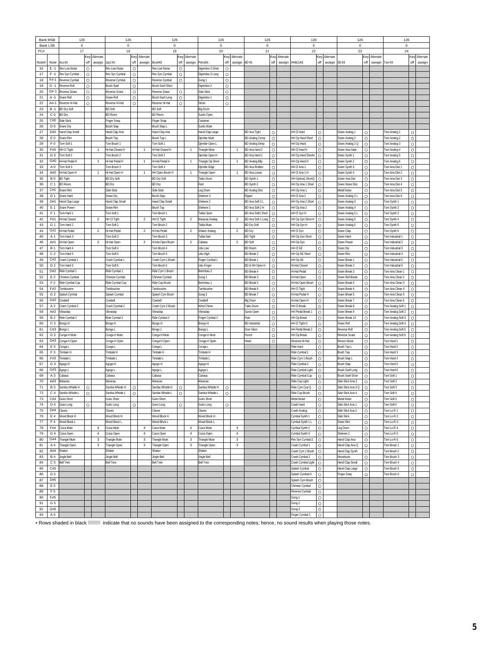| <b>Bank MSB</b> |                                  | 126                                   |                    |                           | 126                                 |                    |                               | 126                                   |                    |                               | 126                                 |                    |                     | 126                                          |              |               | 126                                |                    |           | 126                                    |                    |           | 126                                    |                    |           |
|-----------------|----------------------------------|---------------------------------------|--------------------|---------------------------|-------------------------------------|--------------------|-------------------------------|---------------------------------------|--------------------|-------------------------------|-------------------------------------|--------------------|---------------------|----------------------------------------------|--------------|---------------|------------------------------------|--------------------|-----------|----------------------------------------|--------------------|-----------|----------------------------------------|--------------------|-----------|
| Bank LSB        |                                  | 0                                     |                    |                           | 0                                   |                    |                               | 0                                     |                    |                               | $\mathbf 0$                         |                    |                     | $\mathbf 0$                                  |              |               | 0                                  |                    |           | 0                                      |                    |           | 0                                      |                    |           |
| PC#             |                                  | 17                                    | Key                | Alternate                 | 18                                  | Key                | Alternate                     | 19                                    | Key                | Alternate                     | 20                                  | Key                | Alternate           | 21                                           |              | Key Alternate | 22                                 | Key                | Alternate | 23                                     | Key                | Alternate | 24                                     | Key                | Alternate |
| Note#           | Note                             | Aco.Kit                               | off                | assign                    | Jazz Kit                            | off                | assign                        | BrushKit                              | off                | assign                        | PercsKit                            | off                | assign              | <b>BD</b> Kit                                | off          | assign        | HH&CyKit                           | off                | assign    | SD Kit                                 | off                | assign    | Tom Kit                                | off                | assign    |
| 16              | $E - 1$                          | Rev Low Noise                         | $\circ$            |                           | Rev Low Noise                       | $\circ$            |                               | Rev Low Noise                         | $\circ$            |                               | Digeridoo 3 Short                   | $\circ$            |                     |                                              |              |               |                                    |                    |           |                                        |                    |           |                                        |                    |           |
| 17              | $F - 1$                          | Rev Syn Cymbal                        | $\circ$            |                           | Rev Syn Cymbal                      | $\circ$            |                               | Rev Syn Cymbal                        | $\circ$            |                               | Digeridoo 3 Long                    | $\circ$            |                     |                                              |              |               |                                    |                    |           |                                        |                    |           |                                        |                    |           |
| 18              | F#-1                             | Reverse Cymbal                        | $\circ$            |                           | Reverse Cymbal                      | $\circ$            |                               | Reverse Cymbal                        | $\circ$            |                               | Gong 1                              | $\circ$            |                     |                                              |              |               |                                    |                    |           |                                        |                    |           |                                        |                    |           |
| 19              | $G - 1$                          | Reverse Roll                          | $\circ$            |                           | <b>Brush Swirl</b>                  | $\circ$            |                               | <b>Brush Swirl Shor</b>               |                    |                               | Digeridoo 2                         | $\circ$            |                     |                                              |              |               |                                    |                    |           |                                        |                    |           |                                        |                    |           |
| 20<br>21        | G#-1<br>A -1                     | <b>Reverse Snare</b><br>Snare Rol     | $\circ$<br>$\circ$ |                           | Reverse Snare<br>Snare Roll         | $\circ$<br>$\circ$ |                               | Reverse Snare<br>Brush Swirl Long     | $\circ$<br>$\circ$ |                               | Side Stick<br>Digeridoo 1           | $\circ$<br>$\circ$ |                     |                                              |              |               |                                    |                    |           |                                        |                    |           |                                        |                    |           |
| 22              | $At - 1$                         | Reverse Hi-Hal                        | $\circ$            |                           | Reverse Hi-Hat                      | $\circ$            |                               | Reverse Hi-Hat                        | O                  |                               | Sticks                              | $\circ$            |                     |                                              |              |               |                                    |                    |           |                                        |                    |           |                                        |                    |           |
| 23              | $B - 1$                          | <b>BD Dry Soft</b>                    |                    |                           | <b>BD Soft</b>                      |                    |                               | <b>BD Soft</b>                        |                    |                               | Big Drum                            |                    |                     |                                              |              |               |                                    |                    |           |                                        |                    |           |                                        |                    |           |
| 24              | C 0                              | <b>BD</b> Dry                         |                    |                           | <b>BD</b> Room                      |                    |                               | <b>BD Room</b>                        |                    |                               | Surdo Open                          |                    |                     |                                              |              |               |                                    |                    |           |                                        |                    |           |                                        |                    |           |
| 25              | C#0                              | Side Stick                            |                    |                           | Finger Snap                         |                    |                               | Finger Snap                           |                    |                               | Castanet                            |                    |                     |                                              |              |               |                                    |                    |           |                                        |                    |           |                                        |                    |           |
| 26              | D <sub>0</sub>                   | Snare Dry                             |                    |                           | <b>Brush Slap</b>                   |                    |                               | Brush Slap L                          |                    |                               | Surdo Mute                          |                    |                     |                                              |              |               |                                    |                    |           |                                        |                    |           |                                        |                    |           |
| 27<br>28        | D#0<br>E <sub>0</sub>            | Hand Clap Small<br>Snare Rim          |                    |                           | Hand Clap Ana<br><b>Brush Tap</b>   |                    |                               | Hand Clap Ana<br>Brush Tap L          |                    |                               | Hand Clap Large<br>Djembe Mute      |                    |                     | <b>BD Ana Tight</b><br><b>BD Analog Comp</b> | $\circ$<br>O |               | HH CI Hard<br>HH Op Hard Short     | $\circ$<br>$\circ$ |           | Snare Analog 1<br>Snare Analog 2       | $\circ$<br>O       |           | Tom Analog 1<br>Tom Analog 2           | $\circ$<br>O       |           |
| 29              | F0                               | om Soft 1                             |                    |                           | Tom Brush                           |                    |                               | Tom Soft 1                            |                    |                               | Diembe Open L                       |                    |                     | <b>BD Analog Deep</b>                        | O            |               | HH Op Hard                         | $\circ$            |           | Snare Analog 2 Q                       | $\circ$            |           | Tom Analog 3                           | $\circ$            |           |
| 30              | F#0                              | HH CI Tight                           |                    |                           | Hi-Hat Closed H                     |                    | $\overline{1}$                | Hi-Hat Closed H                       |                    | $\overline{1}$                | Triangle Mute                       |                    | $\overline{1}$      | BD Ana Hard 2                                | O            |               | HH CI Hard H                       | $\circ$            |           | Snare Ana Gate                         | Ō                  |           | Tom Analog 4                           | $\circ$            |           |
| 31              | G <sub>0</sub>                   | Tom Soft 2                            |                    |                           | Tom Brush 2                         |                    |                               | Tom Soft 2                            |                    |                               | Diembe Open H                       |                    |                     | BD Ana Hard 1                                | O            |               | HH Op Hard ShortH                  | $\circ$            |           | Snare Synth 1                          | O                  |           | om Analog 5                            | O                  |           |
| 32              | G#0                              | Hi-Hat Pedal H                        |                    | $\overline{1}$            | Hi-Hat Pedal H                      |                    | $\overline{1}$                | Hi-Hat Pedal H                        |                    | $\overline{1}$                | Friangle Op Short                   |                    | $\overline{1}$      | <b>BD Analog Blip</b>                        | O            |               | HH Op Hard H                       | O                  |           | Snare Synth 2                          | O                  |           | Tom Analog 6                           | $\circ$            |           |
| 33              | A <sub>0</sub>                   | om Soft 3                             |                    |                           | Tom Brush 3                         |                    |                               | Tom Soft 3                            |                    |                               | Djembe Edge                         |                    |                     | BD Ana Rubber                                | Ō            |               | HH CI Ana 1                        | O                  |           | Snare Synth 3                          | O                  |           | Tom Ana Dist 1                         | Ō                  |           |
| 34<br>35        | A#0<br>B <sub>0</sub>            | Hi-Hat Open H<br><b>BD</b> Tight      |                    | $\mathbf{1}$              | Hi-Hat Open H<br><b>BD Dry Soft</b> |                    | $\mathbf{1}$                  | HH Open Brush H<br><b>BD Dry Soft</b> |                    | $\overline{1}$                | riangle Open<br>Taiko Drum          |                    | 1                   | <b>BD Ana Loose</b><br>BD Synth 1            | O<br>O       |               | HH CI Ana 1 H<br>HH OpAna1 ShortQ  | $\circ$<br>$\circ$ |           | Snare Synth 4<br>Snare Ana Dist        | $\circ$<br>$\circ$ |           | Tom Ana Dist 2<br>Tom Ana Dist 3       | $\circ$<br>$\circ$ |           |
| 36              | C <sub>1</sub>                   | <b>BD</b> Room                        |                    |                           | <b>BD</b> Dry                       |                    |                               | BD Dry                                |                    |                               | Feet                                |                    |                     | BD Synth 2                                   | O            |               | HH Op Ana 1 Short                  | $\circ$            |           | Snare Noise Dis                        | O                  |           | Tom Ana Dist 4                         | O                  |           |
| 37              | C#1                              | Snare Rim                             |                    |                           | Side Stick                          |                    |                               | Side Stick                            |                    |                               | Log Drum                            |                    |                     | <b>BD Analog Dist</b>                        | O            |               | HH Op Ana 1                        | $\circ$            |           | Metal Noise                            | O                  |           | Tom Ana Dist 5                         | O                  |           |
| 38              | D <sub>1</sub>                   | Snare Hard                            |                    |                           | Snare Dry                           |                    |                               | <b>Brush Slac</b>                     |                    |                               | Shekere 3                           |                    |                     | Ripper                                       | Ō            |               | HH CI Ana 2                        | $\circ$            |           | Snare Analog 3 L                       | $\circ$            |           | Tom Ana Dist 6                         | $\circ$            |           |
| 39              | D#1                              | Hand Clap Large                       |                    |                           | Hand Clap Small                     |                    |                               | Hand Clap Small                       |                    |                               | Shekere 2                           |                    |                     | BD Ana Soft 2 L                              | O            |               | HH Op Ana 2 Short                  | $\circ$            |           | Snare Analog 3                         | O                  |           | Tom Synth 1                            | $\circ$            |           |
| 40              | E 1                              | Snare Power                           |                    |                           | Snare Rim                           |                    |                               | <b>Brush Tap</b>                      |                    |                               | Shekere 1                           |                    |                     | BD Ana Soft 2 H                              | O            |               | HH Op Ana 2                        | $\circ$            |           | Snare Analog 4                         | O                  |           | Tom Synth 2                            | O                  |           |
| 41<br>42        | F <sub>1</sub><br>F#1            | Tom Hard 1<br>li-Hat Closed           |                    |                           | Tom Soft:                           |                    | $\sqrt{2}$                    | Tom Brush '                           |                    |                               | <b>Tabla Open</b>                   |                    |                     | <b>BD Ana Soft1 Short</b>                    | Ó            |               | HH CI Syn H                        | $\circ$<br>$\circ$ |           | Snare Analog 5 I                       | Ō                  |           | Tom Synth 3                            | $\circ$            |           |
| 43              | G <sub>1</sub>                   | Tom Hard 2                            |                    | $\overline{c}$            | HH CI Tight<br>Tom Soft 2           |                    |                               | HH CI Tight<br>Tom Brush 2            |                    | $\overline{2}$                | Maracas Analog<br><b>Tabla Mute</b> |                    | $\overline{2}$      | BD Ana Soft 1 Long<br><b>BD Dry Soft</b>     | O<br>O       |               | HH Op Syn Short H<br>HH Op Syn H   | O                  |           | Snare Analog 5<br>Snare Analog 6       | O<br>O             |           | Tom Synth 4<br>Tom Synth 5             | O<br>$\circ$       |           |
| 44              | G#1                              | Hi-Hat Pedal                          |                    | $\overline{c}$            | Hi-Hat Pedal                        |                    | $\sqrt{2}$                    | Hi-Hat Peda                           |                    | $\overline{2}$                | Shaker Analog                       |                    | $\overline{c}$      | BD Dry                                       | O            |               | HH CI Syn                          | $\circ$            |           | Snare Clap                             | $\circ$            |           | Tom Synth 6                            | O                  |           |
| 45              | A 1                              | Tom Hard 3                            |                    |                           | Tom Soft 3                          |                    |                               | Tom Brush 3                           |                    |                               | <b>Tabla Nah</b>                    |                    |                     | <b>BD</b> Tight                              | $\circ$      |               | HH Op Syn Short                    | $\circ$            |           | Snare Hard                             | $\circ$            |           | Tom Industrial 1                       | $\circ$            |           |
| 46              | A#1                              | li-Hat Open                           |                    | $\overline{2}$            | Hi-Hat Open                         |                    | $\overline{\mathbf{c}}$       | Hi-Hat Open Brush                     |                    | $\overline{2}$                | Cabasa                              |                    | $\overline{2}$      | <b>BD Soft</b>                               | O            |               | HH Op Syn                          | $\circ$            |           | Snare Powe                             | $\circ$            |           | Tom Industrial 2                       | O                  |           |
| 47              | <b>B</b> 1                       | om Hard 4                             |                    |                           | Tom Soft 4                          |                    |                               | Tom Brush 4                           |                    |                               | Udu Low                             |                    |                     | <b>BD Room</b>                               | $\circ$      |               | HH CI SE                           | $\circ$            |           | Snare Dry                              | $\circ$            |           | Tom Industrial 3                       | O                  |           |
| 48              | C <sub>2</sub>                   | Tom Hard 5                            |                    |                           | Tom Soft 5                          |                    |                               | Tom Brush 5                           |                    |                               | Udu High                            |                    |                     | <b>BD Break 2</b>                            | O            |               | HH Op SE Short                     | $\circ$            |           | Snare Rim                              | $\circ$            |           | Tom Industrial 4                       | $\circ$            |           |
| 49<br>50        | C#2<br>D <sub>2</sub>            | Crash Cymbal 1<br>om Hard 6           |                    |                           | Crash Cymbal 1                      |                    |                               | Crash Cym 1 Brush                     |                    |                               | Finger Cymbal 1                     |                    |                     | <b>BD Break</b>                              | Ō<br>O       |               | HH Op SE<br><b>Hi-Hat Closed</b>   | $\circ$<br>$\circ$ |           | Snare Break 1                          | $\circ$<br>O       |           | Tom Industrial 5                       | $\circ$<br>O       |           |
| 51              | D#2                              | Ride Cymbal <sup>®</sup>              |                    |                           | Tom Soft 6<br>Ride Cymbal *         |                    |                               | Tom Brush 6<br>Ride Cym 1 Brush       |                    |                               | Udu Finger<br>Berimbau 2            |                    |                     | 3D & HH Open H<br><b>BD Break 4</b>          | O            |               | Hi-Hat Pedal                       | O                  |           | Snare Break 2<br>Snare Break 3         | O                  |           | om Industrial 6<br>Tom Ana Clean 1     | O                  |           |
| 52              | E <sub>2</sub>                   | Chinese Cymbal                        |                    |                           | Chinese Cymba                       |                    |                               | Chinese Cymbal                        |                    |                               | Gong 2                              |                    |                     | <b>BD Break 3</b>                            | Ō            |               | li-Hat Open                        | $\circ$            |           | Snare Roll Breal                       | $\circ$            |           | Tom Ana Clean 2                        | $\circ$            |           |
| 53              | F <sub>2</sub>                   | Ride Cymbal Cup                       |                    |                           | Ride Cymbal Cup                     |                    |                               | Ride Cup Brush                        |                    |                               | Berimbau 1                          |                    |                     | BD Break 5                                   | O            |               | Hi-Hat Open Brush                  | $\circ$            |           | Snare Break 6                          | O                  |           | Tom Ana Clean 3                        | O                  |           |
| 54              | F#2                              | Tambourine                            |                    |                           | Tambourine                          |                    |                               | Tambourine                            |                    |                               | Tambourine                          |                    |                     | <b>BD Break 6</b>                            | O            |               | HH CI Tight                        | O                  |           | Snare Break 4                          | O                  |           | Tom Ana Clean 4                        | O                  |           |
| 55              | G <sub>2</sub>                   | ìplash Cymbai                         |                    |                           | Splash Cymba                        |                    |                               | Splash Cym Brush                      |                    |                               | Gong 3                              |                    |                     | <b>BD Break</b>                              | O            |               | Hi-Hat Pedal H                     | $\circ$            |           | Snare Break 5                          | $\circ$            |           | Tom Ana Clean 5                        | $\circ$            |           |
| 56              | G#2                              | Cowbell                               |                    |                           | Cowbel                              |                    |                               | Cowbell                               |                    |                               | Cowbel                              |                    |                     | Big Drum                                     | $\circ$      |               | li-Hat Open H                      | $\circ$            |           | Snare Break 7                          | $\circ$            |           | om Ana Clean 6                         | $\circ$            |           |
| 57<br>58        | A <sub>2</sub><br>A#2            | Crash Cymbal 2<br>fibraslap           |                    |                           | Crash Cymbal 2<br>/ibraslap         |                    |                               | Crash Cym 2 Brush<br>/ibraslap        |                    |                               | Wind Chime<br>Vibraslap             |                    |                     | Taiko Drun<br>urdo Open                      | O<br>O       |               | HH CI Break<br>HH Pedal Break 1    | $\circ$<br>$\circ$ |           | Snare Break 8<br>Snare Break 9         | O<br>O             |           | Tom Analog Soft 1<br>Tom Analog Soft 2 | O<br>O             |           |
| 59              | B <sub>2</sub>                   | Ride Cymbal 2                         |                    |                           | Ride Cymbal 2                       |                    |                               | Ride Cymbal 2                         |                    |                               | Finger Cymbal 2                     |                    |                     | Feet                                         | O            |               | HH Op Break                        | $\circ$            |           | Snare Break 10                         | $\circ$            |           | Tom Analog Soft 3                      | O                  |           |
| 60              | C <sub>3</sub>                   | Bongo H                               |                    |                           | Bongo H                             |                    |                               | Bongo H                               |                    |                               | Bongo H                             |                    |                     | <b>BD</b> Industrial                         | Ō            |               | HH CI Tight H                      | $\circ$            |           | Snare Roll                             | $\circ$            |           | Tom Analog Soft 4                      | $\circ$            |           |
| 61              | C#3                              | Bongo l                               |                    |                           | Bongo L                             |                    |                               | Bongo L                               |                    |                               | Bongo L                             |                    |                     | Door Slam                                    | O            |               | HH Pedal Break 2                   | O                  |           | Reverse Roll                           | O                  |           | Tom Analog Soft 5                      | O                  |           |
| 62              | D <sub>3</sub>                   | Conga H Mute                          |                    |                           | Conga H Mute                        |                    |                               | Conga H Mute                          |                    |                               | Conga H Mute                        |                    |                     | Punch                                        | O            |               | HH Oo Break                        | O                  |           | Reverse Snare                          | O                  |           | Tom Analog Soft 6                      | O                  |           |
| 63              | D#3                              | Conga H Open                          |                    |                           | Conga H Open                        |                    |                               | Conga H Open                          |                    |                               | Conga H Open                        |                    |                     | teart                                        | Ō            |               | Reverse Hi-Hat                     | $\circ$            |           | <b>Revers Noise</b>                    | $\circ$            |           | Tom Hard 1                             | $\circ$            |           |
| 64<br>65        | E <sub>3</sub><br>F <sub>3</sub> | Conga L<br>'imbale H                  |                    |                           | Conga L<br>Timbale H                |                    |                               | Conga L<br>Timbale H                  |                    |                               | Conga L<br>limbale ⊦                |                    |                     |                                              |              |               | tide Hard<br>Ride Cymbal 1         | $\circ$<br>O       |           | Brush Tap L<br>Brush Tap               | O<br>$\circ$       |           | Tom Hard 2<br>Tom Hard 3               | O<br>$\circ$       |           |
| 66              | F#3                              | Timbale L                             |                    |                           | Timbale L                           |                    |                               | Timbale                               |                    |                               | Timbale I                           |                    |                     |                                              |              |               | Ride Cym 1 Brush                   | $\circ$            |           | Brush Slap I                           | $\circ$            |           | Tom Hard 4                             | $\circ$            |           |
| 67              | G <sub>3</sub>                   | Agogo H                               |                    |                           | Agogo H                             |                    |                               | Agogo H                               |                    |                               | Agogo H                             |                    |                     |                                              |              |               | tide Cymbal 2                      | $\circ$            |           | <b>Brush Slap</b>                      | $\circ$            |           | om Hard 5                              | $\circ$            |           |
| 68              | G#3                              | l apopl                               |                    |                           | Agogo L                             |                    |                               | Agogo L                               |                    |                               | Agogo L                             |                    |                     |                                              |              |               | Ride Cymbal Light                  | $\circ$            |           | Brush Swirl Long                       | O                  |           | Tom Hard 6                             | $\circ$            |           |
| 69              | A <sub>3</sub>                   | abasa                                 |                    |                           | Cabasa                              |                    |                               | Cabasa                                |                    |                               | Cabasa                              |                    |                     |                                              |              |               | Ride Cymbal Cup                    | O                  |           | <b>Brush Swirl Short</b>               | O                  |           | Tom Soft 1                             | O                  |           |
| 70              | A#3                              | Maracas                               |                    |                           | Maracas                             |                    |                               | Maracas                               |                    |                               | Maracas                             |                    |                     |                                              |              |               | Ride Cup Light                     | $\circ$            |           | Side Stick Ana 3                       | Ō                  |           | Tom Soft 2                             | $\circ$            |           |
| 71<br>72        | <b>B3</b>                        | amba Whistle H                        | $\circ$            |                           | Samha Whistle H                     | $\circ$            |                               | Samba Whistle H                       | O                  |                               | Samba Whistle H                     | O                  |                     |                                              |              |               | Ride Cym Cup Q                     | O                  |           | Side Stick Ana 3 Q<br>Side Stick Ana 4 | O                  |           | Tom Soft 3                             | $\circ$            |           |
| 73              | C <sub>4</sub><br>C#4            | Samba Whistle L<br><b>Guiro Short</b> | O                  |                           | Samba Whistle L<br>Guiro Short      | $\circ$            |                               | Samba Whistle L<br>Guiro Short        | O                  |                               | Samba Whistle L<br>Guiro Short      | O                  |                     |                                              |              |               | Ride Cup Brush<br>Metal Noise      | O<br>$\circ$       |           | Metal Noise                            | O<br>$\circ$       |           | Tom Soft 4<br>Tom Soft 5               | O<br>O             |           |
| 74              | D 4                              | Guiro Long                            | $\circ$            |                           | Guiro Long                          | $\circ$            |                               | Guiro Long                            | $\circ$            |                               | Guiro Long                          | $\circ$            |                     |                                              |              |               | Crash Hard                         | $\circ$            |           | Side Stick Ana 1                       | $\circ$            |           | Tom Soft 6                             | $\circ$            |           |
| 75              | D#4                              | Claves                                |                    |                           | Claves                              |                    |                               | Claves                                |                    |                               | Claves                              |                    |                     |                                              |              |               | Crash Analog                       | $\circ$            |           | Side Stick Ana 2                       | $\circ$            |           | Tom Lo-Fi 1                            | $\circ$            |           |
| 76              | E 4                              | Wood Block H                          |                    |                           | Wood Block H                        |                    |                               | Wood Block H                          |                    |                               | Wood Block H                        |                    |                     |                                              |              |               | Cymbal Synth 1                     | $\circ$            |           | Side Stick                             | $\circ$            |           | Tom Lo-Fi 2                            | $\circ$            |           |
| 77              | F <sub>4</sub>                   | Wood Block L                          |                    |                           | Wood Block L                        |                    |                               | Wood Block L                          |                    |                               | Wood Block L                        |                    |                     |                                              |              |               | Cymbal Synth 1 L                   | $\circ$            |           | Snare Rim                              | $\circ$            |           | Tom Lo-Fi 3                            | $\circ$            |           |
| 78              | F#4                              | Cuica Mute                            |                    | $\sqrt{4}$                | Cuica Mute                          |                    | $\overline{4}$                | Cuica Mute                            |                    | $\overline{4}$                | Cuica Mute                          |                    | 4                   |                                              |              |               | Cymbal Synth 2                     | $\circ$            |           | Log Drum                               | $\circ$            |           | Tom Lo-Fi 4                            | $\circ$            |           |
| 79<br>80        | G <sub>4</sub><br>G#4            | Cuica Open<br>Triangle Mute           |                    | $\sqrt{4}$<br>$\mathsf 3$ | Cuica Open<br><b>Triangle Mute</b>  |                    | $\overline{4}$<br>$\mathsf 3$ | Cuica Open<br><b>Friangle Mute</b>    |                    | $\overline{4}$<br>$\mathsf 3$ | Cuica Open<br><b>Friangle Mute</b>  |                    | $\overline{4}$<br>3 |                                              |              |               | Cymbal Synth 3<br>Rev Syn Cymbal 2 | $\circ$<br>$\circ$ |           | Shekere 2<br>Hand Clap Ana             | $\circ$<br>$\circ$ |           | Tom Lo-Fi 5<br>Tom Lo-Fi 6             | $\circ$<br>$\circ$ |           |
| 81              | A 4                              | Triangle Open                         |                    | 3                         | Triangle Open                       |                    | 3                             | Triangle Open                         |                    | 3                             | Triangle Open                       |                    | 3                   |                                              |              |               | Crash Cymbal 1                     | $\circ$            |           | Hand Clap Ana Q                        | $\circ$            |           | Tom Brush 1                            | $\circ$            |           |
| 82              | A#4                              | Shaker                                |                    |                           | Shaker                              |                    |                               | Shaker                                |                    |                               | Shaker                              |                    |                     |                                              |              |               | Crash Cym 1 Brush                  | $\circ$            |           | Hand Clap Synth                        | $\circ$            |           | Tom Brush 2                            | $\circ$            |           |
| 83              | <b>B4</b>                        | Jingle Bell                           |                    |                           | Jingle Bell                         |                    |                               | Jingle Bell                           |                    |                               | Jingle Bell                         |                    |                     |                                              |              |               | Crash Cymbal 2                     | $\circ$            |           | Noiseburst                             | O                  |           | Tom Brush 3                            | $\circ$            |           |
| 84              | C <sub>5</sub>                   | <b>Bell Tree</b>                      |                    |                           | <b>Bell Tree</b>                    |                    |                               | <b>Bell Tree</b>                      |                    |                               | <b>Bell Tree</b>                    |                    |                     |                                              |              |               | Crash Cymbal Light                 | $\circ$            |           | Hand Clap Small                        | $\circ$            |           | Tom Brush 4                            | $\circ$            |           |
| 85              | C#5                              |                                       |                    |                           |                                     |                    |                               |                                       |                    |                               |                                     |                    |                     |                                              |              |               | Splash Cymbal                      | $\circ$            |           | Hand Clap Large                        | $\circ$            |           | Tom Brush 5                            | $\circ$            |           |
| 86              | D <sub>5</sub><br>D#5            |                                       |                    |                           |                                     |                    |                               |                                       |                    |                               |                                     |                    |                     |                                              |              |               | Splash Cymbal H                    | $\circ$            |           | Finger Snap                            | O                  |           | Tom Brush 6                            | $\circ$            |           |
| 87<br>88        | E 5                              |                                       |                    |                           |                                     |                    |                               |                                       |                    |                               |                                     |                    |                     |                                              |              |               | Splash Cym Brush<br>Chinese Cymbal | $\circ$<br>$\circ$ |           |                                        |                    |           |                                        |                    |           |
| 89              | F <sub>5</sub>                   |                                       |                    |                           |                                     |                    |                               |                                       |                    |                               |                                     |                    |                     |                                              |              |               | Reverse Cymbal                     | $\circ$            |           |                                        |                    |           |                                        |                    |           |
| 90              | F#5                              |                                       |                    |                           |                                     |                    |                               |                                       |                    |                               |                                     |                    |                     |                                              |              |               | Gong 1                             | $\circ$            |           |                                        |                    |           |                                        |                    |           |
| 91              | G <sub>5</sub>                   |                                       |                    |                           |                                     |                    |                               |                                       |                    |                               |                                     |                    |                     |                                              |              |               | Gong 2                             | $\circ$            |           |                                        |                    |           |                                        |                    |           |
| 92              | G#5                              |                                       |                    |                           |                                     |                    |                               |                                       |                    |                               |                                     |                    |                     |                                              |              |               | Gong 3                             | $\circ$            |           |                                        |                    |           |                                        |                    |           |
| 93              | A 5                              |                                       |                    |                           |                                     |                    |                               |                                       |                    |                               |                                     |                    |                     |                                              |              |               | Finger Cymbal 1                    | $\circ$            |           |                                        |                    |           |                                        |                    |           |

• Rows shaded in black indicate that no sounds have been assigned to the corresponding notes; hence, no sound results when playing those notes.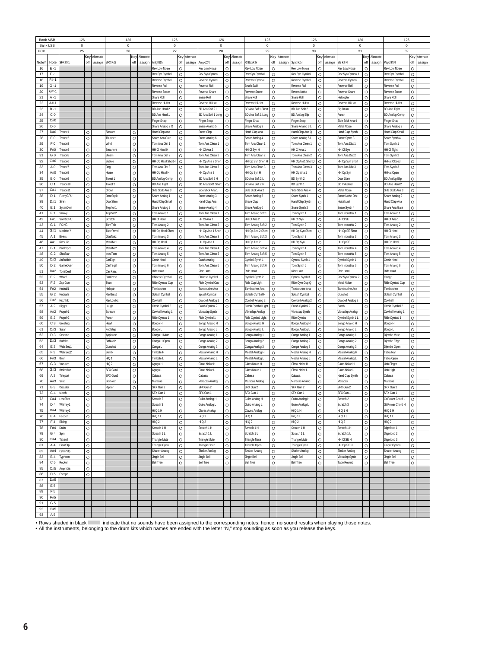| <b>Bank MSB</b> |                       | 126                             |         |           | 126                  |         |           | 126                             |              |               | 126                                              |               |               | 126                                         |                    |               | 126                                |                    |           | 126                                |                    |               | 126                                   |              |           |
|-----------------|-----------------------|---------------------------------|---------|-----------|----------------------|---------|-----------|---------------------------------|--------------|---------------|--------------------------------------------------|---------------|---------------|---------------------------------------------|--------------------|---------------|------------------------------------|--------------------|-----------|------------------------------------|--------------------|---------------|---------------------------------------|--------------|-----------|
|                 | <b>Bank LSB</b>       | 0                               |         |           | $\pmb{0}$            |         |           | 0                               |              |               | 0                                                |               |               | 0                                           |                    |               | $\mathbf 0$                        |                    |           | $\pmb{0}$                          |                    |               | 0                                     |              |           |
| PC#             |                       | 25                              |         |           | 26                   |         |           | 27                              |              |               | 28                                               |               |               | 29                                          |                    |               | 30                                 |                    |           | 31                                 |                    |               | 32                                    |              |           |
|                 |                       |                                 | Key     | Alternate |                      | Key     | Alternate |                                 |              | Key Alternate |                                                  |               | Key Alternate |                                             |                    | Key Alternate |                                    | Key                | Alternate |                                    |                    | Key Alternate |                                       | Key          | Alternate |
| Note#           | Note                  | SFX Kit1                        | off     | assign    | SFX Kit2             | off     | assign    | AnlgKt1N                        | off          | assign        | AnlgKt2N                                         | off           | assign        | <b>RhBoxKtN</b>                             | off                | assign        | SynthKtN                           | off                | assign    | <b>SE Kit N</b>                    | off                | assign        | PsychKtN                              | off          | assign    |
| 16              | $E - 1$               |                                 |         |           |                      |         |           | Rev Low Noise                   | $\circ$      |               | Rev Low Noise                                    | $\circ$       |               | Rev Low Noise                               | $\circ$            |               | <b>Rev Low Noise</b>               | $\circ$            |           | Rev Low Noise                      | $\circ$            |               | Rev Low Noise                         | $\circ$      |           |
| 17              | $F - 1$               |                                 |         |           |                      |         |           | Rev Syn Cymbal                  | O            |               | Rev Syn Cymbal                                   | O             |               | Rev Syn Cymbal                              | $\circ$            |               | Rev Syn Cymbal                     | $\circ$            |           | Rev Syn Cymbal 1                   | $\circ$            |               | Rev Syn Cymbal                        | O            |           |
| 18              | $F#-1$<br>$G -$       |                                 |         |           |                      |         |           | Reverse Cymbal                  | O<br>$\circ$ |               | <b>Reverse Cymbal</b>                            | O<br>$\Omega$ |               | Reverse Cymbal<br><b>Brush Swirl</b>        | $\circ$<br>$\circ$ |               | Reverse Cymbal<br>Reverse Roll     | $\circ$<br>$\circ$ |           | Reverse Cymbal                     | $\circ$<br>$\circ$ |               | Reverse Cymbal                        | O<br>$\circ$ |           |
| 19<br>20        | G#-1                  |                                 |         |           |                      |         |           | Reverse Rol<br>Reverse Snare    | $\circ$      |               | Reverse Roll<br><b>Reverse Snare</b>             | $\circ$       |               | <b>Reverse Snare</b>                        | $\circ$            |               | Revers Noise                       | O                  |           | Reverse Roll<br>Reverse Snare      | $\circ$            |               | Reverse Roll<br>Reverse Snare         | $\circ$      |           |
|                 |                       |                                 |         |           |                      |         |           |                                 |              |               |                                                  |               |               |                                             |                    |               |                                    |                    |           |                                    |                    |               |                                       |              |           |
| 21              | A -1<br>A#-           |                                 |         |           |                      |         |           | Snare Roll                      | O<br>O       |               | Snare Roll                                       | $\circ$<br>O  |               | Snare Roll                                  | $\circ$<br>$\circ$ |               | Snare Rol                          | $\circ$<br>$\circ$ |           | Helicopter                         | $\circ$<br>$\circ$ |               | Snare Roll                            | O<br>Ō       |           |
| 22<br>23        | $B - 1$               |                                 |         |           |                      |         |           | Reverse Hi-Hat<br>BD Ana Hard 2 | O            |               | Reverse Hi-Hat<br>BD Ana Soft 2 L                | $\circ$       |               | Reverse Hi-Hat<br><b>BD Ana Soft1 Short</b> | $\circ$            |               | Reverse Hi-Hat<br>BD Ana Soft 2    | $\circ$            |           | Reverse Hi-Hat<br>Bia Drum         | $\circ$            |               | Reverse Hi-Hat<br><b>BD Ana Tight</b> | Ō            |           |
| 24              | C 0                   |                                 |         |           |                      |         |           | BD Ana Hard 1                   | $\circ$      |               | BD Ana Soft 1 Long                               | $\circ$       |               | BD Ana Soft 1 Long                          | $\circ$            |               | <b>BD Analog Blip</b>              | $\circ$            |           | Punch                              | $\circ$            |               | <b>BD Analog Comp</b>                 | O            |           |
| 25              | C#0                   |                                 |         |           |                      |         |           | Finger Snap                     | O            |               | Finger Snap                                      | O             |               | inger Snap                                  | O                  |               | Finger Snap                        | $\circ$            |           | Side Stick Ana 4                   | O                  |               | <b>Finger Snap</b>                    | O            |           |
| 26              | D <sub>0</sub>        |                                 |         |           |                      |         |           |                                 | O            |               | Snare Analog 5                                   | O             |               |                                             | $\circ$            |               | Snare Analog 3 L                   | $\circ$            |           | Metal Noise                        | $\circ$            |               |                                       | O            |           |
| 27              | D#0                   | Trance1                         | $\circ$ |           | Shower               | $\circ$ |           | Snare Analog 2 Q                | $\circ$      |               | Snare Clad                                       | $\circ$       |               | Snare Analog 3                              | $\circ$            |               | Hand Clap Ana Q                    | $\circ$            |           |                                    | $\circ$            |               | Snare Analog 3                        | $\circ$      |           |
| 28              | E <sub>0</sub>        | Trance2                         | $\circ$ |           | hunder               | $\circ$ |           | Hand Clap Ana<br>Snare Ana Gate | O            |               | Inare Analog 6                                   | $\circ$       |               | Hand Clap Ana<br>Snare Analog 4             | $\circ$            |               | Snare Analog 5 L                   | $\circ$            |           | land Clap Synth<br>Snare Synth 3   | $\circ$            |               | Hand Clap Small<br>Snare Synth 4      | O            |           |
| 29              | F <sub>0</sub>        | rance3                          | $\circ$ |           | Nind                 | $\circ$ |           | Tom Ana Dist 1                  | O            |               | Tom Ana Clean 1                                  | $\circ$       |               | Tom Ana Clean 1                             | $\circ$            |               | Tom Ana Clean 1                    | $\circ$            |           | Tom Ana Dist 1                     | $\circ$            |               | Tom Synth 1                           | O            |           |
| 30              | F#0                   | Trance4                         | $\circ$ |           | Seashore             | $\circ$ |           | HH CI Hard H                    | $\circ$      |               | HH CI Ana 2                                      | $\circ$       |               | HH CI Syn H                                 | $\circ$            |               | HH CI Ana 1                        | $\circ$            |           | HH CI Syn                          | $\circ$            |               | HH CI Tight                           | Ō            |           |
| 31              | G <sub>0</sub>        | Trance5                         | O       |           | Steam                | $\circ$ |           | Tom Ana Dist 2                  | $\circ$      |               | om Ana Clean 2                                   | $\circ$       |               | Tom Ana Clean 2                             | O                  |               | Tom Ana Clean 2                    | O                  |           | Tom Ana Dist 2                     | $\circ$            |               | Tom Synth 2                           | Ō            |           |
| 32              | G#0                   | <b>Trance6</b>                  | $\circ$ |           | <b>Bubble</b>        | $\circ$ |           | HH Op Hard ShortH               | O            |               | HH Op Ana 2 Short                                | O             |               | HH Op Syn Short H                           | O                  |               | HH OpAna1 ShortQ                   | O                  |           | HH Op Syn Short                    | $\circ$            |               | Hi-Hat Closed                         | O            |           |
| 33              | A <sub>0</sub>        | <b>Trance</b>                   | $\circ$ |           | Dog                  | $\circ$ |           | Tom Ana Dist 3                  | Ō            |               | Tom Ana Clean 3                                  | $\circ$       |               | Tom Ana Clean 3                             | $\circ$            |               | Tom Ana Clean 3                    | $\circ$            |           | Tom Ana Dist 3                     | $\circ$            |               | Tom Synth 3                           | $\circ$      |           |
| 34              | A#0                   | Trance8                         | $\circ$ |           | torse                | $\circ$ |           | HH Op Hard H                    | O            |               | HH Op Ana 2                                      | $\circ$       |               | HH Op Syn H                                 | $\circ$            |               | HH Op Ana 1                        | $\circ$            |           | HH Op Syn                          | $\circ$            |               | Hi-Hat Open                           | O            |           |
| 35              | B <sub>0</sub>        | Trance9                         | $\circ$ |           | weet 1               | $\circ$ |           | <b>BD Analog Comp</b>           | $\circ$      |               | BD Ana Soft 2 H                                  | $\circ$       |               | BD Ana Soft 2 L                             | $\circ$            |               | BD Synth 2                         | $\circ$            |           | Door Slam                          | $\circ$            |               | <b>BD Analog Blip</b>                 | O            |           |
| 36              | C <sub>1</sub>        | Trance10                        | $\circ$ |           | Tweet 2              | $\circ$ |           | <b>BD Ana Tight</b>             | O            |               | BD Ana Soft1 Short                               | O             |               | BD Ana Soft 2 H                             | $\circ$            |               | BD Synth 1                         | $\circ$            |           | <b>BD</b> Industria                | $\circ$            |               | BD Ana Hard 2                         | O            |           |
| 37              | C#1                   | Trance11                        | $\circ$ |           | Growl                | $\circ$ |           | Side Stick Ana 3                | O            |               | Side Stick Ana 1                                 | O             |               | Side Stick Ana 2                            | $\circ$            |               | Side Stick Ana 4                   | $\circ$            |           | Metal Noise                        | $\circ$            |               | Side Stick Ana 3                      | O            |           |
| 38              | D <sub>1</sub>        | unnvCPU                         | $\circ$ |           | DoorSaek             | $\circ$ |           | Snare Analog 1                  | $\circ$      |               | Snare Analog 3                                   | $\circ$       |               | Snare Analog 5                              | $\circ$            |               | Snare Synth 1                      | $\circ$            |           | <b>Snare Noise Dist</b>            | $\circ$            |               | Snare Analog 2                        | $\circ$      |           |
| 39              | D#1                   | Siren                           | $\circ$ |           | DoorSlam             | $\circ$ |           | Hand Clap Small                 | O            |               | land Clap Ana                                    | $\circ$       |               | Snare Clap                                  | $\circ$            |               | Hand Clap Synth                    | $\circ$            |           | Noiseburst                         | $\circ$            |               | Hand Clap Ana                         | O            |           |
|                 | E 1                   |                                 | $\circ$ |           |                      | $\circ$ |           |                                 | O            |               |                                                  | $\circ$       |               |                                             | $\circ$            |               |                                    | $\circ$            |           | Snare Synth 4                      | $\circ$            |               |                                       | O            |           |
| 40<br>41        | F <sub>1</sub>        | SystmDwn<br>Smoky               | $\circ$ |           | Telphon1             | $\circ$ |           | Snare Analog 2                  | O            |               | Snare Analog 4                                   | $\circ$       |               | Snare Analog 6                              | $\circ$            |               | Snare Synth 2                      | $\circ$            |           |                                    | $\circ$            |               | Snare Ana Gate                        | Ō            |           |
| 42              | F#1                   | Sonr&CPU                        | $\circ$ |           | Telphon2<br>Scratch  | $\circ$ |           | Tom Analog 1<br>HH CI Hard      | O            |               | Tom Ana Clean 1<br>HH CI Ana 1                   | O             |               | Tom Analog Soft 1<br>HH CI Ana 2            | O                  |               | Tom Synth 1<br>HH CI Syn           | $\circ$            |           | Tom Industrial *<br><b>H CISE</b>  | O                  |               | Tom Analog 1<br>HH Cl Ana 1           | Ō            |           |
| 43              | G <sub>1</sub>        | <b>EX-NG</b>                    | O       |           | TumTabl              | $\circ$ |           | Tom Analog 2                    | O            |               | Tom Ana Clean 2                                  | O             |               | Tom Analog Soft 2                           | O                  |               | Tom Synth 2                        | $\circ$            |           | Tom Industrial 2                   | $\circ$            |               | Tom Analog 2                          | O            |           |
| 44              | G#1                   | Machine?                        | $\circ$ |           | TapeRwnd             | $\circ$ |           | HH Op Hard Short                | $\circ$      |               | HH Op Ana 1 Short                                | O             |               | HH Op Ana 2 Short                           | $\circ$            |               | HH Op Syn Short                    | $\circ$            |           | HH Op SE Short                     | $\circ$            |               | HH CI Hard                            | $\circ$      |           |
| 45              | A 1                   | Bikers                          | $\circ$ |           | GlasNoiz             | $\circ$ |           | Tom Analog 3                    | O            |               | om Ana Clean 3                                   | $\circ$       |               | Tom Analog Soft 3                           | $\circ$            |               | Tom Synth 3                        | $\circ$            |           | Tom Industrial 3                   | $\circ$            |               | Tom Analog 3                          | O            |           |
| 46              | A#1                   | <b>RvrsLife</b>                 | $\circ$ |           | MetalNz1             | $\circ$ |           | HH Op Hard                      | O            |               | HH Op Ana 1                                      | $\circ$       |               | HH Op Ana 2                                 | $\circ$            |               | HH Op Syn                          | $\circ$            |           | HH Op SE                           | $\circ$            |               | HH Op Hard                            | O            |           |
| 47              | <b>B1</b>             | Panlmpct                        | $\circ$ |           | MetalNz2             | $\circ$ |           | Tom Analog 4                    | $\circ$      |               | Tom Ana Clean 4                                  | $\circ$       |               | Tom Analog Soft 4                           | $\circ$            |               | Tom Synth 4                        | $\circ$            |           | Tom Industrial 4                   | $\circ$            |               | Tom Analog 4                          | $\circ$      |           |
| 48              | C <sub>2</sub>        | ShotStar                        | $\circ$ |           | ndstTom              | $\circ$ |           |                                 | O            |               | Tom Ana Clean 5                                  | O             |               |                                             | $\circ$            |               | Tom Synth 5                        | $\circ$            |           | Tom Industrial 5                   | $\circ$            |               | Tom Analog 5                          | O            |           |
| 49              | C#2                   | <b>InBubble</b>                 | $\circ$ |           | CarElgn              | $\circ$ |           | Tom Analog 5<br>Crash Hard      | $\circ$      |               | Crash Analoo                                     | $\circ$       |               | Tom Analog Soft 5                           | $\circ$            |               |                                    | $\circ$            |           |                                    | $\circ$            |               | Crash Hard                            | Ō            |           |
| 50              | D <sub>2</sub>        | <b>GameOver</b>                 | $\circ$ |           |                      | $\circ$ |           |                                 | O            |               |                                                  | $\circ$       |               | Cymbal Synth 1                              | O                  |               | Cymbal Synth 1                     | $\circ$            |           | Cymbal Synth 1                     | $\circ$            |               |                                       | O            |           |
| 51              | D#2                   | <b>ConeDeaf</b>                 | $\circ$ |           | CarTSqel<br>Car Pass | $\circ$ |           | Tom Analog 6<br>Ride Hard       | O            |               | Tom Ana Clean 6<br>Ride Hard                     |               |               | Tom Analog Soft 6<br>Ride Hard              | $\circ$            |               | Tom Synth 6<br>Ride Hard           | $\circ$            |           | Tom Industrial 6<br>tide Hard      | $\circ$            |               | Tom Analog 6<br>Ride Hard             | O            |           |
| 52              | E <sub>2</sub>        | Nhat?                           | $\circ$ |           | CarCrash             | $\circ$ |           | Chinese Cymbal                  | $\circ$      |               | Chinese Cymbal                                   | O<br>$\circ$  |               | Cymbal Synth 2                              | $\circ$            |               | Cymbal Synth 3                     | $\circ$            |           | Rev Syn Cymbal 2                   | $\circ$            |               | Gong 1                                | $\circ$      |           |
| 53              | F <sub>2</sub>        | Zao Gun                         | $\circ$ |           | Train                | $\circ$ |           | Ride Cymbal Cup                 | O            |               | <b>Ride Cymbal Cup</b>                           | O             |               | Ride Cup Light                              | $\circ$            |               | Ride Cym Cup Q                     | $\circ$            |           | Metal Noise                        | $\circ$            |               | Ride Cymbal Cup                       | Ō            |           |
| 54              | F#2                   | Hndrail1                        | $\circ$ |           | Helicptr             | $\circ$ |           | Tambourine                      | O            |               | Fambourine Ana                                   | O             |               | Tambourine Ana                              | O                  |               | Tambourine Ana                     | O                  |           | Tambourine Ana                     | $\circ$            |               | Tambourine                            |              |           |
| 55              | G <sub>2</sub>        | Hndrail2                        | $\circ$ |           | RevBurst             | $\circ$ |           |                                 | O            |               |                                                  | $\circ$       |               |                                             | $\circ$            |               |                                    | $\circ$            |           | Gunshot                            | $\circ$            |               |                                       | O<br>$\circ$ |           |
| 56              | G#2                   | litchhik                        | $\circ$ |           | RevLowNz             | $\circ$ |           | Splash Cymbal<br>Cowbell        | $\circ$      |               | Splash Cymbal<br>Cowbell Analog 1                | $\circ$       |               | Splash Cymbal H<br>Cowbell Analog 2         | $\circ$            |               | Splash Cymbai<br>Cowbell Analog 2  | $\circ$            |           | Cowbell Analog 2                   | $\circ$            |               | Splash Cymbal<br>Cowbel               | $\circ$      |           |
| 57              | A <sub>2</sub>        |                                 | $\circ$ |           |                      | $\circ$ |           |                                 | O            |               |                                                  | $\circ$       |               |                                             | $\circ$            |               |                                    | $\circ$            |           | Bomb                               | $\circ$            |               |                                       | O            |           |
| 58              | A#2                   | Digger                          | $\circ$ |           | Laugh                | $\circ$ |           | Crash Cymbal 2                  | $\circ$      |               | Crash Cymbal 2                                   | $\circ$       |               | Crash Cymbal Ligh                           | $\circ$            |               | Crash Cymbal 2                     | $\circ$            |           |                                    |                    |               | Crash Cymbal 2                        | O            |           |
| 59              | B <sub>2</sub>        | ropelr <sup>.</sup><br>Propelr2 | $\circ$ |           | Scream<br>Punch      | $\circ$ |           | Cowbell Analog                  | $\circ$      |               | /ibraslap Synth                                  | $\circ$       |               | Vibraslap Analog                            | $\circ$            |               | Vibraslap Synth                    | $\circ$            |           | /ibraslap Analog                   | $\circ$<br>$\circ$ |               | Cowbell Analog 1                      | O            |           |
| 60              | C <sub>3</sub>        | Greeting                        | $\circ$ |           | Heart                | $\circ$ |           | Ride Cymbal 1<br>Bongo H        | $\circ$      |               | Ride Cymbal 1<br>Bongo Analog H                  | $\circ$       |               | Ride Cymbal Light<br>Bongo Analog H         | O                  |               | Ride Cymbal<br>Bongo Analog H      | $\circ$            |           | Cymbal Synth 1 L<br>Bongo Analog H | $\circ$            |               | Ride Cymbal 1<br>Bongo H              | $\circ$      |           |
| 61              | C#3                   | Safari                          | O       |           | ootstep              | $\circ$ |           | Bongo L                         | O            |               | Bongo Analog L                                   | O             |               | Bongo Analog L                              | O                  |               | Bongo Analog L                     | O                  |           |                                    | $\circ$            |               | Bongo L                               | O            |           |
| 62              | D <sub>3</sub>        | Sesame                          | $\circ$ |           | Applause             | $\circ$ |           | Conga H Mute                    | O            |               |                                                  | O             |               |                                             | $\circ$            |               | Conga Analog <sup>.</sup>          | $\circ$            |           | Bongo Analog L                     | $\circ$            |               | Diembe Mute                           | O            |           |
| 63              | D#3                   | Buddha                          | $\circ$ |           | BrthNoiz             | $\circ$ |           | Conga H Open                    | O            |               | Conga Analog 1<br>Conga Analog 2                 | $\circ$       |               | Conga Analog 1<br>Conga Analog 2            | $\circ$            |               | Conga Analog 2                     | $\circ$            |           | Conga Analog 1<br>Conga Analog 2   | $\circ$            |               | Djembe Edge                           | O            |           |
| 64              | E <sub>3</sub>        | Wah Seq1                        | $\circ$ |           | Gunshot              | $\circ$ |           | Conga L                         | O            |               | Conga Analog 3                                   | O             |               | Conga Analog 3                              | $\circ$            |               | Conga Analog 3                     | $\circ$            |           | Conga Analog 3                     | $\circ$            |               | Djembe Open                           | O            |           |
|                 |                       |                                 | $\circ$ |           |                      | $\circ$ |           |                                 | O            |               |                                                  |               |               |                                             | $\circ$            |               |                                    |                    |           |                                    |                    |               |                                       | O            |           |
| 65<br>66        | F <sub>3</sub><br>F#3 | Wah Seq2<br>Siter               | $\circ$ |           | Bomb<br>HiO 1        | $\circ$ |           | Timbale H<br>Timbale I          | $\circ$      |               | Meatal Analog H<br><i><b>Meatal Analog L</b></i> | O<br>$\circ$  |               | Meatal Analog H                             | $\circ$            |               | Meatal Analog H<br>Meatal Analog L | O<br>$\circ$       |           | Meatal Analog H<br>Meatal Analog L | $\circ$<br>$\circ$ |               | Tabla Nah<br>Tabla Open               | $\circ$      |           |
| 67              | G <sub>3</sub>        | /acuum                          | $\circ$ |           | $H$ iQ 2             | $\circ$ |           | Agogo H                         | $\circ$      |               | <b>Glass Noize H</b>                             | $\circ$       |               | Meatal Analog L<br>Glass Noize H            | $\circ$            |               | <b>Glass Noize H</b>               | $\circ$            |           | Glass Noize H                      | $\circ$            |               | Jdu Finger                            | $\circ$      |           |
| 68              | G#3                   | Brokndwn                        | $\circ$ |           | SFX Gun1             | $\circ$ |           | Agogo L                         | O            |               | <b>Glass Noize L</b>                             | $\circ$       |               | Glass Noize L                               | $\circ$            |               | Glass Noize L                      | $\circ$            |           | Glass Noize I                      | $\circ$            |               | <b>Jdu High</b>                       | O            |           |
| 69              | A <sub>3</sub>        | elepor                          | $\circ$ |           | SFX Gun2             | $\circ$ |           | `abasa                          | $\circ$      |               | Cabasa                                           | O             |               | abasa                                       | $\circ$            |               | Cabasa                             | $\circ$            |           | land Clap Synth                    | $\circ$            |               | abasa                                 | $\circ$      |           |
| 70              | A#3                   | Scat                            | $\circ$ |           | <b>BrstNoiz</b>      | $\circ$ |           | Maracas                         | $\circ$      |               | Maracas Analog                                   | $\circ$       |               | Maracas Analoo                              | $\circ$            |               | Maracas Analog                     | $\circ$            |           | Vlaracas                           | $\circ$            |               | Maracas                               | $\circ$      |           |
| 71              | <b>B3</b>             | <b>Jisaster</b>                 | $\circ$ |           | Ripper               | $\circ$ |           | SFX Gun 2                       | O            |               | SFX Gun 2                                        | O             |               | SFX Gun 2                                   | $\circ$            |               | SFX Gun 2                          | $\circ$            |           | SFX Gun 2                          | $\circ$            |               | SFX Gun 2                             | Ō            |           |
| 72              | C <sub>4</sub>        | Match                           | $\circ$ |           |                      |         |           | SFX Gun 1                       | O            |               | SFX Gun 1                                        | O             |               | SFX Gun 1                                   | $\circ$            |               | SFX Gun 1                          | O                  |           | SFX Gun 1                          | O                  |               | SFX Gun 1                             | Ō            |           |
| 73              | C#4                   | asrShot                         | $\circ$ |           |                      |         |           | Scratch <sub>2</sub>            | O            |               | Guiro Analog H                                   | O             |               | Guiro Analog H                              | $\circ$            |               | Guiro Analog H                     | $\circ$            |           | Scratch <sub>2</sub>               | $\circ$            |               | Gt Power Chord L                      | O            |           |
| 74              | D 4                   | Whimsy1                         | $\circ$ |           |                      |         |           | Scratch 3                       | $\circ$      |               | Guiro Analog L                                   | $\circ$       |               | Guiro Analog L                              | $\circ$            |               | Guiro Analog L                     | $\circ$            |           | Scratch 3                          | $\circ$            |               | Gt Power Chord H                      | $\circ$      |           |
| 75              | D#4                   | Whimsy2                         | $\circ$ |           |                      |         |           | HiQ1H                           | $\circ$      |               | Claves Analog                                    | $\circ$       |               | Claves Analog                               | $\circ$            |               | HiQ1H                              | $\circ$            |           | HiQ1H                              | $\circ$            |               | HiQ1H                                 | $\circ$      |           |
| 76              | E 4                   | Feeder                          | $\circ$ |           |                      |         |           | HiQ 1 L                         | $\circ$      |               | Hi Q 1                                           | $\circ$       |               | Hi Q 1                                      | $\circ$            |               | HiQ1L                              | $\circ$            |           | HiQ1L                              | $\circ$            |               | HiQ1L                                 | $\circ$      |           |
| 77              | F <sub>4</sub>        | Rising                          | $\circ$ |           |                      |         |           | Hi Q 2                          | $\circ$      |               | Hi Q 2                                           | $\circ$       |               | Hi Q 2                                      | $\circ$            |               | Hi Q 2                             | $\circ$            |           | Hi Q 2                             | $\circ$            |               | HiQ2                                  | $\circ$      |           |
| 78              | F#4                   | Drain                           | $\circ$ |           |                      |         |           | Scratch 1 H                     | $\circ$      |               | Scratch 1 H                                      | $\circ$       |               | Scratch 1 H                                 | $\circ$            |               | Scratch 1 H                        | $\circ$            |           | Scratch 1 H                        | $\circ$            |               | Digeridoo 1                           | $\circ$      |           |
| 79              | G <sub>4</sub>        | Spin                            | $\circ$ |           |                      |         |           | Scratch 1 L                     | $\circ$      |               | Scratch 1 L                                      | $\circ$       |               | Scratch 1 L                                 | $\circ$            |               | Scratch 1 L                        | $\circ$            |           | Scratch 1 L                        | $\circ$            |               | Digeridoo 2                           | $\circ$      |           |
| 80              | G#4                   | Takeoff                         | $\circ$ |           |                      |         |           | Triangle Mute                   | $\circ$      |               | Triangle Mute                                    | $\circ$       |               | Triangle Mute                               | $\circ$            |               | <b>Triangle Mute</b>               | $\circ$            |           | HH CI SE H                         | $\circ$            |               | Digeridoo 3                           | $\circ$      |           |
| 81              | A 4                   | GiantStp                        | $\circ$ |           |                      |         |           | Triangle Open                   | $\circ$      |               | <b>Triangle Open</b>                             | $\circ$       |               | Triangle Open                               | O                  |               | Triangle Open                      | $\circ$            |           | HH Op SE H                         | $\circ$            |               | Finger Cymbal                         | O            |           |
| 82              | A#4                   | CyberStp                        | $\circ$ |           |                      |         |           | Shaker Analog                   | $\circ$      |               | Shaker Analog                                    | $\circ$       |               | Shaker Analog                               | $\circ$            |               | Shaker Analog                      | $\circ$            |           | Shaker Analog                      | $\circ$            |               | Shaker Analog                         | $\circ$      |           |
| 83              | <b>B4</b>             | Typhoon                         | $\circ$ |           |                      |         |           | Jingle Bell                     | $\circ$      |               | Jingle Bell                                      | $\circ$       |               | Jingle Bell                                 | $\circ$            |               | Jingle Bell                        | $\circ$            |           | /ibraslap Synth                    | $\circ$            |               | Jingle Bell                           | $\circ$      |           |
| 84              | C <sub>5</sub>        | Rocker                          | $\circ$ |           |                      |         |           | Bell Tree                       | $\circ$      |               | <b>Bell Tree</b>                                 | $\circ$       |               | <b>Bell Tree</b>                            | $\circ$            |               | <b>Bell Tree</b>                   | $\circ$            |           | Tape Rewind                        | $\circ$            |               | <b>Bell Tree</b>                      | O            |           |
| 85              | C#5                   | Amphibia                        | $\circ$ |           |                      |         |           |                                 |              |               |                                                  |               |               |                                             |                    |               |                                    |                    |           |                                    |                    |               |                                       |              |           |
| 86              | D <sub>5</sub>        | Escape                          | $\circ$ |           |                      |         |           |                                 |              |               |                                                  |               |               |                                             |                    |               |                                    |                    |           |                                    |                    |               |                                       |              |           |
| 87              | D#5                   |                                 |         |           |                      |         |           |                                 |              |               |                                                  |               |               |                                             |                    |               |                                    |                    |           |                                    |                    |               |                                       |              |           |
| 88              | E 5                   |                                 |         |           |                      |         |           |                                 |              |               |                                                  |               |               |                                             |                    |               |                                    |                    |           |                                    |                    |               |                                       |              |           |
| 89              | F <sub>5</sub>        |                                 |         |           |                      |         |           |                                 |              |               |                                                  |               |               |                                             |                    |               |                                    |                    |           |                                    |                    |               |                                       |              |           |
| 90              | F#5                   |                                 |         |           |                      |         |           |                                 |              |               |                                                  |               |               |                                             |                    |               |                                    |                    |           |                                    |                    |               |                                       |              |           |
| 91              | G <sub>5</sub>        |                                 |         |           |                      |         |           |                                 |              |               |                                                  |               |               |                                             |                    |               |                                    |                    |           |                                    |                    |               |                                       |              |           |
| 92              | G#5                   |                                 |         |           |                      |         |           |                                 |              |               |                                                  |               |               |                                             |                    |               |                                    |                    |           |                                    |                    |               |                                       |              |           |
| 93              | A 5                   |                                 |         |           |                      |         |           |                                 |              |               |                                                  |               |               |                                             |                    |               |                                    |                    |           |                                    |                    |               |                                       |              |           |

• Rows shaded in black indicate that no sounds have been assigned to the corresponding notes; hence, no sound results when playing those notes.<br>• All the instruments, belonging to the drum kits which names are ended with t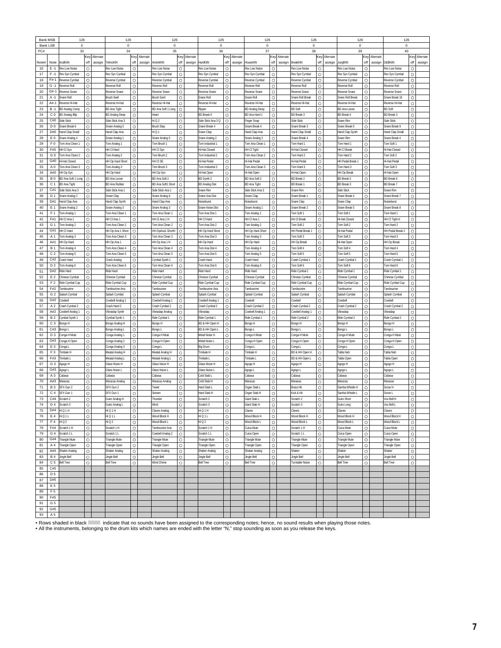| <b>Bank MSB</b> |                       | 126                         |         |           | 126                            |         |           | 126                              |              |           | 126                         |          |           | 126                   |         |               | 126                              |         |           | 126                         |         |           | 126                  |         |           |
|-----------------|-----------------------|-----------------------------|---------|-----------|--------------------------------|---------|-----------|----------------------------------|--------------|-----------|-----------------------------|----------|-----------|-----------------------|---------|---------------|----------------------------------|---------|-----------|-----------------------------|---------|-----------|----------------------|---------|-----------|
| <b>Bank LSB</b> |                       | $\mathbf 0$                 |         |           | $\bf{0}$                       |         |           | $\bf{0}$                         |              |           | $\mathsf 0$                 |          |           | $\mathbf 0$           |         |               | $\Omega$                         |         |           | $\overline{0}$              |         |           | $\mathbf 0$          |         |           |
| PC#             |                       | 33                          |         |           | 34                             |         |           | 35                               |              |           | 36                          |          |           | 37                    |         |               | 38                               |         |           | 39                          |         |           | 40                   |         |           |
|                 |                       |                             | Key     | Alternate |                                | Key     | Alternate |                                  | Key          | Alternate |                             | Key      | Alternate |                       |         | Key Alternate |                                  | Key     | Alternate |                             | Key     | Alternate |                      | Key     | Alternate |
| Note#           | Note                  | AcidKitN                    | off     | assign    | TeknoKtN                       | off     | assign    | AmbntKtN                         | off          | assign    | HardKitN                    | off      | assign    | HouseKtN              | off     | assign        | BreakKtN                         | off     | assign    | JunglKtN                    | off     | assign    | D&BKitN              | off     | assign    |
| 16              | $E - 1$               | Rev Low Noise               | $\circ$ |           | Rev Low Noise                  | $\circ$ |           | Rev Low Noise                    | O            |           | Rev Low Noise               | O        |           | Rev Low Noise         | O       |               | Rev Low Noise                    | $\circ$ |           | Rev Low Noise               | $\circ$ |           | Rev Low Noise        | O       |           |
| 17              | $F - 1$               | Rev Syn Cymbal              | $\circ$ |           | Rev Syn Cymba                  | $\circ$ |           | Rev Syn Cymba                    | O            |           | Rev Syn Cymbal              | O        |           | Rev Syn Cymbai        | $\circ$ |               | Rev Syn Cymbal                   | $\circ$ |           | Rev Syn Cymba               | $\circ$ |           | Rev Syn Cymbal       | O       |           |
| 18              | F#-1                  | Reverse Cymba               | $\circ$ |           | Reverse Cymbal                 | $\circ$ |           | Reverse Cymbal                   | $\circ$      |           | Reverse Cymba               | $\circ$  |           | Reverse Cymba         | $\circ$ |               | Reverse Cymbal                   | $\circ$ |           | Reverse Cymba               | $\circ$ |           | Reverse Cymbal       | $\circ$ |           |
| 19              | $G - 1$               | Reverse Roll                | $\circ$ |           | Reverse Roll                   | $\circ$ |           | Reverse Roll                     | O            |           | Reverse Roll                | $\circ$  |           | Reverse Roll          | $\circ$ |               | <b>Reverse Roll</b>              | $\circ$ |           | Reverse Roll                | $\circ$ |           | Reverse Roll         | $\circ$ |           |
| 20              | $G#-1$                | Reverse Snare               | $\circ$ |           | <b>Reverse Snare</b>           | $\circ$ |           | Reverse Snare                    | O            |           | Reverse Snare               | O        |           | Reverse Snare         | $\circ$ |               | <b>Reverse Snare</b>             | $\circ$ |           | Reverse Snare               | $\circ$ |           | Reverse Snare        | O       |           |
| 21              | $A - 1$               | Snare Roll                  | $\circ$ |           | <b>Brush Swir</b>              | $\circ$ |           | <b>Brush Swirl</b>               | $\circ$      |           | Snare Roll                  | $\circ$  |           | Snare Roll            | $\circ$ |               | Snare Roll Break                 | $\circ$ |           | Snare Roll Break            | $\circ$ |           | Snare Break 10       | $\circ$ |           |
| 22              | A#-1                  | Reverse Hi-Hat              | O       |           | Reverse Hi-Hat                 | $\circ$ |           | Reverse Hi-Hat                   | O            |           | Reverse Hi-Hat              | O        |           | Reverse Hi-Hat        | O       |               | Reverse Hi-Hat                   | O       |           | Reverse Hi-Hat              | O       |           | Reverse Hi-Hat       | Ō       |           |
| 23              | B-1                   | <b>BD Analog Comp</b>       | O       |           | <b>BD Ana Tight</b>            | $\circ$ |           | BD Ana Soft 1 Long               | O            |           | Ripper                      | O        |           | <b>BD Analog Deep</b> | O       |               | <b>BD Soft</b>                   | $\circ$ |           | BD Ana Loose                | $\circ$ |           | <b>BD</b> Soft       | O       |           |
| 24              | C <sub>0</sub>        | <b>BD Analog Blip</b>       | $\circ$ |           | <b>BD Analog Deep</b>          | $\circ$ |           | Hear                             | O            |           | BD Break 6                  | O        |           | BD Ana Hard 1         | O       |               | <b>BD Break 3</b>                | $\circ$ |           | <b>BD Break 4</b>           | $\circ$ |           | <b>BD Break 3</b>    | $\circ$ |           |
| 25              | C#0                   | Side Stick                  | $\circ$ |           | Side Stick Ana 3               | $\circ$ |           | HiQ2                             | $\circ$      |           | Side Stick Ana 3 Q          | $\circ$  |           | Finger Snap           | $\circ$ |               | Side Stick                       | $\circ$ |           | Snare Rim                   | $\circ$ |           | Side Stick           | $\circ$ |           |
| 26              | D <sub>0</sub>        | Snare Break 6               | $\circ$ |           | Snare Analog 5                 | $\circ$ |           | <b>Brush Slap</b>                | O            |           | Snare Break 4               | O        |           | Snare Break 4         | $\circ$ |               | Snare Break 3                    | $\circ$ |           | Snare Break 6               | $\circ$ |           | Snare Break 9        | O       |           |
| 27              | D#0                   | land Clap Small             | $\circ$ |           | land Clap Ana                  | $\circ$ |           | Hi Q 1                           | $\circ$      |           | Snare Clap                  | O        |           | land Clap Ana         | $\circ$ |               | land Clap Small                  | $\circ$ |           | land Clap Synth             | $\circ$ |           | Hand Clap Small      | O       |           |
| 28              | E0                    | Snare Analog 4              | $\circ$ |           | Snare Analog 1                 | $\circ$ |           | Snare Analog 5                   | O            |           | Snare Analog 2              | $\circ$  |           | Snare Analog 2        | $\circ$ |               | Snare Break 4                    | $\circ$ |           | Snare Rim                   | $\circ$ |           | Snare Break 4        | O       |           |
| 29              | F <sub>0</sub>        | Tom Ana Clean               | $\circ$ |           | Tom Analog 1                   | $\circ$ |           | Forn Brush                       | $\circ$      |           | Tom Industrial              | $\circ$  |           | Tom Ana Clean *       | $\circ$ |               | Tom Hard 1                       | $\circ$ |           | Tom Hard                    | $\circ$ |           | Tom Soft 1           | $\circ$ |           |
| 30              | F#0                   | HH CI Syn                   | $\circ$ |           | HH CI Hard                     | $\circ$ |           | HH CI Syn                        | O            |           | Hi-Hat Closed               | $\circ$  |           | HH CI Tight           | O       |               | <b>Hi-Hat Closed</b>             | $\circ$ |           | HH CI Break                 | $\circ$ |           | Hi-Hat Closed        | $\circ$ |           |
| 31              | G 0                   | Tom Ana Clean 2             | $\circ$ |           | Tom Analog 2                   | $\circ$ |           | Tom Brush 2                      | O            |           | Tom Industrial 2            | O        |           | fom Ana Clean 2       | $\circ$ |               | Tom Hard 2                       | $\circ$ |           | Tom Hard 2                  | $\circ$ |           | Tom Soft 2           | O       |           |
| 32              | G#0                   | Hi-Hat Closed               | $\circ$ |           | HH Op Hard Short               | $\circ$ |           | HH CI SE                         | $\circ$      |           | Hi-Hat Pedal                | $\circ$  |           | Hi-Hat Pedal          | $\circ$ |               | Hi-Hat Pedal                     | $\circ$ |           | HH Pedal Break              | $\circ$ |           | Hi-Hat Pedal         | $\circ$ |           |
| 33              | A <sub>0</sub>        | Tom Ana Clean 3             | O       |           | om Analog 3                    | $\circ$ |           | Tom Brush 3                      | Ō            |           | om Industrial 3             | O        |           | Tom Ana Clean 3       | $\circ$ |               | Tom Hard 3                       | $\circ$ |           | om Hard 3                   | $\circ$ |           | Tom Soft 3           | Ō       |           |
| 34              | A#0                   | HH Op Syn                   | O       |           | HH Op Hard                     | $\circ$ |           | HH Op Syn                        | O            |           | Hi-Hat Open                 | O        |           | Hi-Hat Open           | O       |               | Hi-Hat Open                      | $\circ$ |           | HH Op Breal                 | $\circ$ |           | Hi-Hat Open          | O       |           |
| 35              | <b>B0</b>             | BD Ana Soft 1 Long          | $\circ$ |           | <b>BD Ana Loose</b>            | $\circ$ |           | BD Ana Soft 2                    | $\circ$      |           | BD Synth 2                  | $\circ$  |           | BD Ana Soft 2         | $\circ$ |               | <b>BD Break 2</b>                | $\circ$ |           | <b>BD Break 5</b>           | Ō       |           | <b>BD</b> Break 6    | $\circ$ |           |
| 36              | C <sub>1</sub>        | <b>BD Ana Tight</b>         | $\circ$ |           | <b>BD Ana Rubber</b>           | $\circ$ |           | BD Ana Soft1 Short               | $\circ$      |           | <b>BD Analog Dist</b>       | $\circ$  |           | <b>BD Ana Tight</b>   | $\circ$ |               | <b>BD Break 1</b>                | $\circ$ |           | <b>BD Break 3</b>           | $\circ$ |           | <b>BD Break 7</b>    | $\circ$ |           |
| 37              | C#1                   | Side Stick Ana 3            | $\circ$ |           | Side Stick Ana 1               | $\circ$ |           | Side Stick Ana 1                 | O            |           | Snare Rim                   | O        |           | Side Stick Ana 3      | $\circ$ |               | Snare Rim                        | $\circ$ |           | Side Stick                  | $\circ$ |           | Snare Rim            | O       |           |
| 38              | D <sub>1</sub>        | Snare Analog 2              | $\circ$ |           | Snare Clap                     | $\circ$ |           | Snare Analog 6                   | O            |           | Snare Ana Dist              | O        |           | Snare Clap            | $\circ$ |               | Snare Break 1                    | $\circ$ |           | Snare Break 4               | $\circ$ |           | Snare Break 7        | $\circ$ |           |
| 39              | D#1                   | Hand Clap Ana               | $\circ$ |           |                                | $\circ$ |           | Hand Clap Ana                    |              |           | Noiseburst                  | $\circ$  |           |                       | $\circ$ |               |                                  | $\circ$ |           |                             | $\circ$ |           | Noiseburst           | $\circ$ |           |
|                 | E 1                   |                             |         |           | Hand Clap Synth                |         |           |                                  | O<br>$\circ$ |           |                             |          |           | Noiseburst            | $\circ$ |               | Snare Clap                       | $\circ$ |           | Snare Clap                  | $\circ$ |           |                      | Ō       |           |
| 40              |                       | Snare Analog 2              | $\circ$ |           | Snare Analog 3                 | $\circ$ |           | Snare Analog 3                   |              |           | Snare Noise Dist            | O        |           | Snare Analog 1        |         |               | Snare Break 2                    |         |           | Snare Break 5               |         |           | Snare Break 8        |         |           |
| 41              | F <sub>1</sub><br>F#1 | Tom Analog 1<br>HH CI Ana 1 | O       |           | Tom Ana Clean 1<br>HH CI Ana 1 | $\circ$ |           | Tom Ana Clean 1<br>HH CI Ana 1 H | O            |           | om Ana Dist 1<br>HH CI Hard | O        |           | Tom Analog 1          | O       |               | Tom Soft 1<br><b>HH CI Break</b> | O       |           | Tom Soft 1<br>li-Hat Closed | O       |           | Tom Hard 1           | O       |           |
| 42              |                       |                             | $\circ$ |           |                                | $\circ$ |           |                                  | O            |           |                             | O        |           | HH CI Ana 1           | $\circ$ |               |                                  | $\circ$ |           |                             | $\circ$ |           | HH CI Tight H        | O       |           |
| 43              | G <sub>1</sub>        | Tom Analog 2                | $\circ$ |           | Tom Ana Clean 2                | $\circ$ |           | Tom Ana Clean 2                  | $\circ$      |           | Tom Ana Dist 2              | $\circ$  |           | Tom Analog 2          | $\circ$ |               | Tom Soft 2                       | $\circ$ |           | Tom Soft 2                  | $\circ$ |           | Tom Hard 2           | $\circ$ |           |
| 44              | G#1                   | HH CI Hard                  | $\circ$ |           | HH Op Ana 1 Short              | $\circ$ |           | HH OpAna1 ShortH                 | O            |           | HH Op Hard Short            | O        |           | HH Op Hard Short      | $\circ$ |               | HH Pedal Break 1                 | $\circ$ |           | li-Hat Pedal                | $\circ$ |           | HH Pedal Break 2     | O       |           |
| 45              | A 1                   | Tom Analog 3                | O       |           | Tom Ana Clean 3                | $\circ$ |           | Tom Ana Clean 3                  | O            |           | Tom Ana Dist 3              | O        |           | Tom Analog 3          | O       |               | Tom Soft 3                       | $\circ$ |           | Tom Soft 3                  | $\circ$ |           | Tom Hard 3           | O       |           |
| 46              | A#1                   | HH Op Hard                  | $\circ$ |           | HH Op Ana 1                    | $\circ$ |           | HH Op Ana 1 H                    | $\circ$      |           | HH Op Hard                  | $\Omega$ |           | HH Op Hard            | $\circ$ |               | HH Op Break                      | $\circ$ |           | Hi-Hat Open                 | $\circ$ |           | HH Op Break          | $\circ$ |           |
| 47              | <b>B</b> 1            | Tom Analog 4                | $\circ$ |           | Tom Ana Clean 4                | $\circ$ |           | Tom Ana Clean 4                  | $\circ$      |           | om Ana Dist 4               | $\circ$  |           | Tom Analog 4          | $\circ$ |               | Tom Soft 4                       | $\circ$ |           | Tom Soft 4                  | $\circ$ |           | Tom Hard 4           | $\circ$ |           |
| 48              | C <sub>2</sub>        | Tom Analog 5                | $\circ$ |           | Tom Ana Clean 5                | $\circ$ |           | Tom Ana Clean 5                  | O            |           | Tom Ana Dist 5              | $\circ$  |           | Tom Analog 5          | $\circ$ |               | Tom Soft 5                       | $\circ$ |           | Tom Soft 5                  | $\circ$ |           | Tom Hard 5           | $\circ$ |           |
| 49              | C#2                   | Crash Hard                  | $\circ$ |           | rash Analog                    | $\circ$ |           | ymbal Synth 1                    | $\circ$      |           | Crash Hard                  | O        |           | Crash Hard            | O       |               | Crash Cymbal 1                   | $\circ$ |           | Crash Cymbal 1              | $\circ$ |           | Crash Cymbal 1       | O       |           |
| 50              | D <sub>2</sub>        | Tom Analog 6                | $\circ$ |           | Tom Ana Clean 6                | $\circ$ |           | Tom Ana Clean 6                  | O            |           | Tom Ana Dist 6              | O        |           | Tom Analog 6          | $\circ$ |               | Tom Soft 6                       | $\circ$ |           | Tom Soft 6                  | $\circ$ |           | Tom Hard 6           | Ō       |           |
| 51              | D#2                   | Ride Hard                   | O       |           | Ride Hard                      | $\circ$ |           | Ride Hard                        | O            |           | <b>Ride Hard</b>            | O        |           | Ride Hard             | O       |               | Ride Cymbal 1                    | $\circ$ |           | Ride Cymbal 1               | $\circ$ |           | Ride Cymbal 1        | Ō       |           |
| 52              | E 2                   | Chinese Cymbal              | $\circ$ |           | Chinese Cymbal                 | $\circ$ |           | Chinese Cymbal                   | O            |           | Chinese Cymbal              | O        |           | Chinese Cymbal        | O       |               | Chinese Cymbal                   | O       |           | Chinese Cymbal              | $\circ$ |           | Chinese Cymbal       | O       |           |
| 53              | F <sub>2</sub>        | Ride Cymbal Cup             | $\circ$ |           | Ride Cymbal Cup                | $\circ$ |           | Ride Cymbal Cup                  | O            |           | Ride Cymbal Cup             | O        |           | Ride Cymbal Cup       | $\circ$ |               | Ride Cymbal Cup                  | $\circ$ |           | Ride Cymbal Cup             | O       |           | Ride Cymbal Cup      | O       |           |
| 54              | F#2                   | Tambourine                  | $\circ$ |           | Tambourine Ana                 | $\circ$ |           | Tambourine                       | $\circ$      |           | Tambourine Ana              | $\circ$  |           | Tambourine            | $\circ$ |               | Tambourine                       | $\circ$ |           | Tambourine                  | $\circ$ |           | Tambourine           | $\circ$ |           |
| 55              | G <sub>2</sub>        | Solash Cymbal               | $\circ$ |           | plash Cymbal                   | $\circ$ |           | Splash Cymbal                    | O            |           | plash Cymbal                | $\circ$  |           | Solash Cymbal         | $\circ$ |               | Solash Cymbal                    | $\circ$ |           | plash Cymbal                | $\circ$ |           | Splash Cymbal        | O       |           |
| 56              | G#2                   | Cowbell                     | $\circ$ |           | Cowbell Analog                 | $\circ$ |           | Cowbell Analog                   | O            |           | Cowbell Analog 1            | O        |           | Cowbell               | $\circ$ |               | owbell                           | $\circ$ |           | Cowbell                     | $\circ$ |           | Cowbell              | O       |           |
| 57              | A 2                   | Crash Cymbal 2              | $\circ$ |           | Crash Hard 2                   | $\circ$ |           | Crash Cymbal 2                   | $\circ$      |           | Crash Cymbal 2              | $\Omega$ |           | Crash Cymbal 2        | $\circ$ |               | Crash Cymbal 2                   | $\circ$ |           | Crash Cymbal 2              | $\circ$ |           | Crash Cymbal 2       | $\circ$ |           |
| 58              | A#2                   | Cowbell Analog 1            | $\circ$ |           | /ibraslap Synth                | $\circ$ |           | Vibraslap Analoo                 | $\circ$      |           | /ibraslap                   | $\circ$  |           | Cowbell Analog 1      | $\circ$ |               | Cowbell Analog 1                 | $\circ$ |           | /ibraslac                   | $\circ$ |           | Vibraslad            | $\circ$ |           |
| 59              | <b>B2</b>             | Cymbal Synth 1              | $\circ$ |           | Cymbal Synth 1                 | $\circ$ |           | Ride Cymbal 1                    | O            |           | Ride Cymbal 1               | $\circ$  |           | Ride Cymbal 1         | $\circ$ |               | Ride Cymbal 2                    | $\circ$ |           | Ride Cymbal 2               | $\circ$ |           | Ride Cymbal 2        | O       |           |
| 60              | C <sub>3</sub>        | Bongo H                     | $\circ$ |           | Bongo Analog H                 | $\circ$ |           | Bongo H                          | O            |           | BD & HH Open H              | O        |           | Bongo H               | O       |               | Bongo H                          | $\circ$ |           | Bongo H                     | $\circ$ |           | Bongo H              | O       |           |
| 61              | C#3                   | Bonao L                     | $\circ$ |           | Bongo Analog L                 | $\circ$ |           | Bonao L                          | O            |           | BD & HH Open L              | $\circ$  |           | Bongo L               | $\circ$ |               | Bonao L                          | $\circ$ |           | Bonao L                     | $\circ$ |           | Bonao L              | $\circ$ |           |
| 62              | D <sub>3</sub>        | Conga H Mute                | O       |           | Conga Analog 1                 | $\circ$ |           | Conga H Mute                     | O            |           | Metal Noise H               | O        |           | Conga H Mute          | $\circ$ |               | Conga H Mute                     | $\circ$ |           | Conga H Mute                | $\circ$ |           | Conga H Mute         | Ō       |           |
| 63              | D#3                   | Conga H Open                | O       |           | Conga Analog 2                 | $\circ$ |           | Conga H Open                     | O            |           | Metal Noise L               | O        |           | Conga H Open          | O       |               | ≿onga H Open                     | O       |           | Conga H Open                | O       |           | Conga H Open         | O       |           |
| 64              | E <sub>3</sub>        | Conga L                     | $\circ$ |           | Conga Analog 3                 | $\circ$ |           | Conga L                          | O            |           | <b>Big Drum</b>             | O        |           | Conga L               | O       |               | Conga L                          | $\circ$ |           | Conga L                     | $\circ$ |           | Conga L              | O       |           |
| 65              | F <sub>3</sub>        | Timbale H                   | $\circ$ |           | Meatal Analog H                | $\circ$ |           | Meatal Analog H                  | $\circ$      |           | Timbale H                   | $\circ$  |           | Timbale H             | $\circ$ |               | BD & HH Open H                   | $\circ$ |           | Tabla Nah                   | $\circ$ |           | Tabla Nah            | $\circ$ |           |
| 66              | F#3                   | Timbale L                   | $\circ$ |           | Neatal Analog L                | $\circ$ |           | Meatal Analog L                  | O            |           | Timbale L                   | O        |           | Timbale I             | $\circ$ |               | BD & HH Open L                   | $\circ$ |           | Tabla Open                  | $\circ$ |           | Tabla Open           | O       |           |
| 67              | G <sub>3</sub>        | Agogo H                     | $\circ$ |           | <b>Glass Noize H</b>           | $\circ$ |           | Glass Noize H                    | O            |           | Glass Noize H               | O        |           | Agogo H               | $\circ$ |               | Agogo H                          | $\circ$ |           | Agogo H                     | $\circ$ |           | Agogo H              | O       |           |
| 68              | G#3                   | Agogo L                     | $\circ$ |           | <b>Glass Noize I</b>           | $\circ$ |           | Glass Noize L                    | $\circ$      |           | Glass Noize I               | $\circ$  |           | Agogo L               | O       |               | Agogo L                          | $\circ$ |           | Agogo L                     | $\circ$ |           | Agogo L              | $\circ$ |           |
| 69              | A <sub>3</sub>        | Cabasa                      | O       |           | Cabasa                         | $\circ$ |           | Cabasa                           | $\circ$      |           | Cold Stab L                 | $\circ$  |           | Cabasa                | O       |               | `abasa                           | $\circ$ |           | Cabasa                      | $\circ$ |           | Cabasa               | Ō       |           |
| 70              | A#3                   | Maracas                     | O       |           | Maracas Analog                 | $\circ$ |           | Maracas Analog                   | O            |           | Cold Stab H                 | $\circ$  |           | Maracas               | O       |               | Maracas                          | $\circ$ |           | Maracas                     | $\circ$ |           | Maraca:              | O       |           |
| 71              | <b>B3</b>             | SFX Gun 2                   | $\circ$ |           | SFX Gun 2                      | $\circ$ |           | weet                             | Ō            |           | Hard Stab L                 | O        |           | Organ Stab L          | O       |               | <b>Brass Hit</b>                 | $\circ$ |           | Samba Whistle H             | O       |           | Sonar H              | Ō       |           |
| 72              | C <sub>4</sub>        | SFX Gun 1                   | $\circ$ |           | SFX Gun 1                      | $\circ$ |           | Stream                           | O            |           | lard Stab H                 | $\circ$  |           | Organ Stab H          | $\circ$ |               | Kick & Hit                       | $\circ$ |           | Samba Whistle L             | $\circ$ |           | Sonar L              | $\circ$ |           |
| 73              | C#4                   | Scratch <sub>2</sub>        | $\circ$ |           | Guiro Analog H                 | $\circ$ |           | hunde                            | O            |           | Scratch <sub>2</sub>        | O        |           | Giant Stab L          | $\circ$ |               | Scratch <sub>2</sub>             | $\circ$ |           | Guiro Short                 | $\circ$ |           | Vox Bell H           | O       |           |
| 74              | D 4                   | Scratch 3                   | $\circ$ |           | Guiro Analog L                 | $\circ$ |           | Wind                             | O            |           | Scratch 3                   | O        |           | Giant Stab H          | O       |               | Scratch 3                        | $\circ$ |           | Guiro Long                  | $\circ$ |           | Vox Bell L           | O       |           |
| 75              | D#4                   | HiQ1H                       | $\circ$ |           | Hi Q 1 H                       | $\circ$ |           | Claves Analog                    | O            |           | HiQ1H                       | $\circ$  |           | Claves                | $\circ$ |               | Claves                           | $\circ$ |           | Claves                      | $\circ$ |           | Claves               | $\circ$ |           |
| 76              | E 4                   | HiQ1L                       | $\circ$ |           | Hi Q 1 L                       | $\circ$ |           | Wood Block H                     | $\circ$      |           | HiQ1L                       | $\circ$  |           | Wood Block H          | $\circ$ |               | Wood Block H                     | $\circ$ |           | Wood Block H                | $\circ$ |           | Wood Block H         | $\circ$ |           |
| 77              | F <sub>4</sub>        | HiQ2                        | $\circ$ |           | Hi Q 2                         | $\circ$ |           | Wood Block L                     | O            |           | HiQ2                        | $\circ$  |           | Wood Block L          | $\circ$ |               | Wood Block I                     | $\circ$ |           | Wood Block L                | $\circ$ |           | Wood Block L         | $\circ$ |           |
| 78              | F#4                   | Scratch 1 H                 | $\circ$ |           | Scratch 1 H                    | $\circ$ |           | Tambourine Ana                   | $\circ$      |           | Scratch 1 H                 | $\circ$  |           | Cuica Mute            | $\circ$ |               | Scratch 1 H                      | $\circ$ |           | Cuica Mute                  | $\circ$ |           | Cuica Mute           | $\circ$ |           |
| 79              | G <sub>4</sub>        | Scratch 1 L                 | $\circ$ |           | Scratch 1 L                    | $\circ$ |           | Cowbell Analog 2                 | $\circ$      |           | Scratch 1 L                 | $\circ$  |           | Cuica Open            | $\circ$ |               | Scratch 1 L                      | $\circ$ |           | Cuica Open                  | $\circ$ |           | Cuica Open           | $\circ$ |           |
|                 | G#4                   |                             |         |           |                                |         |           |                                  |              |           |                             |          |           |                       |         |               |                                  |         |           |                             |         |           | <b>Triangle Mute</b> |         |           |
| 80              |                       | Triangle Mute               | O       |           | <b>Triangle Mute</b>           | $\circ$ |           | Triangle Mute                    | O            |           | <b>Triangle Mute</b>        | O        |           | <b>Triangle Mute</b>  | $\circ$ |               | <b>Triangle Mute</b>             | $\circ$ |           | <b>Triangle Mute</b>        | O       |           |                      | O       |           |
| 81              | A 4                   | Triangle Open               | $\circ$ |           | Triangle Open                  | $\circ$ |           | Triangle Open                    | O            |           | Triangle Open               | O        |           | Triangle Open         | $\circ$ |               | Triangle Open                    | $\circ$ |           | Triangle Open               | $\circ$ |           | Triangle Open        | O       |           |
| 82              | A#4                   | Shaker Analog               | $\circ$ |           | Shaker Analog                  | $\circ$ |           | Shaker Analog                    | $\circ$      |           | Shaker Analog               | $\circ$  |           | Shaker Analog         | $\circ$ |               | Shaker                           | $\circ$ |           | Shaker                      | $\circ$ |           | Shaker               | $\circ$ |           |
| 83              | <b>B4</b>             | Jingle Bell                 | $\circ$ |           | Jingle Bell                    | $\circ$ |           | Jingle Bell                      | O            |           | Jingle Bell                 | $\circ$  |           | Jingle Bell           | $\circ$ |               | Jingle Bell                      | $\circ$ |           | Jingle Bell                 | $\circ$ |           | Jingle Bell          | $\circ$ |           |
| 84              | C <sub>5</sub>        | <b>Bell Tree</b>            | $\circ$ |           | <b>Bell Tree</b>               | $\circ$ |           | Wind Chime                       | $\circ$      |           | <b>Bell Tree</b>            | $\circ$  |           | <b>Bell Tree</b>      | $\circ$ |               | Turntable Noise                  | $\circ$ |           | <b>Bell Tree</b>            | $\circ$ |           | <b>Bell Tree</b>     | $\circ$ |           |
| 85              | C#5                   |                             |         |           |                                |         |           |                                  |              |           |                             |          |           |                       |         |               |                                  |         |           |                             |         |           |                      |         |           |
| 86              | D <sub>5</sub>        |                             |         |           |                                |         |           |                                  |              |           |                             |          |           |                       |         |               |                                  |         |           |                             |         |           |                      |         |           |
| 87              | D#5                   |                             |         |           |                                |         |           |                                  |              |           |                             |          |           |                       |         |               |                                  |         |           |                             |         |           |                      |         |           |
| 88              | E <sub>5</sub>        |                             |         |           |                                |         |           |                                  |              |           |                             |          |           |                       |         |               |                                  |         |           |                             |         |           |                      |         |           |
| 89              | F <sub>5</sub>        |                             |         |           |                                |         |           |                                  |              |           |                             |          |           |                       |         |               |                                  |         |           |                             |         |           |                      |         |           |
| 90              | F#5                   |                             |         |           |                                |         |           |                                  |              |           |                             |          |           |                       |         |               |                                  |         |           |                             |         |           |                      |         |           |
| 91              | G <sub>5</sub>        |                             |         |           |                                |         |           |                                  |              |           |                             |          |           |                       |         |               |                                  |         |           |                             |         |           |                      |         |           |
| 92              | G#5                   |                             |         |           |                                |         |           |                                  |              |           |                             |          |           |                       |         |               |                                  |         |           |                             |         |           |                      |         |           |
| 93              | A 5                   |                             |         |           |                                |         |           |                                  |              |           |                             |          |           |                       |         |               |                                  |         |           |                             |         |           |                      |         |           |

• Rows shaded in black indicate that no sounds have been assigned to the corresponding notes; hence, no sound results when playing those notes.<br>• All the instruments, belonging to the drum kits which names are ended with t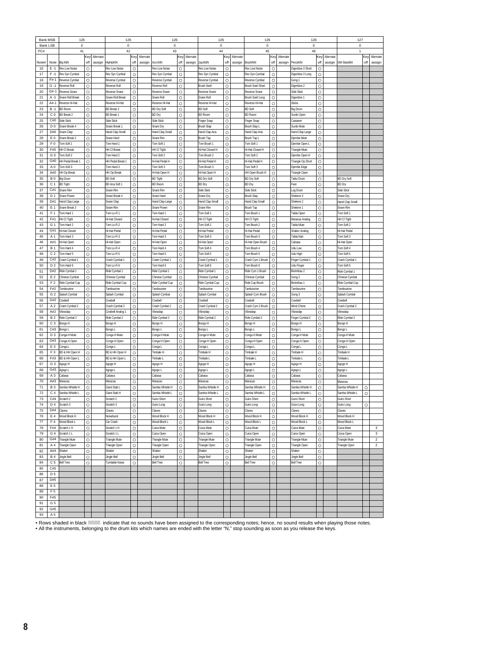| Bank LSB<br>$\mathbf 0$<br>0<br>0<br>$\mathbf 0$<br>$\mathbf 0$<br>$\mathbf 0$<br>$\mathbf 0$<br>PC#<br>41<br>42<br>43<br>44<br>45<br>46<br>Alternate<br>Key<br>Alternate<br>Key<br>Alternate<br>Key<br>Alternate<br>Key<br>Alternate<br><ey<br>Alternate<br/>Key<br/>Key<br/><b>Big KitN</b><br/>off<br/>assign<br/>HipHpKtN<br/>off<br/>assign<br/>Aco.KitN<br/>off<br/>assign<br/>JazzKitN<br/>off<br/>BrushKtN<br/>off<br/>assign<br/>PercsKtN<br/>off<br/>assign<br/><b>3M-StandKit</b><br/>off<br/>Note#<br/>Note<br/>assign<br/>16<br/><math>\circ</math><br/><math>\circ</math><br/><math>\circ</math><br/><math>\circ</math><br/><math>\circ</math><br/><math>F - 1</math><br/>Rev Low Noise<br/>Rev Low Noise<br/>O<br/>Rev Low Noise<br/>Rev Low Noise<br/>Rev Low Noise<br/>Digeridoo 3 Short<br/><math>\circ</math><br/><math>\circ</math><br/><math>\circ</math><br/><math>\circ</math><br/><math>F - 1</math><br/>Rev Syn Cymbal<br/><math>\circ</math><br/>Rev Syn Cymbal<br/>Rev Svn Cvmbal<br/>Rev Syn Cymbal<br/>O<br/>Rev Syn Cymbal<br/>Digeridoo 3 Long<br/>17<br/>O<br/><math>\circ</math><br/>O<br/>18<br/><math>F#-1</math><br/>Reverse Cymbal<br/><math>\circ</math><br/>Reverse Cymbal<br/><math>\circ</math><br/>Reverse Cymbal<br/><math>\circ</math><br/>Reverse Cymbal<br/>Reverse Cymbal<br/>Gong 1<br/><math>\circ</math><br/><math>\circ</math><br/><math>\circ</math><br/><math>\circ</math><br/>19<br/>G<br/><b>Reverse Roll</b><br/>Reverse Roll<br/><math>\circ</math><br/>Reverse Roll<br/><math>\circ</math><br/><b>Brush Swir</b><br/><b>Brush Swirl Short</b><br/>Digeridoo 2<br/><math>\Omega</math><br/><math>\circ</math><br/><math>\circ</math><br/><math>\circ</math><br/><math>\circ</math><br/>O<br/><math>G#-1</math><br/>Side Stick<br/>20<br/>Reverse Snare<br/>Reverse Snare<br/>Reverse Snare<br/>Reverse Snare<br/><b>Reverse Snare</b><br/>21<br/><math>A - 1</math><br/><math>\circ</math><br/><math>\circ</math><br/><math>\circ</math><br/>O<br/><math>\circ</math><br/><math>\circ</math><br/>Snare Roll Break<br/>Snare Roll Break<br/>Snare Roll<br/>Snare Rol<br/>Brush Swirl Long<br/>Digeridoo 1<br/>A#-1<br/>O<br/><math>\circ</math><br/>O<br/>O<br/>O<br/>22<br/>Reverse Hi-Hat<br/>Reverse Hi-Hat<br/><math>\circ</math><br/>Reverse Hi-Hat<br/>Reverse Hi-Hat<br/>Reverse Hi-Hat<br/><b>Sticks</b><br/><math>\circ</math><br/>O<br/>O<br/>23<br/>O<br/><b>BD Break 2</b><br/><math>\circ</math><br/><b>BD Dry Soft</b><br/><b>BD</b> Soft<br/><b>BD Soft</b><br/>O<br/><math>B - 1</math><br/><b>BD Room</b><br/>Big Drum<br/>24<br/>C<sub>0</sub><br/><math>\circ</math><br/><math>\circ</math><br/><math>\circ</math><br/><math>\circ</math><br/><math>\circ</math><br/><math>\circ</math><br/><b>BD Break</b><br/>BD Dry<br/><b>BD Room</b><br/><b>BD Room</b><br/><b>BD Break 2</b><br/>Surdo Oper<br/>O<br/><math>\circ</math><br/><math>\circ</math><br/>O<br/>O<br/>O<br/>25<br/>C#0<br/>Side Stick<br/>Side Stick<br/>Side Stick<br/>Finger Snap<br/>Finger Snap<br/>Castanet<br/>26<br/>D<sub>0</sub><br/>nare Break 4<br/><math>\circ</math><br/>Snare Break 1<br/><math>\circ</math><br/>Snare Dry<br/><math>\circ</math><br/><b>Brush Slap</b><br/>O<br/>Brush Slap L<br/>O<br/>Surdo Mute<br/><math>\circ</math><br/><math>\circ</math><br/><math>\circ</math><br/><math>\circ</math><br/><math>\circ</math><br/><math>\circ</math><br/><math>\circ</math><br/>27<br/>D#O<br/>Snare Clap<br/>Hand Clap Small<br/>Hand Clap Small<br/>Hand Clap Ana<br/>Hand Clap Ana<br/>Hand Clap Large<br/>28<br/><math>\circ</math><br/><math>\circ</math><br/><math>\circ</math><br/><math>\circ</math><br/><math>\circ</math><br/><math>\circ</math><br/>E<sub>0</sub><br/>Snare Break 2<br/>Snare Hard<br/>Snare Rim<br/><b>Brush Tao</b><br/>Brush Tao L<br/>Diembe Mute<br/><math>\circ</math><br/><math>\circ</math><br/><math>\circ</math><br/>O<br/>O<br/>O<br/>29<br/>F<sub>0</sub><br/>Tom Soft 1<br/>Tom Hard<br/>Tom Soft 1<br/>Tom Brush 1<br/>Tom Soft 1<br/>Djembe Open L<br/>F#0<br/><math>\circ</math><br/><math>\circ</math><br/><math>\circ</math><br/>O<br/><math>\circ</math><br/>O<br/>30<br/><b>IH CI Break</b><br/>HH CI Break<br/>HH CI Tight<br/>Hi-Hat Closed H<br/>Hi-Hat Closed H<br/><b>Triangle Mute</b><br/>G<sub>0</sub><br/><math>\Omega</math><br/><math>\Omega</math><br/><math>\circ</math><br/>O<br/><math>\circ</math><br/>O<br/>31<br/>Tom Soft 2<br/>Tom Hard 2<br/>Tom Soft 2<br/>Tom Soft 2<br/>Tom Brush 2<br/>Djembe Open H<br/>32<br/>G#0<br/>HH Pedal Break 1<br/><math>\circ</math><br/>HH Pedal Break 1<br/><math>\circ</math><br/>Hi-Hat Pedal H<br/><math>\circ</math><br/>Hi-Hat Pedal H<br/>O<br/>Hi-Hat Pedal H<br/>O<br/>Triangle Op Short<br/><math>\circ</math><br/>33<br/>A 0<br/>om Soft 3<br/>O<br/>Tom Hard 3<br/>Tom Soft 3<br/><math>\circ</math><br/>Tom Brush 3<br/>O<br/>Tom Soft 3<br/>O<br/>Djembe Edge<br/>O<br/><math>\circ</math><br/><math>\circ</math><br/>O<br/>O<br/>34<br/>A#()<br/>HH Op Break<br/>O<br/>HH Op Break<br/><math>\circ</math><br/>Hi-Hat Open H<br/>Hi-Hat Open H<br/>HH Open Brush H<br/>O<br/>Triangle Oper<br/>35<br/><math>\circ</math><br/><b>BD Soft</b><br/><math>\circ</math><br/><math>\circ</math><br/><math>\circ</math><br/><math>\circ</math><br/><math>\circ</math><br/>B<sub>0</sub><br/><b>BD Tight</b><br/><b>BD Dry Soft</b><br/><b>BD Dry Soft</b><br/>Taiko Drum<br/>Big Drum<br/>BD Dry Sof<br/><math>\circ</math><br/><math>\circ</math><br/><math>\circ</math><br/><math>\circ</math><br/><math>\circ</math><br/>O<br/>36<br/>C<sub>1</sub><br/><b>BD</b> Tight<br/>BD Ana Soft 1<br/><b>BD Room</b><br/><b>BD</b> Dry<br/><b>BD</b> Dry<br/>Feet<br/>BD Dry<br/><math>\circ</math><br/><math>\circ</math><br/><math>\circ</math><br/>37<br/>C#1<br/><math>\circ</math><br/>Snare Rim<br/><math>\circ</math><br/>Snare Rim<br/><math>\circ</math><br/>Side Stick<br/>Side Stick<br/>Side Stick<br/>nare Rim<br/>Log Drum<br/><math>\Omega</math><br/><math>\circ</math><br/><math>\circ</math><br/><math>\circ</math><br/><math>\circ</math><br/>O<br/>38<br/>D<sub>1</sub><br/>Snare Powe<br/>Snare Break 4<br/>Snare Hard<br/>Snare Dry<br/><b>Brush Slap</b><br/>Shekere 3<br/>Snare Dry<br/>D#1<br/><math>\circ</math><br/><math>\circ</math><br/><math>\circ</math><br/>Hand Clap Small<br/><math>\circ</math><br/>land Clap Small<br/><math>\circ</math><br/>O<br/>Hand Clap Small<br/>39<br/>Hand Clap Large<br/>Snare Clap<br/>Hand Clap Large<br/>Shekere 2<br/><math>\circ</math><br/><math>\circ</math><br/><math>\circ</math><br/>O<br/><math>\circ</math><br/>O<br/>40<br/>E 1<br/><b>Snare Break 3</b><br/>Snare Rim<br/>Snare Power<br/>Snare Rim<br/><b>Brush Tap</b><br/>Shekere 1<br/>Snare Rim<br/><math>\circ</math><br/><math>\circ</math><br/><math>\circ</math><br/>O<br/><math>\circ</math><br/><math>\circ</math><br/>41<br/>F<sub>1</sub><br/>om Hard 1<br/>rom Lo-Fi'<br/>Tom Hard 1<br/>Tom Soft 1<br/>Tom Brush<br/>Tabla Open<br/>Tom Soft 1<br/>42<br/>Hi-Hat Closed<br/>Hi-Hat Closed<br/>HH CI Tight<br/>O<br/>HH CI Tight<br/>HH CI Tight<br/>F#1<br/>HH CI Tight<br/><math>\Omega</math><br/><math>\Omega</math><br/><math>\circ</math><br/>O<br/>Ō<br/>Maracas Analog<br/>O<br/>43<br/>G<sub>1</sub><br/>Tom Hard 2<br/><math>\circ</math><br/>Tom Lo-Fi 2<br/><math>\circ</math><br/>Tom Hard 2<br/><math>\circ</math><br/>Tom Soft 2<br/>Tom Brush 2<br/>O<br/>Tabla Mute<br/>O<br/>Tom Soft 2<br/>44<br/>G#1<br/>li-Hat Closed<br/>O<br/>Hi-Hat Pedal<br/><math>\circ</math><br/>Hi-Hat Pedal<br/><math>\circ</math><br/>Hi-Hat Pedal<br/>O<br/>Hi-Hat Pedal<br/>O<br/>Shaker Analog<br/>O<br/>Hi-Hat Peda<br/>O<br/><math>\circ</math><br/><math>\circ</math><br/><math>\circ</math><br/><math>\circ</math><br/><math>\circ</math><br/>45<br/>Tom Lo-Fi 3<br/>Tabla Nah<br/>Tom Soft 3<br/>A 1<br/>Tom Hard 3<br/>Tom Hard 3<br/>Tom Soft 3<br/>Tom Brush 3<br/>46<br/><math>\circ</math><br/><math>\circ</math><br/><math>\circ</math><br/><math>\circ</math><br/><math>\circ</math><br/><math>\circ</math><br/>A#<br/>Hi-Hat Open<br/>Hi-Hat Open<br/>Hi-Hat Open<br/>Hi-Hat Open<br/>Hi-Hat Open Brush<br/>Cabasa<br/>Hi-Hat Open<br/><math>\circ</math><br/><math>\circ</math><br/><math>\circ</math><br/>O<br/><math>\circ</math><br/>O<br/>47<br/><b>B</b> 1<br/>Tom Hard 4<br/>Tom Lo-Fi 4<br/>Tom Hard 4<br/>Tom Soft 4<br/>Tom Brush 4<br/>Udu Low<br/>Tom Soft 4<br/><math>\circ</math><br/><math>\circ</math><br/>48<br/>C<sub>2</sub><br/>om Hard 5<br/><math>\circ</math><br/>Tom Lo-Fi 5<br/><math>\circ</math><br/>Tom Hard 5<br/><math>\circ</math><br/>Tom Soft 5<br/>Tom Brush 5<br/>O<br/>Udu High<br/>Tom Soft 5<br/>C#2<br/><math>\Omega</math><br/><math>\Omega</math><br/><math>\Omega</math><br/><math>\circ</math><br/><math>\circ</math><br/><math>\circ</math><br/>49<br/>Crash Cymbal 1<br/>Crash Cymbal<sup>.</sup><br/>Crash Cymbal 1<br/>Crash Cymbal 1<br/>Crash Cym 1 Brush<br/>Finger Cymbal 1<br/>Crash Cymbal<br/>D<sub>2</sub><br/><math>\circ</math><br/>Tom Lo-Fi 6<br/><math>\circ</math><br/><math>\circ</math><br/>O<br/><math>\circ</math><br/>O<br/>50<br/>om Hard 6<br/>Tom Hard 6<br/>Tom Soft 6<br/>Tom Brush 6<br/>Udu Finger<br/>Tom Soft 6<br/>51<br/>D#2<br/>tide Cymbal 1<br/>O<br/>Ride Cymbal 1<br/><math>\circ</math><br/>Ride Cymbal 1<br/><math>\circ</math><br/>Ride Cymbal 1<br/>O<br/>Ride Cym 1 Brush<br/>O<br/>Berimbau 2<br/>O<br/>Ride Cymbal 1<br/><math>\circ</math><br/><math>\circ</math><br/>O<br/>52<br/>F<sub>2</sub><br/>O<br/><math>\circ</math><br/>Chinese Cymbal<br/>Chinese Cymbal<br/>O<br/>Chinese Cymbal<br/>Chinese Cymbal<br/>Chinese Cymbal<br/>Gong 2<br/>Chinese Cymba<br/><math>\circ</math><br/>53<br/>F<sub>2</sub><br/>Ride Cymbal Cup<br/><math>\circ</math><br/>Ride Cymbal Cup<br/><math>\Omega</math><br/>Ride Cymbal Cup<br/><math>\circ</math><br/>Ride Cymbal Cup<br/><math>\circ</math><br/>Ride Cup Brush<br/><math>\circ</math><br/>Berimbau 1<br/>Ride Cymbal Cup<br/>54<br/>F#2<br/>ambourine<br/><math>\circ</math><br/>Tambourine<br/><math>\circ</math><br/>Tambourine<br/><math>\circ</math><br/>Tambourine<br/>O<br/>Tambourine<br/>O<br/>Tambourine<br/>O<br/>Tambourine<br/><math>\circ</math><br/><math>\circ</math><br/>55<br/>G<sub>2</sub><br/>plash Cymbal<br/><math>\circ</math><br/>Splash Cymbal<br/><math>\circ</math><br/>Splash Cymbal<br/><math>\circ</math><br/>Splash Cymbal<br/>O<br/>Splash Cym Brush<br/>Splash Cymbal<br/>Gong 3<br/><math>\circ</math><br/><math>\circ</math><br/><math>\circ</math><br/><math>\circ</math><br/>56<br/>G#2<br/><math>\circ</math><br/>O<br/>`owbell<br/>Cowbell.<br/>Cowbell<br/>Cowbell<br/>Crwbell<br/>Cowbell<br/>cowbell.<br/>57<br/><math>\circ</math><br/><math>\circ</math><br/><math>\circ</math><br/><math>\circ</math><br/><math>\circ</math><br/>Wind Chime<br/><math>\circ</math><br/>A 2<br/>Crash Cymbal 2<br/>Crash Cymbal 2<br/>Crash Cym 2 Brush<br/>Crash Cymbal 2<br/>Crash Cymbal 2<br/>Crash Cymbal 2<br/>A#2<br/><math>\circ</math><br/><math>\circ</math><br/>Ō<br/>58<br/>Vibraslap<br/>Cowbell Analog 1<br/><math>\circ</math><br/>Vibraslap<br/>O<br/>Vibraslap<br/>/ibraslap<br/>O<br/>Vibraslap<br/>/ibraslap<br/><math>\circ</math><br/>O<br/>59<br/><b>B2</b><br/>tide Cymbal 2<br/>O<br/>Ride Cymbal 2<br/><math>\circ</math><br/>Ride Cymbal 2<br/><math>\circ</math><br/>Ride Cymbal 2<br/>Ride Cymbal 2<br/>O<br/>Finger Cymbal 2<br/>Ride Cymbal 2<br/>C<sub>3</sub><br/><math>\circ</math><br/><math>\circ</math><br/><math>\Omega</math><br/><math>\Omega</math><br/><math>\Omega</math><br/>Bongo H<br/>O<br/>60<br/>Bonao H<br/>Bongo H<br/>Bongo H<br/>Bongo H<br/>Bongo H<br/>Bongo H<br/>61<br/>C#3<br/>O<br/>Bongo L<br/><math>\circ</math><br/>Bongo L<br/>O<br/>Bongo L<br/>O<br/>Bongo L<br/>O<br/>Bongo L<br/>O<br/>Bongo L<br/>Bongo L<br/>62<br/>D<sub>3</sub><br/>'onga H Mute<br/>O<br/>Conga H Mute<br/><math>\circ</math><br/>Conga H Mute<br/><math>\circ</math><br/>Conga H Mute<br/>O<br/>Conga H Mute<br/>O<br/>Conga H Mute<br/>O<br/>Conga H Mute<br/><math>\circ</math><br/><math>\circ</math><br/><math>\circ</math><br/>O<br/>O<br/>O<br/>63<br/>D#3<br/>Conga H Open<br/>Conga H Open<br/>Conga H Open<br/>Conga H Open<br/>Conga H Open<br/>Conga H Open<br/>Conga H Open<br/><math>\circ</math><br/><math>\circ</math><br/><math>\circ</math><br/><math>\circ</math><br/>64<br/>E<sub>3</sub><br/><math>\circ</math><br/><math>\circ</math><br/>Conga L<br/>Conga L<br/>Conga L<br/>Conga L<br/>Conga l<br/>Conga L<br/>Conga L<br/><math>\circ</math><br/>O<br/><math>\circ</math><br/>65<br/>F<sub>3</sub><br/>BD &amp; HH Open H<br/><math>\circ</math><br/>BD &amp; HH Open H<br/><math>\circ</math><br/>Timbale H<br/>Timbale H<br/>Timbale H<br/>Timbale H<br/><math>\circ</math><br/>Timbale H<br/><math>\circ</math><br/><math>\circ</math><br/><math display="inline">\circ</math><br/><math>\circ</math><br/>66<br/>F#3<br/>BD &amp; HH Open L<br/>BD &amp; HH Open L<br/><math>\circ</math><br/>Timbale L<br/><math>\circ</math><br/>Timbale L<br/>l'imbale L<br/>Timbale L<br/>Timbale L<br/>O<br/><math>\circ</math><br/><math>\circ</math><br/><math>\circ</math><br/><math>\circ</math><br/><math>\circ</math><br/>67<br/>G<sub>3</sub><br/>Agogo H<br/>Agogo H<br/>Agogo H<br/>Agogo H<br/>Agogo H<br/>Agogo H<br/>Agogo H<br/>68<br/>G#3<br/><math>\circ</math><br/><math>\circ</math><br/><math>\circ</math><br/><math>\circ</math><br/><math>\circ</math><br/><math>\circ</math><br/>igogo L<br/>Agogo L<br/>Agogo L<br/>Agogo L<br/>Agogo L<br/>Agogo L<br/>Agogo L<br/><math>\circ</math><br/><math>\circ</math><br/><math>\circ</math><br/><math>\circ</math><br/>Ō<br/>69<br/>AЗ<br/>Cabasa<br/>Cabasa<br/><math>\circ</math><br/>Cabasa<br/>Cabasa<br/>Cabasa<br/>Cabasa<br/>Cabasa<br/>O<br/>O<br/>70<br/>A#3<br/>Maracas<br/>O<br/>Maracas<br/><math>\circ</math><br/>Maracas<br/><math>\circ</math><br/>Maracas<br/>Maracas<br/>O<br/>Maracas<br/>Maracas<br/>71<br/><b>B3</b><br/>amba Whistle H<br/><math>\Omega</math><br/>Siant Stab I<br/><math>\Omega</math><br/>Samba Whistle H<br/><math>\circ</math><br/>Samba Whistle H<br/><math>\circ</math><br/>Samba Whistle H<br/><math>\Omega</math><br/>Samba Whistle H<br/>Ō<br/>Samba Whistle H<br/>Ō<br/>Samba Whistle L<br/><math>\circ</math><br/>Samba Whistle L<br/>Samba Whistle L<br/>Samba Whistle L<br/>Samba Whistle L<br/>Ō<br/>Samba Whistle L<br/>72<br/>C<sub>4</sub><br/>O<br/><b>Giant Stab H</b><br/><math>\circ</math><br/>O<br/>O<br/>O<br/>73<br/>C#4<br/>Scratch 2<br/>O<br/>Scratch 2<br/><math>\circ</math><br/>Guiro Short<br/><math>\circ</math><br/>Guiro Short<br/>O<br/><b>Guiro Short</b><br/>O<br/>Guiro Short<br/>O<br/><b>Guiro Short</b><br/>O<br/>O<br/>O<br/>74<br/>D<sub>4</sub><br/>Scratch 3<br/><math>\circ</math><br/>Scratch 3<br/><math>\circ</math><br/>Guiro Long<br/><math>\circ</math><br/>Guiro Long<br/>Guiro Long<br/>Guiro Long<br/>O<br/>Guiro Long<br/>75<br/><math>\circ</math><br/><math>\circ</math><br/><math>\circ</math><br/>Claves<br/><math>\circ</math><br/>Claves<br/><math>\circ</math><br/><math>\circ</math><br/>D#4<br/>Claves<br/>Claves<br/>Claves<br/>Claves<br/>Claves<br/><math display="inline">\circ</math><br/><math>\circ</math><br/><math display="inline">\circ</math><br/><math>\circ</math><br/><math>\circ</math><br/><math>\circ</math><br/>76<br/>E 4<br/>Wood Block H<br/>Noiseburst<br/>Wood Block H<br/>Wood Block H<br/>Wood Block H<br/>Wood Block H<br/>Wood Block H<br/><math display="inline">\circ</math><br/>F<sub>4</sub><br/><math display="inline">\circ</math><br/><math>\circ</math><br/><math display="inline">\circ</math><br/><math>\circ</math><br/><math>\circ</math><br/>77<br/>Wood Block L<br/>Car Crash<br/>Wood Block L<br/>Wood Block L<br/>Wood Block L<br/>Wood Block L<br/>Wood Block L<br/><math>\circ</math><br/><math display="inline">\circ</math><br/>O<br/><math display="inline">\circ</math><br/>F#4<br/><math>\circ</math><br/><math>\circ</math><br/>78<br/>Scratch 1 H<br/>Scratch 1 H<br/>Cuica Mute<br/>Cuica Mute<br/>Cuica Mute<br/>Cuica Mute<br/>Cuica Mute<br/><math>\circ</math><br/><math>\circ</math><br/><math>\circ</math><br/><math>\circ</math><br/>79<br/>G<sub>4</sub><br/>Scratch 1 L<br/><math>\circ</math><br/>Scratch 1 L<br/>Cuica Open<br/>Cuica Open<br/>Cuica Open<br/>Cuica Open<br/><math>\circ</math><br/>Cuica Open<br/>80<br/>G#4<br/><b>Triangle Mute</b><br/><math>\circ</math><br/><b>Triangle Mute</b><br/><math>\circ</math><br/>Triangle Mute<br/><math>\circ</math><br/>Triangle Mute<br/>O<br/><b>Triangle Mute</b><br/>O<br/>Triangle Mute<br/><math>\circ</math><br/><b>Triangle Mute</b><br/>81<br/>A<sub>4</sub><br/><math>\circ</math><br/>Triangle Open<br/><math>\circ</math><br/>Triangle Open<br/><math>\circ</math><br/>Triangle Open<br/>O<br/><math>\circ</math><br/><math>\circ</math><br/>Triangle Open<br/>Triangle Open<br/>Triangle Open<br/>Triangle Open<br/>82<br/><math>\circ</math><br/><math>\circ</math><br/><math>\circ</math><br/><math>\circ</math><br/><math>\circ</math><br/><math>\circ</math><br/>A#4<br/>Shaker<br/>Shaker<br/>Shaker<br/>Shaker<br/>Shaker<br/>Shaker<br/><math display="inline">\circ</math><br/><math>\circ</math><br/><math display="inline">\circ</math><br/>O<br/><math display="inline">\circ</math><br/><math>\circ</math><br/>83<br/><b>B4</b><br/>Jingle Bell<br/>Jingle Bell<br/>Jingle Bell<br/>lingle Bell<br/>Jingle Bell<br/>Jingle Bell<br/>O<br/><b>Bell Tree</b><br/><math display="inline">\circ</math><br/><b>Bell Tree</b><br/><math display="inline">\circ</math><br/>84<br/>C<sub>5</sub><br/><b>Bell Tree</b><br/><math>\circ</math><br/>Turntable Noise<br/><math>\circ</math><br/><b>Bell Tree</b><br/>O<br/><b>Bell Tree</b><br/>C#5<br/>85<br/>86<br/>D<sub>5</sub><br/>D#5<br/>87<br/>E 5<br/>88<br/>89<br/>F<sub>5</sub><br/>F#5<br/>90<br/>91<br/>G<sub>5</sub><br/>G#5<br/>92<br/>93<br/>A 5</ey<br> | <b>Bank MSB</b> | 126 |  | 126 |  | 126 |  | 126 |  | 126 |  | 126 |  | 127 |                         |
|---------------------------------------------------------------------------------------------------------------------------------------------------------------------------------------------------------------------------------------------------------------------------------------------------------------------------------------------------------------------------------------------------------------------------------------------------------------------------------------------------------------------------------------------------------------------------------------------------------------------------------------------------------------------------------------------------------------------------------------------------------------------------------------------------------------------------------------------------------------------------------------------------------------------------------------------------------------------------------------------------------------------------------------------------------------------------------------------------------------------------------------------------------------------------------------------------------------------------------------------------------------------------------------------------------------------------------------------------------------------------------------------------------------------------------------------------------------------------------------------------------------------------------------------------------------------------------------------------------------------------------------------------------------------------------------------------------------------------------------------------------------------------------------------------------------------------------------------------------------------------------------------------------------------------------------------------------------------------------------------------------------------------------------------------------------------------------------------------------------------------------------------------------------------------------------------------------------------------------------------------------------------------------------------------------------------------------------------------------------------------------------------------------------------------------------------------------------------------------------------------------------------------------------------------------------------------------------------------------------------------------------------------------------------------------------------------------------------------------------------------------------------------------------------------------------------------------------------------------------------------------------------------------------------------------------------------------------------------------------------------------------------------------------------------------------------------------------------------------------------------------------------------------------------------------------------------------------------------------------------------------------------------------------------------------------------------------------------------------------------------------------------------------------------------------------------------------------------------------------------------------------------------------------------------------------------------------------------------------------------------------------------------------------------------------------------------------------------------------------------------------------------------------------------------------------------------------------------------------------------------------------------------------------------------------------------------------------------------------------------------------------------------------------------------------------------------------------------------------------------------------------------------------------------------------------------------------------------------------------------------------------------------------------------------------------------------------------------------------------------------------------------------------------------------------------------------------------------------------------------------------------------------------------------------------------------------------------------------------------------------------------------------------------------------------------------------------------------------------------------------------------------------------------------------------------------------------------------------------------------------------------------------------------------------------------------------------------------------------------------------------------------------------------------------------------------------------------------------------------------------------------------------------------------------------------------------------------------------------------------------------------------------------------------------------------------------------------------------------------------------------------------------------------------------------------------------------------------------------------------------------------------------------------------------------------------------------------------------------------------------------------------------------------------------------------------------------------------------------------------------------------------------------------------------------------------------------------------------------------------------------------------------------------------------------------------------------------------------------------------------------------------------------------------------------------------------------------------------------------------------------------------------------------------------------------------------------------------------------------------------------------------------------------------------------------------------------------------------------------------------------------------------------------------------------------------------------------------------------------------------------------------------------------------------------------------------------------------------------------------------------------------------------------------------------------------------------------------------------------------------------------------------------------------------------------------------------------------------------------------------------------------------------------------------------------------------------------------------------------------------------------------------------------------------------------------------------------------------------------------------------------------------------------------------------------------------------------------------------------------------------------------------------------------------------------------------------------------------------------------------------------------------------------------------------------------------------------------------------------------------------------------------------------------------------------------------------------------------------------------------------------------------------------------------------------------------------------------------------------------------------------------------------------------------------------------------------------------------------------------------------------------------------------------------------------------------------------------------------------------------------------------------------------------------------------------------------------------------------------------------------------------------------------------------------------------------------------------------------------------------------------------------------------------------------------------------------------------------------------------------------------------------------------------------------------------------------------------------------------------------------------------------------------------------------------------------------------------------------------------------------------------------------------------------------------------------------------------------------------------------------------------------------------------------------------------------------------------------------------------------------------------------------------------------------------------------------------------------------------------------------------------------------------------------------------------------------------------------------------------------------------------------------------------------------------------------------------------------------------------------------------------------------------------------------------------------------------------------------------------------------------------------------------------------------------------------------------------------------------------------------------------------------------------------------------------------------------------------------------------------------------------------------------------------------------------------------------------------------------------------------------------------------------------------------------------------------------------------------------------------------------------------------------------------------------------------------------------------------------------------------------------------------------------------------------------------------------------------------------------------------------------------------------------------------------------------------------------------------------------------------------------------------------------------------------------------------------------------------------------------------------------------------------------------------------------------------------------------------------------------------------------------------------------------------------------------------------------------------------------------------------------------------------------------------------------------------------------------------------------------------------------------------------------------------------------------------------------------------------------------------------------------------------------------------------------------------------------------------------------------------------------------------------------------------------------------------------------------------------------------------------------------------------------------------------------------------------------------------------------------------------------------------------------------------------------------------------------------------------------------------------------------------------------------------------------------------------------------------------------------------------------------------------------------------------------------------------------------------------------------------------------------------------------------------------------------------------------------------------------------------------------------------------------------------------------------------------------------------------------------------------------------------------------------------------------------------------------------------------------------------------------------------------------------------------------------------------------------------------------------------------------------------------------------------------------------------------------------------------------------------------------------------------------------------------------------------------------------------------------------------------------------------------------------------------------------------------------------------------------------------------------------------------------------------------------------------------------------------------------------------------------------------------------------------------------------------------------------------------------------------------------------------------------------------------------------------------------------------------------------------------------------------------------------------------------------------------------------------------------------------------------------------------------------------------------------------------------------------------------------------------------------------------------------------------------------------------------------------------------------------------------------------------------------------------------------------------------------------------------------------------------------------------------------------------------------------------------------------------------------------------------------------------------------------------------------------------------------------------------------------------------------------------------------------------------------------------------------------------------------------------------------------------------------------------------------------------------------------------------------------------------------------------------------------------------------------------------------------------------------------------------------------------------------------------------------------------------------------------------------------------------------------------------------------------------------------------------------------------------------------------------------------------------------------------------------------------------------------------------------------------------------------------------------------------------------------------------------------------------------------------------------------------------------------------------------------------------------------------------------------------------------------------------------------------------------------------------------------------------------------------------------------------------------------------------------------------------------------------------------------------------------------------------------------------------------------------------------------------------------------------------------------------------------------------------------------------------------------------------------------------------------------------------------------------------------------------------------------------------------------------------------------------------------------------------------------------------------------------------------------------------------------------------------------------------------------------------------------------------------------------------------------------------------------------------------------------------------------------------------------------------------------------------------------------------------------------------------------------------------------------------------------------------------------------------------------------------------------------------------------------------------------------------------------------------------------------------------------------------------------------------------------------------------------------------------------------------------------------------------------------------------------------------------------------------------------------------------------------------------------------------------------------------------------------------------------------------------------------------------------------------------------------------------------------------------------------------------------------------------------------------------------------------------------------------------------------------------------------------------------------------------------------------------------------------------------------------------------------------------------------------------------------------------------------------------------------------------------------------------------------------------------------------------------------------------------------------------------------------------------------------------------------------------------------------------------------------------------------------------------------------------------------------------------------------------------------------------------------------------------------------------------------------------------------------------------------------------------------------------------------------------------------------------------------------------------------------------------------------------------------------------------------------------------------------------------------------------------------------------------------------------------------------------------------------------------------------------------------------------------------------------------------------------------------------------------------------------------------------------------------------------------------------------------------------------------------------------------------------------------------------------------------------------------------------------------------------------------------------------------------------------------------------------------------------------|-----------------|-----|--|-----|--|-----|--|-----|--|-----|--|-----|--|-----|-------------------------|
|                                                                                                                                                                                                                                                                                                                                                                                                                                                                                                                                                                                                                                                                                                                                                                                                                                                                                                                                                                                                                                                                                                                                                                                                                                                                                                                                                                                                                                                                                                                                                                                                                                                                                                                                                                                                                                                                                                                                                                                                                                                                                                                                                                                                                                                                                                                                                                                                                                                                                                                                                                                                                                                                                                                                                                                                                                                                                                                                                                                                                                                                                                                                                                                                                                                                                                                                                                                                                                                                                                                                                                                                                                                                                                                                                                                                                                                                                                                                                                                                                                                                                                                                                                                                                                                                                                                                                                                                                                                                                                                                                                                                                                                                                                                                                                                                                                                                                                                                                                                                                                                                                                                                                                                                                                                                                                                                                                                                                                                                                                                                                                                                                                                                                                                                                                                                                                                                                                                                                                                                                                                                                                                                                                                                                                                                                                                                                                                                                                                                                                                                                                                                                                                                                                                                                                                                                                                                                                                                                                                                                                                                                                                                                                                                                                                                                                                                                                                                                                                                                                                                                                                                                                                                                                                                                                                                                                                                                                                                                                                                                                                                                                                                                                                                                                                                                                                                                                                                                                                                                                                                                                                                                                                                                                                                                                                                                                                                                                                                                                                                                                                                                                                                                                                                                                                                                                                                                                                                                                                                                                                                                                                                                                                                                                                                                                                                                                                                                                                                                                                                                                                                                                                                                                                                                                                                                                                                                                                                                                                                                                                                                                                                                                                                                                                                                                                                                                                                                                                                                                                                                                                                                                                                                                                                                                                                                                                                                                                                                                                                                                                                                                                                                                                                                                                                                                                                                                                                                                                                                                                                                                                                                                                                                                                                                                                                                                                                                                                                                                                                                                                                                                                                                                                                                                                                                                                                                                                                                                                                                                                                                                                                                                                                                                                                                                                                                                                                                                                                                                                                                                                                                                                                                                                                                                                                                                                                                                                                                                                                                                                                                                                                                                                                                                                                                                                                                                                                                                                                                                                                                                                                                                                                                                                                                                                                                                                                                                                                                                                                                                                                                                                                                                                                                                                                                                                                                                                                                                                                                                                                                                                                                                                                                                                                                                                                                                                                                                                                                                                                                                                                                                                                                                                                                                                                                                                                                                                                                                                                                                                                                                                                                                                                                                                                                                                                                                                                                                                                                                                                                                                                                                                                                                                                                                                                                                                                                                                                                                                                                                                                                                                                                                                                                                                                                                                                                                                                                                                                                                                                                                                                                                                                                                                                                                                                   |                 |     |  |     |  |     |  |     |  |     |  |     |  |     |                         |
|                                                                                                                                                                                                                                                                                                                                                                                                                                                                                                                                                                                                                                                                                                                                                                                                                                                                                                                                                                                                                                                                                                                                                                                                                                                                                                                                                                                                                                                                                                                                                                                                                                                                                                                                                                                                                                                                                                                                                                                                                                                                                                                                                                                                                                                                                                                                                                                                                                                                                                                                                                                                                                                                                                                                                                                                                                                                                                                                                                                                                                                                                                                                                                                                                                                                                                                                                                                                                                                                                                                                                                                                                                                                                                                                                                                                                                                                                                                                                                                                                                                                                                                                                                                                                                                                                                                                                                                                                                                                                                                                                                                                                                                                                                                                                                                                                                                                                                                                                                                                                                                                                                                                                                                                                                                                                                                                                                                                                                                                                                                                                                                                                                                                                                                                                                                                                                                                                                                                                                                                                                                                                                                                                                                                                                                                                                                                                                                                                                                                                                                                                                                                                                                                                                                                                                                                                                                                                                                                                                                                                                                                                                                                                                                                                                                                                                                                                                                                                                                                                                                                                                                                                                                                                                                                                                                                                                                                                                                                                                                                                                                                                                                                                                                                                                                                                                                                                                                                                                                                                                                                                                                                                                                                                                                                                                                                                                                                                                                                                                                                                                                                                                                                                                                                                                                                                                                                                                                                                                                                                                                                                                                                                                                                                                                                                                                                                                                                                                                                                                                                                                                                                                                                                                                                                                                                                                                                                                                                                                                                                                                                                                                                                                                                                                                                                                                                                                                                                                                                                                                                                                                                                                                                                                                                                                                                                                                                                                                                                                                                                                                                                                                                                                                                                                                                                                                                                                                                                                                                                                                                                                                                                                                                                                                                                                                                                                                                                                                                                                                                                                                                                                                                                                                                                                                                                                                                                                                                                                                                                                                                                                                                                                                                                                                                                                                                                                                                                                                                                                                                                                                                                                                                                                                                                                                                                                                                                                                                                                                                                                                                                                                                                                                                                                                                                                                                                                                                                                                                                                                                                                                                                                                                                                                                                                                                                                                                                                                                                                                                                                                                                                                                                                                                                                                                                                                                                                                                                                                                                                                                                                                                                                                                                                                                                                                                                                                                                                                                                                                                                                                                                                                                                                                                                                                                                                                                                                                                                                                                                                                                                                                                                                                                                                                                                                                                                                                                                                                                                                                                                                                                                                                                                                                                                                                                                                                                                                                                                                                                                                                                                                                                                                                                                                                                                                                                                                                                                                                                                                                                                                                                                                                                                                                                                                                                   |                 |     |  |     |  |     |  |     |  |     |  |     |  |     |                         |
|                                                                                                                                                                                                                                                                                                                                                                                                                                                                                                                                                                                                                                                                                                                                                                                                                                                                                                                                                                                                                                                                                                                                                                                                                                                                                                                                                                                                                                                                                                                                                                                                                                                                                                                                                                                                                                                                                                                                                                                                                                                                                                                                                                                                                                                                                                                                                                                                                                                                                                                                                                                                                                                                                                                                                                                                                                                                                                                                                                                                                                                                                                                                                                                                                                                                                                                                                                                                                                                                                                                                                                                                                                                                                                                                                                                                                                                                                                                                                                                                                                                                                                                                                                                                                                                                                                                                                                                                                                                                                                                                                                                                                                                                                                                                                                                                                                                                                                                                                                                                                                                                                                                                                                                                                                                                                                                                                                                                                                                                                                                                                                                                                                                                                                                                                                                                                                                                                                                                                                                                                                                                                                                                                                                                                                                                                                                                                                                                                                                                                                                                                                                                                                                                                                                                                                                                                                                                                                                                                                                                                                                                                                                                                                                                                                                                                                                                                                                                                                                                                                                                                                                                                                                                                                                                                                                                                                                                                                                                                                                                                                                                                                                                                                                                                                                                                                                                                                                                                                                                                                                                                                                                                                                                                                                                                                                                                                                                                                                                                                                                                                                                                                                                                                                                                                                                                                                                                                                                                                                                                                                                                                                                                                                                                                                                                                                                                                                                                                                                                                                                                                                                                                                                                                                                                                                                                                                                                                                                                                                                                                                                                                                                                                                                                                                                                                                                                                                                                                                                                                                                                                                                                                                                                                                                                                                                                                                                                                                                                                                                                                                                                                                                                                                                                                                                                                                                                                                                                                                                                                                                                                                                                                                                                                                                                                                                                                                                                                                                                                                                                                                                                                                                                                                                                                                                                                                                                                                                                                                                                                                                                                                                                                                                                                                                                                                                                                                                                                                                                                                                                                                                                                                                                                                                                                                                                                                                                                                                                                                                                                                                                                                                                                                                                                                                                                                                                                                                                                                                                                                                                                                                                                                                                                                                                                                                                                                                                                                                                                                                                                                                                                                                                                                                                                                                                                                                                                                                                                                                                                                                                                                                                                                                                                                                                                                                                                                                                                                                                                                                                                                                                                                                                                                                                                                                                                                                                                                                                                                                                                                                                                                                                                                                                                                                                                                                                                                                                                                                                                                                                                                                                                                                                                                                                                                                                                                                                                                                                                                                                                                                                                                                                                                                                                                                                                                                                                                                                                                                                                                                                                                                                                                                                                                                                                                                   |                 |     |  |     |  |     |  |     |  |     |  |     |  |     | Alternate               |
|                                                                                                                                                                                                                                                                                                                                                                                                                                                                                                                                                                                                                                                                                                                                                                                                                                                                                                                                                                                                                                                                                                                                                                                                                                                                                                                                                                                                                                                                                                                                                                                                                                                                                                                                                                                                                                                                                                                                                                                                                                                                                                                                                                                                                                                                                                                                                                                                                                                                                                                                                                                                                                                                                                                                                                                                                                                                                                                                                                                                                                                                                                                                                                                                                                                                                                                                                                                                                                                                                                                                                                                                                                                                                                                                                                                                                                                                                                                                                                                                                                                                                                                                                                                                                                                                                                                                                                                                                                                                                                                                                                                                                                                                                                                                                                                                                                                                                                                                                                                                                                                                                                                                                                                                                                                                                                                                                                                                                                                                                                                                                                                                                                                                                                                                                                                                                                                                                                                                                                                                                                                                                                                                                                                                                                                                                                                                                                                                                                                                                                                                                                                                                                                                                                                                                                                                                                                                                                                                                                                                                                                                                                                                                                                                                                                                                                                                                                                                                                                                                                                                                                                                                                                                                                                                                                                                                                                                                                                                                                                                                                                                                                                                                                                                                                                                                                                                                                                                                                                                                                                                                                                                                                                                                                                                                                                                                                                                                                                                                                                                                                                                                                                                                                                                                                                                                                                                                                                                                                                                                                                                                                                                                                                                                                                                                                                                                                                                                                                                                                                                                                                                                                                                                                                                                                                                                                                                                                                                                                                                                                                                                                                                                                                                                                                                                                                                                                                                                                                                                                                                                                                                                                                                                                                                                                                                                                                                                                                                                                                                                                                                                                                                                                                                                                                                                                                                                                                                                                                                                                                                                                                                                                                                                                                                                                                                                                                                                                                                                                                                                                                                                                                                                                                                                                                                                                                                                                                                                                                                                                                                                                                                                                                                                                                                                                                                                                                                                                                                                                                                                                                                                                                                                                                                                                                                                                                                                                                                                                                                                                                                                                                                                                                                                                                                                                                                                                                                                                                                                                                                                                                                                                                                                                                                                                                                                                                                                                                                                                                                                                                                                                                                                                                                                                                                                                                                                                                                                                                                                                                                                                                                                                                                                                                                                                                                                                                                                                                                                                                                                                                                                                                                                                                                                                                                                                                                                                                                                                                                                                                                                                                                                                                                                                                                                                                                                                                                                                                                                                                                                                                                                                                                                                                                                                                                                                                                                                                                                                                                                                                                                                                                                                                                                                                                                                                                                                                                                                                                                                                                                                                                                                                                                                                                                                                                   |                 |     |  |     |  |     |  |     |  |     |  |     |  |     | assign                  |
|                                                                                                                                                                                                                                                                                                                                                                                                                                                                                                                                                                                                                                                                                                                                                                                                                                                                                                                                                                                                                                                                                                                                                                                                                                                                                                                                                                                                                                                                                                                                                                                                                                                                                                                                                                                                                                                                                                                                                                                                                                                                                                                                                                                                                                                                                                                                                                                                                                                                                                                                                                                                                                                                                                                                                                                                                                                                                                                                                                                                                                                                                                                                                                                                                                                                                                                                                                                                                                                                                                                                                                                                                                                                                                                                                                                                                                                                                                                                                                                                                                                                                                                                                                                                                                                                                                                                                                                                                                                                                                                                                                                                                                                                                                                                                                                                                                                                                                                                                                                                                                                                                                                                                                                                                                                                                                                                                                                                                                                                                                                                                                                                                                                                                                                                                                                                                                                                                                                                                                                                                                                                                                                                                                                                                                                                                                                                                                                                                                                                                                                                                                                                                                                                                                                                                                                                                                                                                                                                                                                                                                                                                                                                                                                                                                                                                                                                                                                                                                                                                                                                                                                                                                                                                                                                                                                                                                                                                                                                                                                                                                                                                                                                                                                                                                                                                                                                                                                                                                                                                                                                                                                                                                                                                                                                                                                                                                                                                                                                                                                                                                                                                                                                                                                                                                                                                                                                                                                                                                                                                                                                                                                                                                                                                                                                                                                                                                                                                                                                                                                                                                                                                                                                                                                                                                                                                                                                                                                                                                                                                                                                                                                                                                                                                                                                                                                                                                                                                                                                                                                                                                                                                                                                                                                                                                                                                                                                                                                                                                                                                                                                                                                                                                                                                                                                                                                                                                                                                                                                                                                                                                                                                                                                                                                                                                                                                                                                                                                                                                                                                                                                                                                                                                                                                                                                                                                                                                                                                                                                                                                                                                                                                                                                                                                                                                                                                                                                                                                                                                                                                                                                                                                                                                                                                                                                                                                                                                                                                                                                                                                                                                                                                                                                                                                                                                                                                                                                                                                                                                                                                                                                                                                                                                                                                                                                                                                                                                                                                                                                                                                                                                                                                                                                                                                                                                                                                                                                                                                                                                                                                                                                                                                                                                                                                                                                                                                                                                                                                                                                                                                                                                                                                                                                                                                                                                                                                                                                                                                                                                                                                                                                                                                                                                                                                                                                                                                                                                                                                                                                                                                                                                                                                                                                                                                                                                                                                                                                                                                                                                                                                                                                                                                                                                                                                                                                                                                                                                                                                                                                                                                                                                                                                                                                                                                                   |                 |     |  |     |  |     |  |     |  |     |  |     |  |     |                         |
|                                                                                                                                                                                                                                                                                                                                                                                                                                                                                                                                                                                                                                                                                                                                                                                                                                                                                                                                                                                                                                                                                                                                                                                                                                                                                                                                                                                                                                                                                                                                                                                                                                                                                                                                                                                                                                                                                                                                                                                                                                                                                                                                                                                                                                                                                                                                                                                                                                                                                                                                                                                                                                                                                                                                                                                                                                                                                                                                                                                                                                                                                                                                                                                                                                                                                                                                                                                                                                                                                                                                                                                                                                                                                                                                                                                                                                                                                                                                                                                                                                                                                                                                                                                                                                                                                                                                                                                                                                                                                                                                                                                                                                                                                                                                                                                                                                                                                                                                                                                                                                                                                                                                                                                                                                                                                                                                                                                                                                                                                                                                                                                                                                                                                                                                                                                                                                                                                                                                                                                                                                                                                                                                                                                                                                                                                                                                                                                                                                                                                                                                                                                                                                                                                                                                                                                                                                                                                                                                                                                                                                                                                                                                                                                                                                                                                                                                                                                                                                                                                                                                                                                                                                                                                                                                                                                                                                                                                                                                                                                                                                                                                                                                                                                                                                                                                                                                                                                                                                                                                                                                                                                                                                                                                                                                                                                                                                                                                                                                                                                                                                                                                                                                                                                                                                                                                                                                                                                                                                                                                                                                                                                                                                                                                                                                                                                                                                                                                                                                                                                                                                                                                                                                                                                                                                                                                                                                                                                                                                                                                                                                                                                                                                                                                                                                                                                                                                                                                                                                                                                                                                                                                                                                                                                                                                                                                                                                                                                                                                                                                                                                                                                                                                                                                                                                                                                                                                                                                                                                                                                                                                                                                                                                                                                                                                                                                                                                                                                                                                                                                                                                                                                                                                                                                                                                                                                                                                                                                                                                                                                                                                                                                                                                                                                                                                                                                                                                                                                                                                                                                                                                                                                                                                                                                                                                                                                                                                                                                                                                                                                                                                                                                                                                                                                                                                                                                                                                                                                                                                                                                                                                                                                                                                                                                                                                                                                                                                                                                                                                                                                                                                                                                                                                                                                                                                                                                                                                                                                                                                                                                                                                                                                                                                                                                                                                                                                                                                                                                                                                                                                                                                                                                                                                                                                                                                                                                                                                                                                                                                                                                                                                                                                                                                                                                                                                                                                                                                                                                                                                                                                                                                                                                                                                                                                                                                                                                                                                                                                                                                                                                                                                                                                                                                                                                                                                                                                                                                                                                                                                                                                                                                                                                                                                                                                                   |                 |     |  |     |  |     |  |     |  |     |  |     |  |     |                         |
|                                                                                                                                                                                                                                                                                                                                                                                                                                                                                                                                                                                                                                                                                                                                                                                                                                                                                                                                                                                                                                                                                                                                                                                                                                                                                                                                                                                                                                                                                                                                                                                                                                                                                                                                                                                                                                                                                                                                                                                                                                                                                                                                                                                                                                                                                                                                                                                                                                                                                                                                                                                                                                                                                                                                                                                                                                                                                                                                                                                                                                                                                                                                                                                                                                                                                                                                                                                                                                                                                                                                                                                                                                                                                                                                                                                                                                                                                                                                                                                                                                                                                                                                                                                                                                                                                                                                                                                                                                                                                                                                                                                                                                                                                                                                                                                                                                                                                                                                                                                                                                                                                                                                                                                                                                                                                                                                                                                                                                                                                                                                                                                                                                                                                                                                                                                                                                                                                                                                                                                                                                                                                                                                                                                                                                                                                                                                                                                                                                                                                                                                                                                                                                                                                                                                                                                                                                                                                                                                                                                                                                                                                                                                                                                                                                                                                                                                                                                                                                                                                                                                                                                                                                                                                                                                                                                                                                                                                                                                                                                                                                                                                                                                                                                                                                                                                                                                                                                                                                                                                                                                                                                                                                                                                                                                                                                                                                                                                                                                                                                                                                                                                                                                                                                                                                                                                                                                                                                                                                                                                                                                                                                                                                                                                                                                                                                                                                                                                                                                                                                                                                                                                                                                                                                                                                                                                                                                                                                                                                                                                                                                                                                                                                                                                                                                                                                                                                                                                                                                                                                                                                                                                                                                                                                                                                                                                                                                                                                                                                                                                                                                                                                                                                                                                                                                                                                                                                                                                                                                                                                                                                                                                                                                                                                                                                                                                                                                                                                                                                                                                                                                                                                                                                                                                                                                                                                                                                                                                                                                                                                                                                                                                                                                                                                                                                                                                                                                                                                                                                                                                                                                                                                                                                                                                                                                                                                                                                                                                                                                                                                                                                                                                                                                                                                                                                                                                                                                                                                                                                                                                                                                                                                                                                                                                                                                                                                                                                                                                                                                                                                                                                                                                                                                                                                                                                                                                                                                                                                                                                                                                                                                                                                                                                                                                                                                                                                                                                                                                                                                                                                                                                                                                                                                                                                                                                                                                                                                                                                                                                                                                                                                                                                                                                                                                                                                                                                                                                                                                                                                                                                                                                                                                                                                                                                                                                                                                                                                                                                                                                                                                                                                                                                                                                                                                                                                                                                                                                                                                                                                                                                                                                                                                                                                                                                                   |                 |     |  |     |  |     |  |     |  |     |  |     |  |     |                         |
|                                                                                                                                                                                                                                                                                                                                                                                                                                                                                                                                                                                                                                                                                                                                                                                                                                                                                                                                                                                                                                                                                                                                                                                                                                                                                                                                                                                                                                                                                                                                                                                                                                                                                                                                                                                                                                                                                                                                                                                                                                                                                                                                                                                                                                                                                                                                                                                                                                                                                                                                                                                                                                                                                                                                                                                                                                                                                                                                                                                                                                                                                                                                                                                                                                                                                                                                                                                                                                                                                                                                                                                                                                                                                                                                                                                                                                                                                                                                                                                                                                                                                                                                                                                                                                                                                                                                                                                                                                                                                                                                                                                                                                                                                                                                                                                                                                                                                                                                                                                                                                                                                                                                                                                                                                                                                                                                                                                                                                                                                                                                                                                                                                                                                                                                                                                                                                                                                                                                                                                                                                                                                                                                                                                                                                                                                                                                                                                                                                                                                                                                                                                                                                                                                                                                                                                                                                                                                                                                                                                                                                                                                                                                                                                                                                                                                                                                                                                                                                                                                                                                                                                                                                                                                                                                                                                                                                                                                                                                                                                                                                                                                                                                                                                                                                                                                                                                                                                                                                                                                                                                                                                                                                                                                                                                                                                                                                                                                                                                                                                                                                                                                                                                                                                                                                                                                                                                                                                                                                                                                                                                                                                                                                                                                                                                                                                                                                                                                                                                                                                                                                                                                                                                                                                                                                                                                                                                                                                                                                                                                                                                                                                                                                                                                                                                                                                                                                                                                                                                                                                                                                                                                                                                                                                                                                                                                                                                                                                                                                                                                                                                                                                                                                                                                                                                                                                                                                                                                                                                                                                                                                                                                                                                                                                                                                                                                                                                                                                                                                                                                                                                                                                                                                                                                                                                                                                                                                                                                                                                                                                                                                                                                                                                                                                                                                                                                                                                                                                                                                                                                                                                                                                                                                                                                                                                                                                                                                                                                                                                                                                                                                                                                                                                                                                                                                                                                                                                                                                                                                                                                                                                                                                                                                                                                                                                                                                                                                                                                                                                                                                                                                                                                                                                                                                                                                                                                                                                                                                                                                                                                                                                                                                                                                                                                                                                                                                                                                                                                                                                                                                                                                                                                                                                                                                                                                                                                                                                                                                                                                                                                                                                                                                                                                                                                                                                                                                                                                                                                                                                                                                                                                                                                                                                                                                                                                                                                                                                                                                                                                                                                                                                                                                                                                                                                                                                                                                                                                                                                                                                                                                                                                                                                                                                                                                                   |                 |     |  |     |  |     |  |     |  |     |  |     |  |     |                         |
|                                                                                                                                                                                                                                                                                                                                                                                                                                                                                                                                                                                                                                                                                                                                                                                                                                                                                                                                                                                                                                                                                                                                                                                                                                                                                                                                                                                                                                                                                                                                                                                                                                                                                                                                                                                                                                                                                                                                                                                                                                                                                                                                                                                                                                                                                                                                                                                                                                                                                                                                                                                                                                                                                                                                                                                                                                                                                                                                                                                                                                                                                                                                                                                                                                                                                                                                                                                                                                                                                                                                                                                                                                                                                                                                                                                                                                                                                                                                                                                                                                                                                                                                                                                                                                                                                                                                                                                                                                                                                                                                                                                                                                                                                                                                                                                                                                                                                                                                                                                                                                                                                                                                                                                                                                                                                                                                                                                                                                                                                                                                                                                                                                                                                                                                                                                                                                                                                                                                                                                                                                                                                                                                                                                                                                                                                                                                                                                                                                                                                                                                                                                                                                                                                                                                                                                                                                                                                                                                                                                                                                                                                                                                                                                                                                                                                                                                                                                                                                                                                                                                                                                                                                                                                                                                                                                                                                                                                                                                                                                                                                                                                                                                                                                                                                                                                                                                                                                                                                                                                                                                                                                                                                                                                                                                                                                                                                                                                                                                                                                                                                                                                                                                                                                                                                                                                                                                                                                                                                                                                                                                                                                                                                                                                                                                                                                                                                                                                                                                                                                                                                                                                                                                                                                                                                                                                                                                                                                                                                                                                                                                                                                                                                                                                                                                                                                                                                                                                                                                                                                                                                                                                                                                                                                                                                                                                                                                                                                                                                                                                                                                                                                                                                                                                                                                                                                                                                                                                                                                                                                                                                                                                                                                                                                                                                                                                                                                                                                                                                                                                                                                                                                                                                                                                                                                                                                                                                                                                                                                                                                                                                                                                                                                                                                                                                                                                                                                                                                                                                                                                                                                                                                                                                                                                                                                                                                                                                                                                                                                                                                                                                                                                                                                                                                                                                                                                                                                                                                                                                                                                                                                                                                                                                                                                                                                                                                                                                                                                                                                                                                                                                                                                                                                                                                                                                                                                                                                                                                                                                                                                                                                                                                                                                                                                                                                                                                                                                                                                                                                                                                                                                                                                                                                                                                                                                                                                                                                                                                                                                                                                                                                                                                                                                                                                                                                                                                                                                                                                                                                                                                                                                                                                                                                                                                                                                                                                                                                                                                                                                                                                                                                                                                                                                                                                                                                                                                                                                                                                                                                                                                                                                                                                                                                                                                                   |                 |     |  |     |  |     |  |     |  |     |  |     |  |     |                         |
|                                                                                                                                                                                                                                                                                                                                                                                                                                                                                                                                                                                                                                                                                                                                                                                                                                                                                                                                                                                                                                                                                                                                                                                                                                                                                                                                                                                                                                                                                                                                                                                                                                                                                                                                                                                                                                                                                                                                                                                                                                                                                                                                                                                                                                                                                                                                                                                                                                                                                                                                                                                                                                                                                                                                                                                                                                                                                                                                                                                                                                                                                                                                                                                                                                                                                                                                                                                                                                                                                                                                                                                                                                                                                                                                                                                                                                                                                                                                                                                                                                                                                                                                                                                                                                                                                                                                                                                                                                                                                                                                                                                                                                                                                                                                                                                                                                                                                                                                                                                                                                                                                                                                                                                                                                                                                                                                                                                                                                                                                                                                                                                                                                                                                                                                                                                                                                                                                                                                                                                                                                                                                                                                                                                                                                                                                                                                                                                                                                                                                                                                                                                                                                                                                                                                                                                                                                                                                                                                                                                                                                                                                                                                                                                                                                                                                                                                                                                                                                                                                                                                                                                                                                                                                                                                                                                                                                                                                                                                                                                                                                                                                                                                                                                                                                                                                                                                                                                                                                                                                                                                                                                                                                                                                                                                                                                                                                                                                                                                                                                                                                                                                                                                                                                                                                                                                                                                                                                                                                                                                                                                                                                                                                                                                                                                                                                                                                                                                                                                                                                                                                                                                                                                                                                                                                                                                                                                                                                                                                                                                                                                                                                                                                                                                                                                                                                                                                                                                                                                                                                                                                                                                                                                                                                                                                                                                                                                                                                                                                                                                                                                                                                                                                                                                                                                                                                                                                                                                                                                                                                                                                                                                                                                                                                                                                                                                                                                                                                                                                                                                                                                                                                                                                                                                                                                                                                                                                                                                                                                                                                                                                                                                                                                                                                                                                                                                                                                                                                                                                                                                                                                                                                                                                                                                                                                                                                                                                                                                                                                                                                                                                                                                                                                                                                                                                                                                                                                                                                                                                                                                                                                                                                                                                                                                                                                                                                                                                                                                                                                                                                                                                                                                                                                                                                                                                                                                                                                                                                                                                                                                                                                                                                                                                                                                                                                                                                                                                                                                                                                                                                                                                                                                                                                                                                                                                                                                                                                                                                                                                                                                                                                                                                                                                                                                                                                                                                                                                                                                                                                                                                                                                                                                                                                                                                                                                                                                                                                                                                                                                                                                                                                                                                                                                                                                                                                                                                                                                                                                                                                                                                                                                                                                                                                                                                                   |                 |     |  |     |  |     |  |     |  |     |  |     |  |     |                         |
|                                                                                                                                                                                                                                                                                                                                                                                                                                                                                                                                                                                                                                                                                                                                                                                                                                                                                                                                                                                                                                                                                                                                                                                                                                                                                                                                                                                                                                                                                                                                                                                                                                                                                                                                                                                                                                                                                                                                                                                                                                                                                                                                                                                                                                                                                                                                                                                                                                                                                                                                                                                                                                                                                                                                                                                                                                                                                                                                                                                                                                                                                                                                                                                                                                                                                                                                                                                                                                                                                                                                                                                                                                                                                                                                                                                                                                                                                                                                                                                                                                                                                                                                                                                                                                                                                                                                                                                                                                                                                                                                                                                                                                                                                                                                                                                                                                                                                                                                                                                                                                                                                                                                                                                                                                                                                                                                                                                                                                                                                                                                                                                                                                                                                                                                                                                                                                                                                                                                                                                                                                                                                                                                                                                                                                                                                                                                                                                                                                                                                                                                                                                                                                                                                                                                                                                                                                                                                                                                                                                                                                                                                                                                                                                                                                                                                                                                                                                                                                                                                                                                                                                                                                                                                                                                                                                                                                                                                                                                                                                                                                                                                                                                                                                                                                                                                                                                                                                                                                                                                                                                                                                                                                                                                                                                                                                                                                                                                                                                                                                                                                                                                                                                                                                                                                                                                                                                                                                                                                                                                                                                                                                                                                                                                                                                                                                                                                                                                                                                                                                                                                                                                                                                                                                                                                                                                                                                                                                                                                                                                                                                                                                                                                                                                                                                                                                                                                                                                                                                                                                                                                                                                                                                                                                                                                                                                                                                                                                                                                                                                                                                                                                                                                                                                                                                                                                                                                                                                                                                                                                                                                                                                                                                                                                                                                                                                                                                                                                                                                                                                                                                                                                                                                                                                                                                                                                                                                                                                                                                                                                                                                                                                                                                                                                                                                                                                                                                                                                                                                                                                                                                                                                                                                                                                                                                                                                                                                                                                                                                                                                                                                                                                                                                                                                                                                                                                                                                                                                                                                                                                                                                                                                                                                                                                                                                                                                                                                                                                                                                                                                                                                                                                                                                                                                                                                                                                                                                                                                                                                                                                                                                                                                                                                                                                                                                                                                                                                                                                                                                                                                                                                                                                                                                                                                                                                                                                                                                                                                                                                                                                                                                                                                                                                                                                                                                                                                                                                                                                                                                                                                                                                                                                                                                                                                                                                                                                                                                                                                                                                                                                                                                                                                                                                                                                                                                                                                                                                                                                                                                                                                                                                                                                                                                                                                                   |                 |     |  |     |  |     |  |     |  |     |  |     |  |     |                         |
|                                                                                                                                                                                                                                                                                                                                                                                                                                                                                                                                                                                                                                                                                                                                                                                                                                                                                                                                                                                                                                                                                                                                                                                                                                                                                                                                                                                                                                                                                                                                                                                                                                                                                                                                                                                                                                                                                                                                                                                                                                                                                                                                                                                                                                                                                                                                                                                                                                                                                                                                                                                                                                                                                                                                                                                                                                                                                                                                                                                                                                                                                                                                                                                                                                                                                                                                                                                                                                                                                                                                                                                                                                                                                                                                                                                                                                                                                                                                                                                                                                                                                                                                                                                                                                                                                                                                                                                                                                                                                                                                                                                                                                                                                                                                                                                                                                                                                                                                                                                                                                                                                                                                                                                                                                                                                                                                                                                                                                                                                                                                                                                                                                                                                                                                                                                                                                                                                                                                                                                                                                                                                                                                                                                                                                                                                                                                                                                                                                                                                                                                                                                                                                                                                                                                                                                                                                                                                                                                                                                                                                                                                                                                                                                                                                                                                                                                                                                                                                                                                                                                                                                                                                                                                                                                                                                                                                                                                                                                                                                                                                                                                                                                                                                                                                                                                                                                                                                                                                                                                                                                                                                                                                                                                                                                                                                                                                                                                                                                                                                                                                                                                                                                                                                                                                                                                                                                                                                                                                                                                                                                                                                                                                                                                                                                                                                                                                                                                                                                                                                                                                                                                                                                                                                                                                                                                                                                                                                                                                                                                                                                                                                                                                                                                                                                                                                                                                                                                                                                                                                                                                                                                                                                                                                                                                                                                                                                                                                                                                                                                                                                                                                                                                                                                                                                                                                                                                                                                                                                                                                                                                                                                                                                                                                                                                                                                                                                                                                                                                                                                                                                                                                                                                                                                                                                                                                                                                                                                                                                                                                                                                                                                                                                                                                                                                                                                                                                                                                                                                                                                                                                                                                                                                                                                                                                                                                                                                                                                                                                                                                                                                                                                                                                                                                                                                                                                                                                                                                                                                                                                                                                                                                                                                                                                                                                                                                                                                                                                                                                                                                                                                                                                                                                                                                                                                                                                                                                                                                                                                                                                                                                                                                                                                                                                                                                                                                                                                                                                                                                                                                                                                                                                                                                                                                                                                                                                                                                                                                                                                                                                                                                                                                                                                                                                                                                                                                                                                                                                                                                                                                                                                                                                                                                                                                                                                                                                                                                                                                                                                                                                                                                                                                                                                                                                                                                                                                                                                                                                                                                                                                                                                                                                                                                                                                                   |                 |     |  |     |  |     |  |     |  |     |  |     |  |     |                         |
|                                                                                                                                                                                                                                                                                                                                                                                                                                                                                                                                                                                                                                                                                                                                                                                                                                                                                                                                                                                                                                                                                                                                                                                                                                                                                                                                                                                                                                                                                                                                                                                                                                                                                                                                                                                                                                                                                                                                                                                                                                                                                                                                                                                                                                                                                                                                                                                                                                                                                                                                                                                                                                                                                                                                                                                                                                                                                                                                                                                                                                                                                                                                                                                                                                                                                                                                                                                                                                                                                                                                                                                                                                                                                                                                                                                                                                                                                                                                                                                                                                                                                                                                                                                                                                                                                                                                                                                                                                                                                                                                                                                                                                                                                                                                                                                                                                                                                                                                                                                                                                                                                                                                                                                                                                                                                                                                                                                                                                                                                                                                                                                                                                                                                                                                                                                                                                                                                                                                                                                                                                                                                                                                                                                                                                                                                                                                                                                                                                                                                                                                                                                                                                                                                                                                                                                                                                                                                                                                                                                                                                                                                                                                                                                                                                                                                                                                                                                                                                                                                                                                                                                                                                                                                                                                                                                                                                                                                                                                                                                                                                                                                                                                                                                                                                                                                                                                                                                                                                                                                                                                                                                                                                                                                                                                                                                                                                                                                                                                                                                                                                                                                                                                                                                                                                                                                                                                                                                                                                                                                                                                                                                                                                                                                                                                                                                                                                                                                                                                                                                                                                                                                                                                                                                                                                                                                                                                                                                                                                                                                                                                                                                                                                                                                                                                                                                                                                                                                                                                                                                                                                                                                                                                                                                                                                                                                                                                                                                                                                                                                                                                                                                                                                                                                                                                                                                                                                                                                                                                                                                                                                                                                                                                                                                                                                                                                                                                                                                                                                                                                                                                                                                                                                                                                                                                                                                                                                                                                                                                                                                                                                                                                                                                                                                                                                                                                                                                                                                                                                                                                                                                                                                                                                                                                                                                                                                                                                                                                                                                                                                                                                                                                                                                                                                                                                                                                                                                                                                                                                                                                                                                                                                                                                                                                                                                                                                                                                                                                                                                                                                                                                                                                                                                                                                                                                                                                                                                                                                                                                                                                                                                                                                                                                                                                                                                                                                                                                                                                                                                                                                                                                                                                                                                                                                                                                                                                                                                                                                                                                                                                                                                                                                                                                                                                                                                                                                                                                                                                                                                                                                                                                                                                                                                                                                                                                                                                                                                                                                                                                                                                                                                                                                                                                                                                                                                                                                                                                                                                                                                                                                                                                                                                                                                                                                                   |                 |     |  |     |  |     |  |     |  |     |  |     |  |     |                         |
|                                                                                                                                                                                                                                                                                                                                                                                                                                                                                                                                                                                                                                                                                                                                                                                                                                                                                                                                                                                                                                                                                                                                                                                                                                                                                                                                                                                                                                                                                                                                                                                                                                                                                                                                                                                                                                                                                                                                                                                                                                                                                                                                                                                                                                                                                                                                                                                                                                                                                                                                                                                                                                                                                                                                                                                                                                                                                                                                                                                                                                                                                                                                                                                                                                                                                                                                                                                                                                                                                                                                                                                                                                                                                                                                                                                                                                                                                                                                                                                                                                                                                                                                                                                                                                                                                                                                                                                                                                                                                                                                                                                                                                                                                                                                                                                                                                                                                                                                                                                                                                                                                                                                                                                                                                                                                                                                                                                                                                                                                                                                                                                                                                                                                                                                                                                                                                                                                                                                                                                                                                                                                                                                                                                                                                                                                                                                                                                                                                                                                                                                                                                                                                                                                                                                                                                                                                                                                                                                                                                                                                                                                                                                                                                                                                                                                                                                                                                                                                                                                                                                                                                                                                                                                                                                                                                                                                                                                                                                                                                                                                                                                                                                                                                                                                                                                                                                                                                                                                                                                                                                                                                                                                                                                                                                                                                                                                                                                                                                                                                                                                                                                                                                                                                                                                                                                                                                                                                                                                                                                                                                                                                                                                                                                                                                                                                                                                                                                                                                                                                                                                                                                                                                                                                                                                                                                                                                                                                                                                                                                                                                                                                                                                                                                                                                                                                                                                                                                                                                                                                                                                                                                                                                                                                                                                                                                                                                                                                                                                                                                                                                                                                                                                                                                                                                                                                                                                                                                                                                                                                                                                                                                                                                                                                                                                                                                                                                                                                                                                                                                                                                                                                                                                                                                                                                                                                                                                                                                                                                                                                                                                                                                                                                                                                                                                                                                                                                                                                                                                                                                                                                                                                                                                                                                                                                                                                                                                                                                                                                                                                                                                                                                                                                                                                                                                                                                                                                                                                                                                                                                                                                                                                                                                                                                                                                                                                                                                                                                                                                                                                                                                                                                                                                                                                                                                                                                                                                                                                                                                                                                                                                                                                                                                                                                                                                                                                                                                                                                                                                                                                                                                                                                                                                                                                                                                                                                                                                                                                                                                                                                                                                                                                                                                                                                                                                                                                                                                                                                                                                                                                                                                                                                                                                                                                                                                                                                                                                                                                                                                                                                                                                                                                                                                                                                                                                                                                                                                                                                                                                                                                                                                                                                                                                                                                                   |                 |     |  |     |  |     |  |     |  |     |  |     |  |     |                         |
|                                                                                                                                                                                                                                                                                                                                                                                                                                                                                                                                                                                                                                                                                                                                                                                                                                                                                                                                                                                                                                                                                                                                                                                                                                                                                                                                                                                                                                                                                                                                                                                                                                                                                                                                                                                                                                                                                                                                                                                                                                                                                                                                                                                                                                                                                                                                                                                                                                                                                                                                                                                                                                                                                                                                                                                                                                                                                                                                                                                                                                                                                                                                                                                                                                                                                                                                                                                                                                                                                                                                                                                                                                                                                                                                                                                                                                                                                                                                                                                                                                                                                                                                                                                                                                                                                                                                                                                                                                                                                                                                                                                                                                                                                                                                                                                                                                                                                                                                                                                                                                                                                                                                                                                                                                                                                                                                                                                                                                                                                                                                                                                                                                                                                                                                                                                                                                                                                                                                                                                                                                                                                                                                                                                                                                                                                                                                                                                                                                                                                                                                                                                                                                                                                                                                                                                                                                                                                                                                                                                                                                                                                                                                                                                                                                                                                                                                                                                                                                                                                                                                                                                                                                                                                                                                                                                                                                                                                                                                                                                                                                                                                                                                                                                                                                                                                                                                                                                                                                                                                                                                                                                                                                                                                                                                                                                                                                                                                                                                                                                                                                                                                                                                                                                                                                                                                                                                                                                                                                                                                                                                                                                                                                                                                                                                                                                                                                                                                                                                                                                                                                                                                                                                                                                                                                                                                                                                                                                                                                                                                                                                                                                                                                                                                                                                                                                                                                                                                                                                                                                                                                                                                                                                                                                                                                                                                                                                                                                                                                                                                                                                                                                                                                                                                                                                                                                                                                                                                                                                                                                                                                                                                                                                                                                                                                                                                                                                                                                                                                                                                                                                                                                                                                                                                                                                                                                                                                                                                                                                                                                                                                                                                                                                                                                                                                                                                                                                                                                                                                                                                                                                                                                                                                                                                                                                                                                                                                                                                                                                                                                                                                                                                                                                                                                                                                                                                                                                                                                                                                                                                                                                                                                                                                                                                                                                                                                                                                                                                                                                                                                                                                                                                                                                                                                                                                                                                                                                                                                                                                                                                                                                                                                                                                                                                                                                                                                                                                                                                                                                                                                                                                                                                                                                                                                                                                                                                                                                                                                                                                                                                                                                                                                                                                                                                                                                                                                                                                                                                                                                                                                                                                                                                                                                                                                                                                                                                                                                                                                                                                                                                                                                                                                                                                                                                                                                                                                                                                                                                                                                                                                                                                                                                                                                                                                                   |                 |     |  |     |  |     |  |     |  |     |  |     |  |     |                         |
|                                                                                                                                                                                                                                                                                                                                                                                                                                                                                                                                                                                                                                                                                                                                                                                                                                                                                                                                                                                                                                                                                                                                                                                                                                                                                                                                                                                                                                                                                                                                                                                                                                                                                                                                                                                                                                                                                                                                                                                                                                                                                                                                                                                                                                                                                                                                                                                                                                                                                                                                                                                                                                                                                                                                                                                                                                                                                                                                                                                                                                                                                                                                                                                                                                                                                                                                                                                                                                                                                                                                                                                                                                                                                                                                                                                                                                                                                                                                                                                                                                                                                                                                                                                                                                                                                                                                                                                                                                                                                                                                                                                                                                                                                                                                                                                                                                                                                                                                                                                                                                                                                                                                                                                                                                                                                                                                                                                                                                                                                                                                                                                                                                                                                                                                                                                                                                                                                                                                                                                                                                                                                                                                                                                                                                                                                                                                                                                                                                                                                                                                                                                                                                                                                                                                                                                                                                                                                                                                                                                                                                                                                                                                                                                                                                                                                                                                                                                                                                                                                                                                                                                                                                                                                                                                                                                                                                                                                                                                                                                                                                                                                                                                                                                                                                                                                                                                                                                                                                                                                                                                                                                                                                                                                                                                                                                                                                                                                                                                                                                                                                                                                                                                                                                                                                                                                                                                                                                                                                                                                                                                                                                                                                                                                                                                                                                                                                                                                                                                                                                                                                                                                                                                                                                                                                                                                                                                                                                                                                                                                                                                                                                                                                                                                                                                                                                                                                                                                                                                                                                                                                                                                                                                                                                                                                                                                                                                                                                                                                                                                                                                                                                                                                                                                                                                                                                                                                                                                                                                                                                                                                                                                                                                                                                                                                                                                                                                                                                                                                                                                                                                                                                                                                                                                                                                                                                                                                                                                                                                                                                                                                                                                                                                                                                                                                                                                                                                                                                                                                                                                                                                                                                                                                                                                                                                                                                                                                                                                                                                                                                                                                                                                                                                                                                                                                                                                                                                                                                                                                                                                                                                                                                                                                                                                                                                                                                                                                                                                                                                                                                                                                                                                                                                                                                                                                                                                                                                                                                                                                                                                                                                                                                                                                                                                                                                                                                                                                                                                                                                                                                                                                                                                                                                                                                                                                                                                                                                                                                                                                                                                                                                                                                                                                                                                                                                                                                                                                                                                                                                                                                                                                                                                                                                                                                                                                                                                                                                                                                                                                                                                                                                                                                                                                                                                                                                                                                                                                                                                                                                                                                                                                                                                                                                                                                                   |                 |     |  |     |  |     |  |     |  |     |  |     |  |     |                         |
|                                                                                                                                                                                                                                                                                                                                                                                                                                                                                                                                                                                                                                                                                                                                                                                                                                                                                                                                                                                                                                                                                                                                                                                                                                                                                                                                                                                                                                                                                                                                                                                                                                                                                                                                                                                                                                                                                                                                                                                                                                                                                                                                                                                                                                                                                                                                                                                                                                                                                                                                                                                                                                                                                                                                                                                                                                                                                                                                                                                                                                                                                                                                                                                                                                                                                                                                                                                                                                                                                                                                                                                                                                                                                                                                                                                                                                                                                                                                                                                                                                                                                                                                                                                                                                                                                                                                                                                                                                                                                                                                                                                                                                                                                                                                                                                                                                                                                                                                                                                                                                                                                                                                                                                                                                                                                                                                                                                                                                                                                                                                                                                                                                                                                                                                                                                                                                                                                                                                                                                                                                                                                                                                                                                                                                                                                                                                                                                                                                                                                                                                                                                                                                                                                                                                                                                                                                                                                                                                                                                                                                                                                                                                                                                                                                                                                                                                                                                                                                                                                                                                                                                                                                                                                                                                                                                                                                                                                                                                                                                                                                                                                                                                                                                                                                                                                                                                                                                                                                                                                                                                                                                                                                                                                                                                                                                                                                                                                                                                                                                                                                                                                                                                                                                                                                                                                                                                                                                                                                                                                                                                                                                                                                                                                                                                                                                                                                                                                                                                                                                                                                                                                                                                                                                                                                                                                                                                                                                                                                                                                                                                                                                                                                                                                                                                                                                                                                                                                                                                                                                                                                                                                                                                                                                                                                                                                                                                                                                                                                                                                                                                                                                                                                                                                                                                                                                                                                                                                                                                                                                                                                                                                                                                                                                                                                                                                                                                                                                                                                                                                                                                                                                                                                                                                                                                                                                                                                                                                                                                                                                                                                                                                                                                                                                                                                                                                                                                                                                                                                                                                                                                                                                                                                                                                                                                                                                                                                                                                                                                                                                                                                                                                                                                                                                                                                                                                                                                                                                                                                                                                                                                                                                                                                                                                                                                                                                                                                                                                                                                                                                                                                                                                                                                                                                                                                                                                                                                                                                                                                                                                                                                                                                                                                                                                                                                                                                                                                                                                                                                                                                                                                                                                                                                                                                                                                                                                                                                                                                                                                                                                                                                                                                                                                                                                                                                                                                                                                                                                                                                                                                                                                                                                                                                                                                                                                                                                                                                                                                                                                                                                                                                                                                                                                                                                                                                                                                                                                                                                                                                                                                                                                                                                                                                                                                                   |                 |     |  |     |  |     |  |     |  |     |  |     |  |     |                         |
|                                                                                                                                                                                                                                                                                                                                                                                                                                                                                                                                                                                                                                                                                                                                                                                                                                                                                                                                                                                                                                                                                                                                                                                                                                                                                                                                                                                                                                                                                                                                                                                                                                                                                                                                                                                                                                                                                                                                                                                                                                                                                                                                                                                                                                                                                                                                                                                                                                                                                                                                                                                                                                                                                                                                                                                                                                                                                                                                                                                                                                                                                                                                                                                                                                                                                                                                                                                                                                                                                                                                                                                                                                                                                                                                                                                                                                                                                                                                                                                                                                                                                                                                                                                                                                                                                                                                                                                                                                                                                                                                                                                                                                                                                                                                                                                                                                                                                                                                                                                                                                                                                                                                                                                                                                                                                                                                                                                                                                                                                                                                                                                                                                                                                                                                                                                                                                                                                                                                                                                                                                                                                                                                                                                                                                                                                                                                                                                                                                                                                                                                                                                                                                                                                                                                                                                                                                                                                                                                                                                                                                                                                                                                                                                                                                                                                                                                                                                                                                                                                                                                                                                                                                                                                                                                                                                                                                                                                                                                                                                                                                                                                                                                                                                                                                                                                                                                                                                                                                                                                                                                                                                                                                                                                                                                                                                                                                                                                                                                                                                                                                                                                                                                                                                                                                                                                                                                                                                                                                                                                                                                                                                                                                                                                                                                                                                                                                                                                                                                                                                                                                                                                                                                                                                                                                                                                                                                                                                                                                                                                                                                                                                                                                                                                                                                                                                                                                                                                                                                                                                                                                                                                                                                                                                                                                                                                                                                                                                                                                                                                                                                                                                                                                                                                                                                                                                                                                                                                                                                                                                                                                                                                                                                                                                                                                                                                                                                                                                                                                                                                                                                                                                                                                                                                                                                                                                                                                                                                                                                                                                                                                                                                                                                                                                                                                                                                                                                                                                                                                                                                                                                                                                                                                                                                                                                                                                                                                                                                                                                                                                                                                                                                                                                                                                                                                                                                                                                                                                                                                                                                                                                                                                                                                                                                                                                                                                                                                                                                                                                                                                                                                                                                                                                                                                                                                                                                                                                                                                                                                                                                                                                                                                                                                                                                                                                                                                                                                                                                                                                                                                                                                                                                                                                                                                                                                                                                                                                                                                                                                                                                                                                                                                                                                                                                                                                                                                                                                                                                                                                                                                                                                                                                                                                                                                                                                                                                                                                                                                                                                                                                                                                                                                                                                                                                                                                                                                                                                                                                                                                                                                                                                                                                                                                                                                                   |                 |     |  |     |  |     |  |     |  |     |  |     |  |     |                         |
|                                                                                                                                                                                                                                                                                                                                                                                                                                                                                                                                                                                                                                                                                                                                                                                                                                                                                                                                                                                                                                                                                                                                                                                                                                                                                                                                                                                                                                                                                                                                                                                                                                                                                                                                                                                                                                                                                                                                                                                                                                                                                                                                                                                                                                                                                                                                                                                                                                                                                                                                                                                                                                                                                                                                                                                                                                                                                                                                                                                                                                                                                                                                                                                                                                                                                                                                                                                                                                                                                                                                                                                                                                                                                                                                                                                                                                                                                                                                                                                                                                                                                                                                                                                                                                                                                                                                                                                                                                                                                                                                                                                                                                                                                                                                                                                                                                                                                                                                                                                                                                                                                                                                                                                                                                                                                                                                                                                                                                                                                                                                                                                                                                                                                                                                                                                                                                                                                                                                                                                                                                                                                                                                                                                                                                                                                                                                                                                                                                                                                                                                                                                                                                                                                                                                                                                                                                                                                                                                                                                                                                                                                                                                                                                                                                                                                                                                                                                                                                                                                                                                                                                                                                                                                                                                                                                                                                                                                                                                                                                                                                                                                                                                                                                                                                                                                                                                                                                                                                                                                                                                                                                                                                                                                                                                                                                                                                                                                                                                                                                                                                                                                                                                                                                                                                                                                                                                                                                                                                                                                                                                                                                                                                                                                                                                                                                                                                                                                                                                                                                                                                                                                                                                                                                                                                                                                                                                                                                                                                                                                                                                                                                                                                                                                                                                                                                                                                                                                                                                                                                                                                                                                                                                                                                                                                                                                                                                                                                                                                                                                                                                                                                                                                                                                                                                                                                                                                                                                                                                                                                                                                                                                                                                                                                                                                                                                                                                                                                                                                                                                                                                                                                                                                                                                                                                                                                                                                                                                                                                                                                                                                                                                                                                                                                                                                                                                                                                                                                                                                                                                                                                                                                                                                                                                                                                                                                                                                                                                                                                                                                                                                                                                                                                                                                                                                                                                                                                                                                                                                                                                                                                                                                                                                                                                                                                                                                                                                                                                                                                                                                                                                                                                                                                                                                                                                                                                                                                                                                                                                                                                                                                                                                                                                                                                                                                                                                                                                                                                                                                                                                                                                                                                                                                                                                                                                                                                                                                                                                                                                                                                                                                                                                                                                                                                                                                                                                                                                                                                                                                                                                                                                                                                                                                                                                                                                                                                                                                                                                                                                                                                                                                                                                                                                                                                                                                                                                                                                                                                                                                                                                                                                                                                                                                                                                                   |                 |     |  |     |  |     |  |     |  |     |  |     |  |     |                         |
|                                                                                                                                                                                                                                                                                                                                                                                                                                                                                                                                                                                                                                                                                                                                                                                                                                                                                                                                                                                                                                                                                                                                                                                                                                                                                                                                                                                                                                                                                                                                                                                                                                                                                                                                                                                                                                                                                                                                                                                                                                                                                                                                                                                                                                                                                                                                                                                                                                                                                                                                                                                                                                                                                                                                                                                                                                                                                                                                                                                                                                                                                                                                                                                                                                                                                                                                                                                                                                                                                                                                                                                                                                                                                                                                                                                                                                                                                                                                                                                                                                                                                                                                                                                                                                                                                                                                                                                                                                                                                                                                                                                                                                                                                                                                                                                                                                                                                                                                                                                                                                                                                                                                                                                                                                                                                                                                                                                                                                                                                                                                                                                                                                                                                                                                                                                                                                                                                                                                                                                                                                                                                                                                                                                                                                                                                                                                                                                                                                                                                                                                                                                                                                                                                                                                                                                                                                                                                                                                                                                                                                                                                                                                                                                                                                                                                                                                                                                                                                                                                                                                                                                                                                                                                                                                                                                                                                                                                                                                                                                                                                                                                                                                                                                                                                                                                                                                                                                                                                                                                                                                                                                                                                                                                                                                                                                                                                                                                                                                                                                                                                                                                                                                                                                                                                                                                                                                                                                                                                                                                                                                                                                                                                                                                                                                                                                                                                                                                                                                                                                                                                                                                                                                                                                                                                                                                                                                                                                                                                                                                                                                                                                                                                                                                                                                                                                                                                                                                                                                                                                                                                                                                                                                                                                                                                                                                                                                                                                                                                                                                                                                                                                                                                                                                                                                                                                                                                                                                                                                                                                                                                                                                                                                                                                                                                                                                                                                                                                                                                                                                                                                                                                                                                                                                                                                                                                                                                                                                                                                                                                                                                                                                                                                                                                                                                                                                                                                                                                                                                                                                                                                                                                                                                                                                                                                                                                                                                                                                                                                                                                                                                                                                                                                                                                                                                                                                                                                                                                                                                                                                                                                                                                                                                                                                                                                                                                                                                                                                                                                                                                                                                                                                                                                                                                                                                                                                                                                                                                                                                                                                                                                                                                                                                                                                                                                                                                                                                                                                                                                                                                                                                                                                                                                                                                                                                                                                                                                                                                                                                                                                                                                                                                                                                                                                                                                                                                                                                                                                                                                                                                                                                                                                                                                                                                                                                                                                                                                                                                                                                                                                                                                                                                                                                                                                                                                                                                                                                                                                                                                                                                                                                                                                                                                                                                                   |                 |     |  |     |  |     |  |     |  |     |  |     |  |     |                         |
|                                                                                                                                                                                                                                                                                                                                                                                                                                                                                                                                                                                                                                                                                                                                                                                                                                                                                                                                                                                                                                                                                                                                                                                                                                                                                                                                                                                                                                                                                                                                                                                                                                                                                                                                                                                                                                                                                                                                                                                                                                                                                                                                                                                                                                                                                                                                                                                                                                                                                                                                                                                                                                                                                                                                                                                                                                                                                                                                                                                                                                                                                                                                                                                                                                                                                                                                                                                                                                                                                                                                                                                                                                                                                                                                                                                                                                                                                                                                                                                                                                                                                                                                                                                                                                                                                                                                                                                                                                                                                                                                                                                                                                                                                                                                                                                                                                                                                                                                                                                                                                                                                                                                                                                                                                                                                                                                                                                                                                                                                                                                                                                                                                                                                                                                                                                                                                                                                                                                                                                                                                                                                                                                                                                                                                                                                                                                                                                                                                                                                                                                                                                                                                                                                                                                                                                                                                                                                                                                                                                                                                                                                                                                                                                                                                                                                                                                                                                                                                                                                                                                                                                                                                                                                                                                                                                                                                                                                                                                                                                                                                                                                                                                                                                                                                                                                                                                                                                                                                                                                                                                                                                                                                                                                                                                                                                                                                                                                                                                                                                                                                                                                                                                                                                                                                                                                                                                                                                                                                                                                                                                                                                                                                                                                                                                                                                                                                                                                                                                                                                                                                                                                                                                                                                                                                                                                                                                                                                                                                                                                                                                                                                                                                                                                                                                                                                                                                                                                                                                                                                                                                                                                                                                                                                                                                                                                                                                                                                                                                                                                                                                                                                                                                                                                                                                                                                                                                                                                                                                                                                                                                                                                                                                                                                                                                                                                                                                                                                                                                                                                                                                                                                                                                                                                                                                                                                                                                                                                                                                                                                                                                                                                                                                                                                                                                                                                                                                                                                                                                                                                                                                                                                                                                                                                                                                                                                                                                                                                                                                                                                                                                                                                                                                                                                                                                                                                                                                                                                                                                                                                                                                                                                                                                                                                                                                                                                                                                                                                                                                                                                                                                                                                                                                                                                                                                                                                                                                                                                                                                                                                                                                                                                                                                                                                                                                                                                                                                                                                                                                                                                                                                                                                                                                                                                                                                                                                                                                                                                                                                                                                                                                                                                                                                                                                                                                                                                                                                                                                                                                                                                                                                                                                                                                                                                                                                                                                                                                                                                                                                                                                                                                                                                                                                                                                                                                                                                                                                                                                                                                                                                                                                                                                                                                                                                                   |                 |     |  |     |  |     |  |     |  |     |  |     |  |     |                         |
|                                                                                                                                                                                                                                                                                                                                                                                                                                                                                                                                                                                                                                                                                                                                                                                                                                                                                                                                                                                                                                                                                                                                                                                                                                                                                                                                                                                                                                                                                                                                                                                                                                                                                                                                                                                                                                                                                                                                                                                                                                                                                                                                                                                                                                                                                                                                                                                                                                                                                                                                                                                                                                                                                                                                                                                                                                                                                                                                                                                                                                                                                                                                                                                                                                                                                                                                                                                                                                                                                                                                                                                                                                                                                                                                                                                                                                                                                                                                                                                                                                                                                                                                                                                                                                                                                                                                                                                                                                                                                                                                                                                                                                                                                                                                                                                                                                                                                                                                                                                                                                                                                                                                                                                                                                                                                                                                                                                                                                                                                                                                                                                                                                                                                                                                                                                                                                                                                                                                                                                                                                                                                                                                                                                                                                                                                                                                                                                                                                                                                                                                                                                                                                                                                                                                                                                                                                                                                                                                                                                                                                                                                                                                                                                                                                                                                                                                                                                                                                                                                                                                                                                                                                                                                                                                                                                                                                                                                                                                                                                                                                                                                                                                                                                                                                                                                                                                                                                                                                                                                                                                                                                                                                                                                                                                                                                                                                                                                                                                                                                                                                                                                                                                                                                                                                                                                                                                                                                                                                                                                                                                                                                                                                                                                                                                                                                                                                                                                                                                                                                                                                                                                                                                                                                                                                                                                                                                                                                                                                                                                                                                                                                                                                                                                                                                                                                                                                                                                                                                                                                                                                                                                                                                                                                                                                                                                                                                                                                                                                                                                                                                                                                                                                                                                                                                                                                                                                                                                                                                                                                                                                                                                                                                                                                                                                                                                                                                                                                                                                                                                                                                                                                                                                                                                                                                                                                                                                                                                                                                                                                                                                                                                                                                                                                                                                                                                                                                                                                                                                                                                                                                                                                                                                                                                                                                                                                                                                                                                                                                                                                                                                                                                                                                                                                                                                                                                                                                                                                                                                                                                                                                                                                                                                                                                                                                                                                                                                                                                                                                                                                                                                                                                                                                                                                                                                                                                                                                                                                                                                                                                                                                                                                                                                                                                                                                                                                                                                                                                                                                                                                                                                                                                                                                                                                                                                                                                                                                                                                                                                                                                                                                                                                                                                                                                                                                                                                                                                                                                                                                                                                                                                                                                                                                                                                                                                                                                                                                                                                                                                                                                                                                                                                                                                                                                                                                                                                                                                                                                                                                                                                                                                                                                                                                                                                                   |                 |     |  |     |  |     |  |     |  |     |  |     |  |     |                         |
|                                                                                                                                                                                                                                                                                                                                                                                                                                                                                                                                                                                                                                                                                                                                                                                                                                                                                                                                                                                                                                                                                                                                                                                                                                                                                                                                                                                                                                                                                                                                                                                                                                                                                                                                                                                                                                                                                                                                                                                                                                                                                                                                                                                                                                                                                                                                                                                                                                                                                                                                                                                                                                                                                                                                                                                                                                                                                                                                                                                                                                                                                                                                                                                                                                                                                                                                                                                                                                                                                                                                                                                                                                                                                                                                                                                                                                                                                                                                                                                                                                                                                                                                                                                                                                                                                                                                                                                                                                                                                                                                                                                                                                                                                                                                                                                                                                                                                                                                                                                                                                                                                                                                                                                                                                                                                                                                                                                                                                                                                                                                                                                                                                                                                                                                                                                                                                                                                                                                                                                                                                                                                                                                                                                                                                                                                                                                                                                                                                                                                                                                                                                                                                                                                                                                                                                                                                                                                                                                                                                                                                                                                                                                                                                                                                                                                                                                                                                                                                                                                                                                                                                                                                                                                                                                                                                                                                                                                                                                                                                                                                                                                                                                                                                                                                                                                                                                                                                                                                                                                                                                                                                                                                                                                                                                                                                                                                                                                                                                                                                                                                                                                                                                                                                                                                                                                                                                                                                                                                                                                                                                                                                                                                                                                                                                                                                                                                                                                                                                                                                                                                                                                                                                                                                                                                                                                                                                                                                                                                                                                                                                                                                                                                                                                                                                                                                                                                                                                                                                                                                                                                                                                                                                                                                                                                                                                                                                                                                                                                                                                                                                                                                                                                                                                                                                                                                                                                                                                                                                                                                                                                                                                                                                                                                                                                                                                                                                                                                                                                                                                                                                                                                                                                                                                                                                                                                                                                                                                                                                                                                                                                                                                                                                                                                                                                                                                                                                                                                                                                                                                                                                                                                                                                                                                                                                                                                                                                                                                                                                                                                                                                                                                                                                                                                                                                                                                                                                                                                                                                                                                                                                                                                                                                                                                                                                                                                                                                                                                                                                                                                                                                                                                                                                                                                                                                                                                                                                                                                                                                                                                                                                                                                                                                                                                                                                                                                                                                                                                                                                                                                                                                                                                                                                                                                                                                                                                                                                                                                                                                                                                                                                                                                                                                                                                                                                                                                                                                                                                                                                                                                                                                                                                                                                                                                                                                                                                                                                                                                                                                                                                                                                                                                                                                                                                                                                                                                                                                                                                                                                                                                                                                                                                                                                                                                                   |                 |     |  |     |  |     |  |     |  |     |  |     |  |     |                         |
|                                                                                                                                                                                                                                                                                                                                                                                                                                                                                                                                                                                                                                                                                                                                                                                                                                                                                                                                                                                                                                                                                                                                                                                                                                                                                                                                                                                                                                                                                                                                                                                                                                                                                                                                                                                                                                                                                                                                                                                                                                                                                                                                                                                                                                                                                                                                                                                                                                                                                                                                                                                                                                                                                                                                                                                                                                                                                                                                                                                                                                                                                                                                                                                                                                                                                                                                                                                                                                                                                                                                                                                                                                                                                                                                                                                                                                                                                                                                                                                                                                                                                                                                                                                                                                                                                                                                                                                                                                                                                                                                                                                                                                                                                                                                                                                                                                                                                                                                                                                                                                                                                                                                                                                                                                                                                                                                                                                                                                                                                                                                                                                                                                                                                                                                                                                                                                                                                                                                                                                                                                                                                                                                                                                                                                                                                                                                                                                                                                                                                                                                                                                                                                                                                                                                                                                                                                                                                                                                                                                                                                                                                                                                                                                                                                                                                                                                                                                                                                                                                                                                                                                                                                                                                                                                                                                                                                                                                                                                                                                                                                                                                                                                                                                                                                                                                                                                                                                                                                                                                                                                                                                                                                                                                                                                                                                                                                                                                                                                                                                                                                                                                                                                                                                                                                                                                                                                                                                                                                                                                                                                                                                                                                                                                                                                                                                                                                                                                                                                                                                                                                                                                                                                                                                                                                                                                                                                                                                                                                                                                                                                                                                                                                                                                                                                                                                                                                                                                                                                                                                                                                                                                                                                                                                                                                                                                                                                                                                                                                                                                                                                                                                                                                                                                                                                                                                                                                                                                                                                                                                                                                                                                                                                                                                                                                                                                                                                                                                                                                                                                                                                                                                                                                                                                                                                                                                                                                                                                                                                                                                                                                                                                                                                                                                                                                                                                                                                                                                                                                                                                                                                                                                                                                                                                                                                                                                                                                                                                                                                                                                                                                                                                                                                                                                                                                                                                                                                                                                                                                                                                                                                                                                                                                                                                                                                                                                                                                                                                                                                                                                                                                                                                                                                                                                                                                                                                                                                                                                                                                                                                                                                                                                                                                                                                                                                                                                                                                                                                                                                                                                                                                                                                                                                                                                                                                                                                                                                                                                                                                                                                                                                                                                                                                                                                                                                                                                                                                                                                                                                                                                                                                                                                                                                                                                                                                                                                                                                                                                                                                                                                                                                                                                                                                                                                                                                                                                                                                                                                                                                                                                                                                                                                                                                                                                                   |                 |     |  |     |  |     |  |     |  |     |  |     |  |     |                         |
|                                                                                                                                                                                                                                                                                                                                                                                                                                                                                                                                                                                                                                                                                                                                                                                                                                                                                                                                                                                                                                                                                                                                                                                                                                                                                                                                                                                                                                                                                                                                                                                                                                                                                                                                                                                                                                                                                                                                                                                                                                                                                                                                                                                                                                                                                                                                                                                                                                                                                                                                                                                                                                                                                                                                                                                                                                                                                                                                                                                                                                                                                                                                                                                                                                                                                                                                                                                                                                                                                                                                                                                                                                                                                                                                                                                                                                                                                                                                                                                                                                                                                                                                                                                                                                                                                                                                                                                                                                                                                                                                                                                                                                                                                                                                                                                                                                                                                                                                                                                                                                                                                                                                                                                                                                                                                                                                                                                                                                                                                                                                                                                                                                                                                                                                                                                                                                                                                                                                                                                                                                                                                                                                                                                                                                                                                                                                                                                                                                                                                                                                                                                                                                                                                                                                                                                                                                                                                                                                                                                                                                                                                                                                                                                                                                                                                                                                                                                                                                                                                                                                                                                                                                                                                                                                                                                                                                                                                                                                                                                                                                                                                                                                                                                                                                                                                                                                                                                                                                                                                                                                                                                                                                                                                                                                                                                                                                                                                                                                                                                                                                                                                                                                                                                                                                                                                                                                                                                                                                                                                                                                                                                                                                                                                                                                                                                                                                                                                                                                                                                                                                                                                                                                                                                                                                                                                                                                                                                                                                                                                                                                                                                                                                                                                                                                                                                                                                                                                                                                                                                                                                                                                                                                                                                                                                                                                                                                                                                                                                                                                                                                                                                                                                                                                                                                                                                                                                                                                                                                                                                                                                                                                                                                                                                                                                                                                                                                                                                                                                                                                                                                                                                                                                                                                                                                                                                                                                                                                                                                                                                                                                                                                                                                                                                                                                                                                                                                                                                                                                                                                                                                                                                                                                                                                                                                                                                                                                                                                                                                                                                                                                                                                                                                                                                                                                                                                                                                                                                                                                                                                                                                                                                                                                                                                                                                                                                                                                                                                                                                                                                                                                                                                                                                                                                                                                                                                                                                                                                                                                                                                                                                                                                                                                                                                                                                                                                                                                                                                                                                                                                                                                                                                                                                                                                                                                                                                                                                                                                                                                                                                                                                                                                                                                                                                                                                                                                                                                                                                                                                                                                                                                                                                                                                                                                                                                                                                                                                                                                                                                                                                                                                                                                                                                                                                                                                                                                                                                                                                                                                                                                                                                                                                                                                                                                                   |                 |     |  |     |  |     |  |     |  |     |  |     |  |     |                         |
|                                                                                                                                                                                                                                                                                                                                                                                                                                                                                                                                                                                                                                                                                                                                                                                                                                                                                                                                                                                                                                                                                                                                                                                                                                                                                                                                                                                                                                                                                                                                                                                                                                                                                                                                                                                                                                                                                                                                                                                                                                                                                                                                                                                                                                                                                                                                                                                                                                                                                                                                                                                                                                                                                                                                                                                                                                                                                                                                                                                                                                                                                                                                                                                                                                                                                                                                                                                                                                                                                                                                                                                                                                                                                                                                                                                                                                                                                                                                                                                                                                                                                                                                                                                                                                                                                                                                                                                                                                                                                                                                                                                                                                                                                                                                                                                                                                                                                                                                                                                                                                                                                                                                                                                                                                                                                                                                                                                                                                                                                                                                                                                                                                                                                                                                                                                                                                                                                                                                                                                                                                                                                                                                                                                                                                                                                                                                                                                                                                                                                                                                                                                                                                                                                                                                                                                                                                                                                                                                                                                                                                                                                                                                                                                                                                                                                                                                                                                                                                                                                                                                                                                                                                                                                                                                                                                                                                                                                                                                                                                                                                                                                                                                                                                                                                                                                                                                                                                                                                                                                                                                                                                                                                                                                                                                                                                                                                                                                                                                                                                                                                                                                                                                                                                                                                                                                                                                                                                                                                                                                                                                                                                                                                                                                                                                                                                                                                                                                                                                                                                                                                                                                                                                                                                                                                                                                                                                                                                                                                                                                                                                                                                                                                                                                                                                                                                                                                                                                                                                                                                                                                                                                                                                                                                                                                                                                                                                                                                                                                                                                                                                                                                                                                                                                                                                                                                                                                                                                                                                                                                                                                                                                                                                                                                                                                                                                                                                                                                                                                                                                                                                                                                                                                                                                                                                                                                                                                                                                                                                                                                                                                                                                                                                                                                                                                                                                                                                                                                                                                                                                                                                                                                                                                                                                                                                                                                                                                                                                                                                                                                                                                                                                                                                                                                                                                                                                                                                                                                                                                                                                                                                                                                                                                                                                                                                                                                                                                                                                                                                                                                                                                                                                                                                                                                                                                                                                                                                                                                                                                                                                                                                                                                                                                                                                                                                                                                                                                                                                                                                                                                                                                                                                                                                                                                                                                                                                                                                                                                                                                                                                                                                                                                                                                                                                                                                                                                                                                                                                                                                                                                                                                                                                                                                                                                                                                                                                                                                                                                                                                                                                                                                                                                                                                                                                                                                                                                                                                                                                                                                                                                                                                                                                                                                                                                                   |                 |     |  |     |  |     |  |     |  |     |  |     |  |     |                         |
|                                                                                                                                                                                                                                                                                                                                                                                                                                                                                                                                                                                                                                                                                                                                                                                                                                                                                                                                                                                                                                                                                                                                                                                                                                                                                                                                                                                                                                                                                                                                                                                                                                                                                                                                                                                                                                                                                                                                                                                                                                                                                                                                                                                                                                                                                                                                                                                                                                                                                                                                                                                                                                                                                                                                                                                                                                                                                                                                                                                                                                                                                                                                                                                                                                                                                                                                                                                                                                                                                                                                                                                                                                                                                                                                                                                                                                                                                                                                                                                                                                                                                                                                                                                                                                                                                                                                                                                                                                                                                                                                                                                                                                                                                                                                                                                                                                                                                                                                                                                                                                                                                                                                                                                                                                                                                                                                                                                                                                                                                                                                                                                                                                                                                                                                                                                                                                                                                                                                                                                                                                                                                                                                                                                                                                                                                                                                                                                                                                                                                                                                                                                                                                                                                                                                                                                                                                                                                                                                                                                                                                                                                                                                                                                                                                                                                                                                                                                                                                                                                                                                                                                                                                                                                                                                                                                                                                                                                                                                                                                                                                                                                                                                                                                                                                                                                                                                                                                                                                                                                                                                                                                                                                                                                                                                                                                                                                                                                                                                                                                                                                                                                                                                                                                                                                                                                                                                                                                                                                                                                                                                                                                                                                                                                                                                                                                                                                                                                                                                                                                                                                                                                                                                                                                                                                                                                                                                                                                                                                                                                                                                                                                                                                                                                                                                                                                                                                                                                                                                                                                                                                                                                                                                                                                                                                                                                                                                                                                                                                                                                                                                                                                                                                                                                                                                                                                                                                                                                                                                                                                                                                                                                                                                                                                                                                                                                                                                                                                                                                                                                                                                                                                                                                                                                                                                                                                                                                                                                                                                                                                                                                                                                                                                                                                                                                                                                                                                                                                                                                                                                                                                                                                                                                                                                                                                                                                                                                                                                                                                                                                                                                                                                                                                                                                                                                                                                                                                                                                                                                                                                                                                                                                                                                                                                                                                                                                                                                                                                                                                                                                                                                                                                                                                                                                                                                                                                                                                                                                                                                                                                                                                                                                                                                                                                                                                                                                                                                                                                                                                                                                                                                                                                                                                                                                                                                                                                                                                                                                                                                                                                                                                                                                                                                                                                                                                                                                                                                                                                                                                                                                                                                                                                                                                                                                                                                                                                                                                                                                                                                                                                                                                                                                                                                                                                                                                                                                                                                                                                                                                                                                                                                                                                                                                                                                                   |                 |     |  |     |  |     |  |     |  |     |  |     |  |     |                         |
|                                                                                                                                                                                                                                                                                                                                                                                                                                                                                                                                                                                                                                                                                                                                                                                                                                                                                                                                                                                                                                                                                                                                                                                                                                                                                                                                                                                                                                                                                                                                                                                                                                                                                                                                                                                                                                                                                                                                                                                                                                                                                                                                                                                                                                                                                                                                                                                                                                                                                                                                                                                                                                                                                                                                                                                                                                                                                                                                                                                                                                                                                                                                                                                                                                                                                                                                                                                                                                                                                                                                                                                                                                                                                                                                                                                                                                                                                                                                                                                                                                                                                                                                                                                                                                                                                                                                                                                                                                                                                                                                                                                                                                                                                                                                                                                                                                                                                                                                                                                                                                                                                                                                                                                                                                                                                                                                                                                                                                                                                                                                                                                                                                                                                                                                                                                                                                                                                                                                                                                                                                                                                                                                                                                                                                                                                                                                                                                                                                                                                                                                                                                                                                                                                                                                                                                                                                                                                                                                                                                                                                                                                                                                                                                                                                                                                                                                                                                                                                                                                                                                                                                                                                                                                                                                                                                                                                                                                                                                                                                                                                                                                                                                                                                                                                                                                                                                                                                                                                                                                                                                                                                                                                                                                                                                                                                                                                                                                                                                                                                                                                                                                                                                                                                                                                                                                                                                                                                                                                                                                                                                                                                                                                                                                                                                                                                                                                                                                                                                                                                                                                                                                                                                                                                                                                                                                                                                                                                                                                                                                                                                                                                                                                                                                                                                                                                                                                                                                                                                                                                                                                                                                                                                                                                                                                                                                                                                                                                                                                                                                                                                                                                                                                                                                                                                                                                                                                                                                                                                                                                                                                                                                                                                                                                                                                                                                                                                                                                                                                                                                                                                                                                                                                                                                                                                                                                                                                                                                                                                                                                                                                                                                                                                                                                                                                                                                                                                                                                                                                                                                                                                                                                                                                                                                                                                                                                                                                                                                                                                                                                                                                                                                                                                                                                                                                                                                                                                                                                                                                                                                                                                                                                                                                                                                                                                                                                                                                                                                                                                                                                                                                                                                                                                                                                                                                                                                                                                                                                                                                                                                                                                                                                                                                                                                                                                                                                                                                                                                                                                                                                                                                                                                                                                                                                                                                                                                                                                                                                                                                                                                                                                                                                                                                                                                                                                                                                                                                                                                                                                                                                                                                                                                                                                                                                                                                                                                                                                                                                                                                                                                                                                                                                                                                                                                                                                                                                                                                                                                                                                                                                                                                                                                                                                                                                                   |                 |     |  |     |  |     |  |     |  |     |  |     |  |     |                         |
|                                                                                                                                                                                                                                                                                                                                                                                                                                                                                                                                                                                                                                                                                                                                                                                                                                                                                                                                                                                                                                                                                                                                                                                                                                                                                                                                                                                                                                                                                                                                                                                                                                                                                                                                                                                                                                                                                                                                                                                                                                                                                                                                                                                                                                                                                                                                                                                                                                                                                                                                                                                                                                                                                                                                                                                                                                                                                                                                                                                                                                                                                                                                                                                                                                                                                                                                                                                                                                                                                                                                                                                                                                                                                                                                                                                                                                                                                                                                                                                                                                                                                                                                                                                                                                                                                                                                                                                                                                                                                                                                                                                                                                                                                                                                                                                                                                                                                                                                                                                                                                                                                                                                                                                                                                                                                                                                                                                                                                                                                                                                                                                                                                                                                                                                                                                                                                                                                                                                                                                                                                                                                                                                                                                                                                                                                                                                                                                                                                                                                                                                                                                                                                                                                                                                                                                                                                                                                                                                                                                                                                                                                                                                                                                                                                                                                                                                                                                                                                                                                                                                                                                                                                                                                                                                                                                                                                                                                                                                                                                                                                                                                                                                                                                                                                                                                                                                                                                                                                                                                                                                                                                                                                                                                                                                                                                                                                                                                                                                                                                                                                                                                                                                                                                                                                                                                                                                                                                                                                                                                                                                                                                                                                                                                                                                                                                                                                                                                                                                                                                                                                                                                                                                                                                                                                                                                                                                                                                                                                                                                                                                                                                                                                                                                                                                                                                                                                                                                                                                                                                                                                                                                                                                                                                                                                                                                                                                                                                                                                                                                                                                                                                                                                                                                                                                                                                                                                                                                                                                                                                                                                                                                                                                                                                                                                                                                                                                                                                                                                                                                                                                                                                                                                                                                                                                                                                                                                                                                                                                                                                                                                                                                                                                                                                                                                                                                                                                                                                                                                                                                                                                                                                                                                                                                                                                                                                                                                                                                                                                                                                                                                                                                                                                                                                                                                                                                                                                                                                                                                                                                                                                                                                                                                                                                                                                                                                                                                                                                                                                                                                                                                                                                                                                                                                                                                                                                                                                                                                                                                                                                                                                                                                                                                                                                                                                                                                                                                                                                                                                                                                                                                                                                                                                                                                                                                                                                                                                                                                                                                                                                                                                                                                                                                                                                                                                                                                                                                                                                                                                                                                                                                                                                                                                                                                                                                                                                                                                                                                                                                                                                                                                                                                                                                                                                                                                                                                                                                                                                                                                                                                                                                                                                                                                                                                                   |                 |     |  |     |  |     |  |     |  |     |  |     |  |     |                         |
|                                                                                                                                                                                                                                                                                                                                                                                                                                                                                                                                                                                                                                                                                                                                                                                                                                                                                                                                                                                                                                                                                                                                                                                                                                                                                                                                                                                                                                                                                                                                                                                                                                                                                                                                                                                                                                                                                                                                                                                                                                                                                                                                                                                                                                                                                                                                                                                                                                                                                                                                                                                                                                                                                                                                                                                                                                                                                                                                                                                                                                                                                                                                                                                                                                                                                                                                                                                                                                                                                                                                                                                                                                                                                                                                                                                                                                                                                                                                                                                                                                                                                                                                                                                                                                                                                                                                                                                                                                                                                                                                                                                                                                                                                                                                                                                                                                                                                                                                                                                                                                                                                                                                                                                                                                                                                                                                                                                                                                                                                                                                                                                                                                                                                                                                                                                                                                                                                                                                                                                                                                                                                                                                                                                                                                                                                                                                                                                                                                                                                                                                                                                                                                                                                                                                                                                                                                                                                                                                                                                                                                                                                                                                                                                                                                                                                                                                                                                                                                                                                                                                                                                                                                                                                                                                                                                                                                                                                                                                                                                                                                                                                                                                                                                                                                                                                                                                                                                                                                                                                                                                                                                                                                                                                                                                                                                                                                                                                                                                                                                                                                                                                                                                                                                                                                                                                                                                                                                                                                                                                                                                                                                                                                                                                                                                                                                                                                                                                                                                                                                                                                                                                                                                                                                                                                                                                                                                                                                                                                                                                                                                                                                                                                                                                                                                                                                                                                                                                                                                                                                                                                                                                                                                                                                                                                                                                                                                                                                                                                                                                                                                                                                                                                                                                                                                                                                                                                                                                                                                                                                                                                                                                                                                                                                                                                                                                                                                                                                                                                                                                                                                                                                                                                                                                                                                                                                                                                                                                                                                                                                                                                                                                                                                                                                                                                                                                                                                                                                                                                                                                                                                                                                                                                                                                                                                                                                                                                                                                                                                                                                                                                                                                                                                                                                                                                                                                                                                                                                                                                                                                                                                                                                                                                                                                                                                                                                                                                                                                                                                                                                                                                                                                                                                                                                                                                                                                                                                                                                                                                                                                                                                                                                                                                                                                                                                                                                                                                                                                                                                                                                                                                                                                                                                                                                                                                                                                                                                                                                                                                                                                                                                                                                                                                                                                                                                                                                                                                                                                                                                                                                                                                                                                                                                                                                                                                                                                                                                                                                                                                                                                                                                                                                                                                                                                                                                                                                                                                                                                                                                                                                                                                                                                                                                                                                                   |                 |     |  |     |  |     |  |     |  |     |  |     |  |     |                         |
|                                                                                                                                                                                                                                                                                                                                                                                                                                                                                                                                                                                                                                                                                                                                                                                                                                                                                                                                                                                                                                                                                                                                                                                                                                                                                                                                                                                                                                                                                                                                                                                                                                                                                                                                                                                                                                                                                                                                                                                                                                                                                                                                                                                                                                                                                                                                                                                                                                                                                                                                                                                                                                                                                                                                                                                                                                                                                                                                                                                                                                                                                                                                                                                                                                                                                                                                                                                                                                                                                                                                                                                                                                                                                                                                                                                                                                                                                                                                                                                                                                                                                                                                                                                                                                                                                                                                                                                                                                                                                                                                                                                                                                                                                                                                                                                                                                                                                                                                                                                                                                                                                                                                                                                                                                                                                                                                                                                                                                                                                                                                                                                                                                                                                                                                                                                                                                                                                                                                                                                                                                                                                                                                                                                                                                                                                                                                                                                                                                                                                                                                                                                                                                                                                                                                                                                                                                                                                                                                                                                                                                                                                                                                                                                                                                                                                                                                                                                                                                                                                                                                                                                                                                                                                                                                                                                                                                                                                                                                                                                                                                                                                                                                                                                                                                                                                                                                                                                                                                                                                                                                                                                                                                                                                                                                                                                                                                                                                                                                                                                                                                                                                                                                                                                                                                                                                                                                                                                                                                                                                                                                                                                                                                                                                                                                                                                                                                                                                                                                                                                                                                                                                                                                                                                                                                                                                                                                                                                                                                                                                                                                                                                                                                                                                                                                                                                                                                                                                                                                                                                                                                                                                                                                                                                                                                                                                                                                                                                                                                                                                                                                                                                                                                                                                                                                                                                                                                                                                                                                                                                                                                                                                                                                                                                                                                                                                                                                                                                                                                                                                                                                                                                                                                                                                                                                                                                                                                                                                                                                                                                                                                                                                                                                                                                                                                                                                                                                                                                                                                                                                                                                                                                                                                                                                                                                                                                                                                                                                                                                                                                                                                                                                                                                                                                                                                                                                                                                                                                                                                                                                                                                                                                                                                                                                                                                                                                                                                                                                                                                                                                                                                                                                                                                                                                                                                                                                                                                                                                                                                                                                                                                                                                                                                                                                                                                                                                                                                                                                                                                                                                                                                                                                                                                                                                                                                                                                                                                                                                                                                                                                                                                                                                                                                                                                                                                                                                                                                                                                                                                                                                                                                                                                                                                                                                                                                                                                                                                                                                                                                                                                                                                                                                                                                                                                                                                                                                                                                                                                                                                                                                                                                                                                                                                                                                                   |                 |     |  |     |  |     |  |     |  |     |  |     |  |     |                         |
|                                                                                                                                                                                                                                                                                                                                                                                                                                                                                                                                                                                                                                                                                                                                                                                                                                                                                                                                                                                                                                                                                                                                                                                                                                                                                                                                                                                                                                                                                                                                                                                                                                                                                                                                                                                                                                                                                                                                                                                                                                                                                                                                                                                                                                                                                                                                                                                                                                                                                                                                                                                                                                                                                                                                                                                                                                                                                                                                                                                                                                                                                                                                                                                                                                                                                                                                                                                                                                                                                                                                                                                                                                                                                                                                                                                                                                                                                                                                                                                                                                                                                                                                                                                                                                                                                                                                                                                                                                                                                                                                                                                                                                                                                                                                                                                                                                                                                                                                                                                                                                                                                                                                                                                                                                                                                                                                                                                                                                                                                                                                                                                                                                                                                                                                                                                                                                                                                                                                                                                                                                                                                                                                                                                                                                                                                                                                                                                                                                                                                                                                                                                                                                                                                                                                                                                                                                                                                                                                                                                                                                                                                                                                                                                                                                                                                                                                                                                                                                                                                                                                                                                                                                                                                                                                                                                                                                                                                                                                                                                                                                                                                                                                                                                                                                                                                                                                                                                                                                                                                                                                                                                                                                                                                                                                                                                                                                                                                                                                                                                                                                                                                                                                                                                                                                                                                                                                                                                                                                                                                                                                                                                                                                                                                                                                                                                                                                                                                                                                                                                                                                                                                                                                                                                                                                                                                                                                                                                                                                                                                                                                                                                                                                                                                                                                                                                                                                                                                                                                                                                                                                                                                                                                                                                                                                                                                                                                                                                                                                                                                                                                                                                                                                                                                                                                                                                                                                                                                                                                                                                                                                                                                                                                                                                                                                                                                                                                                                                                                                                                                                                                                                                                                                                                                                                                                                                                                                                                                                                                                                                                                                                                                                                                                                                                                                                                                                                                                                                                                                                                                                                                                                                                                                                                                                                                                                                                                                                                                                                                                                                                                                                                                                                                                                                                                                                                                                                                                                                                                                                                                                                                                                                                                                                                                                                                                                                                                                                                                                                                                                                                                                                                                                                                                                                                                                                                                                                                                                                                                                                                                                                                                                                                                                                                                                                                                                                                                                                                                                                                                                                                                                                                                                                                                                                                                                                                                                                                                                                                                                                                                                                                                                                                                                                                                                                                                                                                                                                                                                                                                                                                                                                                                                                                                                                                                                                                                                                                                                                                                                                                                                                                                                                                                                                                                                                                                                                                                                                                                                                                                                                                                                                                                                                                                                                                   |                 |     |  |     |  |     |  |     |  |     |  |     |  |     |                         |
|                                                                                                                                                                                                                                                                                                                                                                                                                                                                                                                                                                                                                                                                                                                                                                                                                                                                                                                                                                                                                                                                                                                                                                                                                                                                                                                                                                                                                                                                                                                                                                                                                                                                                                                                                                                                                                                                                                                                                                                                                                                                                                                                                                                                                                                                                                                                                                                                                                                                                                                                                                                                                                                                                                                                                                                                                                                                                                                                                                                                                                                                                                                                                                                                                                                                                                                                                                                                                                                                                                                                                                                                                                                                                                                                                                                                                                                                                                                                                                                                                                                                                                                                                                                                                                                                                                                                                                                                                                                                                                                                                                                                                                                                                                                                                                                                                                                                                                                                                                                                                                                                                                                                                                                                                                                                                                                                                                                                                                                                                                                                                                                                                                                                                                                                                                                                                                                                                                                                                                                                                                                                                                                                                                                                                                                                                                                                                                                                                                                                                                                                                                                                                                                                                                                                                                                                                                                                                                                                                                                                                                                                                                                                                                                                                                                                                                                                                                                                                                                                                                                                                                                                                                                                                                                                                                                                                                                                                                                                                                                                                                                                                                                                                                                                                                                                                                                                                                                                                                                                                                                                                                                                                                                                                                                                                                                                                                                                                                                                                                                                                                                                                                                                                                                                                                                                                                                                                                                                                                                                                                                                                                                                                                                                                                                                                                                                                                                                                                                                                                                                                                                                                                                                                                                                                                                                                                                                                                                                                                                                                                                                                                                                                                                                                                                                                                                                                                                                                                                                                                                                                                                                                                                                                                                                                                                                                                                                                                                                                                                                                                                                                                                                                                                                                                                                                                                                                                                                                                                                                                                                                                                                                                                                                                                                                                                                                                                                                                                                                                                                                                                                                                                                                                                                                                                                                                                                                                                                                                                                                                                                                                                                                                                                                                                                                                                                                                                                                                                                                                                                                                                                                                                                                                                                                                                                                                                                                                                                                                                                                                                                                                                                                                                                                                                                                                                                                                                                                                                                                                                                                                                                                                                                                                                                                                                                                                                                                                                                                                                                                                                                                                                                                                                                                                                                                                                                                                                                                                                                                                                                                                                                                                                                                                                                                                                                                                                                                                                                                                                                                                                                                                                                                                                                                                                                                                                                                                                                                                                                                                                                                                                                                                                                                                                                                                                                                                                                                                                                                                                                                                                                                                                                                                                                                                                                                                                                                                                                                                                                                                                                                                                                                                                                                                                                                                                                                                                                                                                                                                                                                                                                                                                                                                                                                                                                   |                 |     |  |     |  |     |  |     |  |     |  |     |  |     |                         |
|                                                                                                                                                                                                                                                                                                                                                                                                                                                                                                                                                                                                                                                                                                                                                                                                                                                                                                                                                                                                                                                                                                                                                                                                                                                                                                                                                                                                                                                                                                                                                                                                                                                                                                                                                                                                                                                                                                                                                                                                                                                                                                                                                                                                                                                                                                                                                                                                                                                                                                                                                                                                                                                                                                                                                                                                                                                                                                                                                                                                                                                                                                                                                                                                                                                                                                                                                                                                                                                                                                                                                                                                                                                                                                                                                                                                                                                                                                                                                                                                                                                                                                                                                                                                                                                                                                                                                                                                                                                                                                                                                                                                                                                                                                                                                                                                                                                                                                                                                                                                                                                                                                                                                                                                                                                                                                                                                                                                                                                                                                                                                                                                                                                                                                                                                                                                                                                                                                                                                                                                                                                                                                                                                                                                                                                                                                                                                                                                                                                                                                                                                                                                                                                                                                                                                                                                                                                                                                                                                                                                                                                                                                                                                                                                                                                                                                                                                                                                                                                                                                                                                                                                                                                                                                                                                                                                                                                                                                                                                                                                                                                                                                                                                                                                                                                                                                                                                                                                                                                                                                                                                                                                                                                                                                                                                                                                                                                                                                                                                                                                                                                                                                                                                                                                                                                                                                                                                                                                                                                                                                                                                                                                                                                                                                                                                                                                                                                                                                                                                                                                                                                                                                                                                                                                                                                                                                                                                                                                                                                                                                                                                                                                                                                                                                                                                                                                                                                                                                                                                                                                                                                                                                                                                                                                                                                                                                                                                                                                                                                                                                                                                                                                                                                                                                                                                                                                                                                                                                                                                                                                                                                                                                                                                                                                                                                                                                                                                                                                                                                                                                                                                                                                                                                                                                                                                                                                                                                                                                                                                                                                                                                                                                                                                                                                                                                                                                                                                                                                                                                                                                                                                                                                                                                                                                                                                                                                                                                                                                                                                                                                                                                                                                                                                                                                                                                                                                                                                                                                                                                                                                                                                                                                                                                                                                                                                                                                                                                                                                                                                                                                                                                                                                                                                                                                                                                                                                                                                                                                                                                                                                                                                                                                                                                                                                                                                                                                                                                                                                                                                                                                                                                                                                                                                                                                                                                                                                                                                                                                                                                                                                                                                                                                                                                                                                                                                                                                                                                                                                                                                                                                                                                                                                                                                                                                                                                                                                                                                                                                                                                                                                                                                                                                                                                                                                                                                                                                                                                                                                                                                                                                                                                                                                                                                                                                   |                 |     |  |     |  |     |  |     |  |     |  |     |  |     |                         |
|                                                                                                                                                                                                                                                                                                                                                                                                                                                                                                                                                                                                                                                                                                                                                                                                                                                                                                                                                                                                                                                                                                                                                                                                                                                                                                                                                                                                                                                                                                                                                                                                                                                                                                                                                                                                                                                                                                                                                                                                                                                                                                                                                                                                                                                                                                                                                                                                                                                                                                                                                                                                                                                                                                                                                                                                                                                                                                                                                                                                                                                                                                                                                                                                                                                                                                                                                                                                                                                                                                                                                                                                                                                                                                                                                                                                                                                                                                                                                                                                                                                                                                                                                                                                                                                                                                                                                                                                                                                                                                                                                                                                                                                                                                                                                                                                                                                                                                                                                                                                                                                                                                                                                                                                                                                                                                                                                                                                                                                                                                                                                                                                                                                                                                                                                                                                                                                                                                                                                                                                                                                                                                                                                                                                                                                                                                                                                                                                                                                                                                                                                                                                                                                                                                                                                                                                                                                                                                                                                                                                                                                                                                                                                                                                                                                                                                                                                                                                                                                                                                                                                                                                                                                                                                                                                                                                                                                                                                                                                                                                                                                                                                                                                                                                                                                                                                                                                                                                                                                                                                                                                                                                                                                                                                                                                                                                                                                                                                                                                                                                                                                                                                                                                                                                                                                                                                                                                                                                                                                                                                                                                                                                                                                                                                                                                                                                                                                                                                                                                                                                                                                                                                                                                                                                                                                                                                                                                                                                                                                                                                                                                                                                                                                                                                                                                                                                                                                                                                                                                                                                                                                                                                                                                                                                                                                                                                                                                                                                                                                                                                                                                                                                                                                                                                                                                                                                                                                                                                                                                                                                                                                                                                                                                                                                                                                                                                                                                                                                                                                                                                                                                                                                                                                                                                                                                                                                                                                                                                                                                                                                                                                                                                                                                                                                                                                                                                                                                                                                                                                                                                                                                                                                                                                                                                                                                                                                                                                                                                                                                                                                                                                                                                                                                                                                                                                                                                                                                                                                                                                                                                                                                                                                                                                                                                                                                                                                                                                                                                                                                                                                                                                                                                                                                                                                                                                                                                                                                                                                                                                                                                                                                                                                                                                                                                                                                                                                                                                                                                                                                                                                                                                                                                                                                                                                                                                                                                                                                                                                                                                                                                                                                                                                                                                                                                                                                                                                                                                                                                                                                                                                                                                                                                                                                                                                                                                                                                                                                                                                                                                                                                                                                                                                                                                                                                                                                                                                                                                                                                                                                                                                                                                                                                                                                                                                   |                 |     |  |     |  |     |  |     |  |     |  |     |  |     |                         |
|                                                                                                                                                                                                                                                                                                                                                                                                                                                                                                                                                                                                                                                                                                                                                                                                                                                                                                                                                                                                                                                                                                                                                                                                                                                                                                                                                                                                                                                                                                                                                                                                                                                                                                                                                                                                                                                                                                                                                                                                                                                                                                                                                                                                                                                                                                                                                                                                                                                                                                                                                                                                                                                                                                                                                                                                                                                                                                                                                                                                                                                                                                                                                                                                                                                                                                                                                                                                                                                                                                                                                                                                                                                                                                                                                                                                                                                                                                                                                                                                                                                                                                                                                                                                                                                                                                                                                                                                                                                                                                                                                                                                                                                                                                                                                                                                                                                                                                                                                                                                                                                                                                                                                                                                                                                                                                                                                                                                                                                                                                                                                                                                                                                                                                                                                                                                                                                                                                                                                                                                                                                                                                                                                                                                                                                                                                                                                                                                                                                                                                                                                                                                                                                                                                                                                                                                                                                                                                                                                                                                                                                                                                                                                                                                                                                                                                                                                                                                                                                                                                                                                                                                                                                                                                                                                                                                                                                                                                                                                                                                                                                                                                                                                                                                                                                                                                                                                                                                                                                                                                                                                                                                                                                                                                                                                                                                                                                                                                                                                                                                                                                                                                                                                                                                                                                                                                                                                                                                                                                                                                                                                                                                                                                                                                                                                                                                                                                                                                                                                                                                                                                                                                                                                                                                                                                                                                                                                                                                                                                                                                                                                                                                                                                                                                                                                                                                                                                                                                                                                                                                                                                                                                                                                                                                                                                                                                                                                                                                                                                                                                                                                                                                                                                                                                                                                                                                                                                                                                                                                                                                                                                                                                                                                                                                                                                                                                                                                                                                                                                                                                                                                                                                                                                                                                                                                                                                                                                                                                                                                                                                                                                                                                                                                                                                                                                                                                                                                                                                                                                                                                                                                                                                                                                                                                                                                                                                                                                                                                                                                                                                                                                                                                                                                                                                                                                                                                                                                                                                                                                                                                                                                                                                                                                                                                                                                                                                                                                                                                                                                                                                                                                                                                                                                                                                                                                                                                                                                                                                                                                                                                                                                                                                                                                                                                                                                                                                                                                                                                                                                                                                                                                                                                                                                                                                                                                                                                                                                                                                                                                                                                                                                                                                                                                                                                                                                                                                                                                                                                                                                                                                                                                                                                                                                                                                                                                                                                                                                                                                                                                                                                                                                                                                                                                                                                                                                                                                                                                                                                                                                                                                                                                                                                                                                                                                   |                 |     |  |     |  |     |  |     |  |     |  |     |  |     |                         |
|                                                                                                                                                                                                                                                                                                                                                                                                                                                                                                                                                                                                                                                                                                                                                                                                                                                                                                                                                                                                                                                                                                                                                                                                                                                                                                                                                                                                                                                                                                                                                                                                                                                                                                                                                                                                                                                                                                                                                                                                                                                                                                                                                                                                                                                                                                                                                                                                                                                                                                                                                                                                                                                                                                                                                                                                                                                                                                                                                                                                                                                                                                                                                                                                                                                                                                                                                                                                                                                                                                                                                                                                                                                                                                                                                                                                                                                                                                                                                                                                                                                                                                                                                                                                                                                                                                                                                                                                                                                                                                                                                                                                                                                                                                                                                                                                                                                                                                                                                                                                                                                                                                                                                                                                                                                                                                                                                                                                                                                                                                                                                                                                                                                                                                                                                                                                                                                                                                                                                                                                                                                                                                                                                                                                                                                                                                                                                                                                                                                                                                                                                                                                                                                                                                                                                                                                                                                                                                                                                                                                                                                                                                                                                                                                                                                                                                                                                                                                                                                                                                                                                                                                                                                                                                                                                                                                                                                                                                                                                                                                                                                                                                                                                                                                                                                                                                                                                                                                                                                                                                                                                                                                                                                                                                                                                                                                                                                                                                                                                                                                                                                                                                                                                                                                                                                                                                                                                                                                                                                                                                                                                                                                                                                                                                                                                                                                                                                                                                                                                                                                                                                                                                                                                                                                                                                                                                                                                                                                                                                                                                                                                                                                                                                                                                                                                                                                                                                                                                                                                                                                                                                                                                                                                                                                                                                                                                                                                                                                                                                                                                                                                                                                                                                                                                                                                                                                                                                                                                                                                                                                                                                                                                                                                                                                                                                                                                                                                                                                                                                                                                                                                                                                                                                                                                                                                                                                                                                                                                                                                                                                                                                                                                                                                                                                                                                                                                                                                                                                                                                                                                                                                                                                                                                                                                                                                                                                                                                                                                                                                                                                                                                                                                                                                                                                                                                                                                                                                                                                                                                                                                                                                                                                                                                                                                                                                                                                                                                                                                                                                                                                                                                                                                                                                                                                                                                                                                                                                                                                                                                                                                                                                                                                                                                                                                                                                                                                                                                                                                                                                                                                                                                                                                                                                                                                                                                                                                                                                                                                                                                                                                                                                                                                                                                                                                                                                                                                                                                                                                                                                                                                                                                                                                                                                                                                                                                                                                                                                                                                                                                                                                                                                                                                                                                                                                                                                                                                                                                                                                                                                                                                                                                                                                                                                                                                   |                 |     |  |     |  |     |  |     |  |     |  |     |  |     |                         |
|                                                                                                                                                                                                                                                                                                                                                                                                                                                                                                                                                                                                                                                                                                                                                                                                                                                                                                                                                                                                                                                                                                                                                                                                                                                                                                                                                                                                                                                                                                                                                                                                                                                                                                                                                                                                                                                                                                                                                                                                                                                                                                                                                                                                                                                                                                                                                                                                                                                                                                                                                                                                                                                                                                                                                                                                                                                                                                                                                                                                                                                                                                                                                                                                                                                                                                                                                                                                                                                                                                                                                                                                                                                                                                                                                                                                                                                                                                                                                                                                                                                                                                                                                                                                                                                                                                                                                                                                                                                                                                                                                                                                                                                                                                                                                                                                                                                                                                                                                                                                                                                                                                                                                                                                                                                                                                                                                                                                                                                                                                                                                                                                                                                                                                                                                                                                                                                                                                                                                                                                                                                                                                                                                                                                                                                                                                                                                                                                                                                                                                                                                                                                                                                                                                                                                                                                                                                                                                                                                                                                                                                                                                                                                                                                                                                                                                                                                                                                                                                                                                                                                                                                                                                                                                                                                                                                                                                                                                                                                                                                                                                                                                                                                                                                                                                                                                                                                                                                                                                                                                                                                                                                                                                                                                                                                                                                                                                                                                                                                                                                                                                                                                                                                                                                                                                                                                                                                                                                                                                                                                                                                                                                                                                                                                                                                                                                                                                                                                                                                                                                                                                                                                                                                                                                                                                                                                                                                                                                                                                                                                                                                                                                                                                                                                                                                                                                                                                                                                                                                                                                                                                                                                                                                                                                                                                                                                                                                                                                                                                                                                                                                                                                                                                                                                                                                                                                                                                                                                                                                                                                                                                                                                                                                                                                                                                                                                                                                                                                                                                                                                                                                                                                                                                                                                                                                                                                                                                                                                                                                                                                                                                                                                                                                                                                                                                                                                                                                                                                                                                                                                                                                                                                                                                                                                                                                                                                                                                                                                                                                                                                                                                                                                                                                                                                                                                                                                                                                                                                                                                                                                                                                                                                                                                                                                                                                                                                                                                                                                                                                                                                                                                                                                                                                                                                                                                                                                                                                                                                                                                                                                                                                                                                                                                                                                                                                                                                                                                                                                                                                                                                                                                                                                                                                                                                                                                                                                                                                                                                                                                                                                                                                                                                                                                                                                                                                                                                                                                                                                                                                                                                                                                                                                                                                                                                                                                                                                                                                                                                                                                                                                                                                                                                                                                                                                                                                                                                                                                                                                                                                                                                                                                                                                                                                                                                   |                 |     |  |     |  |     |  |     |  |     |  |     |  |     |                         |
|                                                                                                                                                                                                                                                                                                                                                                                                                                                                                                                                                                                                                                                                                                                                                                                                                                                                                                                                                                                                                                                                                                                                                                                                                                                                                                                                                                                                                                                                                                                                                                                                                                                                                                                                                                                                                                                                                                                                                                                                                                                                                                                                                                                                                                                                                                                                                                                                                                                                                                                                                                                                                                                                                                                                                                                                                                                                                                                                                                                                                                                                                                                                                                                                                                                                                                                                                                                                                                                                                                                                                                                                                                                                                                                                                                                                                                                                                                                                                                                                                                                                                                                                                                                                                                                                                                                                                                                                                                                                                                                                                                                                                                                                                                                                                                                                                                                                                                                                                                                                                                                                                                                                                                                                                                                                                                                                                                                                                                                                                                                                                                                                                                                                                                                                                                                                                                                                                                                                                                                                                                                                                                                                                                                                                                                                                                                                                                                                                                                                                                                                                                                                                                                                                                                                                                                                                                                                                                                                                                                                                                                                                                                                                                                                                                                                                                                                                                                                                                                                                                                                                                                                                                                                                                                                                                                                                                                                                                                                                                                                                                                                                                                                                                                                                                                                                                                                                                                                                                                                                                                                                                                                                                                                                                                                                                                                                                                                                                                                                                                                                                                                                                                                                                                                                                                                                                                                                                                                                                                                                                                                                                                                                                                                                                                                                                                                                                                                                                                                                                                                                                                                                                                                                                                                                                                                                                                                                                                                                                                                                                                                                                                                                                                                                                                                                                                                                                                                                                                                                                                                                                                                                                                                                                                                                                                                                                                                                                                                                                                                                                                                                                                                                                                                                                                                                                                                                                                                                                                                                                                                                                                                                                                                                                                                                                                                                                                                                                                                                                                                                                                                                                                                                                                                                                                                                                                                                                                                                                                                                                                                                                                                                                                                                                                                                                                                                                                                                                                                                                                                                                                                                                                                                                                                                                                                                                                                                                                                                                                                                                                                                                                                                                                                                                                                                                                                                                                                                                                                                                                                                                                                                                                                                                                                                                                                                                                                                                                                                                                                                                                                                                                                                                                                                                                                                                                                                                                                                                                                                                                                                                                                                                                                                                                                                                                                                                                                                                                                                                                                                                                                                                                                                                                                                                                                                                                                                                                                                                                                                                                                                                                                                                                                                                                                                                                                                                                                                                                                                                                                                                                                                                                                                                                                                                                                                                                                                                                                                                                                                                                                                                                                                                                                                                                                                                                                                                                                                                                                                                                                                                                                                                                                                                                                                                                                   |                 |     |  |     |  |     |  |     |  |     |  |     |  |     |                         |
|                                                                                                                                                                                                                                                                                                                                                                                                                                                                                                                                                                                                                                                                                                                                                                                                                                                                                                                                                                                                                                                                                                                                                                                                                                                                                                                                                                                                                                                                                                                                                                                                                                                                                                                                                                                                                                                                                                                                                                                                                                                                                                                                                                                                                                                                                                                                                                                                                                                                                                                                                                                                                                                                                                                                                                                                                                                                                                                                                                                                                                                                                                                                                                                                                                                                                                                                                                                                                                                                                                                                                                                                                                                                                                                                                                                                                                                                                                                                                                                                                                                                                                                                                                                                                                                                                                                                                                                                                                                                                                                                                                                                                                                                                                                                                                                                                                                                                                                                                                                                                                                                                                                                                                                                                                                                                                                                                                                                                                                                                                                                                                                                                                                                                                                                                                                                                                                                                                                                                                                                                                                                                                                                                                                                                                                                                                                                                                                                                                                                                                                                                                                                                                                                                                                                                                                                                                                                                                                                                                                                                                                                                                                                                                                                                                                                                                                                                                                                                                                                                                                                                                                                                                                                                                                                                                                                                                                                                                                                                                                                                                                                                                                                                                                                                                                                                                                                                                                                                                                                                                                                                                                                                                                                                                                                                                                                                                                                                                                                                                                                                                                                                                                                                                                                                                                                                                                                                                                                                                                                                                                                                                                                                                                                                                                                                                                                                                                                                                                                                                                                                                                                                                                                                                                                                                                                                                                                                                                                                                                                                                                                                                                                                                                                                                                                                                                                                                                                                                                                                                                                                                                                                                                                                                                                                                                                                                                                                                                                                                                                                                                                                                                                                                                                                                                                                                                                                                                                                                                                                                                                                                                                                                                                                                                                                                                                                                                                                                                                                                                                                                                                                                                                                                                                                                                                                                                                                                                                                                                                                                                                                                                                                                                                                                                                                                                                                                                                                                                                                                                                                                                                                                                                                                                                                                                                                                                                                                                                                                                                                                                                                                                                                                                                                                                                                                                                                                                                                                                                                                                                                                                                                                                                                                                                                                                                                                                                                                                                                                                                                                                                                                                                                                                                                                                                                                                                                                                                                                                                                                                                                                                                                                                                                                                                                                                                                                                                                                                                                                                                                                                                                                                                                                                                                                                                                                                                                                                                                                                                                                                                                                                                                                                                                                                                                                                                                                                                                                                                                                                                                                                                                                                                                                                                                                                                                                                                                                                                                                                                                                                                                                                                                                                                                                                                                                                                                                                                                                                                                                                                                                                                                                                                                                                                                                                                   |                 |     |  |     |  |     |  |     |  |     |  |     |  |     |                         |
|                                                                                                                                                                                                                                                                                                                                                                                                                                                                                                                                                                                                                                                                                                                                                                                                                                                                                                                                                                                                                                                                                                                                                                                                                                                                                                                                                                                                                                                                                                                                                                                                                                                                                                                                                                                                                                                                                                                                                                                                                                                                                                                                                                                                                                                                                                                                                                                                                                                                                                                                                                                                                                                                                                                                                                                                                                                                                                                                                                                                                                                                                                                                                                                                                                                                                                                                                                                                                                                                                                                                                                                                                                                                                                                                                                                                                                                                                                                                                                                                                                                                                                                                                                                                                                                                                                                                                                                                                                                                                                                                                                                                                                                                                                                                                                                                                                                                                                                                                                                                                                                                                                                                                                                                                                                                                                                                                                                                                                                                                                                                                                                                                                                                                                                                                                                                                                                                                                                                                                                                                                                                                                                                                                                                                                                                                                                                                                                                                                                                                                                                                                                                                                                                                                                                                                                                                                                                                                                                                                                                                                                                                                                                                                                                                                                                                                                                                                                                                                                                                                                                                                                                                                                                                                                                                                                                                                                                                                                                                                                                                                                                                                                                                                                                                                                                                                                                                                                                                                                                                                                                                                                                                                                                                                                                                                                                                                                                                                                                                                                                                                                                                                                                                                                                                                                                                                                                                                                                                                                                                                                                                                                                                                                                                                                                                                                                                                                                                                                                                                                                                                                                                                                                                                                                                                                                                                                                                                                                                                                                                                                                                                                                                                                                                                                                                                                                                                                                                                                                                                                                                                                                                                                                                                                                                                                                                                                                                                                                                                                                                                                                                                                                                                                                                                                                                                                                                                                                                                                                                                                                                                                                                                                                                                                                                                                                                                                                                                                                                                                                                                                                                                                                                                                                                                                                                                                                                                                                                                                                                                                                                                                                                                                                                                                                                                                                                                                                                                                                                                                                                                                                                                                                                                                                                                                                                                                                                                                                                                                                                                                                                                                                                                                                                                                                                                                                                                                                                                                                                                                                                                                                                                                                                                                                                                                                                                                                                                                                                                                                                                                                                                                                                                                                                                                                                                                                                                                                                                                                                                                                                                                                                                                                                                                                                                                                                                                                                                                                                                                                                                                                                                                                                                                                                                                                                                                                                                                                                                                                                                                                                                                                                                                                                                                                                                                                                                                                                                                                                                                                                                                                                                                                                                                                                                                                                                                                                                                                                                                                                                                                                                                                                                                                                                                                                                                                                                                                                                                                                                                                                                                                                                                                                                                                                                                                   |                 |     |  |     |  |     |  |     |  |     |  |     |  |     |                         |
|                                                                                                                                                                                                                                                                                                                                                                                                                                                                                                                                                                                                                                                                                                                                                                                                                                                                                                                                                                                                                                                                                                                                                                                                                                                                                                                                                                                                                                                                                                                                                                                                                                                                                                                                                                                                                                                                                                                                                                                                                                                                                                                                                                                                                                                                                                                                                                                                                                                                                                                                                                                                                                                                                                                                                                                                                                                                                                                                                                                                                                                                                                                                                                                                                                                                                                                                                                                                                                                                                                                                                                                                                                                                                                                                                                                                                                                                                                                                                                                                                                                                                                                                                                                                                                                                                                                                                                                                                                                                                                                                                                                                                                                                                                                                                                                                                                                                                                                                                                                                                                                                                                                                                                                                                                                                                                                                                                                                                                                                                                                                                                                                                                                                                                                                                                                                                                                                                                                                                                                                                                                                                                                                                                                                                                                                                                                                                                                                                                                                                                                                                                                                                                                                                                                                                                                                                                                                                                                                                                                                                                                                                                                                                                                                                                                                                                                                                                                                                                                                                                                                                                                                                                                                                                                                                                                                                                                                                                                                                                                                                                                                                                                                                                                                                                                                                                                                                                                                                                                                                                                                                                                                                                                                                                                                                                                                                                                                                                                                                                                                                                                                                                                                                                                                                                                                                                                                                                                                                                                                                                                                                                                                                                                                                                                                                                                                                                                                                                                                                                                                                                                                                                                                                                                                                                                                                                                                                                                                                                                                                                                                                                                                                                                                                                                                                                                                                                                                                                                                                                                                                                                                                                                                                                                                                                                                                                                                                                                                                                                                                                                                                                                                                                                                                                                                                                                                                                                                                                                                                                                                                                                                                                                                                                                                                                                                                                                                                                                                                                                                                                                                                                                                                                                                                                                                                                                                                                                                                                                                                                                                                                                                                                                                                                                                                                                                                                                                                                                                                                                                                                                                                                                                                                                                                                                                                                                                                                                                                                                                                                                                                                                                                                                                                                                                                                                                                                                                                                                                                                                                                                                                                                                                                                                                                                                                                                                                                                                                                                                                                                                                                                                                                                                                                                                                                                                                                                                                                                                                                                                                                                                                                                                                                                                                                                                                                                                                                                                                                                                                                                                                                                                                                                                                                                                                                                                                                                                                                                                                                                                                                                                                                                                                                                                                                                                                                                                                                                                                                                                                                                                                                                                                                                                                                                                                                                                                                                                                                                                                                                                                                                                                                                                                                                                                                                                                                                                                                                                                                                                                                                                                                                                                                                                                                                                                   |                 |     |  |     |  |     |  |     |  |     |  |     |  |     |                         |
|                                                                                                                                                                                                                                                                                                                                                                                                                                                                                                                                                                                                                                                                                                                                                                                                                                                                                                                                                                                                                                                                                                                                                                                                                                                                                                                                                                                                                                                                                                                                                                                                                                                                                                                                                                                                                                                                                                                                                                                                                                                                                                                                                                                                                                                                                                                                                                                                                                                                                                                                                                                                                                                                                                                                                                                                                                                                                                                                                                                                                                                                                                                                                                                                                                                                                                                                                                                                                                                                                                                                                                                                                                                                                                                                                                                                                                                                                                                                                                                                                                                                                                                                                                                                                                                                                                                                                                                                                                                                                                                                                                                                                                                                                                                                                                                                                                                                                                                                                                                                                                                                                                                                                                                                                                                                                                                                                                                                                                                                                                                                                                                                                                                                                                                                                                                                                                                                                                                                                                                                                                                                                                                                                                                                                                                                                                                                                                                                                                                                                                                                                                                                                                                                                                                                                                                                                                                                                                                                                                                                                                                                                                                                                                                                                                                                                                                                                                                                                                                                                                                                                                                                                                                                                                                                                                                                                                                                                                                                                                                                                                                                                                                                                                                                                                                                                                                                                                                                                                                                                                                                                                                                                                                                                                                                                                                                                                                                                                                                                                                                                                                                                                                                                                                                                                                                                                                                                                                                                                                                                                                                                                                                                                                                                                                                                                                                                                                                                                                                                                                                                                                                                                                                                                                                                                                                                                                                                                                                                                                                                                                                                                                                                                                                                                                                                                                                                                                                                                                                                                                                                                                                                                                                                                                                                                                                                                                                                                                                                                                                                                                                                                                                                                                                                                                                                                                                                                                                                                                                                                                                                                                                                                                                                                                                                                                                                                                                                                                                                                                                                                                                                                                                                                                                                                                                                                                                                                                                                                                                                                                                                                                                                                                                                                                                                                                                                                                                                                                                                                                                                                                                                                                                                                                                                                                                                                                                                                                                                                                                                                                                                                                                                                                                                                                                                                                                                                                                                                                                                                                                                                                                                                                                                                                                                                                                                                                                                                                                                                                                                                                                                                                                                                                                                                                                                                                                                                                                                                                                                                                                                                                                                                                                                                                                                                                                                                                                                                                                                                                                                                                                                                                                                                                                                                                                                                                                                                                                                                                                                                                                                                                                                                                                                                                                                                                                                                                                                                                                                                                                                                                                                                                                                                                                                                                                                                                                                                                                                                                                                                                                                                                                                                                                                                                                                                                                                                                                                                                                                                                                                                                                                                                                                                                                                                                                   |                 |     |  |     |  |     |  |     |  |     |  |     |  |     |                         |
|                                                                                                                                                                                                                                                                                                                                                                                                                                                                                                                                                                                                                                                                                                                                                                                                                                                                                                                                                                                                                                                                                                                                                                                                                                                                                                                                                                                                                                                                                                                                                                                                                                                                                                                                                                                                                                                                                                                                                                                                                                                                                                                                                                                                                                                                                                                                                                                                                                                                                                                                                                                                                                                                                                                                                                                                                                                                                                                                                                                                                                                                                                                                                                                                                                                                                                                                                                                                                                                                                                                                                                                                                                                                                                                                                                                                                                                                                                                                                                                                                                                                                                                                                                                                                                                                                                                                                                                                                                                                                                                                                                                                                                                                                                                                                                                                                                                                                                                                                                                                                                                                                                                                                                                                                                                                                                                                                                                                                                                                                                                                                                                                                                                                                                                                                                                                                                                                                                                                                                                                                                                                                                                                                                                                                                                                                                                                                                                                                                                                                                                                                                                                                                                                                                                                                                                                                                                                                                                                                                                                                                                                                                                                                                                                                                                                                                                                                                                                                                                                                                                                                                                                                                                                                                                                                                                                                                                                                                                                                                                                                                                                                                                                                                                                                                                                                                                                                                                                                                                                                                                                                                                                                                                                                                                                                                                                                                                                                                                                                                                                                                                                                                                                                                                                                                                                                                                                                                                                                                                                                                                                                                                                                                                                                                                                                                                                                                                                                                                                                                                                                                                                                                                                                                                                                                                                                                                                                                                                                                                                                                                                                                                                                                                                                                                                                                                                                                                                                                                                                                                                                                                                                                                                                                                                                                                                                                                                                                                                                                                                                                                                                                                                                                                                                                                                                                                                                                                                                                                                                                                                                                                                                                                                                                                                                                                                                                                                                                                                                                                                                                                                                                                                                                                                                                                                                                                                                                                                                                                                                                                                                                                                                                                                                                                                                                                                                                                                                                                                                                                                                                                                                                                                                                                                                                                                                                                                                                                                                                                                                                                                                                                                                                                                                                                                                                                                                                                                                                                                                                                                                                                                                                                                                                                                                                                                                                                                                                                                                                                                                                                                                                                                                                                                                                                                                                                                                                                                                                                                                                                                                                                                                                                                                                                                                                                                                                                                                                                                                                                                                                                                                                                                                                                                                                                                                                                                                                                                                                                                                                                                                                                                                                                                                                                                                                                                                                                                                                                                                                                                                                                                                                                                                                                                                                                                                                                                                                                                                                                                                                                                                                                                                                                                                                                                                                                                                                                                                                                                                                                                                                                                                                                                                                                                                                                                   |                 |     |  |     |  |     |  |     |  |     |  |     |  |     |                         |
|                                                                                                                                                                                                                                                                                                                                                                                                                                                                                                                                                                                                                                                                                                                                                                                                                                                                                                                                                                                                                                                                                                                                                                                                                                                                                                                                                                                                                                                                                                                                                                                                                                                                                                                                                                                                                                                                                                                                                                                                                                                                                                                                                                                                                                                                                                                                                                                                                                                                                                                                                                                                                                                                                                                                                                                                                                                                                                                                                                                                                                                                                                                                                                                                                                                                                                                                                                                                                                                                                                                                                                                                                                                                                                                                                                                                                                                                                                                                                                                                                                                                                                                                                                                                                                                                                                                                                                                                                                                                                                                                                                                                                                                                                                                                                                                                                                                                                                                                                                                                                                                                                                                                                                                                                                                                                                                                                                                                                                                                                                                                                                                                                                                                                                                                                                                                                                                                                                                                                                                                                                                                                                                                                                                                                                                                                                                                                                                                                                                                                                                                                                                                                                                                                                                                                                                                                                                                                                                                                                                                                                                                                                                                                                                                                                                                                                                                                                                                                                                                                                                                                                                                                                                                                                                                                                                                                                                                                                                                                                                                                                                                                                                                                                                                                                                                                                                                                                                                                                                                                                                                                                                                                                                                                                                                                                                                                                                                                                                                                                                                                                                                                                                                                                                                                                                                                                                                                                                                                                                                                                                                                                                                                                                                                                                                                                                                                                                                                                                                                                                                                                                                                                                                                                                                                                                                                                                                                                                                                                                                                                                                                                                                                                                                                                                                                                                                                                                                                                                                                                                                                                                                                                                                                                                                                                                                                                                                                                                                                                                                                                                                                                                                                                                                                                                                                                                                                                                                                                                                                                                                                                                                                                                                                                                                                                                                                                                                                                                                                                                                                                                                                                                                                                                                                                                                                                                                                                                                                                                                                                                                                                                                                                                                                                                                                                                                                                                                                                                                                                                                                                                                                                                                                                                                                                                                                                                                                                                                                                                                                                                                                                                                                                                                                                                                                                                                                                                                                                                                                                                                                                                                                                                                                                                                                                                                                                                                                                                                                                                                                                                                                                                                                                                                                                                                                                                                                                                                                                                                                                                                                                                                                                                                                                                                                                                                                                                                                                                                                                                                                                                                                                                                                                                                                                                                                                                                                                                                                                                                                                                                                                                                                                                                                                                                                                                                                                                                                                                                                                                                                                                                                                                                                                                                                                                                                                                                                                                                                                                                                                                                                                                                                                                                                                                                                                                                                                                                                                                                                                                                                                                                                                                                                                                                                                                                   |                 |     |  |     |  |     |  |     |  |     |  |     |  |     |                         |
|                                                                                                                                                                                                                                                                                                                                                                                                                                                                                                                                                                                                                                                                                                                                                                                                                                                                                                                                                                                                                                                                                                                                                                                                                                                                                                                                                                                                                                                                                                                                                                                                                                                                                                                                                                                                                                                                                                                                                                                                                                                                                                                                                                                                                                                                                                                                                                                                                                                                                                                                                                                                                                                                                                                                                                                                                                                                                                                                                                                                                                                                                                                                                                                                                                                                                                                                                                                                                                                                                                                                                                                                                                                                                                                                                                                                                                                                                                                                                                                                                                                                                                                                                                                                                                                                                                                                                                                                                                                                                                                                                                                                                                                                                                                                                                                                                                                                                                                                                                                                                                                                                                                                                                                                                                                                                                                                                                                                                                                                                                                                                                                                                                                                                                                                                                                                                                                                                                                                                                                                                                                                                                                                                                                                                                                                                                                                                                                                                                                                                                                                                                                                                                                                                                                                                                                                                                                                                                                                                                                                                                                                                                                                                                                                                                                                                                                                                                                                                                                                                                                                                                                                                                                                                                                                                                                                                                                                                                                                                                                                                                                                                                                                                                                                                                                                                                                                                                                                                                                                                                                                                                                                                                                                                                                                                                                                                                                                                                                                                                                                                                                                                                                                                                                                                                                                                                                                                                                                                                                                                                                                                                                                                                                                                                                                                                                                                                                                                                                                                                                                                                                                                                                                                                                                                                                                                                                                                                                                                                                                                                                                                                                                                                                                                                                                                                                                                                                                                                                                                                                                                                                                                                                                                                                                                                                                                                                                                                                                                                                                                                                                                                                                                                                                                                                                                                                                                                                                                                                                                                                                                                                                                                                                                                                                                                                                                                                                                                                                                                                                                                                                                                                                                                                                                                                                                                                                                                                                                                                                                                                                                                                                                                                                                                                                                                                                                                                                                                                                                                                                                                                                                                                                                                                                                                                                                                                                                                                                                                                                                                                                                                                                                                                                                                                                                                                                                                                                                                                                                                                                                                                                                                                                                                                                                                                                                                                                                                                                                                                                                                                                                                                                                                                                                                                                                                                                                                                                                                                                                                                                                                                                                                                                                                                                                                                                                                                                                                                                                                                                                                                                                                                                                                                                                                                                                                                                                                                                                                                                                                                                                                                                                                                                                                                                                                                                                                                                                                                                                                                                                                                                                                                                                                                                                                                                                                                                                                                                                                                                                                                                                                                                                                                                                                                                                                                                                                                                                                                                                                                                                                                                                                                                                                                                                                                                   |                 |     |  |     |  |     |  |     |  |     |  |     |  |     |                         |
|                                                                                                                                                                                                                                                                                                                                                                                                                                                                                                                                                                                                                                                                                                                                                                                                                                                                                                                                                                                                                                                                                                                                                                                                                                                                                                                                                                                                                                                                                                                                                                                                                                                                                                                                                                                                                                                                                                                                                                                                                                                                                                                                                                                                                                                                                                                                                                                                                                                                                                                                                                                                                                                                                                                                                                                                                                                                                                                                                                                                                                                                                                                                                                                                                                                                                                                                                                                                                                                                                                                                                                                                                                                                                                                                                                                                                                                                                                                                                                                                                                                                                                                                                                                                                                                                                                                                                                                                                                                                                                                                                                                                                                                                                                                                                                                                                                                                                                                                                                                                                                                                                                                                                                                                                                                                                                                                                                                                                                                                                                                                                                                                                                                                                                                                                                                                                                                                                                                                                                                                                                                                                                                                                                                                                                                                                                                                                                                                                                                                                                                                                                                                                                                                                                                                                                                                                                                                                                                                                                                                                                                                                                                                                                                                                                                                                                                                                                                                                                                                                                                                                                                                                                                                                                                                                                                                                                                                                                                                                                                                                                                                                                                                                                                                                                                                                                                                                                                                                                                                                                                                                                                                                                                                                                                                                                                                                                                                                                                                                                                                                                                                                                                                                                                                                                                                                                                                                                                                                                                                                                                                                                                                                                                                                                                                                                                                                                                                                                                                                                                                                                                                                                                                                                                                                                                                                                                                                                                                                                                                                                                                                                                                                                                                                                                                                                                                                                                                                                                                                                                                                                                                                                                                                                                                                                                                                                                                                                                                                                                                                                                                                                                                                                                                                                                                                                                                                                                                                                                                                                                                                                                                                                                                                                                                                                                                                                                                                                                                                                                                                                                                                                                                                                                                                                                                                                                                                                                                                                                                                                                                                                                                                                                                                                                                                                                                                                                                                                                                                                                                                                                                                                                                                                                                                                                                                                                                                                                                                                                                                                                                                                                                                                                                                                                                                                                                                                                                                                                                                                                                                                                                                                                                                                                                                                                                                                                                                                                                                                                                                                                                                                                                                                                                                                                                                                                                                                                                                                                                                                                                                                                                                                                                                                                                                                                                                                                                                                                                                                                                                                                                                                                                                                                                                                                                                                                                                                                                                                                                                                                                                                                                                                                                                                                                                                                                                                                                                                                                                                                                                                                                                                                                                                                                                                                                                                                                                                                                                                                                                                                                                                                                                                                                                                                                                                                                                                                                                                                                                                                                                                                                                                                                                                                                                                                                   |                 |     |  |     |  |     |  |     |  |     |  |     |  |     |                         |
|                                                                                                                                                                                                                                                                                                                                                                                                                                                                                                                                                                                                                                                                                                                                                                                                                                                                                                                                                                                                                                                                                                                                                                                                                                                                                                                                                                                                                                                                                                                                                                                                                                                                                                                                                                                                                                                                                                                                                                                                                                                                                                                                                                                                                                                                                                                                                                                                                                                                                                                                                                                                                                                                                                                                                                                                                                                                                                                                                                                                                                                                                                                                                                                                                                                                                                                                                                                                                                                                                                                                                                                                                                                                                                                                                                                                                                                                                                                                                                                                                                                                                                                                                                                                                                                                                                                                                                                                                                                                                                                                                                                                                                                                                                                                                                                                                                                                                                                                                                                                                                                                                                                                                                                                                                                                                                                                                                                                                                                                                                                                                                                                                                                                                                                                                                                                                                                                                                                                                                                                                                                                                                                                                                                                                                                                                                                                                                                                                                                                                                                                                                                                                                                                                                                                                                                                                                                                                                                                                                                                                                                                                                                                                                                                                                                                                                                                                                                                                                                                                                                                                                                                                                                                                                                                                                                                                                                                                                                                                                                                                                                                                                                                                                                                                                                                                                                                                                                                                                                                                                                                                                                                                                                                                                                                                                                                                                                                                                                                                                                                                                                                                                                                                                                                                                                                                                                                                                                                                                                                                                                                                                                                                                                                                                                                                                                                                                                                                                                                                                                                                                                                                                                                                                                                                                                                                                                                                                                                                                                                                                                                                                                                                                                                                                                                                                                                                                                                                                                                                                                                                                                                                                                                                                                                                                                                                                                                                                                                                                                                                                                                                                                                                                                                                                                                                                                                                                                                                                                                                                                                                                                                                                                                                                                                                                                                                                                                                                                                                                                                                                                                                                                                                                                                                                                                                                                                                                                                                                                                                                                                                                                                                                                                                                                                                                                                                                                                                                                                                                                                                                                                                                                                                                                                                                                                                                                                                                                                                                                                                                                                                                                                                                                                                                                                                                                                                                                                                                                                                                                                                                                                                                                                                                                                                                                                                                                                                                                                                                                                                                                                                                                                                                                                                                                                                                                                                                                                                                                                                                                                                                                                                                                                                                                                                                                                                                                                                                                                                                                                                                                                                                                                                                                                                                                                                                                                                                                                                                                                                                                                                                                                                                                                                                                                                                                                                                                                                                                                                                                                                                                                                                                                                                                                                                                                                                                                                                                                                                                                                                                                                                                                                                                                                                                                                                                                                                                                                                                                                                                                                                                                                                                                                                                                                                                                   |                 |     |  |     |  |     |  |     |  |     |  |     |  |     |                         |
|                                                                                                                                                                                                                                                                                                                                                                                                                                                                                                                                                                                                                                                                                                                                                                                                                                                                                                                                                                                                                                                                                                                                                                                                                                                                                                                                                                                                                                                                                                                                                                                                                                                                                                                                                                                                                                                                                                                                                                                                                                                                                                                                                                                                                                                                                                                                                                                                                                                                                                                                                                                                                                                                                                                                                                                                                                                                                                                                                                                                                                                                                                                                                                                                                                                                                                                                                                                                                                                                                                                                                                                                                                                                                                                                                                                                                                                                                                                                                                                                                                                                                                                                                                                                                                                                                                                                                                                                                                                                                                                                                                                                                                                                                                                                                                                                                                                                                                                                                                                                                                                                                                                                                                                                                                                                                                                                                                                                                                                                                                                                                                                                                                                                                                                                                                                                                                                                                                                                                                                                                                                                                                                                                                                                                                                                                                                                                                                                                                                                                                                                                                                                                                                                                                                                                                                                                                                                                                                                                                                                                                                                                                                                                                                                                                                                                                                                                                                                                                                                                                                                                                                                                                                                                                                                                                                                                                                                                                                                                                                                                                                                                                                                                                                                                                                                                                                                                                                                                                                                                                                                                                                                                                                                                                                                                                                                                                                                                                                                                                                                                                                                                                                                                                                                                                                                                                                                                                                                                                                                                                                                                                                                                                                                                                                                                                                                                                                                                                                                                                                                                                                                                                                                                                                                                                                                                                                                                                                                                                                                                                                                                                                                                                                                                                                                                                                                                                                                                                                                                                                                                                                                                                                                                                                                                                                                                                                                                                                                                                                                                                                                                                                                                                                                                                                                                                                                                                                                                                                                                                                                                                                                                                                                                                                                                                                                                                                                                                                                                                                                                                                                                                                                                                                                                                                                                                                                                                                                                                                                                                                                                                                                                                                                                                                                                                                                                                                                                                                                                                                                                                                                                                                                                                                                                                                                                                                                                                                                                                                                                                                                                                                                                                                                                                                                                                                                                                                                                                                                                                                                                                                                                                                                                                                                                                                                                                                                                                                                                                                                                                                                                                                                                                                                                                                                                                                                                                                                                                                                                                                                                                                                                                                                                                                                                                                                                                                                                                                                                                                                                                                                                                                                                                                                                                                                                                                                                                                                                                                                                                                                                                                                                                                                                                                                                                                                                                                                                                                                                                                                                                                                                                                                                                                                                                                                                                                                                                                                                                                                                                                                                                                                                                                                                                                                                                                                                                                                                                                                                                                                                                                                                                                                                                                                                                                                   |                 |     |  |     |  |     |  |     |  |     |  |     |  |     |                         |
|                                                                                                                                                                                                                                                                                                                                                                                                                                                                                                                                                                                                                                                                                                                                                                                                                                                                                                                                                                                                                                                                                                                                                                                                                                                                                                                                                                                                                                                                                                                                                                                                                                                                                                                                                                                                                                                                                                                                                                                                                                                                                                                                                                                                                                                                                                                                                                                                                                                                                                                                                                                                                                                                                                                                                                                                                                                                                                                                                                                                                                                                                                                                                                                                                                                                                                                                                                                                                                                                                                                                                                                                                                                                                                                                                                                                                                                                                                                                                                                                                                                                                                                                                                                                                                                                                                                                                                                                                                                                                                                                                                                                                                                                                                                                                                                                                                                                                                                                                                                                                                                                                                                                                                                                                                                                                                                                                                                                                                                                                                                                                                                                                                                                                                                                                                                                                                                                                                                                                                                                                                                                                                                                                                                                                                                                                                                                                                                                                                                                                                                                                                                                                                                                                                                                                                                                                                                                                                                                                                                                                                                                                                                                                                                                                                                                                                                                                                                                                                                                                                                                                                                                                                                                                                                                                                                                                                                                                                                                                                                                                                                                                                                                                                                                                                                                                                                                                                                                                                                                                                                                                                                                                                                                                                                                                                                                                                                                                                                                                                                                                                                                                                                                                                                                                                                                                                                                                                                                                                                                                                                                                                                                                                                                                                                                                                                                                                                                                                                                                                                                                                                                                                                                                                                                                                                                                                                                                                                                                                                                                                                                                                                                                                                                                                                                                                                                                                                                                                                                                                                                                                                                                                                                                                                                                                                                                                                                                                                                                                                                                                                                                                                                                                                                                                                                                                                                                                                                                                                                                                                                                                                                                                                                                                                                                                                                                                                                                                                                                                                                                                                                                                                                                                                                                                                                                                                                                                                                                                                                                                                                                                                                                                                                                                                                                                                                                                                                                                                                                                                                                                                                                                                                                                                                                                                                                                                                                                                                                                                                                                                                                                                                                                                                                                                                                                                                                                                                                                                                                                                                                                                                                                                                                                                                                                                                                                                                                                                                                                                                                                                                                                                                                                                                                                                                                                                                                                                                                                                                                                                                                                                                                                                                                                                                                                                                                                                                                                                                                                                                                                                                                                                                                                                                                                                                                                                                                                                                                                                                                                                                                                                                                                                                                                                                                                                                                                                                                                                                                                                                                                                                                                                                                                                                                                                                                                                                                                                                                                                                                                                                                                                                                                                                                                                                                                                                                                                                                                                                                                                                                                                                                                                                                                                                                                                                   |                 |     |  |     |  |     |  |     |  |     |  |     |  |     |                         |
|                                                                                                                                                                                                                                                                                                                                                                                                                                                                                                                                                                                                                                                                                                                                                                                                                                                                                                                                                                                                                                                                                                                                                                                                                                                                                                                                                                                                                                                                                                                                                                                                                                                                                                                                                                                                                                                                                                                                                                                                                                                                                                                                                                                                                                                                                                                                                                                                                                                                                                                                                                                                                                                                                                                                                                                                                                                                                                                                                                                                                                                                                                                                                                                                                                                                                                                                                                                                                                                                                                                                                                                                                                                                                                                                                                                                                                                                                                                                                                                                                                                                                                                                                                                                                                                                                                                                                                                                                                                                                                                                                                                                                                                                                                                                                                                                                                                                                                                                                                                                                                                                                                                                                                                                                                                                                                                                                                                                                                                                                                                                                                                                                                                                                                                                                                                                                                                                                                                                                                                                                                                                                                                                                                                                                                                                                                                                                                                                                                                                                                                                                                                                                                                                                                                                                                                                                                                                                                                                                                                                                                                                                                                                                                                                                                                                                                                                                                                                                                                                                                                                                                                                                                                                                                                                                                                                                                                                                                                                                                                                                                                                                                                                                                                                                                                                                                                                                                                                                                                                                                                                                                                                                                                                                                                                                                                                                                                                                                                                                                                                                                                                                                                                                                                                                                                                                                                                                                                                                                                                                                                                                                                                                                                                                                                                                                                                                                                                                                                                                                                                                                                                                                                                                                                                                                                                                                                                                                                                                                                                                                                                                                                                                                                                                                                                                                                                                                                                                                                                                                                                                                                                                                                                                                                                                                                                                                                                                                                                                                                                                                                                                                                                                                                                                                                                                                                                                                                                                                                                                                                                                                                                                                                                                                                                                                                                                                                                                                                                                                                                                                                                                                                                                                                                                                                                                                                                                                                                                                                                                                                                                                                                                                                                                                                                                                                                                                                                                                                                                                                                                                                                                                                                                                                                                                                                                                                                                                                                                                                                                                                                                                                                                                                                                                                                                                                                                                                                                                                                                                                                                                                                                                                                                                                                                                                                                                                                                                                                                                                                                                                                                                                                                                                                                                                                                                                                                                                                                                                                                                                                                                                                                                                                                                                                                                                                                                                                                                                                                                                                                                                                                                                                                                                                                                                                                                                                                                                                                                                                                                                                                                                                                                                                                                                                                                                                                                                                                                                                                                                                                                                                                                                                                                                                                                                                                                                                                                                                                                                                                                                                                                                                                                                                                                                                                                                                                                                                                                                                                                                                                                                                                                                                                                                                                                                                   |                 |     |  |     |  |     |  |     |  |     |  |     |  |     |                         |
|                                                                                                                                                                                                                                                                                                                                                                                                                                                                                                                                                                                                                                                                                                                                                                                                                                                                                                                                                                                                                                                                                                                                                                                                                                                                                                                                                                                                                                                                                                                                                                                                                                                                                                                                                                                                                                                                                                                                                                                                                                                                                                                                                                                                                                                                                                                                                                                                                                                                                                                                                                                                                                                                                                                                                                                                                                                                                                                                                                                                                                                                                                                                                                                                                                                                                                                                                                                                                                                                                                                                                                                                                                                                                                                                                                                                                                                                                                                                                                                                                                                                                                                                                                                                                                                                                                                                                                                                                                                                                                                                                                                                                                                                                                                                                                                                                                                                                                                                                                                                                                                                                                                                                                                                                                                                                                                                                                                                                                                                                                                                                                                                                                                                                                                                                                                                                                                                                                                                                                                                                                                                                                                                                                                                                                                                                                                                                                                                                                                                                                                                                                                                                                                                                                                                                                                                                                                                                                                                                                                                                                                                                                                                                                                                                                                                                                                                                                                                                                                                                                                                                                                                                                                                                                                                                                                                                                                                                                                                                                                                                                                                                                                                                                                                                                                                                                                                                                                                                                                                                                                                                                                                                                                                                                                                                                                                                                                                                                                                                                                                                                                                                                                                                                                                                                                                                                                                                                                                                                                                                                                                                                                                                                                                                                                                                                                                                                                                                                                                                                                                                                                                                                                                                                                                                                                                                                                                                                                                                                                                                                                                                                                                                                                                                                                                                                                                                                                                                                                                                                                                                                                                                                                                                                                                                                                                                                                                                                                                                                                                                                                                                                                                                                                                                                                                                                                                                                                                                                                                                                                                                                                                                                                                                                                                                                                                                                                                                                                                                                                                                                                                                                                                                                                                                                                                                                                                                                                                                                                                                                                                                                                                                                                                                                                                                                                                                                                                                                                                                                                                                                                                                                                                                                                                                                                                                                                                                                                                                                                                                                                                                                                                                                                                                                                                                                                                                                                                                                                                                                                                                                                                                                                                                                                                                                                                                                                                                                                                                                                                                                                                                                                                                                                                                                                                                                                                                                                                                                                                                                                                                                                                                                                                                                                                                                                                                                                                                                                                                                                                                                                                                                                                                                                                                                                                                                                                                                                                                                                                                                                                                                                                                                                                                                                                                                                                                                                                                                                                                                                                                                                                                                                                                                                                                                                                                                                                                                                                                                                                                                                                                                                                                                                                                                                                                                                                                                                                                                                                                                                                                                                                                                                                                                                                                                                                   |                 |     |  |     |  |     |  |     |  |     |  |     |  |     |                         |
|                                                                                                                                                                                                                                                                                                                                                                                                                                                                                                                                                                                                                                                                                                                                                                                                                                                                                                                                                                                                                                                                                                                                                                                                                                                                                                                                                                                                                                                                                                                                                                                                                                                                                                                                                                                                                                                                                                                                                                                                                                                                                                                                                                                                                                                                                                                                                                                                                                                                                                                                                                                                                                                                                                                                                                                                                                                                                                                                                                                                                                                                                                                                                                                                                                                                                                                                                                                                                                                                                                                                                                                                                                                                                                                                                                                                                                                                                                                                                                                                                                                                                                                                                                                                                                                                                                                                                                                                                                                                                                                                                                                                                                                                                                                                                                                                                                                                                                                                                                                                                                                                                                                                                                                                                                                                                                                                                                                                                                                                                                                                                                                                                                                                                                                                                                                                                                                                                                                                                                                                                                                                                                                                                                                                                                                                                                                                                                                                                                                                                                                                                                                                                                                                                                                                                                                                                                                                                                                                                                                                                                                                                                                                                                                                                                                                                                                                                                                                                                                                                                                                                                                                                                                                                                                                                                                                                                                                                                                                                                                                                                                                                                                                                                                                                                                                                                                                                                                                                                                                                                                                                                                                                                                                                                                                                                                                                                                                                                                                                                                                                                                                                                                                                                                                                                                                                                                                                                                                                                                                                                                                                                                                                                                                                                                                                                                                                                                                                                                                                                                                                                                                                                                                                                                                                                                                                                                                                                                                                                                                                                                                                                                                                                                                                                                                                                                                                                                                                                                                                                                                                                                                                                                                                                                                                                                                                                                                                                                                                                                                                                                                                                                                                                                                                                                                                                                                                                                                                                                                                                                                                                                                                                                                                                                                                                                                                                                                                                                                                                                                                                                                                                                                                                                                                                                                                                                                                                                                                                                                                                                                                                                                                                                                                                                                                                                                                                                                                                                                                                                                                                                                                                                                                                                                                                                                                                                                                                                                                                                                                                                                                                                                                                                                                                                                                                                                                                                                                                                                                                                                                                                                                                                                                                                                                                                                                                                                                                                                                                                                                                                                                                                                                                                                                                                                                                                                                                                                                                                                                                                                                                                                                                                                                                                                                                                                                                                                                                                                                                                                                                                                                                                                                                                                                                                                                                                                                                                                                                                                                                                                                                                                                                                                                                                                                                                                                                                                                                                                                                                                                                                                                                                                                                                                                                                                                                                                                                                                                                                                                                                                                                                                                                                                                                                                                                                                                                                                                                                                                                                                                                                                                                                                                                                                                                                                   |                 |     |  |     |  |     |  |     |  |     |  |     |  |     |                         |
|                                                                                                                                                                                                                                                                                                                                                                                                                                                                                                                                                                                                                                                                                                                                                                                                                                                                                                                                                                                                                                                                                                                                                                                                                                                                                                                                                                                                                                                                                                                                                                                                                                                                                                                                                                                                                                                                                                                                                                                                                                                                                                                                                                                                                                                                                                                                                                                                                                                                                                                                                                                                                                                                                                                                                                                                                                                                                                                                                                                                                                                                                                                                                                                                                                                                                                                                                                                                                                                                                                                                                                                                                                                                                                                                                                                                                                                                                                                                                                                                                                                                                                                                                                                                                                                                                                                                                                                                                                                                                                                                                                                                                                                                                                                                                                                                                                                                                                                                                                                                                                                                                                                                                                                                                                                                                                                                                                                                                                                                                                                                                                                                                                                                                                                                                                                                                                                                                                                                                                                                                                                                                                                                                                                                                                                                                                                                                                                                                                                                                                                                                                                                                                                                                                                                                                                                                                                                                                                                                                                                                                                                                                                                                                                                                                                                                                                                                                                                                                                                                                                                                                                                                                                                                                                                                                                                                                                                                                                                                                                                                                                                                                                                                                                                                                                                                                                                                                                                                                                                                                                                                                                                                                                                                                                                                                                                                                                                                                                                                                                                                                                                                                                                                                                                                                                                                                                                                                                                                                                                                                                                                                                                                                                                                                                                                                                                                                                                                                                                                                                                                                                                                                                                                                                                                                                                                                                                                                                                                                                                                                                                                                                                                                                                                                                                                                                                                                                                                                                                                                                                                                                                                                                                                                                                                                                                                                                                                                                                                                                                                                                                                                                                                                                                                                                                                                                                                                                                                                                                                                                                                                                                                                                                                                                                                                                                                                                                                                                                                                                                                                                                                                                                                                                                                                                                                                                                                                                                                                                                                                                                                                                                                                                                                                                                                                                                                                                                                                                                                                                                                                                                                                                                                                                                                                                                                                                                                                                                                                                                                                                                                                                                                                                                                                                                                                                                                                                                                                                                                                                                                                                                                                                                                                                                                                                                                                                                                                                                                                                                                                                                                                                                                                                                                                                                                                                                                                                                                                                                                                                                                                                                                                                                                                                                                                                                                                                                                                                                                                                                                                                                                                                                                                                                                                                                                                                                                                                                                                                                                                                                                                                                                                                                                                                                                                                                                                                                                                                                                                                                                                                                                                                                                                                                                                                                                                                                                                                                                                                                                                                                                                                                                                                                                                                                                                                                                                                                                                                                                                                                                                                                                                                                                                                                                                                                   |                 |     |  |     |  |     |  |     |  |     |  |     |  |     |                         |
|                                                                                                                                                                                                                                                                                                                                                                                                                                                                                                                                                                                                                                                                                                                                                                                                                                                                                                                                                                                                                                                                                                                                                                                                                                                                                                                                                                                                                                                                                                                                                                                                                                                                                                                                                                                                                                                                                                                                                                                                                                                                                                                                                                                                                                                                                                                                                                                                                                                                                                                                                                                                                                                                                                                                                                                                                                                                                                                                                                                                                                                                                                                                                                                                                                                                                                                                                                                                                                                                                                                                                                                                                                                                                                                                                                                                                                                                                                                                                                                                                                                                                                                                                                                                                                                                                                                                                                                                                                                                                                                                                                                                                                                                                                                                                                                                                                                                                                                                                                                                                                                                                                                                                                                                                                                                                                                                                                                                                                                                                                                                                                                                                                                                                                                                                                                                                                                                                                                                                                                                                                                                                                                                                                                                                                                                                                                                                                                                                                                                                                                                                                                                                                                                                                                                                                                                                                                                                                                                                                                                                                                                                                                                                                                                                                                                                                                                                                                                                                                                                                                                                                                                                                                                                                                                                                                                                                                                                                                                                                                                                                                                                                                                                                                                                                                                                                                                                                                                                                                                                                                                                                                                                                                                                                                                                                                                                                                                                                                                                                                                                                                                                                                                                                                                                                                                                                                                                                                                                                                                                                                                                                                                                                                                                                                                                                                                                                                                                                                                                                                                                                                                                                                                                                                                                                                                                                                                                                                                                                                                                                                                                                                                                                                                                                                                                                                                                                                                                                                                                                                                                                                                                                                                                                                                                                                                                                                                                                                                                                                                                                                                                                                                                                                                                                                                                                                                                                                                                                                                                                                                                                                                                                                                                                                                                                                                                                                                                                                                                                                                                                                                                                                                                                                                                                                                                                                                                                                                                                                                                                                                                                                                                                                                                                                                                                                                                                                                                                                                                                                                                                                                                                                                                                                                                                                                                                                                                                                                                                                                                                                                                                                                                                                                                                                                                                                                                                                                                                                                                                                                                                                                                                                                                                                                                                                                                                                                                                                                                                                                                                                                                                                                                                                                                                                                                                                                                                                                                                                                                                                                                                                                                                                                                                                                                                                                                                                                                                                                                                                                                                                                                                                                                                                                                                                                                                                                                                                                                                                                                                                                                                                                                                                                                                                                                                                                                                                                                                                                                                                                                                                                                                                                                                                                                                                                                                                                                                                                                                                                                                                                                                                                                                                                                                                                                                                                                                                                                                                                                                                                                                                                                                                                                                                                                                                                   |                 |     |  |     |  |     |  |     |  |     |  |     |  |     |                         |
|                                                                                                                                                                                                                                                                                                                                                                                                                                                                                                                                                                                                                                                                                                                                                                                                                                                                                                                                                                                                                                                                                                                                                                                                                                                                                                                                                                                                                                                                                                                                                                                                                                                                                                                                                                                                                                                                                                                                                                                                                                                                                                                                                                                                                                                                                                                                                                                                                                                                                                                                                                                                                                                                                                                                                                                                                                                                                                                                                                                                                                                                                                                                                                                                                                                                                                                                                                                                                                                                                                                                                                                                                                                                                                                                                                                                                                                                                                                                                                                                                                                                                                                                                                                                                                                                                                                                                                                                                                                                                                                                                                                                                                                                                                                                                                                                                                                                                                                                                                                                                                                                                                                                                                                                                                                                                                                                                                                                                                                                                                                                                                                                                                                                                                                                                                                                                                                                                                                                                                                                                                                                                                                                                                                                                                                                                                                                                                                                                                                                                                                                                                                                                                                                                                                                                                                                                                                                                                                                                                                                                                                                                                                                                                                                                                                                                                                                                                                                                                                                                                                                                                                                                                                                                                                                                                                                                                                                                                                                                                                                                                                                                                                                                                                                                                                                                                                                                                                                                                                                                                                                                                                                                                                                                                                                                                                                                                                                                                                                                                                                                                                                                                                                                                                                                                                                                                                                                                                                                                                                                                                                                                                                                                                                                                                                                                                                                                                                                                                                                                                                                                                                                                                                                                                                                                                                                                                                                                                                                                                                                                                                                                                                                                                                                                                                                                                                                                                                                                                                                                                                                                                                                                                                                                                                                                                                                                                                                                                                                                                                                                                                                                                                                                                                                                                                                                                                                                                                                                                                                                                                                                                                                                                                                                                                                                                                                                                                                                                                                                                                                                                                                                                                                                                                                                                                                                                                                                                                                                                                                                                                                                                                                                                                                                                                                                                                                                                                                                                                                                                                                                                                                                                                                                                                                                                                                                                                                                                                                                                                                                                                                                                                                                                                                                                                                                                                                                                                                                                                                                                                                                                                                                                                                                                                                                                                                                                                                                                                                                                                                                                                                                                                                                                                                                                                                                                                                                                                                                                                                                                                                                                                                                                                                                                                                                                                                                                                                                                                                                                                                                                                                                                                                                                                                                                                                                                                                                                                                                                                                                                                                                                                                                                                                                                                                                                                                                                                                                                                                                                                                                                                                                                                                                                                                                                                                                                                                                                                                                                                                                                                                                                                                                                                                                                                                                                                                                                                                                                                                                                                                                                                                                                                                                                                                                                                   |                 |     |  |     |  |     |  |     |  |     |  |     |  |     |                         |
|                                                                                                                                                                                                                                                                                                                                                                                                                                                                                                                                                                                                                                                                                                                                                                                                                                                                                                                                                                                                                                                                                                                                                                                                                                                                                                                                                                                                                                                                                                                                                                                                                                                                                                                                                                                                                                                                                                                                                                                                                                                                                                                                                                                                                                                                                                                                                                                                                                                                                                                                                                                                                                                                                                                                                                                                                                                                                                                                                                                                                                                                                                                                                                                                                                                                                                                                                                                                                                                                                                                                                                                                                                                                                                                                                                                                                                                                                                                                                                                                                                                                                                                                                                                                                                                                                                                                                                                                                                                                                                                                                                                                                                                                                                                                                                                                                                                                                                                                                                                                                                                                                                                                                                                                                                                                                                                                                                                                                                                                                                                                                                                                                                                                                                                                                                                                                                                                                                                                                                                                                                                                                                                                                                                                                                                                                                                                                                                                                                                                                                                                                                                                                                                                                                                                                                                                                                                                                                                                                                                                                                                                                                                                                                                                                                                                                                                                                                                                                                                                                                                                                                                                                                                                                                                                                                                                                                                                                                                                                                                                                                                                                                                                                                                                                                                                                                                                                                                                                                                                                                                                                                                                                                                                                                                                                                                                                                                                                                                                                                                                                                                                                                                                                                                                                                                                                                                                                                                                                                                                                                                                                                                                                                                                                                                                                                                                                                                                                                                                                                                                                                                                                                                                                                                                                                                                                                                                                                                                                                                                                                                                                                                                                                                                                                                                                                                                                                                                                                                                                                                                                                                                                                                                                                                                                                                                                                                                                                                                                                                                                                                                                                                                                                                                                                                                                                                                                                                                                                                                                                                                                                                                                                                                                                                                                                                                                                                                                                                                                                                                                                                                                                                                                                                                                                                                                                                                                                                                                                                                                                                                                                                                                                                                                                                                                                                                                                                                                                                                                                                                                                                                                                                                                                                                                                                                                                                                                                                                                                                                                                                                                                                                                                                                                                                                                                                                                                                                                                                                                                                                                                                                                                                                                                                                                                                                                                                                                                                                                                                                                                                                                                                                                                                                                                                                                                                                                                                                                                                                                                                                                                                                                                                                                                                                                                                                                                                                                                                                                                                                                                                                                                                                                                                                                                                                                                                                                                                                                                                                                                                                                                                                                                                                                                                                                                                                                                                                                                                                                                                                                                                                                                                                                                                                                                                                                                                                                                                                                                                                                                                                                                                                                                                                                                                                                                                                                                                                                                                                                                                                                                                                                                                                                                                                                                                                   |                 |     |  |     |  |     |  |     |  |     |  |     |  |     |                         |
|                                                                                                                                                                                                                                                                                                                                                                                                                                                                                                                                                                                                                                                                                                                                                                                                                                                                                                                                                                                                                                                                                                                                                                                                                                                                                                                                                                                                                                                                                                                                                                                                                                                                                                                                                                                                                                                                                                                                                                                                                                                                                                                                                                                                                                                                                                                                                                                                                                                                                                                                                                                                                                                                                                                                                                                                                                                                                                                                                                                                                                                                                                                                                                                                                                                                                                                                                                                                                                                                                                                                                                                                                                                                                                                                                                                                                                                                                                                                                                                                                                                                                                                                                                                                                                                                                                                                                                                                                                                                                                                                                                                                                                                                                                                                                                                                                                                                                                                                                                                                                                                                                                                                                                                                                                                                                                                                                                                                                                                                                                                                                                                                                                                                                                                                                                                                                                                                                                                                                                                                                                                                                                                                                                                                                                                                                                                                                                                                                                                                                                                                                                                                                                                                                                                                                                                                                                                                                                                                                                                                                                                                                                                                                                                                                                                                                                                                                                                                                                                                                                                                                                                                                                                                                                                                                                                                                                                                                                                                                                                                                                                                                                                                                                                                                                                                                                                                                                                                                                                                                                                                                                                                                                                                                                                                                                                                                                                                                                                                                                                                                                                                                                                                                                                                                                                                                                                                                                                                                                                                                                                                                                                                                                                                                                                                                                                                                                                                                                                                                                                                                                                                                                                                                                                                                                                                                                                                                                                                                                                                                                                                                                                                                                                                                                                                                                                                                                                                                                                                                                                                                                                                                                                                                                                                                                                                                                                                                                                                                                                                                                                                                                                                                                                                                                                                                                                                                                                                                                                                                                                                                                                                                                                                                                                                                                                                                                                                                                                                                                                                                                                                                                                                                                                                                                                                                                                                                                                                                                                                                                                                                                                                                                                                                                                                                                                                                                                                                                                                                                                                                                                                                                                                                                                                                                                                                                                                                                                                                                                                                                                                                                                                                                                                                                                                                                                                                                                                                                                                                                                                                                                                                                                                                                                                                                                                                                                                                                                                                                                                                                                                                                                                                                                                                                                                                                                                                                                                                                                                                                                                                                                                                                                                                                                                                                                                                                                                                                                                                                                                                                                                                                                                                                                                                                                                                                                                                                                                                                                                                                                                                                                                                                                                                                                                                                                                                                                                                                                                                                                                                                                                                                                                                                                                                                                                                                                                                                                                                                                                                                                                                                                                                                                                                                                                                                                                                                                                                                                                                                                                                                                                                                                                                                                                                                                                   |                 |     |  |     |  |     |  |     |  |     |  |     |  |     |                         |
|                                                                                                                                                                                                                                                                                                                                                                                                                                                                                                                                                                                                                                                                                                                                                                                                                                                                                                                                                                                                                                                                                                                                                                                                                                                                                                                                                                                                                                                                                                                                                                                                                                                                                                                                                                                                                                                                                                                                                                                                                                                                                                                                                                                                                                                                                                                                                                                                                                                                                                                                                                                                                                                                                                                                                                                                                                                                                                                                                                                                                                                                                                                                                                                                                                                                                                                                                                                                                                                                                                                                                                                                                                                                                                                                                                                                                                                                                                                                                                                                                                                                                                                                                                                                                                                                                                                                                                                                                                                                                                                                                                                                                                                                                                                                                                                                                                                                                                                                                                                                                                                                                                                                                                                                                                                                                                                                                                                                                                                                                                                                                                                                                                                                                                                                                                                                                                                                                                                                                                                                                                                                                                                                                                                                                                                                                                                                                                                                                                                                                                                                                                                                                                                                                                                                                                                                                                                                                                                                                                                                                                                                                                                                                                                                                                                                                                                                                                                                                                                                                                                                                                                                                                                                                                                                                                                                                                                                                                                                                                                                                                                                                                                                                                                                                                                                                                                                                                                                                                                                                                                                                                                                                                                                                                                                                                                                                                                                                                                                                                                                                                                                                                                                                                                                                                                                                                                                                                                                                                                                                                                                                                                                                                                                                                                                                                                                                                                                                                                                                                                                                                                                                                                                                                                                                                                                                                                                                                                                                                                                                                                                                                                                                                                                                                                                                                                                                                                                                                                                                                                                                                                                                                                                                                                                                                                                                                                                                                                                                                                                                                                                                                                                                                                                                                                                                                                                                                                                                                                                                                                                                                                                                                                                                                                                                                                                                                                                                                                                                                                                                                                                                                                                                                                                                                                                                                                                                                                                                                                                                                                                                                                                                                                                                                                                                                                                                                                                                                                                                                                                                                                                                                                                                                                                                                                                                                                                                                                                                                                                                                                                                                                                                                                                                                                                                                                                                                                                                                                                                                                                                                                                                                                                                                                                                                                                                                                                                                                                                                                                                                                                                                                                                                                                                                                                                                                                                                                                                                                                                                                                                                                                                                                                                                                                                                                                                                                                                                                                                                                                                                                                                                                                                                                                                                                                                                                                                                                                                                                                                                                                                                                                                                                                                                                                                                                                                                                                                                                                                                                                                                                                                                                                                                                                                                                                                                                                                                                                                                                                                                                                                                                                                                                                                                                                                                                                                                                                                                                                                                                                                                                                                                                                                                                                                                                                   |                 |     |  |     |  |     |  |     |  |     |  |     |  |     |                         |
|                                                                                                                                                                                                                                                                                                                                                                                                                                                                                                                                                                                                                                                                                                                                                                                                                                                                                                                                                                                                                                                                                                                                                                                                                                                                                                                                                                                                                                                                                                                                                                                                                                                                                                                                                                                                                                                                                                                                                                                                                                                                                                                                                                                                                                                                                                                                                                                                                                                                                                                                                                                                                                                                                                                                                                                                                                                                                                                                                                                                                                                                                                                                                                                                                                                                                                                                                                                                                                                                                                                                                                                                                                                                                                                                                                                                                                                                                                                                                                                                                                                                                                                                                                                                                                                                                                                                                                                                                                                                                                                                                                                                                                                                                                                                                                                                                                                                                                                                                                                                                                                                                                                                                                                                                                                                                                                                                                                                                                                                                                                                                                                                                                                                                                                                                                                                                                                                                                                                                                                                                                                                                                                                                                                                                                                                                                                                                                                                                                                                                                                                                                                                                                                                                                                                                                                                                                                                                                                                                                                                                                                                                                                                                                                                                                                                                                                                                                                                                                                                                                                                                                                                                                                                                                                                                                                                                                                                                                                                                                                                                                                                                                                                                                                                                                                                                                                                                                                                                                                                                                                                                                                                                                                                                                                                                                                                                                                                                                                                                                                                                                                                                                                                                                                                                                                                                                                                                                                                                                                                                                                                                                                                                                                                                                                                                                                                                                                                                                                                                                                                                                                                                                                                                                                                                                                                                                                                                                                                                                                                                                                                                                                                                                                                                                                                                                                                                                                                                                                                                                                                                                                                                                                                                                                                                                                                                                                                                                                                                                                                                                                                                                                                                                                                                                                                                                                                                                                                                                                                                                                                                                                                                                                                                                                                                                                                                                                                                                                                                                                                                                                                                                                                                                                                                                                                                                                                                                                                                                                                                                                                                                                                                                                                                                                                                                                                                                                                                                                                                                                                                                                                                                                                                                                                                                                                                                                                                                                                                                                                                                                                                                                                                                                                                                                                                                                                                                                                                                                                                                                                                                                                                                                                                                                                                                                                                                                                                                                                                                                                                                                                                                                                                                                                                                                                                                                                                                                                                                                                                                                                                                                                                                                                                                                                                                                                                                                                                                                                                                                                                                                                                                                                                                                                                                                                                                                                                                                                                                                                                                                                                                                                                                                                                                                                                                                                                                                                                                                                                                                                                                                                                                                                                                                                                                                                                                                                                                                                                                                                                                                                                                                                                                                                                                                                                                                                                                                                                                                                                                                                                                                                                                                                                                                                                                                                   |                 |     |  |     |  |     |  |     |  |     |  |     |  |     |                         |
|                                                                                                                                                                                                                                                                                                                                                                                                                                                                                                                                                                                                                                                                                                                                                                                                                                                                                                                                                                                                                                                                                                                                                                                                                                                                                                                                                                                                                                                                                                                                                                                                                                                                                                                                                                                                                                                                                                                                                                                                                                                                                                                                                                                                                                                                                                                                                                                                                                                                                                                                                                                                                                                                                                                                                                                                                                                                                                                                                                                                                                                                                                                                                                                                                                                                                                                                                                                                                                                                                                                                                                                                                                                                                                                                                                                                                                                                                                                                                                                                                                                                                                                                                                                                                                                                                                                                                                                                                                                                                                                                                                                                                                                                                                                                                                                                                                                                                                                                                                                                                                                                                                                                                                                                                                                                                                                                                                                                                                                                                                                                                                                                                                                                                                                                                                                                                                                                                                                                                                                                                                                                                                                                                                                                                                                                                                                                                                                                                                                                                                                                                                                                                                                                                                                                                                                                                                                                                                                                                                                                                                                                                                                                                                                                                                                                                                                                                                                                                                                                                                                                                                                                                                                                                                                                                                                                                                                                                                                                                                                                                                                                                                                                                                                                                                                                                                                                                                                                                                                                                                                                                                                                                                                                                                                                                                                                                                                                                                                                                                                                                                                                                                                                                                                                                                                                                                                                                                                                                                                                                                                                                                                                                                                                                                                                                                                                                                                                                                                                                                                                                                                                                                                                                                                                                                                                                                                                                                                                                                                                                                                                                                                                                                                                                                                                                                                                                                                                                                                                                                                                                                                                                                                                                                                                                                                                                                                                                                                                                                                                                                                                                                                                                                                                                                                                                                                                                                                                                                                                                                                                                                                                                                                                                                                                                                                                                                                                                                                                                                                                                                                                                                                                                                                                                                                                                                                                                                                                                                                                                                                                                                                                                                                                                                                                                                                                                                                                                                                                                                                                                                                                                                                                                                                                                                                                                                                                                                                                                                                                                                                                                                                                                                                                                                                                                                                                                                                                                                                                                                                                                                                                                                                                                                                                                                                                                                                                                                                                                                                                                                                                                                                                                                                                                                                                                                                                                                                                                                                                                                                                                                                                                                                                                                                                                                                                                                                                                                                                                                                                                                                                                                                                                                                                                                                                                                                                                                                                                                                                                                                                                                                                                                                                                                                                                                                                                                                                                                                                                                                                                                                                                                                                                                                                                                                                                                                                                                                                                                                                                                                                                                                                                                                                                                                                                                                                                                                                                                                                                                                                                                                                                                                                                                                                                                                                   |                 |     |  |     |  |     |  |     |  |     |  |     |  |     |                         |
|                                                                                                                                                                                                                                                                                                                                                                                                                                                                                                                                                                                                                                                                                                                                                                                                                                                                                                                                                                                                                                                                                                                                                                                                                                                                                                                                                                                                                                                                                                                                                                                                                                                                                                                                                                                                                                                                                                                                                                                                                                                                                                                                                                                                                                                                                                                                                                                                                                                                                                                                                                                                                                                                                                                                                                                                                                                                                                                                                                                                                                                                                                                                                                                                                                                                                                                                                                                                                                                                                                                                                                                                                                                                                                                                                                                                                                                                                                                                                                                                                                                                                                                                                                                                                                                                                                                                                                                                                                                                                                                                                                                                                                                                                                                                                                                                                                                                                                                                                                                                                                                                                                                                                                                                                                                                                                                                                                                                                                                                                                                                                                                                                                                                                                                                                                                                                                                                                                                                                                                                                                                                                                                                                                                                                                                                                                                                                                                                                                                                                                                                                                                                                                                                                                                                                                                                                                                                                                                                                                                                                                                                                                                                                                                                                                                                                                                                                                                                                                                                                                                                                                                                                                                                                                                                                                                                                                                                                                                                                                                                                                                                                                                                                                                                                                                                                                                                                                                                                                                                                                                                                                                                                                                                                                                                                                                                                                                                                                                                                                                                                                                                                                                                                                                                                                                                                                                                                                                                                                                                                                                                                                                                                                                                                                                                                                                                                                                                                                                                                                                                                                                                                                                                                                                                                                                                                                                                                                                                                                                                                                                                                                                                                                                                                                                                                                                                                                                                                                                                                                                                                                                                                                                                                                                                                                                                                                                                                                                                                                                                                                                                                                                                                                                                                                                                                                                                                                                                                                                                                                                                                                                                                                                                                                                                                                                                                                                                                                                                                                                                                                                                                                                                                                                                                                                                                                                                                                                                                                                                                                                                                                                                                                                                                                                                                                                                                                                                                                                                                                                                                                                                                                                                                                                                                                                                                                                                                                                                                                                                                                                                                                                                                                                                                                                                                                                                                                                                                                                                                                                                                                                                                                                                                                                                                                                                                                                                                                                                                                                                                                                                                                                                                                                                                                                                                                                                                                                                                                                                                                                                                                                                                                                                                                                                                                                                                                                                                                                                                                                                                                                                                                                                                                                                                                                                                                                                                                                                                                                                                                                                                                                                                                                                                                                                                                                                                                                                                                                                                                                                                                                                                                                                                                                                                                                                                                                                                                                                                                                                                                                                                                                                                                                                                                                                                                                                                                                                                                                                                                                                                                                                                                                                                                                                                                                                   |                 |     |  |     |  |     |  |     |  |     |  |     |  |     |                         |
|                                                                                                                                                                                                                                                                                                                                                                                                                                                                                                                                                                                                                                                                                                                                                                                                                                                                                                                                                                                                                                                                                                                                                                                                                                                                                                                                                                                                                                                                                                                                                                                                                                                                                                                                                                                                                                                                                                                                                                                                                                                                                                                                                                                                                                                                                                                                                                                                                                                                                                                                                                                                                                                                                                                                                                                                                                                                                                                                                                                                                                                                                                                                                                                                                                                                                                                                                                                                                                                                                                                                                                                                                                                                                                                                                                                                                                                                                                                                                                                                                                                                                                                                                                                                                                                                                                                                                                                                                                                                                                                                                                                                                                                                                                                                                                                                                                                                                                                                                                                                                                                                                                                                                                                                                                                                                                                                                                                                                                                                                                                                                                                                                                                                                                                                                                                                                                                                                                                                                                                                                                                                                                                                                                                                                                                                                                                                                                                                                                                                                                                                                                                                                                                                                                                                                                                                                                                                                                                                                                                                                                                                                                                                                                                                                                                                                                                                                                                                                                                                                                                                                                                                                                                                                                                                                                                                                                                                                                                                                                                                                                                                                                                                                                                                                                                                                                                                                                                                                                                                                                                                                                                                                                                                                                                                                                                                                                                                                                                                                                                                                                                                                                                                                                                                                                                                                                                                                                                                                                                                                                                                                                                                                                                                                                                                                                                                                                                                                                                                                                                                                                                                                                                                                                                                                                                                                                                                                                                                                                                                                                                                                                                                                                                                                                                                                                                                                                                                                                                                                                                                                                                                                                                                                                                                                                                                                                                                                                                                                                                                                                                                                                                                                                                                                                                                                                                                                                                                                                                                                                                                                                                                                                                                                                                                                                                                                                                                                                                                                                                                                                                                                                                                                                                                                                                                                                                                                                                                                                                                                                                                                                                                                                                                                                                                                                                                                                                                                                                                                                                                                                                                                                                                                                                                                                                                                                                                                                                                                                                                                                                                                                                                                                                                                                                                                                                                                                                                                                                                                                                                                                                                                                                                                                                                                                                                                                                                                                                                                                                                                                                                                                                                                                                                                                                                                                                                                                                                                                                                                                                                                                                                                                                                                                                                                                                                                                                                                                                                                                                                                                                                                                                                                                                                                                                                                                                                                                                                                                                                                                                                                                                                                                                                                                                                                                                                                                                                                                                                                                                                                                                                                                                                                                                                                                                                                                                                                                                                                                                                                                                                                                                                                                                                                                                                                                                                                                                                                                                                                                                                                                                                                                                                                                                                                                                                   |                 |     |  |     |  |     |  |     |  |     |  |     |  |     |                         |
|                                                                                                                                                                                                                                                                                                                                                                                                                                                                                                                                                                                                                                                                                                                                                                                                                                                                                                                                                                                                                                                                                                                                                                                                                                                                                                                                                                                                                                                                                                                                                                                                                                                                                                                                                                                                                                                                                                                                                                                                                                                                                                                                                                                                                                                                                                                                                                                                                                                                                                                                                                                                                                                                                                                                                                                                                                                                                                                                                                                                                                                                                                                                                                                                                                                                                                                                                                                                                                                                                                                                                                                                                                                                                                                                                                                                                                                                                                                                                                                                                                                                                                                                                                                                                                                                                                                                                                                                                                                                                                                                                                                                                                                                                                                                                                                                                                                                                                                                                                                                                                                                                                                                                                                                                                                                                                                                                                                                                                                                                                                                                                                                                                                                                                                                                                                                                                                                                                                                                                                                                                                                                                                                                                                                                                                                                                                                                                                                                                                                                                                                                                                                                                                                                                                                                                                                                                                                                                                                                                                                                                                                                                                                                                                                                                                                                                                                                                                                                                                                                                                                                                                                                                                                                                                                                                                                                                                                                                                                                                                                                                                                                                                                                                                                                                                                                                                                                                                                                                                                                                                                                                                                                                                                                                                                                                                                                                                                                                                                                                                                                                                                                                                                                                                                                                                                                                                                                                                                                                                                                                                                                                                                                                                                                                                                                                                                                                                                                                                                                                                                                                                                                                                                                                                                                                                                                                                                                                                                                                                                                                                                                                                                                                                                                                                                                                                                                                                                                                                                                                                                                                                                                                                                                                                                                                                                                                                                                                                                                                                                                                                                                                                                                                                                                                                                                                                                                                                                                                                                                                                                                                                                                                                                                                                                                                                                                                                                                                                                                                                                                                                                                                                                                                                                                                                                                                                                                                                                                                                                                                                                                                                                                                                                                                                                                                                                                                                                                                                                                                                                                                                                                                                                                                                                                                                                                                                                                                                                                                                                                                                                                                                                                                                                                                                                                                                                                                                                                                                                                                                                                                                                                                                                                                                                                                                                                                                                                                                                                                                                                                                                                                                                                                                                                                                                                                                                                                                                                                                                                                                                                                                                                                                                                                                                                                                                                                                                                                                                                                                                                                                                                                                                                                                                                                                                                                                                                                                                                                                                                                                                                                                                                                                                                                                                                                                                                                                                                                                                                                                                                                                                                                                                                                                                                                                                                                                                                                                                                                                                                                                                                                                                                                                                                                                                                                                                                                                                                                                                                                                                                                                                                                                                                                                                                                                                   |                 |     |  |     |  |     |  |     |  |     |  |     |  |     |                         |
|                                                                                                                                                                                                                                                                                                                                                                                                                                                                                                                                                                                                                                                                                                                                                                                                                                                                                                                                                                                                                                                                                                                                                                                                                                                                                                                                                                                                                                                                                                                                                                                                                                                                                                                                                                                                                                                                                                                                                                                                                                                                                                                                                                                                                                                                                                                                                                                                                                                                                                                                                                                                                                                                                                                                                                                                                                                                                                                                                                                                                                                                                                                                                                                                                                                                                                                                                                                                                                                                                                                                                                                                                                                                                                                                                                                                                                                                                                                                                                                                                                                                                                                                                                                                                                                                                                                                                                                                                                                                                                                                                                                                                                                                                                                                                                                                                                                                                                                                                                                                                                                                                                                                                                                                                                                                                                                                                                                                                                                                                                                                                                                                                                                                                                                                                                                                                                                                                                                                                                                                                                                                                                                                                                                                                                                                                                                                                                                                                                                                                                                                                                                                                                                                                                                                                                                                                                                                                                                                                                                                                                                                                                                                                                                                                                                                                                                                                                                                                                                                                                                                                                                                                                                                                                                                                                                                                                                                                                                                                                                                                                                                                                                                                                                                                                                                                                                                                                                                                                                                                                                                                                                                                                                                                                                                                                                                                                                                                                                                                                                                                                                                                                                                                                                                                                                                                                                                                                                                                                                                                                                                                                                                                                                                                                                                                                                                                                                                                                                                                                                                                                                                                                                                                                                                                                                                                                                                                                                                                                                                                                                                                                                                                                                                                                                                                                                                                                                                                                                                                                                                                                                                                                                                                                                                                                                                                                                                                                                                                                                                                                                                                                                                                                                                                                                                                                                                                                                                                                                                                                                                                                                                                                                                                                                                                                                                                                                                                                                                                                                                                                                                                                                                                                                                                                                                                                                                                                                                                                                                                                                                                                                                                                                                                                                                                                                                                                                                                                                                                                                                                                                                                                                                                                                                                                                                                                                                                                                                                                                                                                                                                                                                                                                                                                                                                                                                                                                                                                                                                                                                                                                                                                                                                                                                                                                                                                                                                                                                                                                                                                                                                                                                                                                                                                                                                                                                                                                                                                                                                                                                                                                                                                                                                                                                                                                                                                                                                                                                                                                                                                                                                                                                                                                                                                                                                                                                                                                                                                                                                                                                                                                                                                                                                                                                                                                                                                                                                                                                                                                                                                                                                                                                                                                                                                                                                                                                                                                                                                                                                                                                                                                                                                                                                                                                                                                                                                                                                                                                                                                                                                                                                                                                                                                                                                                                   |                 |     |  |     |  |     |  |     |  |     |  |     |  |     |                         |
|                                                                                                                                                                                                                                                                                                                                                                                                                                                                                                                                                                                                                                                                                                                                                                                                                                                                                                                                                                                                                                                                                                                                                                                                                                                                                                                                                                                                                                                                                                                                                                                                                                                                                                                                                                                                                                                                                                                                                                                                                                                                                                                                                                                                                                                                                                                                                                                                                                                                                                                                                                                                                                                                                                                                                                                                                                                                                                                                                                                                                                                                                                                                                                                                                                                                                                                                                                                                                                                                                                                                                                                                                                                                                                                                                                                                                                                                                                                                                                                                                                                                                                                                                                                                                                                                                                                                                                                                                                                                                                                                                                                                                                                                                                                                                                                                                                                                                                                                                                                                                                                                                                                                                                                                                                                                                                                                                                                                                                                                                                                                                                                                                                                                                                                                                                                                                                                                                                                                                                                                                                                                                                                                                                                                                                                                                                                                                                                                                                                                                                                                                                                                                                                                                                                                                                                                                                                                                                                                                                                                                                                                                                                                                                                                                                                                                                                                                                                                                                                                                                                                                                                                                                                                                                                                                                                                                                                                                                                                                                                                                                                                                                                                                                                                                                                                                                                                                                                                                                                                                                                                                                                                                                                                                                                                                                                                                                                                                                                                                                                                                                                                                                                                                                                                                                                                                                                                                                                                                                                                                                                                                                                                                                                                                                                                                                                                                                                                                                                                                                                                                                                                                                                                                                                                                                                                                                                                                                                                                                                                                                                                                                                                                                                                                                                                                                                                                                                                                                                                                                                                                                                                                                                                                                                                                                                                                                                                                                                                                                                                                                                                                                                                                                                                                                                                                                                                                                                                                                                                                                                                                                                                                                                                                                                                                                                                                                                                                                                                                                                                                                                                                                                                                                                                                                                                                                                                                                                                                                                                                                                                                                                                                                                                                                                                                                                                                                                                                                                                                                                                                                                                                                                                                                                                                                                                                                                                                                                                                                                                                                                                                                                                                                                                                                                                                                                                                                                                                                                                                                                                                                                                                                                                                                                                                                                                                                                                                                                                                                                                                                                                                                                                                                                                                                                                                                                                                                                                                                                                                                                                                                                                                                                                                                                                                                                                                                                                                                                                                                                                                                                                                                                                                                                                                                                                                                                                                                                                                                                                                                                                                                                                                                                                                                                                                                                                                                                                                                                                                                                                                                                                                                                                                                                                                                                                                                                                                                                                                                                                                                                                                                                                                                                                                                                                                                                                                                                                                                                                                                                                                                                                                                                                                                                                                                                                   |                 |     |  |     |  |     |  |     |  |     |  |     |  |     |                         |
|                                                                                                                                                                                                                                                                                                                                                                                                                                                                                                                                                                                                                                                                                                                                                                                                                                                                                                                                                                                                                                                                                                                                                                                                                                                                                                                                                                                                                                                                                                                                                                                                                                                                                                                                                                                                                                                                                                                                                                                                                                                                                                                                                                                                                                                                                                                                                                                                                                                                                                                                                                                                                                                                                                                                                                                                                                                                                                                                                                                                                                                                                                                                                                                                                                                                                                                                                                                                                                                                                                                                                                                                                                                                                                                                                                                                                                                                                                                                                                                                                                                                                                                                                                                                                                                                                                                                                                                                                                                                                                                                                                                                                                                                                                                                                                                                                                                                                                                                                                                                                                                                                                                                                                                                                                                                                                                                                                                                                                                                                                                                                                                                                                                                                                                                                                                                                                                                                                                                                                                                                                                                                                                                                                                                                                                                                                                                                                                                                                                                                                                                                                                                                                                                                                                                                                                                                                                                                                                                                                                                                                                                                                                                                                                                                                                                                                                                                                                                                                                                                                                                                                                                                                                                                                                                                                                                                                                                                                                                                                                                                                                                                                                                                                                                                                                                                                                                                                                                                                                                                                                                                                                                                                                                                                                                                                                                                                                                                                                                                                                                                                                                                                                                                                                                                                                                                                                                                                                                                                                                                                                                                                                                                                                                                                                                                                                                                                                                                                                                                                                                                                                                                                                                                                                                                                                                                                                                                                                                                                                                                                                                                                                                                                                                                                                                                                                                                                                                                                                                                                                                                                                                                                                                                                                                                                                                                                                                                                                                                                                                                                                                                                                                                                                                                                                                                                                                                                                                                                                                                                                                                                                                                                                                                                                                                                                                                                                                                                                                                                                                                                                                                                                                                                                                                                                                                                                                                                                                                                                                                                                                                                                                                                                                                                                                                                                                                                                                                                                                                                                                                                                                                                                                                                                                                                                                                                                                                                                                                                                                                                                                                                                                                                                                                                                                                                                                                                                                                                                                                                                                                                                                                                                                                                                                                                                                                                                                                                                                                                                                                                                                                                                                                                                                                                                                                                                                                                                                                                                                                                                                                                                                                                                                                                                                                                                                                                                                                                                                                                                                                                                                                                                                                                                                                                                                                                                                                                                                                                                                                                                                                                                                                                                                                                                                                                                                                                                                                                                                                                                                                                                                                                                                                                                                                                                                                                                                                                                                                                                                                                                                                                                                                                                                                                                                                                                                                                                                                                                                                                                                                                                                                                                                                                                                                                                                   |                 |     |  |     |  |     |  |     |  |     |  |     |  |     |                         |
|                                                                                                                                                                                                                                                                                                                                                                                                                                                                                                                                                                                                                                                                                                                                                                                                                                                                                                                                                                                                                                                                                                                                                                                                                                                                                                                                                                                                                                                                                                                                                                                                                                                                                                                                                                                                                                                                                                                                                                                                                                                                                                                                                                                                                                                                                                                                                                                                                                                                                                                                                                                                                                                                                                                                                                                                                                                                                                                                                                                                                                                                                                                                                                                                                                                                                                                                                                                                                                                                                                                                                                                                                                                                                                                                                                                                                                                                                                                                                                                                                                                                                                                                                                                                                                                                                                                                                                                                                                                                                                                                                                                                                                                                                                                                                                                                                                                                                                                                                                                                                                                                                                                                                                                                                                                                                                                                                                                                                                                                                                                                                                                                                                                                                                                                                                                                                                                                                                                                                                                                                                                                                                                                                                                                                                                                                                                                                                                                                                                                                                                                                                                                                                                                                                                                                                                                                                                                                                                                                                                                                                                                                                                                                                                                                                                                                                                                                                                                                                                                                                                                                                                                                                                                                                                                                                                                                                                                                                                                                                                                                                                                                                                                                                                                                                                                                                                                                                                                                                                                                                                                                                                                                                                                                                                                                                                                                                                                                                                                                                                                                                                                                                                                                                                                                                                                                                                                                                                                                                                                                                                                                                                                                                                                                                                                                                                                                                                                                                                                                                                                                                                                                                                                                                                                                                                                                                                                                                                                                                                                                                                                                                                                                                                                                                                                                                                                                                                                                                                                                                                                                                                                                                                                                                                                                                                                                                                                                                                                                                                                                                                                                                                                                                                                                                                                                                                                                                                                                                                                                                                                                                                                                                                                                                                                                                                                                                                                                                                                                                                                                                                                                                                                                                                                                                                                                                                                                                                                                                                                                                                                                                                                                                                                                                                                                                                                                                                                                                                                                                                                                                                                                                                                                                                                                                                                                                                                                                                                                                                                                                                                                                                                                                                                                                                                                                                                                                                                                                                                                                                                                                                                                                                                                                                                                                                                                                                                                                                                                                                                                                                                                                                                                                                                                                                                                                                                                                                                                                                                                                                                                                                                                                                                                                                                                                                                                                                                                                                                                                                                                                                                                                                                                                                                                                                                                                                                                                                                                                                                                                                                                                                                                                                                                                                                                                                                                                                                                                                                                                                                                                                                                                                                                                                                                                                                                                                                                                                                                                                                                                                                                                                                                                                                                                                                                                                                                                                                                                                                                                                                                                                                                                                                                                                                                                                                   |                 |     |  |     |  |     |  |     |  |     |  |     |  |     |                         |
|                                                                                                                                                                                                                                                                                                                                                                                                                                                                                                                                                                                                                                                                                                                                                                                                                                                                                                                                                                                                                                                                                                                                                                                                                                                                                                                                                                                                                                                                                                                                                                                                                                                                                                                                                                                                                                                                                                                                                                                                                                                                                                                                                                                                                                                                                                                                                                                                                                                                                                                                                                                                                                                                                                                                                                                                                                                                                                                                                                                                                                                                                                                                                                                                                                                                                                                                                                                                                                                                                                                                                                                                                                                                                                                                                                                                                                                                                                                                                                                                                                                                                                                                                                                                                                                                                                                                                                                                                                                                                                                                                                                                                                                                                                                                                                                                                                                                                                                                                                                                                                                                                                                                                                                                                                                                                                                                                                                                                                                                                                                                                                                                                                                                                                                                                                                                                                                                                                                                                                                                                                                                                                                                                                                                                                                                                                                                                                                                                                                                                                                                                                                                                                                                                                                                                                                                                                                                                                                                                                                                                                                                                                                                                                                                                                                                                                                                                                                                                                                                                                                                                                                                                                                                                                                                                                                                                                                                                                                                                                                                                                                                                                                                                                                                                                                                                                                                                                                                                                                                                                                                                                                                                                                                                                                                                                                                                                                                                                                                                                                                                                                                                                                                                                                                                                                                                                                                                                                                                                                                                                                                                                                                                                                                                                                                                                                                                                                                                                                                                                                                                                                                                                                                                                                                                                                                                                                                                                                                                                                                                                                                                                                                                                                                                                                                                                                                                                                                                                                                                                                                                                                                                                                                                                                                                                                                                                                                                                                                                                                                                                                                                                                                                                                                                                                                                                                                                                                                                                                                                                                                                                                                                                                                                                                                                                                                                                                                                                                                                                                                                                                                                                                                                                                                                                                                                                                                                                                                                                                                                                                                                                                                                                                                                                                                                                                                                                                                                                                                                                                                                                                                                                                                                                                                                                                                                                                                                                                                                                                                                                                                                                                                                                                                                                                                                                                                                                                                                                                                                                                                                                                                                                                                                                                                                                                                                                                                                                                                                                                                                                                                                                                                                                                                                                                                                                                                                                                                                                                                                                                                                                                                                                                                                                                                                                                                                                                                                                                                                                                                                                                                                                                                                                                                                                                                                                                                                                                                                                                                                                                                                                                                                                                                                                                                                                                                                                                                                                                                                                                                                                                                                                                                                                                                                                                                                                                                                                                                                                                                                                                                                                                                                                                                                                                                                                                                                                                                                                                                                                                                                                                                                                                                                                                                                                                                   |                 |     |  |     |  |     |  |     |  |     |  |     |  |     |                         |
|                                                                                                                                                                                                                                                                                                                                                                                                                                                                                                                                                                                                                                                                                                                                                                                                                                                                                                                                                                                                                                                                                                                                                                                                                                                                                                                                                                                                                                                                                                                                                                                                                                                                                                                                                                                                                                                                                                                                                                                                                                                                                                                                                                                                                                                                                                                                                                                                                                                                                                                                                                                                                                                                                                                                                                                                                                                                                                                                                                                                                                                                                                                                                                                                                                                                                                                                                                                                                                                                                                                                                                                                                                                                                                                                                                                                                                                                                                                                                                                                                                                                                                                                                                                                                                                                                                                                                                                                                                                                                                                                                                                                                                                                                                                                                                                                                                                                                                                                                                                                                                                                                                                                                                                                                                                                                                                                                                                                                                                                                                                                                                                                                                                                                                                                                                                                                                                                                                                                                                                                                                                                                                                                                                                                                                                                                                                                                                                                                                                                                                                                                                                                                                                                                                                                                                                                                                                                                                                                                                                                                                                                                                                                                                                                                                                                                                                                                                                                                                                                                                                                                                                                                                                                                                                                                                                                                                                                                                                                                                                                                                                                                                                                                                                                                                                                                                                                                                                                                                                                                                                                                                                                                                                                                                                                                                                                                                                                                                                                                                                                                                                                                                                                                                                                                                                                                                                                                                                                                                                                                                                                                                                                                                                                                                                                                                                                                                                                                                                                                                                                                                                                                                                                                                                                                                                                                                                                                                                                                                                                                                                                                                                                                                                                                                                                                                                                                                                                                                                                                                                                                                                                                                                                                                                                                                                                                                                                                                                                                                                                                                                                                                                                                                                                                                                                                                                                                                                                                                                                                                                                                                                                                                                                                                                                                                                                                                                                                                                                                                                                                                                                                                                                                                                                                                                                                                                                                                                                                                                                                                                                                                                                                                                                                                                                                                                                                                                                                                                                                                                                                                                                                                                                                                                                                                                                                                                                                                                                                                                                                                                                                                                                                                                                                                                                                                                                                                                                                                                                                                                                                                                                                                                                                                                                                                                                                                                                                                                                                                                                                                                                                                                                                                                                                                                                                                                                                                                                                                                                                                                                                                                                                                                                                                                                                                                                                                                                                                                                                                                                                                                                                                                                                                                                                                                                                                                                                                                                                                                                                                                                                                                                                                                                                                                                                                                                                                                                                                                                                                                                                                                                                                                                                                                                                                                                                                                                                                                                                                                                                                                                                                                                                                                                                                                                                                                                                                                                                                                                                                                                                                                                                                                                                                                                                                                                   |                 |     |  |     |  |     |  |     |  |     |  |     |  |     |                         |
|                                                                                                                                                                                                                                                                                                                                                                                                                                                                                                                                                                                                                                                                                                                                                                                                                                                                                                                                                                                                                                                                                                                                                                                                                                                                                                                                                                                                                                                                                                                                                                                                                                                                                                                                                                                                                                                                                                                                                                                                                                                                                                                                                                                                                                                                                                                                                                                                                                                                                                                                                                                                                                                                                                                                                                                                                                                                                                                                                                                                                                                                                                                                                                                                                                                                                                                                                                                                                                                                                                                                                                                                                                                                                                                                                                                                                                                                                                                                                                                                                                                                                                                                                                                                                                                                                                                                                                                                                                                                                                                                                                                                                                                                                                                                                                                                                                                                                                                                                                                                                                                                                                                                                                                                                                                                                                                                                                                                                                                                                                                                                                                                                                                                                                                                                                                                                                                                                                                                                                                                                                                                                                                                                                                                                                                                                                                                                                                                                                                                                                                                                                                                                                                                                                                                                                                                                                                                                                                                                                                                                                                                                                                                                                                                                                                                                                                                                                                                                                                                                                                                                                                                                                                                                                                                                                                                                                                                                                                                                                                                                                                                                                                                                                                                                                                                                                                                                                                                                                                                                                                                                                                                                                                                                                                                                                                                                                                                                                                                                                                                                                                                                                                                                                                                                                                                                                                                                                                                                                                                                                                                                                                                                                                                                                                                                                                                                                                                                                                                                                                                                                                                                                                                                                                                                                                                                                                                                                                                                                                                                                                                                                                                                                                                                                                                                                                                                                                                                                                                                                                                                                                                                                                                                                                                                                                                                                                                                                                                                                                                                                                                                                                                                                                                                                                                                                                                                                                                                                                                                                                                                                                                                                                                                                                                                                                                                                                                                                                                                                                                                                                                                                                                                                                                                                                                                                                                                                                                                                                                                                                                                                                                                                                                                                                                                                                                                                                                                                                                                                                                                                                                                                                                                                                                                                                                                                                                                                                                                                                                                                                                                                                                                                                                                                                                                                                                                                                                                                                                                                                                                                                                                                                                                                                                                                                                                                                                                                                                                                                                                                                                                                                                                                                                                                                                                                                                                                                                                                                                                                                                                                                                                                                                                                                                                                                                                                                                                                                                                                                                                                                                                                                                                                                                                                                                                                                                                                                                                                                                                                                                                                                                                                                                                                                                                                                                                                                                                                                                                                                                                                                                                                                                                                                                                                                                                                                                                                                                                                                                                                                                                                                                                                                                                                                                                                                                                                                                                                                                                                                                                                                                                                                                                                                                                                                                   |                 |     |  |     |  |     |  |     |  |     |  |     |  |     |                         |
|                                                                                                                                                                                                                                                                                                                                                                                                                                                                                                                                                                                                                                                                                                                                                                                                                                                                                                                                                                                                                                                                                                                                                                                                                                                                                                                                                                                                                                                                                                                                                                                                                                                                                                                                                                                                                                                                                                                                                                                                                                                                                                                                                                                                                                                                                                                                                                                                                                                                                                                                                                                                                                                                                                                                                                                                                                                                                                                                                                                                                                                                                                                                                                                                                                                                                                                                                                                                                                                                                                                                                                                                                                                                                                                                                                                                                                                                                                                                                                                                                                                                                                                                                                                                                                                                                                                                                                                                                                                                                                                                                                                                                                                                                                                                                                                                                                                                                                                                                                                                                                                                                                                                                                                                                                                                                                                                                                                                                                                                                                                                                                                                                                                                                                                                                                                                                                                                                                                                                                                                                                                                                                                                                                                                                                                                                                                                                                                                                                                                                                                                                                                                                                                                                                                                                                                                                                                                                                                                                                                                                                                                                                                                                                                                                                                                                                                                                                                                                                                                                                                                                                                                                                                                                                                                                                                                                                                                                                                                                                                                                                                                                                                                                                                                                                                                                                                                                                                                                                                                                                                                                                                                                                                                                                                                                                                                                                                                                                                                                                                                                                                                                                                                                                                                                                                                                                                                                                                                                                                                                                                                                                                                                                                                                                                                                                                                                                                                                                                                                                                                                                                                                                                                                                                                                                                                                                                                                                                                                                                                                                                                                                                                                                                                                                                                                                                                                                                                                                                                                                                                                                                                                                                                                                                                                                                                                                                                                                                                                                                                                                                                                                                                                                                                                                                                                                                                                                                                                                                                                                                                                                                                                                                                                                                                                                                                                                                                                                                                                                                                                                                                                                                                                                                                                                                                                                                                                                                                                                                                                                                                                                                                                                                                                                                                                                                                                                                                                                                                                                                                                                                                                                                                                                                                                                                                                                                                                                                                                                                                                                                                                                                                                                                                                                                                                                                                                                                                                                                                                                                                                                                                                                                                                                                                                                                                                                                                                                                                                                                                                                                                                                                                                                                                                                                                                                                                                                                                                                                                                                                                                                                                                                                                                                                                                                                                                                                                                                                                                                                                                                                                                                                                                                                                                                                                                                                                                                                                                                                                                                                                                                                                                                                                                                                                                                                                                                                                                                                                                                                                                                                                                                                                                                                                                                                                                                                                                                                                                                                                                                                                                                                                                                                                                                                                                                                                                                                                                                                                                                                                                                                                                                                                                                                                                                                                   |                 |     |  |     |  |     |  |     |  |     |  |     |  |     |                         |
|                                                                                                                                                                                                                                                                                                                                                                                                                                                                                                                                                                                                                                                                                                                                                                                                                                                                                                                                                                                                                                                                                                                                                                                                                                                                                                                                                                                                                                                                                                                                                                                                                                                                                                                                                                                                                                                                                                                                                                                                                                                                                                                                                                                                                                                                                                                                                                                                                                                                                                                                                                                                                                                                                                                                                                                                                                                                                                                                                                                                                                                                                                                                                                                                                                                                                                                                                                                                                                                                                                                                                                                                                                                                                                                                                                                                                                                                                                                                                                                                                                                                                                                                                                                                                                                                                                                                                                                                                                                                                                                                                                                                                                                                                                                                                                                                                                                                                                                                                                                                                                                                                                                                                                                                                                                                                                                                                                                                                                                                                                                                                                                                                                                                                                                                                                                                                                                                                                                                                                                                                                                                                                                                                                                                                                                                                                                                                                                                                                                                                                                                                                                                                                                                                                                                                                                                                                                                                                                                                                                                                                                                                                                                                                                                                                                                                                                                                                                                                                                                                                                                                                                                                                                                                                                                                                                                                                                                                                                                                                                                                                                                                                                                                                                                                                                                                                                                                                                                                                                                                                                                                                                                                                                                                                                                                                                                                                                                                                                                                                                                                                                                                                                                                                                                                                                                                                                                                                                                                                                                                                                                                                                                                                                                                                                                                                                                                                                                                                                                                                                                                                                                                                                                                                                                                                                                                                                                                                                                                                                                                                                                                                                                                                                                                                                                                                                                                                                                                                                                                                                                                                                                                                                                                                                                                                                                                                                                                                                                                                                                                                                                                                                                                                                                                                                                                                                                                                                                                                                                                                                                                                                                                                                                                                                                                                                                                                                                                                                                                                                                                                                                                                                                                                                                                                                                                                                                                                                                                                                                                                                                                                                                                                                                                                                                                                                                                                                                                                                                                                                                                                                                                                                                                                                                                                                                                                                                                                                                                                                                                                                                                                                                                                                                                                                                                                                                                                                                                                                                                                                                                                                                                                                                                                                                                                                                                                                                                                                                                                                                                                                                                                                                                                                                                                                                                                                                                                                                                                                                                                                                                                                                                                                                                                                                                                                                                                                                                                                                                                                                                                                                                                                                                                                                                                                                                                                                                                                                                                                                                                                                                                                                                                                                                                                                                                                                                                                                                                                                                                                                                                                                                                                                                                                                                                                                                                                                                                                                                                                                                                                                                                                                                                                                                                                                                                                                                                                                                                                                                                                                                                                                                                                                                                                                                                                                   |                 |     |  |     |  |     |  |     |  |     |  |     |  |     | 3                       |
|                                                                                                                                                                                                                                                                                                                                                                                                                                                                                                                                                                                                                                                                                                                                                                                                                                                                                                                                                                                                                                                                                                                                                                                                                                                                                                                                                                                                                                                                                                                                                                                                                                                                                                                                                                                                                                                                                                                                                                                                                                                                                                                                                                                                                                                                                                                                                                                                                                                                                                                                                                                                                                                                                                                                                                                                                                                                                                                                                                                                                                                                                                                                                                                                                                                                                                                                                                                                                                                                                                                                                                                                                                                                                                                                                                                                                                                                                                                                                                                                                                                                                                                                                                                                                                                                                                                                                                                                                                                                                                                                                                                                                                                                                                                                                                                                                                                                                                                                                                                                                                                                                                                                                                                                                                                                                                                                                                                                                                                                                                                                                                                                                                                                                                                                                                                                                                                                                                                                                                                                                                                                                                                                                                                                                                                                                                                                                                                                                                                                                                                                                                                                                                                                                                                                                                                                                                                                                                                                                                                                                                                                                                                                                                                                                                                                                                                                                                                                                                                                                                                                                                                                                                                                                                                                                                                                                                                                                                                                                                                                                                                                                                                                                                                                                                                                                                                                                                                                                                                                                                                                                                                                                                                                                                                                                                                                                                                                                                                                                                                                                                                                                                                                                                                                                                                                                                                                                                                                                                                                                                                                                                                                                                                                                                                                                                                                                                                                                                                                                                                                                                                                                                                                                                                                                                                                                                                                                                                                                                                                                                                                                                                                                                                                                                                                                                                                                                                                                                                                                                                                                                                                                                                                                                                                                                                                                                                                                                                                                                                                                                                                                                                                                                                                                                                                                                                                                                                                                                                                                                                                                                                                                                                                                                                                                                                                                                                                                                                                                                                                                                                                                                                                                                                                                                                                                                                                                                                                                                                                                                                                                                                                                                                                                                                                                                                                                                                                                                                                                                                                                                                                                                                                                                                                                                                                                                                                                                                                                                                                                                                                                                                                                                                                                                                                                                                                                                                                                                                                                                                                                                                                                                                                                                                                                                                                                                                                                                                                                                                                                                                                                                                                                                                                                                                                                                                                                                                                                                                                                                                                                                                                                                                                                                                                                                                                                                                                                                                                                                                                                                                                                                                                                                                                                                                                                                                                                                                                                                                                                                                                                                                                                                                                                                                                                                                                                                                                                                                                                                                                                                                                                                                                                                                                                                                                                                                                                                                                                                                                                                                                                                                                                                                                                                                                                                                                                                                                                                                                                                                                                                                                                                                                                                                                                                                                   |                 |     |  |     |  |     |  |     |  |     |  |     |  |     | 3                       |
|                                                                                                                                                                                                                                                                                                                                                                                                                                                                                                                                                                                                                                                                                                                                                                                                                                                                                                                                                                                                                                                                                                                                                                                                                                                                                                                                                                                                                                                                                                                                                                                                                                                                                                                                                                                                                                                                                                                                                                                                                                                                                                                                                                                                                                                                                                                                                                                                                                                                                                                                                                                                                                                                                                                                                                                                                                                                                                                                                                                                                                                                                                                                                                                                                                                                                                                                                                                                                                                                                                                                                                                                                                                                                                                                                                                                                                                                                                                                                                                                                                                                                                                                                                                                                                                                                                                                                                                                                                                                                                                                                                                                                                                                                                                                                                                                                                                                                                                                                                                                                                                                                                                                                                                                                                                                                                                                                                                                                                                                                                                                                                                                                                                                                                                                                                                                                                                                                                                                                                                                                                                                                                                                                                                                                                                                                                                                                                                                                                                                                                                                                                                                                                                                                                                                                                                                                                                                                                                                                                                                                                                                                                                                                                                                                                                                                                                                                                                                                                                                                                                                                                                                                                                                                                                                                                                                                                                                                                                                                                                                                                                                                                                                                                                                                                                                                                                                                                                                                                                                                                                                                                                                                                                                                                                                                                                                                                                                                                                                                                                                                                                                                                                                                                                                                                                                                                                                                                                                                                                                                                                                                                                                                                                                                                                                                                                                                                                                                                                                                                                                                                                                                                                                                                                                                                                                                                                                                                                                                                                                                                                                                                                                                                                                                                                                                                                                                                                                                                                                                                                                                                                                                                                                                                                                                                                                                                                                                                                                                                                                                                                                                                                                                                                                                                                                                                                                                                                                                                                                                                                                                                                                                                                                                                                                                                                                                                                                                                                                                                                                                                                                                                                                                                                                                                                                                                                                                                                                                                                                                                                                                                                                                                                                                                                                                                                                                                                                                                                                                                                                                                                                                                                                                                                                                                                                                                                                                                                                                                                                                                                                                                                                                                                                                                                                                                                                                                                                                                                                                                                                                                                                                                                                                                                                                                                                                                                                                                                                                                                                                                                                                                                                                                                                                                                                                                                                                                                                                                                                                                                                                                                                                                                                                                                                                                                                                                                                                                                                                                                                                                                                                                                                                                                                                                                                                                                                                                                                                                                                                                                                                                                                                                                                                                                                                                                                                                                                                                                                                                                                                                                                                                                                                                                                                                                                                                                                                                                                                                                                                                                                                                                                                                                                                                                                                                                                                                                                                                                                                                                                                                                                                                                                                                                                                                                                   |                 |     |  |     |  |     |  |     |  |     |  |     |  |     | $\overline{\mathbf{c}}$ |
|                                                                                                                                                                                                                                                                                                                                                                                                                                                                                                                                                                                                                                                                                                                                                                                                                                                                                                                                                                                                                                                                                                                                                                                                                                                                                                                                                                                                                                                                                                                                                                                                                                                                                                                                                                                                                                                                                                                                                                                                                                                                                                                                                                                                                                                                                                                                                                                                                                                                                                                                                                                                                                                                                                                                                                                                                                                                                                                                                                                                                                                                                                                                                                                                                                                                                                                                                                                                                                                                                                                                                                                                                                                                                                                                                                                                                                                                                                                                                                                                                                                                                                                                                                                                                                                                                                                                                                                                                                                                                                                                                                                                                                                                                                                                                                                                                                                                                                                                                                                                                                                                                                                                                                                                                                                                                                                                                                                                                                                                                                                                                                                                                                                                                                                                                                                                                                                                                                                                                                                                                                                                                                                                                                                                                                                                                                                                                                                                                                                                                                                                                                                                                                                                                                                                                                                                                                                                                                                                                                                                                                                                                                                                                                                                                                                                                                                                                                                                                                                                                                                                                                                                                                                                                                                                                                                                                                                                                                                                                                                                                                                                                                                                                                                                                                                                                                                                                                                                                                                                                                                                                                                                                                                                                                                                                                                                                                                                                                                                                                                                                                                                                                                                                                                                                                                                                                                                                                                                                                                                                                                                                                                                                                                                                                                                                                                                                                                                                                                                                                                                                                                                                                                                                                                                                                                                                                                                                                                                                                                                                                                                                                                                                                                                                                                                                                                                                                                                                                                                                                                                                                                                                                                                                                                                                                                                                                                                                                                                                                                                                                                                                                                                                                                                                                                                                                                                                                                                                                                                                                                                                                                                                                                                                                                                                                                                                                                                                                                                                                                                                                                                                                                                                                                                                                                                                                                                                                                                                                                                                                                                                                                                                                                                                                                                                                                                                                                                                                                                                                                                                                                                                                                                                                                                                                                                                                                                                                                                                                                                                                                                                                                                                                                                                                                                                                                                                                                                                                                                                                                                                                                                                                                                                                                                                                                                                                                                                                                                                                                                                                                                                                                                                                                                                                                                                                                                                                                                                                                                                                                                                                                                                                                                                                                                                                                                                                                                                                                                                                                                                                                                                                                                                                                                                                                                                                                                                                                                                                                                                                                                                                                                                                                                                                                                                                                                                                                                                                                                                                                                                                                                                                                                                                                                                                                                                                                                                                                                                                                                                                                                                                                                                                                                                                                                                                                                                                                                                                                                                                                                                                                                                                                                                                                                                                                                   |                 |     |  |     |  |     |  |     |  |     |  |     |  |     | $\overline{2}$          |
|                                                                                                                                                                                                                                                                                                                                                                                                                                                                                                                                                                                                                                                                                                                                                                                                                                                                                                                                                                                                                                                                                                                                                                                                                                                                                                                                                                                                                                                                                                                                                                                                                                                                                                                                                                                                                                                                                                                                                                                                                                                                                                                                                                                                                                                                                                                                                                                                                                                                                                                                                                                                                                                                                                                                                                                                                                                                                                                                                                                                                                                                                                                                                                                                                                                                                                                                                                                                                                                                                                                                                                                                                                                                                                                                                                                                                                                                                                                                                                                                                                                                                                                                                                                                                                                                                                                                                                                                                                                                                                                                                                                                                                                                                                                                                                                                                                                                                                                                                                                                                                                                                                                                                                                                                                                                                                                                                                                                                                                                                                                                                                                                                                                                                                                                                                                                                                                                                                                                                                                                                                                                                                                                                                                                                                                                                                                                                                                                                                                                                                                                                                                                                                                                                                                                                                                                                                                                                                                                                                                                                                                                                                                                                                                                                                                                                                                                                                                                                                                                                                                                                                                                                                                                                                                                                                                                                                                                                                                                                                                                                                                                                                                                                                                                                                                                                                                                                                                                                                                                                                                                                                                                                                                                                                                                                                                                                                                                                                                                                                                                                                                                                                                                                                                                                                                                                                                                                                                                                                                                                                                                                                                                                                                                                                                                                                                                                                                                                                                                                                                                                                                                                                                                                                                                                                                                                                                                                                                                                                                                                                                                                                                                                                                                                                                                                                                                                                                                                                                                                                                                                                                                                                                                                                                                                                                                                                                                                                                                                                                                                                                                                                                                                                                                                                                                                                                                                                                                                                                                                                                                                                                                                                                                                                                                                                                                                                                                                                                                                                                                                                                                                                                                                                                                                                                                                                                                                                                                                                                                                                                                                                                                                                                                                                                                                                                                                                                                                                                                                                                                                                                                                                                                                                                                                                                                                                                                                                                                                                                                                                                                                                                                                                                                                                                                                                                                                                                                                                                                                                                                                                                                                                                                                                                                                                                                                                                                                                                                                                                                                                                                                                                                                                                                                                                                                                                                                                                                                                                                                                                                                                                                                                                                                                                                                                                                                                                                                                                                                                                                                                                                                                                                                                                                                                                                                                                                                                                                                                                                                                                                                                                                                                                                                                                                                                                                                                                                                                                                                                                                                                                                                                                                                                                                                                                                                                                                                                                                                                                                                                                                                                                                                                                                                                                                                                                                                                                                                                                                                                                                                                                                                                                                                                                                                                                                   |                 |     |  |     |  |     |  |     |  |     |  |     |  |     |                         |
|                                                                                                                                                                                                                                                                                                                                                                                                                                                                                                                                                                                                                                                                                                                                                                                                                                                                                                                                                                                                                                                                                                                                                                                                                                                                                                                                                                                                                                                                                                                                                                                                                                                                                                                                                                                                                                                                                                                                                                                                                                                                                                                                                                                                                                                                                                                                                                                                                                                                                                                                                                                                                                                                                                                                                                                                                                                                                                                                                                                                                                                                                                                                                                                                                                                                                                                                                                                                                                                                                                                                                                                                                                                                                                                                                                                                                                                                                                                                                                                                                                                                                                                                                                                                                                                                                                                                                                                                                                                                                                                                                                                                                                                                                                                                                                                                                                                                                                                                                                                                                                                                                                                                                                                                                                                                                                                                                                                                                                                                                                                                                                                                                                                                                                                                                                                                                                                                                                                                                                                                                                                                                                                                                                                                                                                                                                                                                                                                                                                                                                                                                                                                                                                                                                                                                                                                                                                                                                                                                                                                                                                                                                                                                                                                                                                                                                                                                                                                                                                                                                                                                                                                                                                                                                                                                                                                                                                                                                                                                                                                                                                                                                                                                                                                                                                                                                                                                                                                                                                                                                                                                                                                                                                                                                                                                                                                                                                                                                                                                                                                                                                                                                                                                                                                                                                                                                                                                                                                                                                                                                                                                                                                                                                                                                                                                                                                                                                                                                                                                                                                                                                                                                                                                                                                                                                                                                                                                                                                                                                                                                                                                                                                                                                                                                                                                                                                                                                                                                                                                                                                                                                                                                                                                                                                                                                                                                                                                                                                                                                                                                                                                                                                                                                                                                                                                                                                                                                                                                                                                                                                                                                                                                                                                                                                                                                                                                                                                                                                                                                                                                                                                                                                                                                                                                                                                                                                                                                                                                                                                                                                                                                                                                                                                                                                                                                                                                                                                                                                                                                                                                                                                                                                                                                                                                                                                                                                                                                                                                                                                                                                                                                                                                                                                                                                                                                                                                                                                                                                                                                                                                                                                                                                                                                                                                                                                                                                                                                                                                                                                                                                                                                                                                                                                                                                                                                                                                                                                                                                                                                                                                                                                                                                                                                                                                                                                                                                                                                                                                                                                                                                                                                                                                                                                                                                                                                                                                                                                                                                                                                                                                                                                                                                                                                                                                                                                                                                                                                                                                                                                                                                                                                                                                                                                                                                                                                                                                                                                                                                                                                                                                                                                                                                                                                                                                                                                                                                                                                                                                                                                                                                                                                                                                                                                                                                   |                 |     |  |     |  |     |  |     |  |     |  |     |  |     |                         |
|                                                                                                                                                                                                                                                                                                                                                                                                                                                                                                                                                                                                                                                                                                                                                                                                                                                                                                                                                                                                                                                                                                                                                                                                                                                                                                                                                                                                                                                                                                                                                                                                                                                                                                                                                                                                                                                                                                                                                                                                                                                                                                                                                                                                                                                                                                                                                                                                                                                                                                                                                                                                                                                                                                                                                                                                                                                                                                                                                                                                                                                                                                                                                                                                                                                                                                                                                                                                                                                                                                                                                                                                                                                                                                                                                                                                                                                                                                                                                                                                                                                                                                                                                                                                                                                                                                                                                                                                                                                                                                                                                                                                                                                                                                                                                                                                                                                                                                                                                                                                                                                                                                                                                                                                                                                                                                                                                                                                                                                                                                                                                                                                                                                                                                                                                                                                                                                                                                                                                                                                                                                                                                                                                                                                                                                                                                                                                                                                                                                                                                                                                                                                                                                                                                                                                                                                                                                                                                                                                                                                                                                                                                                                                                                                                                                                                                                                                                                                                                                                                                                                                                                                                                                                                                                                                                                                                                                                                                                                                                                                                                                                                                                                                                                                                                                                                                                                                                                                                                                                                                                                                                                                                                                                                                                                                                                                                                                                                                                                                                                                                                                                                                                                                                                                                                                                                                                                                                                                                                                                                                                                                                                                                                                                                                                                                                                                                                                                                                                                                                                                                                                                                                                                                                                                                                                                                                                                                                                                                                                                                                                                                                                                                                                                                                                                                                                                                                                                                                                                                                                                                                                                                                                                                                                                                                                                                                                                                                                                                                                                                                                                                                                                                                                                                                                                                                                                                                                                                                                                                                                                                                                                                                                                                                                                                                                                                                                                                                                                                                                                                                                                                                                                                                                                                                                                                                                                                                                                                                                                                                                                                                                                                                                                                                                                                                                                                                                                                                                                                                                                                                                                                                                                                                                                                                                                                                                                                                                                                                                                                                                                                                                                                                                                                                                                                                                                                                                                                                                                                                                                                                                                                                                                                                                                                                                                                                                                                                                                                                                                                                                                                                                                                                                                                                                                                                                                                                                                                                                                                                                                                                                                                                                                                                                                                                                                                                                                                                                                                                                                                                                                                                                                                                                                                                                                                                                                                                                                                                                                                                                                                                                                                                                                                                                                                                                                                                                                                                                                                                                                                                                                                                                                                                                                                                                                                                                                                                                                                                                                                                                                                                                                                                                                                                                                                                                                                                                                                                                                                                                                                                                                                                                                                                                                                                                                   |                 |     |  |     |  |     |  |     |  |     |  |     |  |     |                         |
|                                                                                                                                                                                                                                                                                                                                                                                                                                                                                                                                                                                                                                                                                                                                                                                                                                                                                                                                                                                                                                                                                                                                                                                                                                                                                                                                                                                                                                                                                                                                                                                                                                                                                                                                                                                                                                                                                                                                                                                                                                                                                                                                                                                                                                                                                                                                                                                                                                                                                                                                                                                                                                                                                                                                                                                                                                                                                                                                                                                                                                                                                                                                                                                                                                                                                                                                                                                                                                                                                                                                                                                                                                                                                                                                                                                                                                                                                                                                                                                                                                                                                                                                                                                                                                                                                                                                                                                                                                                                                                                                                                                                                                                                                                                                                                                                                                                                                                                                                                                                                                                                                                                                                                                                                                                                                                                                                                                                                                                                                                                                                                                                                                                                                                                                                                                                                                                                                                                                                                                                                                                                                                                                                                                                                                                                                                                                                                                                                                                                                                                                                                                                                                                                                                                                                                                                                                                                                                                                                                                                                                                                                                                                                                                                                                                                                                                                                                                                                                                                                                                                                                                                                                                                                                                                                                                                                                                                                                                                                                                                                                                                                                                                                                                                                                                                                                                                                                                                                                                                                                                                                                                                                                                                                                                                                                                                                                                                                                                                                                                                                                                                                                                                                                                                                                                                                                                                                                                                                                                                                                                                                                                                                                                                                                                                                                                                                                                                                                                                                                                                                                                                                                                                                                                                                                                                                                                                                                                                                                                                                                                                                                                                                                                                                                                                                                                                                                                                                                                                                                                                                                                                                                                                                                                                                                                                                                                                                                                                                                                                                                                                                                                                                                                                                                                                                                                                                                                                                                                                                                                                                                                                                                                                                                                                                                                                                                                                                                                                                                                                                                                                                                                                                                                                                                                                                                                                                                                                                                                                                                                                                                                                                                                                                                                                                                                                                                                                                                                                                                                                                                                                                                                                                                                                                                                                                                                                                                                                                                                                                                                                                                                                                                                                                                                                                                                                                                                                                                                                                                                                                                                                                                                                                                                                                                                                                                                                                                                                                                                                                                                                                                                                                                                                                                                                                                                                                                                                                                                                                                                                                                                                                                                                                                                                                                                                                                                                                                                                                                                                                                                                                                                                                                                                                                                                                                                                                                                                                                                                                                                                                                                                                                                                                                                                                                                                                                                                                                                                                                                                                                                                                                                                                                                                                                                                                                                                                                                                                                                                                                                                                                                                                                                                                                                                                                                                                                                                                                                                                                                                                                                                                                                                                                                                                                                                   |                 |     |  |     |  |     |  |     |  |     |  |     |  |     |                         |
|                                                                                                                                                                                                                                                                                                                                                                                                                                                                                                                                                                                                                                                                                                                                                                                                                                                                                                                                                                                                                                                                                                                                                                                                                                                                                                                                                                                                                                                                                                                                                                                                                                                                                                                                                                                                                                                                                                                                                                                                                                                                                                                                                                                                                                                                                                                                                                                                                                                                                                                                                                                                                                                                                                                                                                                                                                                                                                                                                                                                                                                                                                                                                                                                                                                                                                                                                                                                                                                                                                                                                                                                                                                                                                                                                                                                                                                                                                                                                                                                                                                                                                                                                                                                                                                                                                                                                                                                                                                                                                                                                                                                                                                                                                                                                                                                                                                                                                                                                                                                                                                                                                                                                                                                                                                                                                                                                                                                                                                                                                                                                                                                                                                                                                                                                                                                                                                                                                                                                                                                                                                                                                                                                                                                                                                                                                                                                                                                                                                                                                                                                                                                                                                                                                                                                                                                                                                                                                                                                                                                                                                                                                                                                                                                                                                                                                                                                                                                                                                                                                                                                                                                                                                                                                                                                                                                                                                                                                                                                                                                                                                                                                                                                                                                                                                                                                                                                                                                                                                                                                                                                                                                                                                                                                                                                                                                                                                                                                                                                                                                                                                                                                                                                                                                                                                                                                                                                                                                                                                                                                                                                                                                                                                                                                                                                                                                                                                                                                                                                                                                                                                                                                                                                                                                                                                                                                                                                                                                                                                                                                                                                                                                                                                                                                                                                                                                                                                                                                                                                                                                                                                                                                                                                                                                                                                                                                                                                                                                                                                                                                                                                                                                                                                                                                                                                                                                                                                                                                                                                                                                                                                                                                                                                                                                                                                                                                                                                                                                                                                                                                                                                                                                                                                                                                                                                                                                                                                                                                                                                                                                                                                                                                                                                                                                                                                                                                                                                                                                                                                                                                                                                                                                                                                                                                                                                                                                                                                                                                                                                                                                                                                                                                                                                                                                                                                                                                                                                                                                                                                                                                                                                                                                                                                                                                                                                                                                                                                                                                                                                                                                                                                                                                                                                                                                                                                                                                                                                                                                                                                                                                                                                                                                                                                                                                                                                                                                                                                                                                                                                                                                                                                                                                                                                                                                                                                                                                                                                                                                                                                                                                                                                                                                                                                                                                                                                                                                                                                                                                                                                                                                                                                                                                                                                                                                                                                                                                                                                                                                                                                                                                                                                                                                                                                                                                                                                                                                                                                                                                                                                                                                                                                                                                                                                                                                   |                 |     |  |     |  |     |  |     |  |     |  |     |  |     |                         |
|                                                                                                                                                                                                                                                                                                                                                                                                                                                                                                                                                                                                                                                                                                                                                                                                                                                                                                                                                                                                                                                                                                                                                                                                                                                                                                                                                                                                                                                                                                                                                                                                                                                                                                                                                                                                                                                                                                                                                                                                                                                                                                                                                                                                                                                                                                                                                                                                                                                                                                                                                                                                                                                                                                                                                                                                                                                                                                                                                                                                                                                                                                                                                                                                                                                                                                                                                                                                                                                                                                                                                                                                                                                                                                                                                                                                                                                                                                                                                                                                                                                                                                                                                                                                                                                                                                                                                                                                                                                                                                                                                                                                                                                                                                                                                                                                                                                                                                                                                                                                                                                                                                                                                                                                                                                                                                                                                                                                                                                                                                                                                                                                                                                                                                                                                                                                                                                                                                                                                                                                                                                                                                                                                                                                                                                                                                                                                                                                                                                                                                                                                                                                                                                                                                                                                                                                                                                                                                                                                                                                                                                                                                                                                                                                                                                                                                                                                                                                                                                                                                                                                                                                                                                                                                                                                                                                                                                                                                                                                                                                                                                                                                                                                                                                                                                                                                                                                                                                                                                                                                                                                                                                                                                                                                                                                                                                                                                                                                                                                                                                                                                                                                                                                                                                                                                                                                                                                                                                                                                                                                                                                                                                                                                                                                                                                                                                                                                                                                                                                                                                                                                                                                                                                                                                                                                                                                                                                                                                                                                                                                                                                                                                                                                                                                                                                                                                                                                                                                                                                                                                                                                                                                                                                                                                                                                                                                                                                                                                                                                                                                                                                                                                                                                                                                                                                                                                                                                                                                                                                                                                                                                                                                                                                                                                                                                                                                                                                                                                                                                                                                                                                                                                                                                                                                                                                                                                                                                                                                                                                                                                                                                                                                                                                                                                                                                                                                                                                                                                                                                                                                                                                                                                                                                                                                                                                                                                                                                                                                                                                                                                                                                                                                                                                                                                                                                                                                                                                                                                                                                                                                                                                                                                                                                                                                                                                                                                                                                                                                                                                                                                                                                                                                                                                                                                                                                                                                                                                                                                                                                                                                                                                                                                                                                                                                                                                                                                                                                                                                                                                                                                                                                                                                                                                                                                                                                                                                                                                                                                                                                                                                                                                                                                                                                                                                                                                                                                                                                                                                                                                                                                                                                                                                                                                                                                                                                                                                                                                                                                                                                                                                                                                                                                                                                                                                                                                                                                                                                                                                                                                                                                                                                                                                                                                                                                   |                 |     |  |     |  |     |  |     |  |     |  |     |  |     |                         |
|                                                                                                                                                                                                                                                                                                                                                                                                                                                                                                                                                                                                                                                                                                                                                                                                                                                                                                                                                                                                                                                                                                                                                                                                                                                                                                                                                                                                                                                                                                                                                                                                                                                                                                                                                                                                                                                                                                                                                                                                                                                                                                                                                                                                                                                                                                                                                                                                                                                                                                                                                                                                                                                                                                                                                                                                                                                                                                                                                                                                                                                                                                                                                                                                                                                                                                                                                                                                                                                                                                                                                                                                                                                                                                                                                                                                                                                                                                                                                                                                                                                                                                                                                                                                                                                                                                                                                                                                                                                                                                                                                                                                                                                                                                                                                                                                                                                                                                                                                                                                                                                                                                                                                                                                                                                                                                                                                                                                                                                                                                                                                                                                                                                                                                                                                                                                                                                                                                                                                                                                                                                                                                                                                                                                                                                                                                                                                                                                                                                                                                                                                                                                                                                                                                                                                                                                                                                                                                                                                                                                                                                                                                                                                                                                                                                                                                                                                                                                                                                                                                                                                                                                                                                                                                                                                                                                                                                                                                                                                                                                                                                                                                                                                                                                                                                                                                                                                                                                                                                                                                                                                                                                                                                                                                                                                                                                                                                                                                                                                                                                                                                                                                                                                                                                                                                                                                                                                                                                                                                                                                                                                                                                                                                                                                                                                                                                                                                                                                                                                                                                                                                                                                                                                                                                                                                                                                                                                                                                                                                                                                                                                                                                                                                                                                                                                                                                                                                                                                                                                                                                                                                                                                                                                                                                                                                                                                                                                                                                                                                                                                                                                                                                                                                                                                                                                                                                                                                                                                                                                                                                                                                                                                                                                                                                                                                                                                                                                                                                                                                                                                                                                                                                                                                                                                                                                                                                                                                                                                                                                                                                                                                                                                                                                                                                                                                                                                                                                                                                                                                                                                                                                                                                                                                                                                                                                                                                                                                                                                                                                                                                                                                                                                                                                                                                                                                                                                                                                                                                                                                                                                                                                                                                                                                                                                                                                                                                                                                                                                                                                                                                                                                                                                                                                                                                                                                                                                                                                                                                                                                                                                                                                                                                                                                                                                                                                                                                                                                                                                                                                                                                                                                                                                                                                                                                                                                                                                                                                                                                                                                                                                                                                                                                                                                                                                                                                                                                                                                                                                                                                                                                                                                                                                                                                                                                                                                                                                                                                                                                                                                                                                                                                                                                                                                                                                                                                                                                                                                                                                                                                                                                                                                                                                                                                                                                   |                 |     |  |     |  |     |  |     |  |     |  |     |  |     |                         |
|                                                                                                                                                                                                                                                                                                                                                                                                                                                                                                                                                                                                                                                                                                                                                                                                                                                                                                                                                                                                                                                                                                                                                                                                                                                                                                                                                                                                                                                                                                                                                                                                                                                                                                                                                                                                                                                                                                                                                                                                                                                                                                                                                                                                                                                                                                                                                                                                                                                                                                                                                                                                                                                                                                                                                                                                                                                                                                                                                                                                                                                                                                                                                                                                                                                                                                                                                                                                                                                                                                                                                                                                                                                                                                                                                                                                                                                                                                                                                                                                                                                                                                                                                                                                                                                                                                                                                                                                                                                                                                                                                                                                                                                                                                                                                                                                                                                                                                                                                                                                                                                                                                                                                                                                                                                                                                                                                                                                                                                                                                                                                                                                                                                                                                                                                                                                                                                                                                                                                                                                                                                                                                                                                                                                                                                                                                                                                                                                                                                                                                                                                                                                                                                                                                                                                                                                                                                                                                                                                                                                                                                                                                                                                                                                                                                                                                                                                                                                                                                                                                                                                                                                                                                                                                                                                                                                                                                                                                                                                                                                                                                                                                                                                                                                                                                                                                                                                                                                                                                                                                                                                                                                                                                                                                                                                                                                                                                                                                                                                                                                                                                                                                                                                                                                                                                                                                                                                                                                                                                                                                                                                                                                                                                                                                                                                                                                                                                                                                                                                                                                                                                                                                                                                                                                                                                                                                                                                                                                                                                                                                                                                                                                                                                                                                                                                                                                                                                                                                                                                                                                                                                                                                                                                                                                                                                                                                                                                                                                                                                                                                                                                                                                                                                                                                                                                                                                                                                                                                                                                                                                                                                                                                                                                                                                                                                                                                                                                                                                                                                                                                                                                                                                                                                                                                                                                                                                                                                                                                                                                                                                                                                                                                                                                                                                                                                                                                                                                                                                                                                                                                                                                                                                                                                                                                                                                                                                                                                                                                                                                                                                                                                                                                                                                                                                                                                                                                                                                                                                                                                                                                                                                                                                                                                                                                                                                                                                                                                                                                                                                                                                                                                                                                                                                                                                                                                                                                                                                                                                                                                                                                                                                                                                                                                                                                                                                                                                                                                                                                                                                                                                                                                                                                                                                                                                                                                                                                                                                                                                                                                                                                                                                                                                                                                                                                                                                                                                                                                                                                                                                                                                                                                                                                                                                                                                                                                                                                                                                                                                                                                                                                                                                                                                                                                                                                                                                                                                                                                                                                                                                                                                                                                                                                                                                                                                   |                 |     |  |     |  |     |  |     |  |     |  |     |  |     |                         |
|                                                                                                                                                                                                                                                                                                                                                                                                                                                                                                                                                                                                                                                                                                                                                                                                                                                                                                                                                                                                                                                                                                                                                                                                                                                                                                                                                                                                                                                                                                                                                                                                                                                                                                                                                                                                                                                                                                                                                                                                                                                                                                                                                                                                                                                                                                                                                                                                                                                                                                                                                                                                                                                                                                                                                                                                                                                                                                                                                                                                                                                                                                                                                                                                                                                                                                                                                                                                                                                                                                                                                                                                                                                                                                                                                                                                                                                                                                                                                                                                                                                                                                                                                                                                                                                                                                                                                                                                                                                                                                                                                                                                                                                                                                                                                                                                                                                                                                                                                                                                                                                                                                                                                                                                                                                                                                                                                                                                                                                                                                                                                                                                                                                                                                                                                                                                                                                                                                                                                                                                                                                                                                                                                                                                                                                                                                                                                                                                                                                                                                                                                                                                                                                                                                                                                                                                                                                                                                                                                                                                                                                                                                                                                                                                                                                                                                                                                                                                                                                                                                                                                                                                                                                                                                                                                                                                                                                                                                                                                                                                                                                                                                                                                                                                                                                                                                                                                                                                                                                                                                                                                                                                                                                                                                                                                                                                                                                                                                                                                                                                                                                                                                                                                                                                                                                                                                                                                                                                                                                                                                                                                                                                                                                                                                                                                                                                                                                                                                                                                                                                                                                                                                                                                                                                                                                                                                                                                                                                                                                                                                                                                                                                                                                                                                                                                                                                                                                                                                                                                                                                                                                                                                                                                                                                                                                                                                                                                                                                                                                                                                                                                                                                                                                                                                                                                                                                                                                                                                                                                                                                                                                                                                                                                                                                                                                                                                                                                                                                                                                                                                                                                                                                                                                                                                                                                                                                                                                                                                                                                                                                                                                                                                                                                                                                                                                                                                                                                                                                                                                                                                                                                                                                                                                                                                                                                                                                                                                                                                                                                                                                                                                                                                                                                                                                                                                                                                                                                                                                                                                                                                                                                                                                                                                                                                                                                                                                                                                                                                                                                                                                                                                                                                                                                                                                                                                                                                                                                                                                                                                                                                                                                                                                                                                                                                                                                                                                                                                                                                                                                                                                                                                                                                                                                                                                                                                                                                                                                                                                                                                                                                                                                                                                                                                                                                                                                                                                                                                                                                                                                                                                                                                                                                                                                                                                                                                                                                                                                                                                                                                                                                                                                                                                                                                                                                                                                                                                                                                                                                                                                                                                                                                                                                                                                                                                   |                 |     |  |     |  |     |  |     |  |     |  |     |  |     |                         |
|                                                                                                                                                                                                                                                                                                                                                                                                                                                                                                                                                                                                                                                                                                                                                                                                                                                                                                                                                                                                                                                                                                                                                                                                                                                                                                                                                                                                                                                                                                                                                                                                                                                                                                                                                                                                                                                                                                                                                                                                                                                                                                                                                                                                                                                                                                                                                                                                                                                                                                                                                                                                                                                                                                                                                                                                                                                                                                                                                                                                                                                                                                                                                                                                                                                                                                                                                                                                                                                                                                                                                                                                                                                                                                                                                                                                                                                                                                                                                                                                                                                                                                                                                                                                                                                                                                                                                                                                                                                                                                                                                                                                                                                                                                                                                                                                                                                                                                                                                                                                                                                                                                                                                                                                                                                                                                                                                                                                                                                                                                                                                                                                                                                                                                                                                                                                                                                                                                                                                                                                                                                                                                                                                                                                                                                                                                                                                                                                                                                                                                                                                                                                                                                                                                                                                                                                                                                                                                                                                                                                                                                                                                                                                                                                                                                                                                                                                                                                                                                                                                                                                                                                                                                                                                                                                                                                                                                                                                                                                                                                                                                                                                                                                                                                                                                                                                                                                                                                                                                                                                                                                                                                                                                                                                                                                                                                                                                                                                                                                                                                                                                                                                                                                                                                                                                                                                                                                                                                                                                                                                                                                                                                                                                                                                                                                                                                                                                                                                                                                                                                                                                                                                                                                                                                                                                                                                                                                                                                                                                                                                                                                                                                                                                                                                                                                                                                                                                                                                                                                                                                                                                                                                                                                                                                                                                                                                                                                                                                                                                                                                                                                                                                                                                                                                                                                                                                                                                                                                                                                                                                                                                                                                                                                                                                                                                                                                                                                                                                                                                                                                                                                                                                                                                                                                                                                                                                                                                                                                                                                                                                                                                                                                                                                                                                                                                                                                                                                                                                                                                                                                                                                                                                                                                                                                                                                                                                                                                                                                                                                                                                                                                                                                                                                                                                                                                                                                                                                                                                                                                                                                                                                                                                                                                                                                                                                                                                                                                                                                                                                                                                                                                                                                                                                                                                                                                                                                                                                                                                                                                                                                                                                                                                                                                                                                                                                                                                                                                                                                                                                                                                                                                                                                                                                                                                                                                                                                                                                                                                                                                                                                                                                                                                                                                                                                                                                                                                                                                                                                                                                                                                                                                                                                                                                                                                                                                                                                                                                                                                                                                                                                                                                                                                                                                                                                                                                                                                                                                                                                                                                                                                                                                                                                                                                                                                   |                 |     |  |     |  |     |  |     |  |     |  |     |  |     |                         |
|                                                                                                                                                                                                                                                                                                                                                                                                                                                                                                                                                                                                                                                                                                                                                                                                                                                                                                                                                                                                                                                                                                                                                                                                                                                                                                                                                                                                                                                                                                                                                                                                                                                                                                                                                                                                                                                                                                                                                                                                                                                                                                                                                                                                                                                                                                                                                                                                                                                                                                                                                                                                                                                                                                                                                                                                                                                                                                                                                                                                                                                                                                                                                                                                                                                                                                                                                                                                                                                                                                                                                                                                                                                                                                                                                                                                                                                                                                                                                                                                                                                                                                                                                                                                                                                                                                                                                                                                                                                                                                                                                                                                                                                                                                                                                                                                                                                                                                                                                                                                                                                                                                                                                                                                                                                                                                                                                                                                                                                                                                                                                                                                                                                                                                                                                                                                                                                                                                                                                                                                                                                                                                                                                                                                                                                                                                                                                                                                                                                                                                                                                                                                                                                                                                                                                                                                                                                                                                                                                                                                                                                                                                                                                                                                                                                                                                                                                                                                                                                                                                                                                                                                                                                                                                                                                                                                                                                                                                                                                                                                                                                                                                                                                                                                                                                                                                                                                                                                                                                                                                                                                                                                                                                                                                                                                                                                                                                                                                                                                                                                                                                                                                                                                                                                                                                                                                                                                                                                                                                                                                                                                                                                                                                                                                                                                                                                                                                                                                                                                                                                                                                                                                                                                                                                                                                                                                                                                                                                                                                                                                                                                                                                                                                                                                                                                                                                                                                                                                                                                                                                                                                                                                                                                                                                                                                                                                                                                                                                                                                                                                                                                                                                                                                                                                                                                                                                                                                                                                                                                                                                                                                                                                                                                                                                                                                                                                                                                                                                                                                                                                                                                                                                                                                                                                                                                                                                                                                                                                                                                                                                                                                                                                                                                                                                                                                                                                                                                                                                                                                                                                                                                                                                                                                                                                                                                                                                                                                                                                                                                                                                                                                                                                                                                                                                                                                                                                                                                                                                                                                                                                                                                                                                                                                                                                                                                                                                                                                                                                                                                                                                                                                                                                                                                                                                                                                                                                                                                                                                                                                                                                                                                                                                                                                                                                                                                                                                                                                                                                                                                                                                                                                                                                                                                                                                                                                                                                                                                                                                                                                                                                                                                                                                                                                                                                                                                                                                                                                                                                                                                                                                                                                                                                                                                                                                                                                                                                                                                                                                                                                                                                                                                                                                                                                                                                                                                                                                                                                                                                                                                                                                                                                                                                                                                                                                   |                 |     |  |     |  |     |  |     |  |     |  |     |  |     |                         |
|                                                                                                                                                                                                                                                                                                                                                                                                                                                                                                                                                                                                                                                                                                                                                                                                                                                                                                                                                                                                                                                                                                                                                                                                                                                                                                                                                                                                                                                                                                                                                                                                                                                                                                                                                                                                                                                                                                                                                                                                                                                                                                                                                                                                                                                                                                                                                                                                                                                                                                                                                                                                                                                                                                                                                                                                                                                                                                                                                                                                                                                                                                                                                                                                                                                                                                                                                                                                                                                                                                                                                                                                                                                                                                                                                                                                                                                                                                                                                                                                                                                                                                                                                                                                                                                                                                                                                                                                                                                                                                                                                                                                                                                                                                                                                                                                                                                                                                                                                                                                                                                                                                                                                                                                                                                                                                                                                                                                                                                                                                                                                                                                                                                                                                                                                                                                                                                                                                                                                                                                                                                                                                                                                                                                                                                                                                                                                                                                                                                                                                                                                                                                                                                                                                                                                                                                                                                                                                                                                                                                                                                                                                                                                                                                                                                                                                                                                                                                                                                                                                                                                                                                                                                                                                                                                                                                                                                                                                                                                                                                                                                                                                                                                                                                                                                                                                                                                                                                                                                                                                                                                                                                                                                                                                                                                                                                                                                                                                                                                                                                                                                                                                                                                                                                                                                                                                                                                                                                                                                                                                                                                                                                                                                                                                                                                                                                                                                                                                                                                                                                                                                                                                                                                                                                                                                                                                                                                                                                                                                                                                                                                                                                                                                                                                                                                                                                                                                                                                                                                                                                                                                                                                                                                                                                                                                                                                                                                                                                                                                                                                                                                                                                                                                                                                                                                                                                                                                                                                                                                                                                                                                                                                                                                                                                                                                                                                                                                                                                                                                                                                                                                                                                                                                                                                                                                                                                                                                                                                                                                                                                                                                                                                                                                                                                                                                                                                                                                                                                                                                                                                                                                                                                                                                                                                                                                                                                                                                                                                                                                                                                                                                                                                                                                                                                                                                                                                                                                                                                                                                                                                                                                                                                                                                                                                                                                                                                                                                                                                                                                                                                                                                                                                                                                                                                                                                                                                                                                                                                                                                                                                                                                                                                                                                                                                                                                                                                                                                                                                                                                                                                                                                                                                                                                                                                                                                                                                                                                                                                                                                                                                                                                                                                                                                                                                                                                                                                                                                                                                                                                                                                                                                                                                                                                                                                                                                                                                                                                                                                                                                                                                                                                                                                                                                                                                                                                                                                                                                                                                                                                                                                                                                                                                                                                                                                   |                 |     |  |     |  |     |  |     |  |     |  |     |  |     |                         |
|                                                                                                                                                                                                                                                                                                                                                                                                                                                                                                                                                                                                                                                                                                                                                                                                                                                                                                                                                                                                                                                                                                                                                                                                                                                                                                                                                                                                                                                                                                                                                                                                                                                                                                                                                                                                                                                                                                                                                                                                                                                                                                                                                                                                                                                                                                                                                                                                                                                                                                                                                                                                                                                                                                                                                                                                                                                                                                                                                                                                                                                                                                                                                                                                                                                                                                                                                                                                                                                                                                                                                                                                                                                                                                                                                                                                                                                                                                                                                                                                                                                                                                                                                                                                                                                                                                                                                                                                                                                                                                                                                                                                                                                                                                                                                                                                                                                                                                                                                                                                                                                                                                                                                                                                                                                                                                                                                                                                                                                                                                                                                                                                                                                                                                                                                                                                                                                                                                                                                                                                                                                                                                                                                                                                                                                                                                                                                                                                                                                                                                                                                                                                                                                                                                                                                                                                                                                                                                                                                                                                                                                                                                                                                                                                                                                                                                                                                                                                                                                                                                                                                                                                                                                                                                                                                                                                                                                                                                                                                                                                                                                                                                                                                                                                                                                                                                                                                                                                                                                                                                                                                                                                                                                                                                                                                                                                                                                                                                                                                                                                                                                                                                                                                                                                                                                                                                                                                                                                                                                                                                                                                                                                                                                                                                                                                                                                                                                                                                                                                                                                                                                                                                                                                                                                                                                                                                                                                                                                                                                                                                                                                                                                                                                                                                                                                                                                                                                                                                                                                                                                                                                                                                                                                                                                                                                                                                                                                                                                                                                                                                                                                                                                                                                                                                                                                                                                                                                                                                                                                                                                                                                                                                                                                                                                                                                                                                                                                                                                                                                                                                                                                                                                                                                                                                                                                                                                                                                                                                                                                                                                                                                                                                                                                                                                                                                                                                                                                                                                                                                                                                                                                                                                                                                                                                                                                                                                                                                                                                                                                                                                                                                                                                                                                                                                                                                                                                                                                                                                                                                                                                                                                                                                                                                                                                                                                                                                                                                                                                                                                                                                                                                                                                                                                                                                                                                                                                                                                                                                                                                                                                                                                                                                                                                                                                                                                                                                                                                                                                                                                                                                                                                                                                                                                                                                                                                                                                                                                                                                                                                                                                                                                                                                                                                                                                                                                                                                                                                                                                                                                                                                                                                                                                                                                                                                                                                                                                                                                                                                                                                                                                                                                                                                                                                                                                                                                                                                                                                                                                                                                                                                                                                                                                                                                                                                   |                 |     |  |     |  |     |  |     |  |     |  |     |  |     |                         |

• Rows shaded in black indicate that no sounds have been assigned to the corresponding notes; hence, no sound results when playing those notes.<br>• All the instruments, belonging to the drum kits which names are ended with t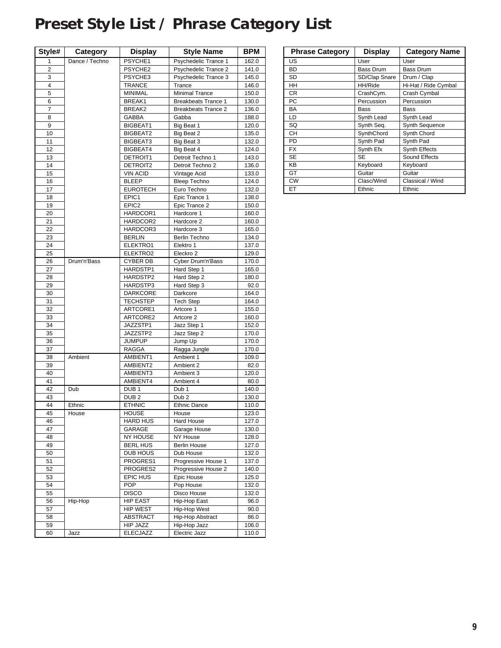## <span id="page-8-0"></span>**Preset Style List / Phrase Category List**

| Style#   | Category       | <b>Display</b>       | <b>Style Name</b>          | <b>BPM</b>     |
|----------|----------------|----------------------|----------------------------|----------------|
| 1        | Dance / Techno | PSYCHE1              | Psychedelic Trance 1       | 162.0          |
| 2        |                | PSYCHE2              | Psychedelic Trance 2       | 141.0          |
| 3        |                | PSYCHE3              | Psychedelic Trance 3       | 145.0          |
| 4        |                | <b>TRANCE</b>        | Trance                     | 146.0          |
| 5        |                | <b>MINIMAL</b>       | <b>Minimal Trance</b>      | 150.0          |
| 6        |                | BREAK1               | <b>Breakbeats Trance 1</b> | 130.0          |
| 7        |                | BREAK2               | <b>Breakbeats Trance 2</b> | 136.0          |
| 8        |                | GABBA                | Gabba                      | 188.0          |
| 9        |                | BIGBEAT1             | Big Beat 1                 | 120.0          |
| 10       |                | BIGBEAT2             | Big Beat 2                 | 135.0          |
| 11       |                | BIGBEAT3             | Big Beat 3                 | 132.0          |
| 12       |                | BIGBEAT4             | Big Beat 4                 | 124.0          |
| 13       |                | DETROIT1             | Detroit Techno 1           | 143.0          |
| 14       |                | DETROIT2             | Detroit Techno 2           | 136.0          |
| 15       |                | <b>VIN ACID</b>      | Vintage Acid               | 133.0          |
| 16       |                | <b>BLEEP</b>         | <b>Bleep Techno</b>        | 124.0          |
| 17       |                | <b>EUROTECH</b>      | Euro Techno                | 132.0          |
| 18       |                | EPIC1                | Epic Trance 1              | 138.0          |
| 19       |                | EPIC2                | Epic Trance 2              | 150.0          |
| 20       |                | HARDCOR1             | Hardcore 1                 | 160.0          |
| 21       |                | HARDCOR2             | Hardcore 2                 | 160.0          |
| 22       |                | HARDCOR3             | Hardcore 3                 | 165.0          |
| 23<br>24 |                | <b>BERLIN</b>        | Berlin Techno<br>Elektro 1 | 134.0          |
| 25       |                | ELEKTRO1<br>ELEKTRO2 | Eleckro <sub>2</sub>       | 137.0<br>129.0 |
| 26       | Drum'n'Bass    | <b>CYBER DB</b>      | Cyber Drum'n'Bass          | 170.0          |
| 27       |                | HARDSTP1             | Hard Step 1                | 165.0          |
| 28       |                | HARDSTP2             | Hard Step 2                | 180.0          |
| 29       |                | HARDSTP3             | Hard Step 3                | 92.0           |
| 30       |                | <b>DARKCORE</b>      | Darkcore                   | 164.0          |
| 31       |                | <b>TECHSTEP</b>      | <b>Tech Step</b>           | 164.0          |
| 32       |                | ARTCORE1             | Artcore 1                  | 155.0          |
| 33       |                | ARTCORE2             | Artcore 2                  | 160.0          |
| 34       |                | JAZZSTP1             | Jazz Step 1                | 152.0          |
| 35       |                | JAZZSTP2             | Jazz Step 2                | 170.0          |
| 36       |                | <b>JUMPUP</b>        | Jump Up                    | 170.0          |
| 37       |                | RAGGA                | Ragga Jungle               | 170.0          |
| 38       | Ambient        | AMBIENT1             | Ambient 1                  | 109.0          |
| 39       |                | AMBIENT2             | Ambient 2                  | 82.0           |
| 40       |                | AMBIENT3             | Ambient 3                  | 120.0          |
| 41       |                | AMBIENT4             | Ambient 4                  | 80.0           |
| 42       | Dub            | DUB <sub>1</sub>     | Dub <sub>1</sub>           | 140.0          |
| 43       |                | DUB <sub>2</sub>     | Dub <sub>2</sub>           | 130.0          |
| 44       | Ethnic         | <b>ETHNIC</b>        | <b>Ethnic Dance</b>        | 110.0          |
| 45       | House          | <b>HOUSE</b>         | House                      | 123.0          |
| 46       |                | <b>HARD HUS</b>      | Hard House                 | 127.0          |
| 47       |                | GARAGE               | Garage House               | 130.0          |
| 48       |                | <b>NY HOUSE</b>      | NY House                   | 128.0          |
| 49       |                | <b>BERL HUS</b>      | <b>Berlin House</b>        | 127.0          |
| 50       |                | DUB HOUS             | Dub House                  | 132.0          |
| 51       |                | PROGRES1             | Progressive House 1        | 137.0          |
| 52       |                | PROGRES2             | Progressive House 2        | 140.0          |
| 53       |                | EPIC HUS             | Epic House                 | 125.0          |
| 54       |                | <b>POP</b>           | Pop House                  | 132.0          |
| 55       |                | <b>DISCO</b>         | Disco House                | 132.0          |
| 56       | Hip-Hop        | <b>HIP EAST</b>      | Hip-Hop East               | 96.0           |
| 57       |                | <b>HIP WEST</b>      | Hip-Hop West               | 90.0           |
| 58       |                | ABSTRACT             | Hip-Hop Abstract           | 86.0           |
| 59       |                | <b>HIP JAZZ</b>      | Hip-Hop Jazz               | 106.0          |
| 60       | Jazz           | <b>ELECJAZZ</b>      | Electric Jazz              | 110.0          |

| <b>Phrase Category</b> | <b>Display</b> | <b>Category Name</b> |
|------------------------|----------------|----------------------|
| US                     | User           | User                 |
| <b>BD</b>              | Bass Drum      | <b>Bass Drum</b>     |
| SD                     | SD/Clap Snare  | Drum / Clap          |
| HH                     | HH/Ride        | Hi-Hat / Ride Cymbal |
| <b>CR</b>              | CrashCym.      | Crash Cymbal         |
| <b>PC</b>              | Percussion     | Percussion           |
| BA                     | Bass           | Bass                 |
| LD                     | Synth Lead     | Synth Lead           |
| SQ                     | Synth Seq.     | Synth Sequence       |
| CН                     | SynthChord     | Synth Chord          |
| PD                     | Synth Pad      | Synth Pad            |
| <b>FX</b>              | Synth Efx      | Synth Effects        |
| <b>SE</b>              | SE             | Sound Effects        |
| KB                     | Keyboard       | Keyboard             |
| GT                     | Guitar         | Guitar               |
| <b>CW</b>              | Clasc/Wind     | Classical / Wind     |
| ET                     | Ethnic         | Ethnic               |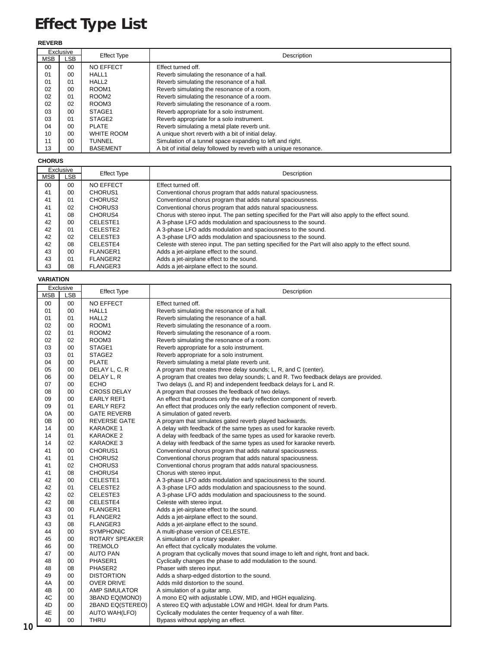## <span id="page-9-0"></span>**Effect Type List**

#### **REVERB**

|            | Exclusive | <b>Effect Type</b> | Description                                                        |
|------------|-----------|--------------------|--------------------------------------------------------------------|
| <b>MSB</b> | LSB       |                    |                                                                    |
| 00         | $00 \,$   | <b>NO EFFECT</b>   | Effect turned off.                                                 |
| 01         | 00        | HALL1              | Reverb simulating the resonance of a hall.                         |
| 01         | 01        | HALL <sub>2</sub>  | Reverb simulating the resonance of a hall.                         |
| 02         | 00        | ROOM <sub>1</sub>  | Reverb simulating the resonance of a room.                         |
| 02         | 01        | ROOM <sub>2</sub>  | Reverb simulating the resonance of a room.                         |
| 02         | 02        | ROOM3              | Reverb simulating the resonance of a room.                         |
| 03         | 00        | STAGE1             | Reverb appropriate for a solo instrument.                          |
| 03         | 01        | STAGE <sub>2</sub> | Reverb appropriate for a solo instrument.                          |
| 04         | 00        | <b>PLATE</b>       | Reverb simulating a metal plate reverb unit.                       |
| 10         | 00        | WHITE ROOM         | A unique short reverb with a bit of initial delay.                 |
| 11         | 00        | TUNNEL             | Simulation of a tunnel space expanding to left and right.          |
| 13         | 00        | <b>BASEMENT</b>    | A bit of initial delay followed by reverb with a unique resonance. |

#### **CHORUS**

|            | Exclusive      | <b>Effect Type</b>  | Description                                                                                            |
|------------|----------------|---------------------|--------------------------------------------------------------------------------------------------------|
| <b>MSB</b> | LSB            |                     |                                                                                                        |
| 00         | 0 <sub>0</sub> | <b>NO EFFECT</b>    | <b>Effect turned off</b>                                                                               |
| 41         | 00             | CHORUS <sub>1</sub> | Conventional chorus program that adds natural spaciousness.                                            |
| 41         | 01             | CHORUS <sub>2</sub> | Conventional chorus program that adds natural spaciousness.                                            |
| 41         | 02             | CHORUS3             | Conventional chorus program that adds natural spaciousness.                                            |
| 41         | 08             | CHORUS4             | Chorus with stereo input. The pan setting specified for the Part will also apply to the effect sound.  |
| 42         | 00             | CELESTE1            | A 3-phase LFO adds modulation and spaciousness to the sound.                                           |
| 42         | 01             | CELESTE2            | A 3-phase LFO adds modulation and spaciousness to the sound.                                           |
| 42         | 02             | CELESTE3            | A 3-phase LFO adds modulation and spaciousness to the sound.                                           |
| 42         | 08             | CELESTE4            | Celeste with stereo input. The pan setting specified for the Part will also apply to the effect sound. |
| 43         | 00             | FLANGER1            | Adds a jet-airplane effect to the sound.                                                               |
| 43         | 01             | FLANGER2            | Adds a jet-airplane effect to the sound.                                                               |
| 43         | 08             | <b>FLANGER3</b>     | Adds a jet-airplane effect to the sound.                                                               |

#### **VARIATION**

|            | Exclusive | <b>Effect Type</b>   | Description                                                                         |
|------------|-----------|----------------------|-------------------------------------------------------------------------------------|
| <b>MSB</b> | LSB       |                      |                                                                                     |
| 00         | 00        | NO EFFECT            | Effect turned off.                                                                  |
| 01         | 00        | HALL1                | Reverb simulating the resonance of a hall.                                          |
| 01         | 01        | HALL <sub>2</sub>    | Reverb simulating the resonance of a hall.                                          |
| 02         | 00        | ROOM1                | Reverb simulating the resonance of a room.                                          |
| 02         | 01        | ROOM <sub>2</sub>    | Reverb simulating the resonance of a room.                                          |
| 02         | 02        | ROOM3                | Reverb simulating the resonance of a room.                                          |
| 03         | 00        | STAGE1               | Reverb appropriate for a solo instrument.                                           |
| 03         | 01        | STAGE <sub>2</sub>   | Reverb appropriate for a solo instrument.                                           |
| 04         | 00        | <b>PLATE</b>         | Reverb simulating a metal plate reverb unit.                                        |
| 05         | 00        | DELAY L, C, R        | A program that creates three delay sounds; L, R, and C (center).                    |
| 06         | 00        | DELAY L, R           | A program that creates two delay sounds; L and R. Two feedback delays are provided. |
| 07         | 00        | ECHO                 | Two delays (L and R) and independent feedback delays for L and R.                   |
| 08         | 00        | <b>CROSS DELAY</b>   | A program that crosses the feedback of two delays.                                  |
| 09         | 00        | <b>EARLY REF1</b>    | An effect that produces only the early reflection component of reverb.              |
| 09         | 01        | <b>EARLY REF2</b>    | An effect that produces only the early reflection component of reverb.              |
| 0A         | 00        | <b>GATE REVERB</b>   | A simulation of gated reverb.                                                       |
| 0B         | 00        | REVERSE GATE         | A program that simulates gated reverb played backwards.                             |
| 14         | 00        | <b>KARAOKE 1</b>     | A delay with feedback of the same types as used for karaoke reverb.                 |
| 14         | 01        | <b>KARAOKE 2</b>     | A delay with feedback of the same types as used for karaoke reverb.                 |
| 14         | 02        | KARAOKE 3            | A delay with feedback of the same types as used for karaoke reverb.                 |
| 41         | 00        | CHORUS1              | Conventional chorus program that adds natural spaciousness.                         |
| 41         | 01        | CHORUS2              | Conventional chorus program that adds natural spaciousness.                         |
| 41         | 02        | CHORUS3              | Conventional chorus program that adds natural spaciousness.                         |
| 41         | 08        | CHORUS4              | Chorus with stereo input.                                                           |
| 42         | 00        | CELESTE1             | A 3-phase LFO adds modulation and spaciousness to the sound.                        |
| 42         | 01        | CELESTE2             | A 3-phase LFO adds modulation and spaciousness to the sound.                        |
| 42         | 02        | CELESTE3             | A 3-phase LFO adds modulation and spaciousness to the sound.                        |
| 42         | 08        | CELESTE4             | Celeste with stereo input.                                                          |
| 43         | 00        | <b>FLANGER1</b>      | Adds a jet-airplane effect to the sound.                                            |
| 43         | 01        | FLANGER2             | Adds a jet-airplane effect to the sound.                                            |
| 43         | 08        | FLANGER3             | Adds a jet-airplane effect to the sound.                                            |
| 44         | 00        | <b>SYMPHONIC</b>     | A multi-phase version of CELESTE.                                                   |
| 45         | 00        | ROTARY SPEAKER       | A simulation of a rotary speaker.                                                   |
| 46         | 00        | <b>TREMOLO</b>       | An effect that cyclically modulates the volume.                                     |
| 47         | 00        | <b>AUTO PAN</b>      | A program that cyclically moves that sound image to left and right, front and back. |
| 48         | 00        | PHASER1              | Cyclically changes the phase to add modulation to the sound.                        |
| 48         | 08        | PHASER2              | Phaser with stereo input.                                                           |
| 49         | 00        | <b>DISTORTION</b>    | Adds a sharp-edged distortion to the sound.                                         |
| 4A         | 00        | <b>OVER DRIVE</b>    | Adds mild distortion to the sound.                                                  |
| 4B         | 00        | <b>AMP SIMULATOR</b> | A simulation of a guitar amp.                                                       |
| 4C         | 00        | 3BAND EQ(MONO)       | A mono EQ with adjustable LOW, MID, and HIGH equalizing.                            |
| 4D         | 00        | 2BAND EQ(STEREO)     | A stereo EQ with adjustable LOW and HIGH. Ideal for drum Parts.                     |
| 4E         | 00        | <b>AUTO WAH(LFO)</b> | Cyclically modulates the center frequency of a wah filter.                          |
| 40         | 00        | <b>THRU</b>          | Bypass without applying an effect.                                                  |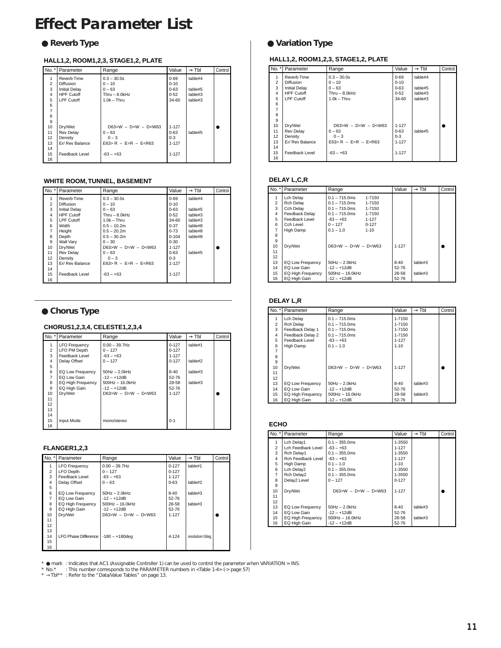### <span id="page-10-0"></span>**Effect Parameter List**

#### **HALL1,2, ROOM1,2,3, STAGE1,2, PLATE**

|                | No. *   Parameter    | Range                | Value     | $\rightarrow$ Tbl | Control |
|----------------|----------------------|----------------------|-----------|-------------------|---------|
| 1              | Reverb Time          | $0.3 - 30.0s$        | $0 - 69$  | table#4           |         |
| $\overline{2}$ | <b>Diffusion</b>     | $0 - 10$             | $0 - 10$  |                   |         |
| 3              | <b>Initial Delay</b> | $0 - 63$             | $0 - 63$  | table#5           |         |
| 4              | <b>HPF Cutoff</b>    | Thru $-$ 8.0kHz      | $0 - 52$  | table#3           |         |
| 5              | <b>LPF Cutoff</b>    | $1.0k - Thru$        | 34-60     | table#3           |         |
| 6              |                      |                      |           |                   |         |
| $\overline{7}$ |                      |                      |           |                   |         |
| 8              |                      |                      |           |                   |         |
| 9              |                      |                      |           |                   |         |
| 10             | Dry/Wet              | $D63>W - D=W - D0$   | $1 - 127$ |                   |         |
| 11             | <b>Rev Delay</b>     | $0 - 63$             | $0 - 63$  | table#5           |         |
| 12             | Density              | $0 - 3$              | $0 - 3$   |                   |         |
| 13             | Er/ Rev Balance      | $E63 > R - E=R - E5$ | $1 - 127$ |                   |         |
| 14             |                      |                      |           |                   |         |
| 15             | Feedback Level       | $-63 - +63$          | $1 - 127$ |                   |         |
| 16             |                      |                      |           |                   |         |

#### **WHITE ROOM, TUNNEL, BASEMENT**

|                | No. *   Parameter    | Range                  | Value     | $\rightarrow$ Tbl | Control |
|----------------|----------------------|------------------------|-----------|-------------------|---------|
| 1              | Reverb Time          | $0.3 - 30.0s$          | $0 - 69$  | table#4           |         |
| $\overline{2}$ | <b>Diffusion</b>     | $0 - 10$               | $0 - 10$  |                   |         |
| 3              | <b>Initial Delav</b> | $0 - 63$               | $0 - 63$  | table#5           |         |
| 4              | <b>HPF Cutoff</b>    | Thru $-$ 8.0kHz        | $0 - 52$  | table#3           |         |
| 5              | <b>LPF Cutoff</b>    | $1.0k - Thru$          | 34-60     | table#3           |         |
| 6              | Width                | $0.5 - 10.2m$          | $0 - 37$  | table#8           |         |
| $\overline{7}$ | Height               | $0.5 - 20.2m$          | $0 - 73$  | table#8           |         |
| 8              | Depth                | $0.5 - 30.2m$          | $0 - 104$ | table#8           |         |
| 9              | Wall Varv            | $0 - 30$               | $0 - 30$  |                   |         |
| 10             | Dry/Wet              | $D63>W - D=W - D< W63$ | $1 - 127$ |                   |         |
| 11             | Rev Delav            | $0 - 63$               | $0 - 63$  | table#5           |         |
| 12             | Density              | $0 - 3$                | $0 - 3$   |                   |         |
| 13             | Er/ Rev Balance      | $E63 > R - E=R - E5$   | $1 - 127$ |                   |         |
| 14             |                      |                        |           |                   |         |
| 15             | Feedback Level       | $-63 - +63$            | $1 - 127$ |                   |         |
| 16             |                      |                        |           |                   |         |

#### ● **Chorus Type**

#### **CHORUS1,2,3,4, CELESTE1,2,3,4**

|                | No. *   Parameter    | Range                 | Value     | $\rightarrow$ Tbl | Control |
|----------------|----------------------|-----------------------|-----------|-------------------|---------|
|                | <b>LFO Frequency</b> | $0.00 - 39.7$ Hz      | $0 - 127$ | table#1           |         |
| $\overline{2}$ | LFO PM Depth         | $0 - 127$             | $0 - 127$ |                   |         |
| 3              | Feedback Level       | $-63 - +63$           | $1 - 127$ |                   |         |
| 4              | Delay Offset         | $0 - 127$             | $0 - 127$ | table#2           |         |
| 5              |                      |                       |           |                   |         |
| 6              | EQ Low Frequency     | $50Hz - 2.0kHz$       | $8 - 40$  | table#3           |         |
| 7              | EQ Low Gain          | $-12 - +12$ dB        | 52-76     |                   |         |
| 8              | EQ High Frequency    | $500$ Hz $- 16.0$ kHz | 28-58     | table#3           |         |
| 9              | EQ High Gain         | $-12 - +12$ dB        | 52-76     |                   |         |
| 10             | Drv/Wet              | $D63>W - D=W - D0$    | $1 - 127$ |                   |         |
| 11             |                      |                       |           |                   |         |
| 12             |                      |                       |           |                   |         |
| 13             |                      |                       |           |                   |         |
| 14             |                      |                       |           |                   |         |
| 15             | Input Mode           | mono/stereo           | $0 - 1$   |                   |         |
| 16             |                      |                       |           |                   |         |

#### **FLANGER1,2,3**

| No. *          | Parameter                   | Range              | Value     | $\rightarrow$ Tbl | Control |
|----------------|-----------------------------|--------------------|-----------|-------------------|---------|
| 1              | <b>LFO Frequency</b>        | $0.00 - 39.7$ Hz   | $0 - 127$ | table#1           |         |
| $\overline{2}$ | LFO Depth                   | $0 - 127$          | $0 - 127$ |                   |         |
| 3              | Feedback Level              | $-63 - +63$        | $1 - 127$ |                   |         |
| 4              | Delay Offset                | $0 - 63$           | $0 - 63$  | table#2           |         |
| 5              |                             |                    |           |                   |         |
| 6              | EQ Low Frequency            | $50Hz - 2.0kHz$    | $8 - 40$  | table#3           |         |
| $\overline{7}$ | EQ Low Gain                 | $-12 - +12$ dB     | 52-76     |                   |         |
| 8              | EQ High Frequency           | $500Hz - 16.0kHz$  | 28-58     | table#3           |         |
| 9              | EQ High Gain                | $-12 - +12$ dB     | 52-76     |                   |         |
| 10             | Dry/Wet                     | $D63>W - D=W - D0$ | $1 - 127$ |                   |         |
| 11             |                             |                    |           |                   |         |
| 12             |                             |                    |           |                   |         |
| 13             |                             |                    |           |                   |         |
| 14             | <b>LFO Phase Difference</b> | $-180 - +180$ dea  | 4-124     | resolution=3deg.  |         |
| 15             |                             |                    |           |                   |         |
| 16             |                             |                    |           |                   |         |

#### ● Reverb Type **●** Variation Type

#### **HALL1,2, ROOM1,2,3, STAGE1,2, PLATE**

|                | No. *   Parameter    | Range                | Value     | $\rightarrow$ Tbl | Control |
|----------------|----------------------|----------------------|-----------|-------------------|---------|
| 1              | Reverb Time          | $0.3 - 30.0s$        | $0 - 69$  | table#4           |         |
| $\overline{2}$ | <b>Diffusion</b>     | $0 - 10$             | $0 - 10$  |                   |         |
| 3              | <b>Initial Delay</b> | $0 - 63$             | $0 - 63$  | table#5           |         |
| $\overline{4}$ | <b>HPF Cutoff</b>    | $Thru - 8.0kHz$      | $0 - 52$  | table#3           |         |
| 5              | <b>LPF Cutoff</b>    | $1.0k - Thru$        | 34-60     | table#3           |         |
| 6              |                      |                      |           |                   |         |
| $\overline{7}$ |                      |                      |           |                   |         |
| 8              |                      |                      |           |                   |         |
| 9              |                      |                      |           |                   |         |
| 10             | Dry/Wet              | $D63 > W - D=W - D0$ | $1 - 127$ |                   |         |
| 11             | <b>Rev Delay</b>     | $0 - 63$             | $0 - 63$  | table#5           |         |
| 12             | Density              | $0 - 3$              | $0 - 3$   |                   |         |
| 13             | Er/ Rev Balance      | $E63 > R - E=R - E5$ | $1 - 127$ |                   |         |
| 14             |                      |                      |           |                   |         |
| 15             | Feedback Level       | $-63 - +63$          | $1 - 127$ |                   |         |
| 16             |                      |                      |           |                   |         |

#### **DELAY L,C,R**

| $No.$ *        | Parameter             | Range              |           | Value     | $\rightarrow$ Tbl | Control |
|----------------|-----------------------|--------------------|-----------|-----------|-------------------|---------|
| 1              | Lch Delay             | $0.1 - 715.0$ ms   | 1-7150    |           |                   |         |
| $\overline{2}$ | Rch Delay             | $0.1 - 715.0$ ms   | 1-7150    |           |                   |         |
| 3              | Cch Delav             | $0.1 - 715.0$ ms   | 1-7150    |           |                   |         |
| 4              | <b>Feedback Delay</b> | $0.1 - 715.0$ ms   | 1-7150    |           |                   |         |
| 5              | Feedback Level        | $-63 - +63$        | $1 - 127$ |           |                   |         |
| 6              | Cch Level             | $0 - 127$          | $0 - 127$ |           |                   |         |
| 7              | High Damp             | $0.1 - 1.0$        | $1 - 10$  |           |                   |         |
| 8              |                       |                    |           |           |                   |         |
| 9              |                       |                    |           |           |                   |         |
| 10             | Drv/Wet               | $D63>W - D=W - D0$ |           | $1 - 127$ |                   |         |
| 11             |                       |                    |           |           |                   |         |
| 12             |                       |                    |           |           |                   |         |
| 13             | EQ Low Frequency      | $50Hz - 2.0kHz$    |           | $8 - 40$  | table#3           |         |
| 14             | EQ Low Gain           | $-12 - +12dB$      |           | 52-76     |                   |         |
| 15             | EQ High Frequency     | $500Hz - 16.0kHz$  |           | 28-58     | table#3           |         |
| 16             | EQ High Gain          | $-12 - +12dB$      |           | 52-76     |                   |         |

#### **DELAY L,R**

| $No.$ *        | Parameter         | Range              | Value     | $\rightarrow$ TbI | Control |
|----------------|-------------------|--------------------|-----------|-------------------|---------|
| 1              | Lch Delay         | $0.1 - 715.0$ ms   | 1-7150    |                   |         |
| $\overline{2}$ | <b>Rch Delav</b>  | $0.1 - 715.0$ ms   | 1-7150    |                   |         |
| 3              | Feedback Delay 1  | $0.1 - 715.0$ ms   | 1-7150    |                   |         |
| 4              | Feedback Delay 2  | $0.1 - 715.0$ ms   | 1-7150    |                   |         |
| 5              | Feedback Level    | $-63 - +63$        | $1 - 127$ |                   |         |
| 6              | High Damp         | $0.1 - 1.0$        | $1 - 10$  |                   |         |
| 7              |                   |                    |           |                   |         |
| 8              |                   |                    |           |                   |         |
| 9              |                   |                    |           |                   |         |
| 10             | Drv/Wet           | $D63>W - D=W - D0$ | $1 - 127$ |                   |         |
| 11             |                   |                    |           |                   |         |
| 12             |                   |                    |           |                   |         |
| 13             | EQ Low Frequency  | $50Hz - 2.0kHz$    | $8 - 40$  | table#3           |         |
| 14             | EQ Low Gain       | $-12 - +12$ dB     | 52-76     |                   |         |
| 15             | EQ High Frequency | $500Hz - 16.0kHz$  | 28-58     | table#3           |         |
| 16             | EQ High Gain      | $-12 - +12dB$      | 52-76     |                   |         |

#### **ECHO**

|                | No. *   Parameter  | Range              | Value     | $\rightarrow$ Tbl | Control |
|----------------|--------------------|--------------------|-----------|-------------------|---------|
| 1              | Lch Delav1         | $0.1 - 355.0$ ms   | 1-3550    |                   |         |
| $\overline{2}$ | Lch Feedback Level | $-63 - +63$        | 1-127     |                   |         |
| 3              | Rch Delay1         | $0.1 - 355.0$ ms   | 1-3550    |                   |         |
| $\overline{4}$ | Rch Feedback Level | $-63 - +63$        | $1 - 127$ |                   |         |
| 5              | High Damp          | $0.1 - 1.0$        | $1 - 10$  |                   |         |
| 6              | Lch Delay2         | $0.1 - 355.0$ ms   | 1-3550    |                   |         |
| $\overline{7}$ | Rch Delay2         | $0.1 - 355.0$ ms   | 1-3550    |                   |         |
| 8              | Delav2 Level       | $0 - 127$          | $0 - 127$ |                   |         |
| 9              |                    |                    |           |                   |         |
| 10             | Dry/Wet            | $D63>W - D=W - D0$ | $1 - 127$ |                   |         |
| 11             |                    |                    |           |                   |         |
| 12             |                    |                    |           |                   |         |
| 13             | EQ Low Frequency   | $50Hz - 2.0kHz$    | $8-40$    | table#3           |         |
| 14             | EQ Low Gain        | $-12 - +12$ dB     | 52-76     |                   |         |
| 15             | EQ High Frequency  | $500Hz - 16.0kHz$  | 28-58     | table#3           |         |
| 16             | EQ High Gain       | $-12 - +12dB$      | 52-76     |                   |         |

\* ● mark :Indicates that AC1 (Assignable Controller 1) can be used to control the parameter when VARIATION = INS.<br>\* No.\* : This number corresponds to the PARAMETER numbers in <Table 1-4> (-> page 57)<br>\* →Tbl\* \* : Refer t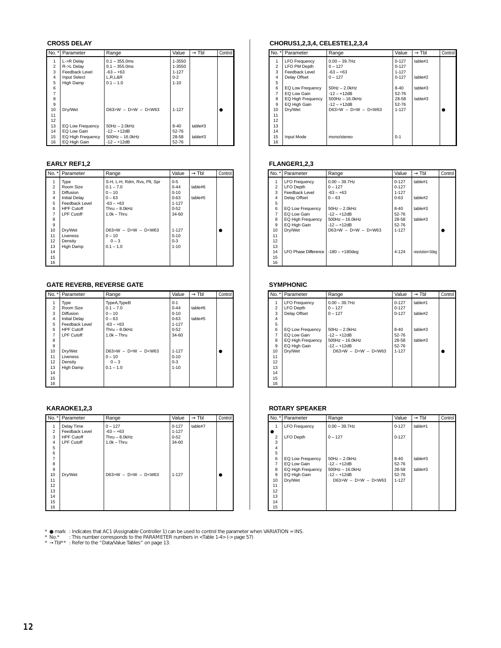#### **CROSS DELAY**

| $No.$ *        | Parameter           | Range                 | Value     | $\rightarrow$ Tbl | Control |
|----------------|---------------------|-----------------------|-----------|-------------------|---------|
|                | L->R Delay          | $0.1 - 355.0$ ms      | 1-3550    |                   |         |
| $\overline{2}$ | R->L Delay          | $0.1 - 355.0$ ms      | 1-3550    |                   |         |
| 3              | Feedback Level      | $-63 - +63$           | $1 - 127$ |                   |         |
| 4              | <b>Input Select</b> | L, R, L&R             | $0 - 2$   |                   |         |
| 5              | High Damp           | $0.1 - 1.0$           | $1 - 10$  |                   |         |
| 6              |                     |                       |           |                   |         |
| 7              |                     |                       |           |                   |         |
| 8              |                     |                       |           |                   |         |
| 9              |                     |                       |           |                   |         |
| 10             | Drv/Wet             | $D63>W - D=W - D0$    | $1 - 127$ |                   |         |
| 11             |                     |                       |           |                   |         |
| 12             |                     |                       |           |                   |         |
| 13             | EQ Low Frequency    | $50Hz - 2.0kHz$       | $8 - 40$  | table#3           |         |
| 14             | EQ Low Gain         | $-12 - +12dB$         | 52-76     |                   |         |
| 15             | EQ High Frequency   | $500$ Hz $- 16.0$ kHz | 28-58     | table#3           |         |
| 16             | EQ High Gain        | $-12 - +12dB$         | 52-76     |                   |         |

#### **EARLY REF1,2**

| $No.$ * $\vdash$ | Parameter            | Range                        | Value     | $\rightarrow$ Tbl | Control |
|------------------|----------------------|------------------------------|-----------|-------------------|---------|
| 1                | Type                 | S-H, L-H, Rdm, Rvs, Plt, Spr | $0 - 5$   |                   |         |
| $\overline{2}$   | Room Size            | $0.1 - 7.0$                  | $0 - 44$  | table#6           |         |
| 3                | <b>Diffusion</b>     | $0 - 10$                     | $0 - 10$  |                   |         |
| 4                | <b>Initial Delay</b> | $0 - 63$                     | $0 - 63$  | table#5           |         |
| 5                | Feedback Level       | $-63 - +63$                  | $1 - 127$ |                   |         |
| 6                | <b>HPF Cutoff</b>    | $Thru - 8.0kHz$              | $0 - 52$  |                   |         |
| $\overline{7}$   | <b>LPF Cutoff</b>    | $1.0k - Thru$                | 34-60     |                   |         |
| 8                |                      |                              |           |                   |         |
| 9                |                      |                              |           |                   |         |
| 10               | Dry/Wet              | $D63>W - D=W - D< W63$       | $1 - 127$ |                   |         |
| 11               | Liveness             | $0 - 10$                     | $0 - 10$  |                   |         |
| 12               | Density              | $0 - 3$                      | $0 - 3$   |                   |         |
| 13               | High Damp            | $0.1 - 1.0$                  | $1 - 10$  |                   |         |
| 14               |                      |                              |           |                   |         |
| 15               |                      |                              |           |                   |         |
| 16               |                      |                              |           |                   |         |

#### **GATE REVERB, REVERSE GATE**

| $No.$ *        | Parameter            | Range                  | Value     | $\rightarrow$ Tbl | Control |
|----------------|----------------------|------------------------|-----------|-------------------|---------|
| 1              | Type                 | TypeA, TypeB           | $0 - 1$   |                   |         |
| $\overline{2}$ | Room Size            | $0.1 - 7.0$            | $0 - 44$  | table#6           |         |
| 3              | <b>Diffusion</b>     | $0 - 10$               | $0 - 10$  |                   |         |
| 4              | <b>Initial Delay</b> | $0 - 63$               | $0 - 63$  | table#5           |         |
| 5              | Feedback Level       | $-63 - +63$            | $1 - 127$ |                   |         |
| 6              | <b>HPF Cutoff</b>    | $Thru - 8.0kHz$        | $0 - 52$  |                   |         |
| 7              | <b>LPF Cutoff</b>    | $1.0k - Thru$          | 34-60     |                   |         |
| 8              |                      |                        |           |                   |         |
| 9              |                      |                        |           |                   |         |
| 10             | Dry/Wet              | $D63>W - D=W - D< W63$ | $1 - 127$ |                   |         |
| 11             | Liveness             | $0 - 10$               | $0 - 10$  |                   |         |
| 12             | Density              | $0 - 3$                | $0 - 3$   |                   |         |
| 13             | High Damp            | $0.1 - 1.0$            | $1 - 10$  |                   |         |
| 14             |                      |                        |           |                   |         |
| 15             |                      |                        |           |                   |         |
| 16             |                      |                        |           |                   |         |

#### **KARAOKE1,2,3**

|                | No. *   Parameter | Range                  | Value     | $\rightarrow$ Tbl | Control |
|----------------|-------------------|------------------------|-----------|-------------------|---------|
| 1              | Delay Time        | $0 - 127$              | $0 - 127$ | table#7           |         |
| $\overline{2}$ | Feedback Level    | $-63 - +63$            | $1 - 127$ |                   |         |
| 3              | <b>HPF Cutoff</b> | Thru $-8.0$ kHz        | $0 - 52$  |                   |         |
| $\overline{4}$ | <b>LPF Cutoff</b> | $1.0k - Thru$          | 34-60     |                   |         |
| 5              |                   |                        |           |                   |         |
| 6              |                   |                        |           |                   |         |
| $\overline{7}$ |                   |                        |           |                   |         |
| 8              |                   |                        |           |                   |         |
| 9              |                   |                        |           |                   |         |
| 10             | Dry/Wet           | $D63>W - D=W - D< W63$ | $1 - 127$ |                   |         |
| 11             |                   |                        |           |                   |         |
| 12             |                   |                        |           |                   |         |
| 13             |                   |                        |           |                   |         |
| 14             |                   |                        |           |                   |         |
| 15             |                   |                        |           |                   |         |
| 16             |                   |                        |           |                   |         |

#### **CHORUS1,2,3,4, CELESTE1,2,3,4**

| No. *          | Parameter            | Range                 | Value     | $\rightarrow$ Tbl | Control |
|----------------|----------------------|-----------------------|-----------|-------------------|---------|
|                | <b>LFO Frequency</b> | $0.00 - 39.7$ Hz      | $0 - 127$ | table#1           |         |
| $\overline{2}$ | LFO PM Depth         | $0 - 127$             | $0-127$   |                   |         |
| 3              | Feedback Level       | $-63 - +63$           | $1 - 127$ |                   |         |
| 4              | Delay Offset         | $0 - 127$             | $0 - 127$ | table#2           |         |
| 5              |                      |                       |           |                   |         |
| 6              | EQ Low Frequency     | $50Hz - 2.0kHz$       | $8 - 40$  | table#3           |         |
| $\overline{7}$ | EQ Low Gain          | $-12 - +12dB$         | 52-76     |                   |         |
| 8              | EQ High Frequency    | $500$ Hz $- 16.0$ kHz | 28-58     | table#3           |         |
| 9              | EQ High Gain         | $-12 - +12$ dB        | 52-76     |                   |         |
| 10             | Drv/Wet              | $D63>W - D=W - D0$    | $1 - 127$ |                   |         |
| 11             |                      |                       |           |                   |         |
| 12             |                      |                       |           |                   |         |
| 13             |                      |                       |           |                   |         |
| 14             |                      |                       |           |                   |         |
| 15             | Input Mode           | mono/stereo           | $0 - 1$   |                   |         |
| 16             |                      |                       |           |                   |         |

#### **FLANGER1,2,3**

| $No.$ *                 | Parameter                   | Range              | Value     | $\rightarrow$ Tbl | Control |
|-------------------------|-----------------------------|--------------------|-----------|-------------------|---------|
| 1                       | <b>LFO Frequency</b>        | $0.00 - 39.7$ Hz   | $0 - 127$ | table#1           |         |
| $\overline{2}$          | <b>LFO</b> Depth            | $0 - 127$          | $0 - 127$ |                   |         |
| 3                       | Feedback Level              | $-63 - +63$        | $1 - 127$ |                   |         |
| $\overline{\mathbf{4}}$ | Delay Offset                | $0 - 63$           | $0 - 63$  | table#2           |         |
| 5                       |                             |                    |           |                   |         |
| 6                       | EQ Low Frequency            | $50Hz - 2.0kHz$    | $8 - 40$  | table#3           |         |
| $\overline{7}$          | EQ Low Gain                 | $-12 - +12$ dB     | 52-76     |                   |         |
| 8                       | EQ High Frequency           | $500Hz - 16.0kHz$  | 28-58     | table#3           |         |
| 9                       | EQ High Gain                | $-12 - +12$ dB     | 52-76     |                   |         |
| 10                      | Dry/Wet                     | $D63>W - D=W - D0$ | $1 - 127$ |                   |         |
| 11                      |                             |                    |           |                   |         |
| 12                      |                             |                    |           |                   |         |
| 13                      |                             |                    |           |                   |         |
| 14                      | <b>LFO Phase Difference</b> | $-180 - +180$ deg  | 4-124     | resolution=3dea.  |         |
| 15                      |                             |                    |           |                   |         |
| 16                      |                             |                    |           |                   |         |

#### **SYMPHONIC**

| No.*           | Parameter            | Range              | Value     | $\rightarrow$ Tbl | Control |
|----------------|----------------------|--------------------|-----------|-------------------|---------|
| 1              | <b>LFO Frequency</b> | $0.00 - 39.7$ Hz   | $0 - 127$ | table#1           |         |
| $\overline{2}$ | LFO Depth            | $0 - 127$          | $0 - 127$ |                   |         |
| 3              | Delay Offset         | $0 - 127$          | $0 - 127$ | table#2           |         |
| 4              |                      |                    |           |                   |         |
| 5              |                      |                    |           |                   |         |
| 6              | EQ Low Frequency     | $50Hz - 2.0kHz$    | $8 - 40$  | table#3           |         |
| 7              | EQ Low Gain          | $-12 - +12dB$      | 52-76     |                   |         |
| 8              | EQ High Frequency    | $500Hz - 16.0kHz$  | 28-58     | table#3           |         |
| 9              | EQ High Gain         | $-12 - +12dB$      | 52-76     |                   |         |
| 10             | Dry/Wet              | $D63>W - D=W - D0$ | $1 - 127$ |                   |         |
| 11             |                      |                    |           |                   |         |
| 12             |                      |                    |           |                   |         |
| 13             |                      |                    |           |                   |         |
| 14             |                      |                    |           |                   |         |
| 15             |                      |                    |           |                   |         |
| 16             |                      |                    |           |                   |         |

#### **ROTARY SPEAKER**

| No. $*$        | Parameter            | Range                | Value     | $\rightarrow$ Tbl | Control |
|----------------|----------------------|----------------------|-----------|-------------------|---------|
|                | <b>LFO Frequency</b> | $0.00 - 39.7$ Hz     | $0 - 127$ | table#1           |         |
|                |                      |                      |           |                   |         |
| $\overline{2}$ | <b>LFO</b> Depth     | $0 - 127$            | $0 - 127$ |                   |         |
| 3              |                      |                      |           |                   |         |
| 4              |                      |                      |           |                   |         |
| 5              |                      |                      |           |                   |         |
| 6              | EQ Low Frequency     | $50Hz - 2.0kHz$      | $8 - 40$  | table#3           |         |
| $\overline{7}$ | EQ Low Gain          | $-12 - +12$ dB       | 52-76     |                   |         |
| 8              | EQ High Frequency    | $500Hz - 16.0kHz$    | 28-58     | table#3           |         |
| 9              | EQ High Gain         | $-12 - +12$ dB       | 52-76     |                   |         |
| 10             | Dry/Wet              | $D63 > W - D=W - D0$ | $1 - 127$ |                   |         |
| 11             |                      |                      |           |                   |         |
| 12             |                      |                      |           |                   |         |
| 13             |                      |                      |           |                   |         |
| 14             |                      |                      |           |                   |         |
| 15             |                      |                      |           |                   |         |

\* ● mark :Indicates that AC1 (Assignable Controller 1) can be used to control the parameter when VARIATION = INS.<br>\* No.\* : This number corresponds to the PARAMETER numbers in <Table 1-4> (-> page 57)<br>\* →Tbl\*\* : Refer to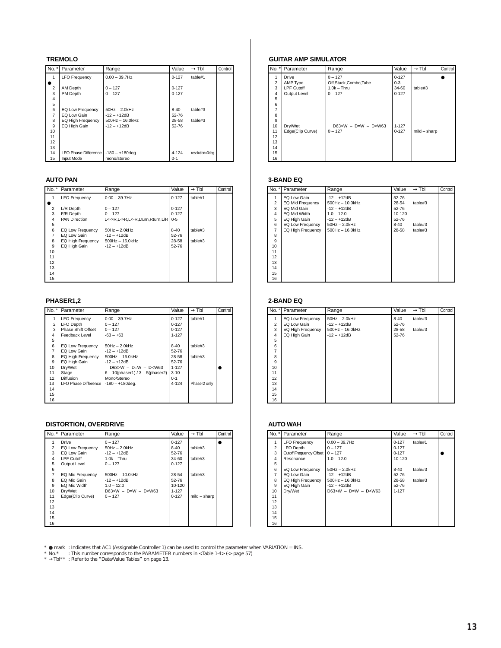#### **TREMOLO**

| $No.$ *        | Parameter                   | Range                 | Value     | $\rightarrow$ Tbl | Control |
|----------------|-----------------------------|-----------------------|-----------|-------------------|---------|
| 1              | <b>LFO Frequency</b>        | $0.00 - 39.7$ Hz      | $0 - 127$ | table#1           |         |
|                |                             |                       |           |                   |         |
| $\overline{2}$ | AM Depth                    | $0 - 127$             | $0 - 127$ |                   |         |
| 3              | PM Depth                    | $0 - 127$             | $0 - 127$ |                   |         |
| 4              |                             |                       |           |                   |         |
| 5              |                             |                       |           |                   |         |
| 6              | EQ Low Frequency            | $50Hz - 2.0kHz$       | $8 - 40$  | table#3           |         |
| 7              | EQ Low Gain                 | $-12 - +12dB$         | 52-76     |                   |         |
| 8              | EQ High Frequency           | $500$ Hz $- 16.0$ kHz | 28-58     | table#3           |         |
| 9              | EQ High Gain                | $-12 - +12dB$         | 52-76     |                   |         |
| 10             |                             |                       |           |                   |         |
| 11             |                             |                       |           |                   |         |
| 12             |                             |                       |           |                   |         |
| 13             |                             |                       |           |                   |         |
| 14             | <b>LFO Phase Difference</b> | $-180 - +180$ deg     | 4-124     | resolution=3deg.  |         |
| 15             | Input Mode                  | mono/stereo           | $0 - 1$   |                   |         |

#### **AUTO PAN**

| No. *          | Parameter            | Range                           | Value     | $\rightarrow$ TbI | Control |
|----------------|----------------------|---------------------------------|-----------|-------------------|---------|
|                | <b>LFO Frequency</b> | $0.00 - 39.7$ Hz                | $0 - 127$ | table#1           |         |
|                |                      |                                 |           |                   |         |
| $\overline{2}$ | L/R Depth            | $0 - 127$                       | $0 - 127$ |                   |         |
| 3              | F/R Depth            | $0 - 127$                       | $0 - 127$ |                   |         |
| 4              | <b>PAN Direction</b> | L<->R.L->R.L<-R.Lturn.Rturn.L/R | $0 - 5$   |                   |         |
| 5              |                      |                                 |           |                   |         |
| 6              | EQ Low Frequency     | 50Hz - 2.0kHz                   | $8 - 40$  | table#3           |         |
| 7              | EQ Low Gain          | -12 – +12dB                     | 52-76     |                   |         |
| 8              | EQ High Frequency    | $500$ Hz $- 16.0$ kHz           | 28-58     | table#3           |         |
| 9              | EQ High Gain         | $-12 - +12$ dB                  | 52-76     |                   |         |
| 10             |                      |                                 |           |                   |         |
| 11             |                      |                                 |           |                   |         |
| 12             |                      |                                 |           |                   |         |
| 13             |                      |                                 |           |                   |         |
| 14             |                      |                                 |           |                   |         |
| 15             |                      |                                 |           |                   |         |

#### **PHASER1,2**

| No. *          | Parameter                 | Range                                  | Value     | $\rightarrow$ Tbl | Control |
|----------------|---------------------------|----------------------------------------|-----------|-------------------|---------|
|                | <b>LFO Frequency</b>      | $0.00 - 39.7$ Hz                       | $0 - 127$ | table#1           |         |
| $\overline{2}$ | <b>LFO</b> Depth          | $0 - 127$                              | $0 - 127$ |                   |         |
| 3              | <b>Phase Shift Offset</b> | $0 - 127$                              | $0 - 127$ |                   |         |
| 4              | Feedback Level            | $-63 - +63$                            | $1 - 127$ |                   |         |
| 5              |                           |                                        |           |                   |         |
| 6              | EQ Low Frequency          | $50Hz - 2.0kHz$                        | $8-40$    | table#3           |         |
| 7              | EQ Low Gain               | $-12 - +12$ dB                         | 52-76     |                   |         |
| 8              | EQ High Frequency         | $500$ Hz $- 16.0$ kHz                  | 28-58     | table#3           |         |
| 9              | EQ High Gain              | $-12 - +12$ dB                         | 52-76     |                   |         |
| 10             | Drv/Wet                   | $D63>W - D=W - D< W63$                 | $1 - 127$ |                   |         |
| 11             | Stage                     | $6 - 10$ (phaser1) / $3 - 5$ (phaser2) | $3 - 10$  |                   |         |
| 12             | <b>Diffusion</b>          | Mono/Stereo                            | $0 - 1$   |                   |         |
| 13             | LFO Phase Difference      | $-180 - +180$ dea.                     | 4-124     | Phaser2 only      |         |
| 14             |                           |                                        |           |                   |         |
| 15             |                           |                                        |           |                   |         |
| 16             |                           |                                        |           |                   |         |

#### **DISTORTION, OVERDRIVE**

| No. *          | Parameter               | Range                  | Value      | $\rightarrow$ Tbl | Control |
|----------------|-------------------------|------------------------|------------|-------------------|---------|
| 1              | Drive                   | $0 - 127$              | $0 - 127$  |                   |         |
| $\overline{2}$ | <b>EQ Low Frequency</b> | $50Hz - 2.0kHz$        | $8-40$     | table#3           |         |
| 3              | EQ Low Gain             | $-12 - +12$ dB         | 52-76      |                   |         |
| 4              | <b>LPF Cutoff</b>       | $1.0k - Thru$          | 34-60      | table#3           |         |
| 5              | Output Level            | $0 - 127$              | $0 - 127$  |                   |         |
| 6              |                         |                        |            |                   |         |
| $\overline{7}$ | EQ Mid Frequency        | $500Hz - 10.0kHz$      | 28-54      | table#3           |         |
| 8              | EQ Mid Gain             | $-12 - +12$ dB         | 52-76      |                   |         |
| 9              | EQ Mid Width            | $1.0 - 12.0$           | $10 - 120$ |                   |         |
| 10             | Drv/Wet                 | $D63>W - D=W - D< W63$ | $1 - 127$  |                   |         |
| 11             | Edge(Clip Curve)        | $0 - 127$              | $0 - 127$  | $mild - sharp$    |         |
| 12             |                         |                        |            |                   |         |
| 13             |                         |                        |            |                   |         |
| 14             |                         |                        |            |                   |         |
| 15             |                         |                        |            |                   |         |
| 16             |                         |                        |            |                   |         |

#### **GUITAR AMP SIMULATOR**

|                                                                              | No. *   Parameter                                             | Range                                                           | Value                                      | $\rightarrow$ Tbl | Control |
|------------------------------------------------------------------------------|---------------------------------------------------------------|-----------------------------------------------------------------|--------------------------------------------|-------------------|---------|
| 2<br>3<br>4                                                                  | <b>Drive</b><br>AMP Type<br><b>LPF Cutoff</b><br>Output Level | $0 - 127$<br>Off,Stack,Combo,Tube<br>$1.0k - Thru$<br>$0 - 127$ | $0 - 127$<br>$0 - 3$<br>34-60<br>$0 - 127$ | table#3           |         |
| 5<br>6<br>$\overline{7}$<br>8<br>9<br>10<br>11<br>12<br>13<br>14<br>15<br>16 | Dry/Wet<br>Edge(Clip Curve)                                   | $D63>W - D=W - D0$<br>$0 - 127$                                 | $1 - 127$<br>$0 - 127$                     | $mild - sharp$    |         |

#### **3-BAND EQ**

| $No.$ *        | Parameter                | Range                 | Value    | $\rightarrow$ Tbl | Control |
|----------------|--------------------------|-----------------------|----------|-------------------|---------|
| 1              | EQ Low Gain              | $-12 - +12dB$         | 52-76    |                   |         |
| $\overline{2}$ | EQ Mid Frequency         | $500$ Hz $- 10.0$ kHz | 28-54    | table#3           |         |
| 3              | EQ Mid Gain              | $-12 - +12dB$         | 52-76    |                   |         |
| 4              | EQ Mid Width             | $1.0 - 12.0$          | 10-120   |                   |         |
| 5              | EQ High Gain             | $-12 - +12dB$         | 52-76    |                   |         |
| 6              | EQ Low Frequency         | $50Hz - 2.0kHz$       | $8 - 40$ | table#3           |         |
| $\overline{7}$ | <b>EQ High Frequency</b> | $500$ Hz $- 16.0$ kHz | 28-58    | table#3           |         |
| 8              |                          |                       |          |                   |         |
| 9              |                          |                       |          |                   |         |
| 10             |                          |                       |          |                   |         |
| 11             |                          |                       |          |                   |         |
| 12             |                          |                       |          |                   |         |
| 13             |                          |                       |          |                   |         |
| 14             |                          |                       |          |                   |         |
| 15             |                          |                       |          |                   |         |
| 16             |                          |                       |          |                   |         |

#### **2-BAND EQ**

| No. $*$ | Parameter         | Range                 | Value    | $\rightarrow$ Tbl | Control |
|---------|-------------------|-----------------------|----------|-------------------|---------|
| 1       | EQ Low Frequency  | $50Hz - 2.0kHz$       | $8 - 40$ | table#3           |         |
| 2       | EQ Low Gain       | $-12 - +12dB$         | 52-76    |                   |         |
| 3       | EQ High Frequency | $500$ Hz $- 16.0$ kHz | 28-58    | table#3           |         |
| 4       | EQ High Gain      | $-12 - +12dB$         | 52-76    |                   |         |
| 5       |                   |                       |          |                   |         |
| 6       |                   |                       |          |                   |         |
| 7       |                   |                       |          |                   |         |
| 8       |                   |                       |          |                   |         |
| 9       |                   |                       |          |                   |         |
| 10      |                   |                       |          |                   |         |
| 11      |                   |                       |          |                   |         |
| 12      |                   |                       |          |                   |         |
| 13      |                   |                       |          |                   |         |
| 14      |                   |                       |          |                   |         |
| 15      |                   |                       |          |                   |         |
| 16      |                   |                       |          |                   |         |

#### **AUTO WAH**

| $No.$ *        | Parameter                      | Range                 | Value     | $\rightarrow$ Tbl | Control |
|----------------|--------------------------------|-----------------------|-----------|-------------------|---------|
| 1              | <b>LFO Frequency</b>           | $0.00 - 39.7$ Hz      | $0 - 127$ | table#1           |         |
| $\overline{2}$ | <b>LFO Depth</b>               | $0 - 127$             | $0 - 127$ |                   |         |
| 3              | <b>Cutoff Frequency Offset</b> | $0 - 127$             | $0 - 127$ |                   |         |
| 4              | Resonance                      | $1.0 - 12.0$          | 10-120    |                   |         |
| 5              |                                |                       |           |                   |         |
| 6              | EQ Low Frequency               | $50Hz - 2.0kHz$       | $8 - 40$  | table#3           |         |
| 7              | EQ Low Gain                    | $-12 - +12$ dB        | 52-76     |                   |         |
| 8              | EQ High Frequency              | $500$ Hz $- 16.0$ kHz | 28-58     | table#3           |         |
| 9              | EQ High Gain                   | $-12 - +12$ dB        | 52-76     |                   |         |
| 10             | Dry/Wet                        | $D63>W - D=W - D0$    | $1 - 127$ |                   |         |
| 11             |                                |                       |           |                   |         |
| 12             |                                |                       |           |                   |         |
| 13             |                                |                       |           |                   |         |
| 14             |                                |                       |           |                   |         |
| 15             |                                |                       |           |                   |         |
| 16             |                                |                       |           |                   |         |

\* ● mark :Indicates that AC1 (Assignable Controller 1) can be used to control the parameter when VARIATION = INS.<br>\* No.\* : This number corresponds to the PARAMETER numbers in <Table 1-4> (-> page 57)<br>\* →Tbl\*\* :Refer to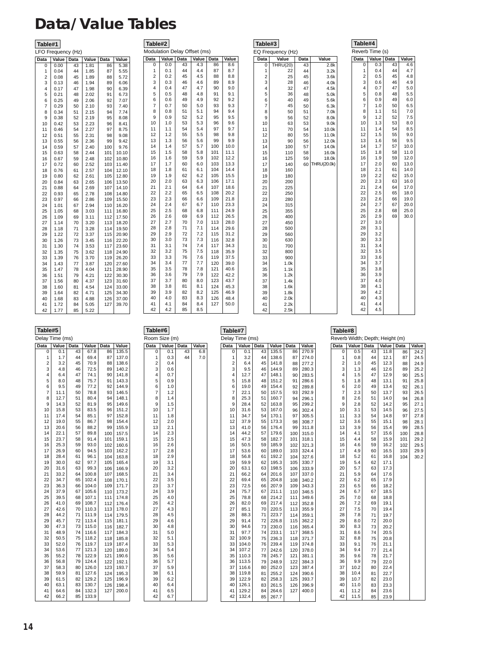### <span id="page-13-0"></span>**Data/Value Tables**

#### **Table#1**

|  | LFO Frequency (Hz) |  |
|--|--------------------|--|
|  |                    |  |

 $\begin{array}{c|c} 1 & 0.1 \\ 2 & 0.2 \end{array}$  $\begin{array}{c|c} 2 & 0.2 \\ 3 & 0.3 \\ 4 & 0.4 \end{array}$ 3 0.3  $0.4$  $\begin{array}{c|c} 5 & 0.5 \\ 6 & 0.6 \end{array}$  $\begin{array}{c|c} 6 & 0.6 \\ 7 & 0.7 \\ 8 & 0.8 \end{array}$ 0.7  $\begin{array}{c|c} 8 & 0.8 \\ 9 & 0.9 \end{array}$  $\begin{array}{c|c} 9 & 0.9 \\ 10 & 1.0 \end{array}$  $\begin{array}{|c|c|c|}\n10 & 1.0 \\
11 & 1.1 \\
12 & 1.2\n\end{array}$ 11 1.1 12 1.2  $\begin{array}{|c|c|c|}\n 1.3 \\
 14 & 1.4\n \end{array}$  $\begin{array}{c|c} 14 & 1.4 \\ 15 & 1.5 \\ 16 & 1.6 \end{array}$ 15 1.5 16 1.6  $\begin{array}{|c|c|c|}\n 1.7 \\
 1.8 \\
 1.8\n \end{array}$  $\begin{array}{|c|c|c|} \hline 18 & 1.8 \\ 19 & 1.9 \\ \hline \end{array}$  $\begin{array}{c|c} 19 & 1.9 \\ 20 & 2.0 \end{array}$  $\begin{array}{|c|c|} \hline 20 & 2.0 \\ 21 & 2.1 \\ 22 & 2.2 \\ \hline \end{array}$ 21 2.1 22 2.2

 $\begin{array}{c|cc}\n 23 & 2.3 \\
 24 & 2.4 \\
 25 & 2.5 \\
 26 & 2.6\n\end{array}$ 24 2.4 25 2.5 26 2.6  $\begin{array}{|c|c|c|}\n 27 & 2.7 \\
 28 & 2.8\n \end{array}$  $\begin{array}{c|c} 28 & 2.8 \\ 29 & 2.9 \\ 30 & 3.0 \end{array}$  $2.9$  $\begin{array}{|c|c|}\n 30 & 3.0 \\
 31 & 3.1 \\
 32 & 3.2\n\end{array}$ 31 3.1 32 3.2  $\begin{array}{c|cc}\n 33 & 3.3 \\
 34 & 3.4 \\
 35 & 3.5 \\
 36 & 3.6\n\end{array}$ 34 3.4 35 3.5  $\begin{array}{c|c}\n 36 & 3.6 \\
 37 & 3.7\n\end{array}$  $\begin{array}{|c|c|c|}\n 37 & 3.7 \\
 38 & 3.8\n\end{array}$  $\begin{array}{c|c} 38 & 3.8 \\ 39 & 3.9 \end{array}$  $\begin{array}{c|c} 39 & 3.9 \\ 40 & 4.0 \end{array}$  $\begin{array}{|c|c|c|}\n 40 & 4.0 \\
 41 & 4.1 \\
 42 & 4.2\n\end{array}$ 41 4.1 42 4.2

**Table#2 Data Value Data Value Data Value** 0 0.0 43 4.3 Modulation Delay Offset (ms) **ata Value**<br>86 8.6<br>87 8.7<br>88 8.8

44 4.4 45 4.5 46 4.6  $\begin{array}{|c|c|c|}\n 47 & 4.7 \\
 48 & 4.8\n \end{array}$ 48 4.8 49 4.9

87 8.7  $\begin{array}{c|c} 88 & 8.8 \\ 89 & 8.9 \end{array}$  $\begin{array}{c|c} 89 & 8.9 \\ 90 & 9.0 \end{array}$  $\begin{array}{c|c} 90 & 9.0 \\ 91 & 9.1 \end{array}$ 91 9.1 92 9.2  $\begin{array}{c|c} 93 & 9.3 \\ 94 & 9.4 \end{array}$  $\begin{array}{c|c} 94 & 9.4 \\ 95 & 9.5 \end{array}$  $\begin{array}{c|c} 95 & 9.5 \\ 96 & 9.6 \end{array}$ 96 9.6<br>97 9.7<br>98 9.8 97 9.7 98 9.8  $\begin{array}{c|c} 99 & 9.9 \\ 100 & 10.0 \end{array}$  $\begin{array}{|c|c|c|c|}\n100 & 10.0 \\
\hline\n101 & 11.1\n\end{array}$  $\begin{array}{|c|c|c|}\n101 & 11.1 \\
102 & 12.2\n\end{array}$  $\begin{array}{|c|c|c|}\n102 & 12.2 \\
103 & 13.3\n\end{array}$  $\begin{array}{|c|c|c|}\n103 & 13.3 \\
\hline\n104 & 14.4\n\end{array}$  $14.4$ <br> $15.5$  $105$ <br> $106$  $\begin{array}{|c|c|c|}\n106 & 17.1 \\
\hline\n107 & 18.6\n\end{array}$ 107 18.6 108 20.2  $\begin{array}{|c|c|c|}\n109 & 21.8 \\
110 & 23.3\n\end{array}$ 23.3  $\begin{array}{|c|c|c|}\n 111 & 24.9 \\
 \hline\n 112 & 26.5\n \end{array}$  $\begin{array}{|c|c|}\n 112 & 26.5 \\
 113 & 28.0\n \end{array}$ 28.0 29.6  $\begin{array}{|c|c|}\n 114 & 29.6 \\
 \hline\n 115 & 31.2 \\
 \hline\n 116 & 32.8\n \end{array}$  $32.8$ 117 34.3  $\begin{array}{|c|c|} \hline 118 & 35.9 \\ 119 & 37.5 \end{array}$  $\begin{array}{|c|c|c|}\n119 & 37.5 \\
120 & 39.0\n\end{array}$ 120 39.0  $121 \mid 40.6$  $\begin{array}{|c|c|}\n 122 & 42.2 \\
 123 & 43.7\n\end{array}$  $\begin{array}{|c|c|}\n 123 & 43.7 \\
 124 & 45.3 \\
 125 & 46.9\n\end{array}$  $45.3$  $\begin{array}{|c|c|c|}\n125 & 46.9 \\
126 & 48.4\n\end{array}$  $\begin{array}{|c|c|}\n 126 & 48.4 \\
 \hline\n 127 & 50.0\n \end{array}$  $50.0$ 

 $\begin{array}{r} 7.5 \\ 50 \\ 51 \\ 52 \\ 53 \\ 5.3 \end{array}$ 51 5.1 52 5.2 53 5.3 54 5.4 55 5.5

56 5.6<br>57 5.7<br>58 5.8<br>59 5.9 57 5.7 58 5.8 59 5.9  $6.0$ <br> $6.1$  $60$ <br> $61$ <br> $62$ 62 6.2 63 6.3 64 6.4 65 6.5  $\begin{bmatrix} 66 \\ 67 \\ 68 \\ 69 \\ 69 \end{bmatrix}$   $\begin{bmatrix} 6.6 \\ 6.7 \\ 6.8 \\ 6.9 \end{bmatrix}$  $6.7$ 68 6.8 69 6.9

70 7.0 71 7.1 72 7.2 73 7.3

74 7.4 75 7.5

76 7.6<br>77 7.7<br>78 7.8<br>79 7.9 77 7.7 78 7.8 79 7.9 80 8.0

81 8.1 82 8.2 83 8.3  $\begin{array}{|c|c|c|} \hline 84 & 8.4 \\ \hline 85 & 8.5 \\ \hline \end{array}$ 85 8.5

**Table#3** EQ Frequency (Hz)

### **Table#4**

 $4.9$  $5.0$ 

 $6.5$ 7.0  $7.5$  $8.0$ 

56 9.5  $10.0$ 11.0  $12.0$ 13.0  $14.0$ 15.0  $16.0$ 

19.0 20.0 25.0  $\frac{20.0}{30.0}$ 

| Value<br><b>Data</b><br><b>Data</b><br>Value<br>Data<br><b>Data</b><br>Value<br>0<br>0.3<br>THRU(20)<br>43<br>4.6<br>0<br>43<br>2.8k<br>$\mathbf{1}$<br>0.4<br>44<br>44<br>4.7<br>1<br>3.2k<br>22<br>2<br>0.5<br>45<br>4.8<br>$\overline{2}$<br>25<br>45<br>3.6k<br>3<br>0.6<br>3<br>46<br>4.9<br>28<br>46<br>4.0k<br>4<br>0.7<br>47<br>4<br>32<br>47<br>5.0<br>4.5k<br>5<br>5<br>0.8<br>48<br>36<br>48<br>5.5<br>5.0k<br>6<br>49<br>6<br>0.9<br>49<br>6.0<br>40<br>5.6k<br>$\overline{7}$<br>$\overline{7}$<br>1.0<br>50<br>6.5<br>45<br>50<br>6.3k<br>8<br>1.1<br>51<br>8<br>51<br>7.0<br>50<br>7.0k<br>9<br>9<br>52<br>1.2<br>52<br>7.5<br>56<br>8.0k<br>10<br>10<br>1.3<br>53<br>8.0<br>63<br>53<br>9.0k<br>11<br>1.4<br>11<br>54<br>54<br>8.5<br>70<br>10.0k<br>12<br>12<br>1.5<br>55<br>9.0<br>80<br>55<br>11.0k<br>13<br>90<br>56<br>13<br>1.6<br>56<br>9.5<br>12.0k<br>14<br>14<br>57<br>1.7<br>57<br>10.0<br>100<br>14.0k<br>15<br>11.0<br>15<br>110<br>58<br>1.8<br>58<br>16.0k<br>59<br>59<br>16<br>1.9<br>12.0<br>16<br>125<br>18.0k<br>17<br>17<br>2.0<br>60<br>13.0<br>140<br>60<br><b>THRU(20.0k)</b><br>61<br>14.0<br>18<br>18<br>2.1<br>160<br>19<br>2.2<br>62<br>15.0<br>19<br>180<br>20<br>2.3<br>63<br>20<br>16.0<br>200<br>21<br>2.4<br>64<br>17.0<br>21<br>225<br>22<br>22<br>2.5<br>65<br>18.0<br>250<br>23<br>23<br>2.6<br>66<br>19.0<br>280<br>24<br>24<br>2.7<br>67<br>20.0<br>315<br>25<br>2.8<br>25<br>68<br>25.0<br>355<br>26<br>2.9<br>69<br>30.0<br>26<br>400<br>27<br>27<br>3.0<br>450<br>28<br>28<br>3.1<br>500<br>29<br>29<br>3.2<br>560<br>30<br>30<br>3.3<br>630<br>31<br>31<br>3.4<br>700<br>32<br>32<br>3.5<br>800<br>33<br>33<br>3.6<br>900<br>34<br>3.7<br>34<br>1.0k<br>35<br>35<br>3.8<br>1.1k<br>3.9<br>36<br>1.2k<br>36<br>37<br>37<br>4.0<br>1.4k<br>4.1<br>38<br>1.6k<br>38<br>39<br>4.2<br>39<br>1.8k<br>40<br>40<br>4.3<br>2.0k<br>41<br>4.4<br>41<br>2.2k<br>42<br>42<br>4.5<br>2.5k | Reverb Time (s)<br>Q Frequency (Hz) |  |  |  |  |  |       |  |
|---------------------------------------------------------------------------------------------------------------------------------------------------------------------------------------------------------------------------------------------------------------------------------------------------------------------------------------------------------------------------------------------------------------------------------------------------------------------------------------------------------------------------------------------------------------------------------------------------------------------------------------------------------------------------------------------------------------------------------------------------------------------------------------------------------------------------------------------------------------------------------------------------------------------------------------------------------------------------------------------------------------------------------------------------------------------------------------------------------------------------------------------------------------------------------------------------------------------------------------------------------------------------------------------------------------------------------------------------------------------------------------------------------------------------------------------------------------------------------------------------------------------------------------------------------------------------------------------------------------------------------------------------------------------------------------------------------------------------------------------------------------------------------------------------------------------------------------------------------------------------------------------------------------------------------------|-------------------------------------|--|--|--|--|--|-------|--|
|                                                                                                                                                                                                                                                                                                                                                                                                                                                                                                                                                                                                                                                                                                                                                                                                                                                                                                                                                                                                                                                                                                                                                                                                                                                                                                                                                                                                                                                                                                                                                                                                                                                                                                                                                                                                                                                                                                                                       |                                     |  |  |  |  |  | Value |  |
|                                                                                                                                                                                                                                                                                                                                                                                                                                                                                                                                                                                                                                                                                                                                                                                                                                                                                                                                                                                                                                                                                                                                                                                                                                                                                                                                                                                                                                                                                                                                                                                                                                                                                                                                                                                                                                                                                                                                       |                                     |  |  |  |  |  |       |  |
|                                                                                                                                                                                                                                                                                                                                                                                                                                                                                                                                                                                                                                                                                                                                                                                                                                                                                                                                                                                                                                                                                                                                                                                                                                                                                                                                                                                                                                                                                                                                                                                                                                                                                                                                                                                                                                                                                                                                       |                                     |  |  |  |  |  |       |  |
|                                                                                                                                                                                                                                                                                                                                                                                                                                                                                                                                                                                                                                                                                                                                                                                                                                                                                                                                                                                                                                                                                                                                                                                                                                                                                                                                                                                                                                                                                                                                                                                                                                                                                                                                                                                                                                                                                                                                       |                                     |  |  |  |  |  |       |  |
|                                                                                                                                                                                                                                                                                                                                                                                                                                                                                                                                                                                                                                                                                                                                                                                                                                                                                                                                                                                                                                                                                                                                                                                                                                                                                                                                                                                                                                                                                                                                                                                                                                                                                                                                                                                                                                                                                                                                       |                                     |  |  |  |  |  |       |  |
|                                                                                                                                                                                                                                                                                                                                                                                                                                                                                                                                                                                                                                                                                                                                                                                                                                                                                                                                                                                                                                                                                                                                                                                                                                                                                                                                                                                                                                                                                                                                                                                                                                                                                                                                                                                                                                                                                                                                       |                                     |  |  |  |  |  |       |  |
|                                                                                                                                                                                                                                                                                                                                                                                                                                                                                                                                                                                                                                                                                                                                                                                                                                                                                                                                                                                                                                                                                                                                                                                                                                                                                                                                                                                                                                                                                                                                                                                                                                                                                                                                                                                                                                                                                                                                       |                                     |  |  |  |  |  |       |  |
|                                                                                                                                                                                                                                                                                                                                                                                                                                                                                                                                                                                                                                                                                                                                                                                                                                                                                                                                                                                                                                                                                                                                                                                                                                                                                                                                                                                                                                                                                                                                                                                                                                                                                                                                                                                                                                                                                                                                       |                                     |  |  |  |  |  |       |  |
|                                                                                                                                                                                                                                                                                                                                                                                                                                                                                                                                                                                                                                                                                                                                                                                                                                                                                                                                                                                                                                                                                                                                                                                                                                                                                                                                                                                                                                                                                                                                                                                                                                                                                                                                                                                                                                                                                                                                       |                                     |  |  |  |  |  |       |  |
|                                                                                                                                                                                                                                                                                                                                                                                                                                                                                                                                                                                                                                                                                                                                                                                                                                                                                                                                                                                                                                                                                                                                                                                                                                                                                                                                                                                                                                                                                                                                                                                                                                                                                                                                                                                                                                                                                                                                       |                                     |  |  |  |  |  |       |  |
|                                                                                                                                                                                                                                                                                                                                                                                                                                                                                                                                                                                                                                                                                                                                                                                                                                                                                                                                                                                                                                                                                                                                                                                                                                                                                                                                                                                                                                                                                                                                                                                                                                                                                                                                                                                                                                                                                                                                       |                                     |  |  |  |  |  |       |  |
|                                                                                                                                                                                                                                                                                                                                                                                                                                                                                                                                                                                                                                                                                                                                                                                                                                                                                                                                                                                                                                                                                                                                                                                                                                                                                                                                                                                                                                                                                                                                                                                                                                                                                                                                                                                                                                                                                                                                       |                                     |  |  |  |  |  |       |  |
|                                                                                                                                                                                                                                                                                                                                                                                                                                                                                                                                                                                                                                                                                                                                                                                                                                                                                                                                                                                                                                                                                                                                                                                                                                                                                                                                                                                                                                                                                                                                                                                                                                                                                                                                                                                                                                                                                                                                       |                                     |  |  |  |  |  |       |  |
|                                                                                                                                                                                                                                                                                                                                                                                                                                                                                                                                                                                                                                                                                                                                                                                                                                                                                                                                                                                                                                                                                                                                                                                                                                                                                                                                                                                                                                                                                                                                                                                                                                                                                                                                                                                                                                                                                                                                       |                                     |  |  |  |  |  |       |  |
|                                                                                                                                                                                                                                                                                                                                                                                                                                                                                                                                                                                                                                                                                                                                                                                                                                                                                                                                                                                                                                                                                                                                                                                                                                                                                                                                                                                                                                                                                                                                                                                                                                                                                                                                                                                                                                                                                                                                       |                                     |  |  |  |  |  |       |  |
|                                                                                                                                                                                                                                                                                                                                                                                                                                                                                                                                                                                                                                                                                                                                                                                                                                                                                                                                                                                                                                                                                                                                                                                                                                                                                                                                                                                                                                                                                                                                                                                                                                                                                                                                                                                                                                                                                                                                       |                                     |  |  |  |  |  |       |  |
|                                                                                                                                                                                                                                                                                                                                                                                                                                                                                                                                                                                                                                                                                                                                                                                                                                                                                                                                                                                                                                                                                                                                                                                                                                                                                                                                                                                                                                                                                                                                                                                                                                                                                                                                                                                                                                                                                                                                       |                                     |  |  |  |  |  |       |  |
|                                                                                                                                                                                                                                                                                                                                                                                                                                                                                                                                                                                                                                                                                                                                                                                                                                                                                                                                                                                                                                                                                                                                                                                                                                                                                                                                                                                                                                                                                                                                                                                                                                                                                                                                                                                                                                                                                                                                       |                                     |  |  |  |  |  |       |  |
|                                                                                                                                                                                                                                                                                                                                                                                                                                                                                                                                                                                                                                                                                                                                                                                                                                                                                                                                                                                                                                                                                                                                                                                                                                                                                                                                                                                                                                                                                                                                                                                                                                                                                                                                                                                                                                                                                                                                       |                                     |  |  |  |  |  |       |  |
|                                                                                                                                                                                                                                                                                                                                                                                                                                                                                                                                                                                                                                                                                                                                                                                                                                                                                                                                                                                                                                                                                                                                                                                                                                                                                                                                                                                                                                                                                                                                                                                                                                                                                                                                                                                                                                                                                                                                       |                                     |  |  |  |  |  |       |  |
|                                                                                                                                                                                                                                                                                                                                                                                                                                                                                                                                                                                                                                                                                                                                                                                                                                                                                                                                                                                                                                                                                                                                                                                                                                                                                                                                                                                                                                                                                                                                                                                                                                                                                                                                                                                                                                                                                                                                       |                                     |  |  |  |  |  |       |  |
|                                                                                                                                                                                                                                                                                                                                                                                                                                                                                                                                                                                                                                                                                                                                                                                                                                                                                                                                                                                                                                                                                                                                                                                                                                                                                                                                                                                                                                                                                                                                                                                                                                                                                                                                                                                                                                                                                                                                       |                                     |  |  |  |  |  |       |  |
|                                                                                                                                                                                                                                                                                                                                                                                                                                                                                                                                                                                                                                                                                                                                                                                                                                                                                                                                                                                                                                                                                                                                                                                                                                                                                                                                                                                                                                                                                                                                                                                                                                                                                                                                                                                                                                                                                                                                       |                                     |  |  |  |  |  |       |  |
|                                                                                                                                                                                                                                                                                                                                                                                                                                                                                                                                                                                                                                                                                                                                                                                                                                                                                                                                                                                                                                                                                                                                                                                                                                                                                                                                                                                                                                                                                                                                                                                                                                                                                                                                                                                                                                                                                                                                       |                                     |  |  |  |  |  |       |  |
|                                                                                                                                                                                                                                                                                                                                                                                                                                                                                                                                                                                                                                                                                                                                                                                                                                                                                                                                                                                                                                                                                                                                                                                                                                                                                                                                                                                                                                                                                                                                                                                                                                                                                                                                                                                                                                                                                                                                       |                                     |  |  |  |  |  |       |  |
|                                                                                                                                                                                                                                                                                                                                                                                                                                                                                                                                                                                                                                                                                                                                                                                                                                                                                                                                                                                                                                                                                                                                                                                                                                                                                                                                                                                                                                                                                                                                                                                                                                                                                                                                                                                                                                                                                                                                       |                                     |  |  |  |  |  |       |  |
|                                                                                                                                                                                                                                                                                                                                                                                                                                                                                                                                                                                                                                                                                                                                                                                                                                                                                                                                                                                                                                                                                                                                                                                                                                                                                                                                                                                                                                                                                                                                                                                                                                                                                                                                                                                                                                                                                                                                       |                                     |  |  |  |  |  |       |  |
|                                                                                                                                                                                                                                                                                                                                                                                                                                                                                                                                                                                                                                                                                                                                                                                                                                                                                                                                                                                                                                                                                                                                                                                                                                                                                                                                                                                                                                                                                                                                                                                                                                                                                                                                                                                                                                                                                                                                       |                                     |  |  |  |  |  |       |  |
|                                                                                                                                                                                                                                                                                                                                                                                                                                                                                                                                                                                                                                                                                                                                                                                                                                                                                                                                                                                                                                                                                                                                                                                                                                                                                                                                                                                                                                                                                                                                                                                                                                                                                                                                                                                                                                                                                                                                       |                                     |  |  |  |  |  |       |  |
|                                                                                                                                                                                                                                                                                                                                                                                                                                                                                                                                                                                                                                                                                                                                                                                                                                                                                                                                                                                                                                                                                                                                                                                                                                                                                                                                                                                                                                                                                                                                                                                                                                                                                                                                                                                                                                                                                                                                       |                                     |  |  |  |  |  |       |  |
|                                                                                                                                                                                                                                                                                                                                                                                                                                                                                                                                                                                                                                                                                                                                                                                                                                                                                                                                                                                                                                                                                                                                                                                                                                                                                                                                                                                                                                                                                                                                                                                                                                                                                                                                                                                                                                                                                                                                       |                                     |  |  |  |  |  |       |  |
|                                                                                                                                                                                                                                                                                                                                                                                                                                                                                                                                                                                                                                                                                                                                                                                                                                                                                                                                                                                                                                                                                                                                                                                                                                                                                                                                                                                                                                                                                                                                                                                                                                                                                                                                                                                                                                                                                                                                       |                                     |  |  |  |  |  |       |  |
|                                                                                                                                                                                                                                                                                                                                                                                                                                                                                                                                                                                                                                                                                                                                                                                                                                                                                                                                                                                                                                                                                                                                                                                                                                                                                                                                                                                                                                                                                                                                                                                                                                                                                                                                                                                                                                                                                                                                       |                                     |  |  |  |  |  |       |  |
|                                                                                                                                                                                                                                                                                                                                                                                                                                                                                                                                                                                                                                                                                                                                                                                                                                                                                                                                                                                                                                                                                                                                                                                                                                                                                                                                                                                                                                                                                                                                                                                                                                                                                                                                                                                                                                                                                                                                       |                                     |  |  |  |  |  |       |  |
|                                                                                                                                                                                                                                                                                                                                                                                                                                                                                                                                                                                                                                                                                                                                                                                                                                                                                                                                                                                                                                                                                                                                                                                                                                                                                                                                                                                                                                                                                                                                                                                                                                                                                                                                                                                                                                                                                                                                       |                                     |  |  |  |  |  |       |  |
|                                                                                                                                                                                                                                                                                                                                                                                                                                                                                                                                                                                                                                                                                                                                                                                                                                                                                                                                                                                                                                                                                                                                                                                                                                                                                                                                                                                                                                                                                                                                                                                                                                                                                                                                                                                                                                                                                                                                       |                                     |  |  |  |  |  |       |  |
|                                                                                                                                                                                                                                                                                                                                                                                                                                                                                                                                                                                                                                                                                                                                                                                                                                                                                                                                                                                                                                                                                                                                                                                                                                                                                                                                                                                                                                                                                                                                                                                                                                                                                                                                                                                                                                                                                                                                       |                                     |  |  |  |  |  |       |  |
|                                                                                                                                                                                                                                                                                                                                                                                                                                                                                                                                                                                                                                                                                                                                                                                                                                                                                                                                                                                                                                                                                                                                                                                                                                                                                                                                                                                                                                                                                                                                                                                                                                                                                                                                                                                                                                                                                                                                       |                                     |  |  |  |  |  |       |  |
|                                                                                                                                                                                                                                                                                                                                                                                                                                                                                                                                                                                                                                                                                                                                                                                                                                                                                                                                                                                                                                                                                                                                                                                                                                                                                                                                                                                                                                                                                                                                                                                                                                                                                                                                                                                                                                                                                                                                       |                                     |  |  |  |  |  |       |  |
|                                                                                                                                                                                                                                                                                                                                                                                                                                                                                                                                                                                                                                                                                                                                                                                                                                                                                                                                                                                                                                                                                                                                                                                                                                                                                                                                                                                                                                                                                                                                                                                                                                                                                                                                                                                                                                                                                                                                       |                                     |  |  |  |  |  |       |  |
|                                                                                                                                                                                                                                                                                                                                                                                                                                                                                                                                                                                                                                                                                                                                                                                                                                                                                                                                                                                                                                                                                                                                                                                                                                                                                                                                                                                                                                                                                                                                                                                                                                                                                                                                                                                                                                                                                                                                       |                                     |  |  |  |  |  |       |  |
|                                                                                                                                                                                                                                                                                                                                                                                                                                                                                                                                                                                                                                                                                                                                                                                                                                                                                                                                                                                                                                                                                                                                                                                                                                                                                                                                                                                                                                                                                                                                                                                                                                                                                                                                                                                                                                                                                                                                       |                                     |  |  |  |  |  |       |  |
|                                                                                                                                                                                                                                                                                                                                                                                                                                                                                                                                                                                                                                                                                                                                                                                                                                                                                                                                                                                                                                                                                                                                                                                                                                                                                                                                                                                                                                                                                                                                                                                                                                                                                                                                                                                                                                                                                                                                       |                                     |  |  |  |  |  |       |  |

| Data           | Value | Data | Value | Data | Value |
|----------------|-------|------|-------|------|-------|
| 0              | 0.00  | 43   | 1.81  | 86   | 5.38  |
| 1              | 0.04  | 44   | 1.85  | 87   | 5.55  |
| $\overline{c}$ | 0.08  | 45   | 1.89  | 88   | 5.72  |
| 3              | 0.13  | 46   | 1.94  | 89   | 6.06  |
| 4              | 0.17  | 47   | 1.98  | 90   | 6.39  |
| 5              | 0.21  | 48   | 2.02  | 91   | 6.73  |
| 6              | 0.25  | 49   | 2.06  | 92   | 7.07  |
| $\overline{7}$ | 0.29  | 50   | 2.10  | 93   | 7.40  |
| 8              | 0.34  | 51   | 2.15  | 94   | 7.74  |
| 9              | 0.38  | 52   | 2.19  | 95   | 8.08  |
| 10             | 0.42  | 53   | 2.23  | 96   | 8.41  |
| 11             | 0.46  | 54   | 2.27  | 97   | 8.75  |
| 12             | 0.51  | 55   | 2.31  | 98   | 9.08  |
| 13             | 0.55  | 56   | 2.36  | 99   | 9.42  |
| 14             | 0.59  | 57   | 2.40  | 100  | 9.76  |
| 15             | 0.63  | 58   | 2.44  | 101  | 10.10 |
| 16             | 0.67  | 59   | 2.48  | 102  | 10.80 |
| 17             | 0.72  | 60   | 2.52  | 103  | 11.40 |
| 18             | 0.76  | 61   | 2.57  | 104  | 12.10 |
| 19             | 0.80  | 62   | 2.61  | 105  | 12.80 |
| 20             | 0.84  | 63   | 2.65  | 106  | 13.50 |
| 21             | 0.88  | 64   | 2.69  | 107  | 14.10 |
| 22             | 0.93  | 65   | 2.78  | 108  | 14.80 |
| 23             | 0.97  | 66   | 2.86  | 109  | 15.50 |
| 24             | 1.01  | 67   | 2.94  | 110  | 16.20 |
| 25             | 1.05  | 68   | 3.03  | 111  | 16.80 |
| 26             | 1.09  | 69   | 3.11  | 112  | 17.50 |
| 27             | 1.14  | 70   | 3.20  | 113  | 18.20 |
| 28             | 1.18  | 71   | 3.28  | 114  | 19.50 |
| 29             | 1.22  | 72   | 3.37  | 115  | 20.90 |
| 30             | 1.26  | 73   | 3.45  | 116  | 22.20 |
| 31             | 1.30  | 74   | 3.53  | 117  | 23.60 |
| 32             | 1.35  | 75   | 3.62  | 118  | 24.90 |
| 33             | 1.39  | 76   | 3.70  | 119  | 26.20 |
| 34             | 1.43  | 77   | 3.87  | 120  | 27.60 |
| 35             | 1.47  | 78   | 4.04  | 121  | 28.90 |
| 36             | 1.51  | 79   | 4.21  | 122  | 30.30 |
| 37             | 1.56  | 80   | 4.37  | 123  | 31.60 |
| 38             | 1.60  | 81   | 4.54  | 124  | 33.00 |
| 39             | 1.64  | 82   | 4.71  | 125  | 34.30 |
| 40             | 1.68  | 83   | 4.88  | 126  | 37.00 |
| 41             | 1.72  | 84   | 5.05  | 127  | 39.70 |
| 42             | 1.77  | 85   | 5.22  |      |       |

| 42              | 1.77  | 85   | 5.22  |      |       |
|-----------------|-------|------|-------|------|-------|
|                 |       |      |       |      |       |
| Table#5         |       |      |       |      |       |
| Delay Time (ms) |       |      |       |      |       |
| Data            | Value | Data | Value | Data | Value |
| 0               | 0.1   | 43   | 67.8  | 86   | 135.5 |
| 1               | 1.7   | 44   | 69.4  | 87   | 137.0 |
| $\overline{2}$  | 3.2   | 45   | 70.9  | 88   | 138.6 |
| 3               | 4.8   | 46   | 72.5  | 89   | 140.2 |
| 4               | 6.4   | 47   | 74.1  | 90   | 141.8 |
| 5               | 8.0   | 48   | 75.7  | 91   | 143.3 |
| 6               | 9.5   | 49   | 77.2  | 92   | 144.9 |
| 7               | 11.1  | 50   | 78.8  | 93   | 146.5 |
| 8               | 12.7  | 51   | 80.4  | 94   | 148.1 |
| 9               | 14.3  | 52   | 81.9  | 95   | 149.6 |
| 10              | 15.8  | 53   | 83.5  | 96   | 151.2 |
| 11              | 17.4  | 54   | 85.1  | 97   | 152.8 |
| 12              | 19.0  | 55   | 86.7  | 98   | 154.4 |
| 13              | 20.6  | 56   | 88.2  | 99   | 155.9 |
| 14              | 22.1  | 57   | 89.8  | 100  | 157.5 |
| 15              | 23.7  | 58   | 91.4  | 101  | 159.1 |
| 16              | 25.3  | 59   | 93.0  | 102  | 160.6 |
| 17              | 26.9  | 60   | 94.5  | 103  | 162.2 |
| 18              | 28.4  | 61   | 96.1  | 104  | 163.8 |
| 19              | 30.0  | 62   | 97.7  | 105  | 165.4 |
| 20              | 31.6  | 63   | 99.3  | 106  | 166.9 |
| 21              | 33.2  | 64   | 100.8 | 107  | 168.5 |
| 22              | 34.7  | 65   | 102.4 | 108  | 170.1 |
| 23              | 36.3  | 66   | 104.0 | 109  | 171.7 |
| 24              | 37.9  | 67   | 105.6 | 110  | 173.2 |
| 25              | 39.5  | 68   | 107.1 | 111  | 174.8 |
| 26              | 41.0  | 69   | 108.7 | 112  | 176.4 |
| 27              | 42.6  | 70   | 110.3 | 113  | 178.0 |
| 28              | 44.2  | 71   | 111.9 | 114  | 179.5 |
| 29              | 45.7  | 72   | 113.4 | 115  | 181.1 |
| 30              | 47.3  | 73   | 115.0 | 116  | 182.7 |
| 31              | 48.9  | 74   | 116.6 | 117  | 184.3 |
| 32              | 50.5  | 75   | 118.2 | 118  | 185.8 |
| 33              | 52.0  | 76   | 119.7 | 119  | 187.4 |
| 34              | 53.6  | 77   | 121.3 | 120  | 189.0 |
| 35              | 55.2  | 78   | 122.9 | 121  | 190.6 |
| 36              | 56.8  | 79   | 124.4 | 122  | 192.1 |
| 37              | 58.3  | 80   | 126.0 | 123  | 193.7 |
| 38              | 59.9  | 81   | 127.6 | 124  | 195.3 |
| 39              | 61.5  | 82   | 129.2 | 125  | 196.9 |
| 40              | 63.1  | 83   | 130.7 | 126  | 198.4 |
| 41              | 64.6  | 84   | 132.3 | 127  | 200.0 |
| 42              | 66.2  | 85   | 133.9 |      |       |
|                 |       |      |       |      |       |
|                 |       |      |       |      |       |
|                 |       |      |       |      |       |
|                 |       |      |       |      |       |

| Table#6        |               |      |       |
|----------------|---------------|------|-------|
|                | Room Size (m) |      |       |
| Data           | Value         | Data | Value |
| 0              | 0.1           | 43   | 6.8   |
| 1              | 0.3           | 44   | 7.0   |
| $\overline{c}$ | 0.4           |      |       |
| 3              | 0.6           |      |       |
| 4              | 0.7           |      |       |
| 5              | 0.9           |      |       |
| 6              | 1.0           |      |       |
| 7<br>8         | 1.2<br>1.4    |      |       |
| 9              | 1.5           |      |       |
| 10             | 1.7           |      |       |
| 11             | 1.8           |      |       |
| 12             | 2.0           |      |       |
| 13             | 2.1           |      |       |
| 14             | 2.3           |      |       |
| 15             | 2.5           |      |       |
| 16             | 2.6           |      |       |
| 17             | 2.8           |      |       |
| 18             | 2.9           |      |       |
| 19             | 3.1           |      |       |
| 20             | 3.2           |      |       |
| 21             | 3.4           |      |       |
| 22             | 3.5           |      |       |
| 23             | 3.7           |      |       |
| 24             | 3.9           |      |       |
| 25             | 4.0           |      |       |
| 26<br>27       | 4.2<br>4.3    |      |       |
| 28             | 4.5           |      |       |
| 29             | 4.6           |      |       |
| 30             | 4.8           |      |       |
| 31             | 5.0           |      |       |
| 32             | 5.1           |      |       |
| 33             | 5.3           |      |       |
| 34             | 5.4           |      |       |
| 35             | 5.6           |      |       |
| 36             | 5.7           |      |       |
| 37             | 5.9           |      |       |
| 38             | 6.1           |      |       |
| 39             | 6.2           |      |       |
| 40             | 6.4           |      |       |
| 41             | 6.5           |      |       |
| 42             | 6.7           |      |       |

| Table#7        |                          |      |       |      |       |
|----------------|--------------------------|------|-------|------|-------|
| Data           | Delay Time (ms)<br>Value | Data | Value | Data | Value |
| 0              | 0.1                      | 43   | 135.5 | 86   | 270.9 |
| 1              | 3.2                      | 44   | 138.6 | 87   | 274.0 |
| $\overline{c}$ | 6.4                      | 45   | 141.8 | 88   | 277.2 |
| 3              | 9.5                      | 46   | 144.9 | 89   | 280.3 |
| 4              | 12.7                     | 47   | 148.1 | 90   | 283.5 |
| 5              | 15.8                     | 48   | 151.2 | 91   | 286.6 |
| 6              | 19.0                     | 49   | 154.4 | 92   | 289.8 |
| 7              | 22.1                     | 50   | 157.5 | 93   | 292.9 |
| 8              | 25.3                     | 51   | 160.7 | 94   | 296.1 |
| 9              | 28.4                     | 52   | 163.8 | 95   | 299.2 |
| 10             | 31.6                     | 53   | 167.0 | 96   | 302.4 |
| 11             | 34.7                     | 54   | 170.1 | 97   | 305.5 |
| 12             | 37.9                     | 55   | 173.3 | 98   | 308.7 |
| 13             | 41.0                     | 56   | 176.4 | 99   | 311.8 |
| 14             | 44.2                     | 57   | 179.6 | 100  | 315.0 |
| 15             | 47.3                     | 58   | 182.7 | 101  | 318.1 |
| 16             | 50.5                     | 59   | 185.9 | 102  | 321.3 |
| 17             | 53.6                     | 60   | 189.0 | 103  | 324.4 |
| 18             | 56.8                     | 61   | 192.2 | 104  | 327.6 |
| 19             | 59.9                     | 62   | 195.3 | 105  | 330.7 |
| 20             | 63.1                     | 63   | 198.5 | 106  | 333.9 |
| 21             | 66.2                     | 64   | 201.6 | 107  | 337.0 |
| 22             | 69.4                     | 65   | 204.8 | 108  | 340.2 |
| 23             | 72.5                     | 66   | 207.9 | 109  | 343.3 |
| 24             | 75.7                     | 67   | 211.1 | 110  | 346.5 |
| 25             | 78.8                     | 68   | 214.2 | 111  | 349.6 |
| 26             | 82.0                     | 69   | 217.4 | 112  | 352.8 |
| 27             | 85.1                     | 70   | 220.5 | 113  | 355.9 |
| 28             | 88.3                     | 71   | 223.7 | 114  | 359.1 |
| 29             | 91.4                     | 72   | 226.8 | 115  | 362.2 |
| 30             | 94.6                     | 73   | 230.0 | 116  | 365.4 |
| 31             | 97.7                     | 74   | 233.1 | 117  | 368.5 |
| 32             | 100.9                    | 75   | 236.3 | 118  | 371.7 |
| 33             | 104.0                    | 76   | 239.4 | 119  | 374.8 |
| 34             | 107.2                    | 77   | 242.6 | 120  | 378.0 |
| 35             | 110.3                    | 78   | 245.7 | 121  | 381.1 |
| 36             | 113.5                    | 79   | 248.9 | 122  | 384.3 |
| 37             | 116.6                    | 80   | 252.0 | 123  | 387.4 |
| 38             | 119.8                    | 81   | 255.2 | 124  | 390.6 |
| 39             | 122.9                    | 82   | 258.3 | 125  | 393.7 |
| 40             | 126.1                    | 83   | 261.5 | 126  | 396.9 |
| 41             | 129.2                    | 84   | 264.6 | 127  | 400.0 |
| 42             | 132.4                    | 85   | 267.7 |      |       |

| Table#8        |                                          |             |              |          |              |
|----------------|------------------------------------------|-------------|--------------|----------|--------------|
|                | Reverb Width; Depth; Height (m)<br>Value | <b>Data</b> | Value        |          |              |
| Data           | 0.5                                      |             |              | Data     | Value        |
| 0<br>1         | 0.8                                      | 43<br>44    | 11.8         | 86       | 24.2<br>24.5 |
| $\overline{c}$ |                                          | 45          | 12.1<br>12.3 | 87       |              |
|                | 1.0                                      |             |              | 88       | 24.9         |
| 3<br>4         | 1.3                                      | 46<br>47    | 12.6<br>12.9 | 89       | 25.2<br>25.5 |
| 5              | 1.5<br>1.8                               | 48          | 13.1         | 90<br>91 | 25.8         |
| 6              | 2.0                                      | 49          | 13.4         | 92       | 26.1         |
| 7              | 2.3                                      | 50          | 13.7         | 93       | 26.5         |
| 8              | 2.6                                      | 51          | 14.0         | 94       | 26.8         |
| 9              | 2.8                                      | 52          | 14.2         | 95       | 27.1         |
| 10             | 3.1                                      | 53          | 14.5         | 96       | 27.5         |
| 11             | 3.3                                      | 54          | 14.8         | 97       | 27.8         |
| 12             | 3.6                                      | 55          | 15.1         | 98       | 28.1         |
| 13             | 3.9                                      | 56          | 15.4         | 99       | 28.5         |
| 14             | 4.1                                      | 57          | 15.6         | 100      | 28.8         |
| 15             | 4.4                                      | 58          | 15.9         | 101      | 29.2         |
| 16             | 4.6                                      | 59          | 16.2         | 102      | 29.5         |
| 17             | 4.9                                      | 60          | 16.5         | 103      | 29.9         |
| 18             | 5.2                                      | 61          | 16.8         | 104      | 30.2         |
| 19             | 5.4                                      | 62          | 17.1         |          |              |
| 20             | 5.7                                      | 63          | 17.3         |          |              |
| 21             | 5.9                                      | 64          | 17.6         |          |              |
| 22             | 6.2                                      | 65          | 17.9         |          |              |
| 23             | 6.5                                      | 66          | 18.2         |          |              |
| 24             | 6.7                                      | 67          | 18.5         |          |              |
| 25             | 7.0                                      | 68          | 18.8         |          |              |
| 26             | 7.2                                      | 69          | 19.1         |          |              |
| 27             | 7.5                                      | 70          | 19.4         |          |              |
| 28             | 7.8                                      | 71          | 19.7         |          |              |
| 29             | 8.0                                      | 72          | 20.0         |          |              |
| 30             | 8.3                                      | 73          | 20.2         |          |              |
| 31             | 8.6                                      | 74          | 20.5         |          |              |
| 32             | 8.8                                      | 75          | 20.8         |          |              |
| 33             | 9.1                                      | 76          | 21.1         |          |              |
| 34             | 9.4                                      | 77          | 21.4         |          |              |
| 35             | 9.6                                      | 78          | 21.7         |          |              |
| 36             | 9.9                                      | 79          | 22.0         |          |              |
| 37             | 10.2                                     | 80          | 22.4         |          |              |
| 38             | 10.4                                     | 81          | 22.7         |          |              |
| 39             | 10.7                                     | 82          | 23.0         |          |              |
| 40             | 11.0                                     | 83          | 23.3         |          |              |
| 41             | 11.2                                     | 84          | 23.6         |          |              |
| 42             | 11.5                                     | 85          | 23.9         |          |              |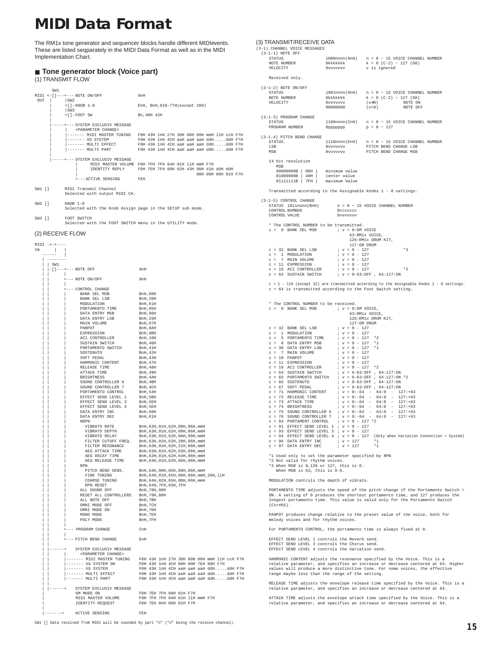### <span id="page-14-0"></span>**MIDI Data Format**

The RM1x tone generator and sequencer blocks handle different MIDIevents. These are listed seqparately in the MIDI Data Format as well as in the MIDI Implementation Chart.

#### ■ **Tone generator block (Voice part)**

#### (1) TRANSMIT FLOW

|           | SW <sub>1</sub> |                                      |                                   |                                                                        |                              |  |  |  |  |                     |  |
|-----------|-----------------|--------------------------------------|-----------------------------------|------------------------------------------------------------------------|------------------------------|--|--|--|--|---------------------|--|
|           |                 | $MIDI < -[] - - + - - - NOTE ON/OFF$ |                                   |                                                                        | 9nH                          |  |  |  |  |                     |  |
| OUT       |                 | SW2                                  |                                   |                                                                        |                              |  |  |  |  |                     |  |
|           |                 | $+$ [] – KNOB 1–8                    |                                   |                                                                        | EnH. BnH.01H-77H(except 20H) |  |  |  |  |                     |  |
|           |                 | SW3                                  |                                   |                                                                        |                              |  |  |  |  |                     |  |
|           |                 | $+[ ]-FOOT$ SW                       |                                   |                                                                        | Bn, 40H 42H                  |  |  |  |  |                     |  |
|           |                 |                                      |                                   | -----+--- SYSTEM EXCLUSIV MESSAGE                                      |                              |  |  |  |  |                     |  |
|           |                 |                                      | <parameter change=""></parameter> |                                                                        |                              |  |  |  |  |                     |  |
|           |                 |                                      |                                   | ------- MIDI MASTER TUNING FOH 43H 1nH 27H 30H 00H 00H mmH 11H ccH F7H |                              |  |  |  |  |                     |  |
|           |                 |                                      |                                   | ------ XG SYSTEM FOH 43H 1nH 4CH aaH aaH aaH ddHddH F7H                |                              |  |  |  |  |                     |  |
|           |                 |                                      |                                   | ------ MULTI EFFECT FOH 43H 1nH 4CH aaH aaH aaH ddHddH F7H             |                              |  |  |  |  |                     |  |
|           |                 |                                      |                                   | ------ MULTI PART FOH 43H 1nH 4CH aaH aaH aaH ddHddH F7H               |                              |  |  |  |  |                     |  |
|           |                 |                                      |                                   | -----+--- SYSTEM EXCLUSIV MESSAGE                                      |                              |  |  |  |  |                     |  |
|           |                 |                                      |                                   | MIDI MASTER VOLUME FOH 7FH 7FH 04H 01H 11H mmH F7H                     |                              |  |  |  |  |                     |  |
|           |                 |                                      |                                   | IDENTITY REPLY FOH 7EH 7FH 06H 02H 43H 00H 41H ddH ddH                 |                              |  |  |  |  |                     |  |
|           |                 |                                      |                                   |                                                                        |                              |  |  |  |  | 00H 00H 00H 01H F7H |  |
|           |                 |                                      |                                   | +--- ACTIVE SENSING FEH                                                |                              |  |  |  |  |                     |  |
|           |                 | SW1 [] MIDI Transmit Channel         |                                   |                                                                        |                              |  |  |  |  |                     |  |
|           |                 |                                      |                                   | Selected with output MIDI CH.                                          |                              |  |  |  |  |                     |  |
| $SW2$ $1$ |                 | $KNOR$ $1 - 8$                       |                                   |                                                                        |                              |  |  |  |  |                     |  |
|           |                 |                                      |                                   | Selected with the Knob Assign page in the SETUP sub mode.              |                              |  |  |  |  |                     |  |

SW3 [] FOOT SWITCH Selected with the FOOT SWITCH menu in the UTILITY mode.

#### (2) RECEIVE FLOW



#### SW1 [] Data received from MIDI will be sounded by part "n" ("n" being the receive channel).

#### (3) TRANSMIT/RECEIVE DATA

| (3-1) CHANNEL VOICE MESSAGES<br>$(3-1-1)$ NOTE OFF                       |                                                                                                                                                                                                                                                                                                                                                                                                                                                          | $\begin{tabular}{lllllllllllll} \texttt{STATUS} & & & 1000 \texttt{nnnn} (\texttt{8nH}) & n = 0 - 15 \texttt{ VOTCE CHANNEL NUMBER} \\ \texttt{NOTE NUMBER} & & & 00 \texttt{Nckkck} & & k = 0 \texttt{ (C-2) - 127} \texttt{ (G8)} \\ \texttt{VELOCITY} & & 0 \\ \texttt{VUVUVVVV} & & v \texttt{ is ignored} & & \\ \end{tabular}$ |
|--------------------------------------------------------------------------|----------------------------------------------------------------------------------------------------------------------------------------------------------------------------------------------------------------------------------------------------------------------------------------------------------------------------------------------------------------------------------------------------------------------------------------------------------|--------------------------------------------------------------------------------------------------------------------------------------------------------------------------------------------------------------------------------------------------------------------------------------------------------------------------------------|
| Received only.                                                           |                                                                                                                                                                                                                                                                                                                                                                                                                                                          |                                                                                                                                                                                                                                                                                                                                      |
| $(3-1-2)$ NOTE ON/OFF                                                    |                                                                                                                                                                                                                                                                                                                                                                                                                                                          |                                                                                                                                                                                                                                                                                                                                      |
| <b>STATUS</b><br>SIAIUS<br>NOTE NUMBER<br>VELOCITY<br>VELOCITY           | Ovvvvvvv<br>$0$ vvvvvvv<br>00000000 (v=0)                                                                                                                                                                                                                                                                                                                                                                                                                | 1001nnnn(9nH) $n = 0 \sim 15$ VOICE CHANNEL NUMBER<br>0kkkkkkk $k = 0$ (C-2) ~ 127 (G8)<br>0voicovoice (v#0) NOTE ON<br>NOTE ON<br>NOTE OFF                                                                                                                                                                                          |
| (3-1-3) PROGRAM CHANGE<br>STATUS<br>PROGRAM NUMBER                       | Opppppppp                                                                                                                                                                                                                                                                                                                                                                                                                                                | 1100nnnn (CnH) $n = 0 \approx 15$ VOICE CHANNEL NUMBER<br>$\rm p$ = 0 $\sim$ 127                                                                                                                                                                                                                                                     |
| (3-1-4) PITCH BEND CHANGE<br>STATUS<br>LSR<br>MSB                        |                                                                                                                                                                                                                                                                                                                                                                                                                                                          |                                                                                                                                                                                                                                                                                                                                      |
| 14 bit resolution<br>MSR                                                 |                                                                                                                                                                                                                                                                                                                                                                                                                                                          |                                                                                                                                                                                                                                                                                                                                      |
|                                                                          | $\begin{tabular}{llllll} 0.0000000000 & (00H) & minimum value \\ 0.1000000000 & (40H) & center value \\ 0.1111111118 & (7FH) & maximum Value \\ \end{tabular}$                                                                                                                                                                                                                                                                                           |                                                                                                                                                                                                                                                                                                                                      |
|                                                                          |                                                                                                                                                                                                                                                                                                                                                                                                                                                          | Transmitted according to the Assignable Knobs 1 - 8 settings.                                                                                                                                                                                                                                                                        |
| (3-1-5) CONTROL CHANGE<br>CONTROL NUMBER<br>CONTROL VALUE                | Occccccc<br>0vvvvvvv                                                                                                                                                                                                                                                                                                                                                                                                                                     | STATUS 1011nnnn (BnH) $n = 0 \sim 15$ VOICE CHANNEL NUMBER                                                                                                                                                                                                                                                                           |
|                                                                          | * The CONTROL NUMBER to be transmitted.                                                                                                                                                                                                                                                                                                                                                                                                                  |                                                                                                                                                                                                                                                                                                                                      |
| $c = 0$ BANK SEL MSB                                                     | $; v = 0:$ GM VOICE                                                                                                                                                                                                                                                                                                                                                                                                                                      | 63:RM1x VOICE,<br>126:RM1x DRUM KIT,<br>127:GM DRUM                                                                                                                                                                                                                                                                                  |
|                                                                          | $\begin{tabular}{lllllllllll} $\mathbf{c}$ &=& 32 & \text{BANK} & \text{SEL} \; \text{LSB} & & & \text{if} & \mathbf{c} & \text{if} & \text{if} \\ $\mathbf{c}$ &=& 1 & \text{MOD} & \text{if} & \text{if} & \text{if} & \text{if} & \text{if} \\ $\mathbf{c}$ &=& 1 & \text{MOD} & \text{Y} & \text{O-LM} \\ $\mathbf{c}$ &=& 11 & \text{EXPERSSTON} & & & \text{if} & \mathbf{v} & \text{if} & \text{if} \\ $\mathbf{c}$ &=& 11 & \text{EXPRESSTON} &$ | $*3$                                                                                                                                                                                                                                                                                                                                 |
|                                                                          |                                                                                                                                                                                                                                                                                                                                                                                                                                                          |                                                                                                                                                                                                                                                                                                                                      |
|                                                                          | $C = 16$ EXPRESSION $\begin{array}{ccc} 0.7 & 0.7 & 0.7 & 0.7 \\ 0.7 & 0.7 & 0.7 & 0.7 \\ 0.7 & 0.7 & 0.7 & 0.7 \\ 0.7 & 0.7 & 0.7 & 0.7 \\ 0.7 & 0.7 & 0.7 & 0.7 \\ 0.7 & 0.7 & 0.7 & 0.7 \\ 0.7 & 0.7 & 0.7 & 0.7 \\ 0.7 & 0.7 & 0.7 & 0.7 \\ 0.7 & 0.7 & 0.7 & 0.7 \\ 0.7 & 0.7 & 0.7$                                                                                                                                                                | $*2$                                                                                                                                                                                                                                                                                                                                 |
|                                                                          |                                                                                                                                                                                                                                                                                                                                                                                                                                                          | c = 1 - 119 (except 32) are transmitted according to the Assignable Knobs 1 - 8 settings.<br>c = 64 is transmitted according to the Foot Switch setting.                                                                                                                                                                             |
| * The CONTROL NUMBER to be received.<br>$c = 0$ BANK SEL MSB             | $; v = 0:$ GM VOICE,                                                                                                                                                                                                                                                                                                                                                                                                                                     | 63:RM1x VOICE,<br>126:RM1x DRUM KIT,                                                                                                                                                                                                                                                                                                 |
|                                                                          |                                                                                                                                                                                                                                                                                                                                                                                                                                                          | 127:GM DRUM                                                                                                                                                                                                                                                                                                                          |
|                                                                          | $\begin{array}{lllllllll} \mbox{c = 32} & \mbox{BANK} & \mbox{SEL} \; \mbox{LSB} & \mbox{ } i \; \; \mbox{v = 0} \; - \; 127 \\ \mbox{c = 1} & \mbox{MODULATION} & \mbox{ } i \; \; \mbox{v = 0} \; - \; 127 \\ \mbox{c = 5} & \mbox{DOFAMENTO} & \mbox{TIME} & \mbox{ } i \; \; \mbox{v = 0} \; - \; 127 \\ \mbox{c = 6} & \mbox{DATA} & \mbox{ENTRY} & \mbox{MSB} & \mbox{ } i \;$                                                                     |                                                                                                                                                                                                                                                                                                                                      |
| $c = 6$ DATA ENTRY MSB<br>$c = 38$ DATA ENTRY LSB<br>$c = 7$ MAIN VOLUME |                                                                                                                                                                                                                                                                                                                                                                                                                                                          |                                                                                                                                                                                                                                                                                                                                      |
|                                                                          | $x - 3 = 127$ *1<br>$x - 12 = 127$ *1<br>$x - 12 = 127$                                                                                                                                                                                                                                                                                                                                                                                                  |                                                                                                                                                                                                                                                                                                                                      |
|                                                                          | $\begin{tabular}{lllllllllll} $c$ & $-10$ & $P{\rm ANDOT}$ & $$\gamma$ & $-1$ \\ $c$ & $=10$ & $R{\rm NPOT}$ & $$\gamma$ & $-10$ & $-127$ \\ $c$ & $=16$ & $R{\rm CI}~{\rm CNTROLLER}$ & $$\gamma$ & $0$ & $-127$ & $*2$ \\ $c$ & $=64$ & $S{\rm USTAND}~{\rm SMTCH}$ & $$\gamma$ & $0$ & $-63$\cdot {\rm OFF}$ & $64$ & $-127$\cdot {\rm ON}$ \\ $c$ & $=64$ & $S{\rm USTAND}~{\rm SMTCH}$ & $\gamma$ & $0$$                                            |                                                                                                                                                                                                                                                                                                                                      |
|                                                                          |                                                                                                                                                                                                                                                                                                                                                                                                                                                          |                                                                                                                                                                                                                                                                                                                                      |
|                                                                          |                                                                                                                                                                                                                                                                                                                                                                                                                                                          |                                                                                                                                                                                                                                                                                                                                      |
|                                                                          |                                                                                                                                                                                                                                                                                                                                                                                                                                                          | C = 65 PORTAMENTO SWILL.<br>C = 66 SOSTENUTO SWILL.<br>C = 67 SOFT PEDAL : $v = 0.63.0\text{PF}$ , $64-127.0\text{N}$<br>C = 71 REARMONIC CONTENT : $v = 0.64 - 64.0 - 127.1 + 63$<br>C = 72 RELEASE TIME : $v = 0.64 - 64.0 - 127.1 + 63$<br>C = 72 REL                                                                             |
|                                                                          |                                                                                                                                                                                                                                                                                                                                                                                                                                                          |                                                                                                                                                                                                                                                                                                                                      |
|                                                                          |                                                                                                                                                                                                                                                                                                                                                                                                                                                          |                                                                                                                                                                                                                                                                                                                                      |
|                                                                          |                                                                                                                                                                                                                                                                                                                                                                                                                                                          |                                                                                                                                                                                                                                                                                                                                      |
|                                                                          |                                                                                                                                                                                                                                                                                                                                                                                                                                                          | $\begin{array}{ccccccccc} c = 75 & \text{SOUND}\ & \text{CONTROLLER} & 6 & ; & v = 0:-64 & - & 64:0 & - & 127:+63\\ c = 76 & \text{SOUND}\ & \text{CONTROLLER} & 7 & ; & v = 0:-64 & - & 64:0 & - & 127:+63 \end{array}$                                                                                                             |
| c = 84 PORTAMENT CONTROL                                                 | $V = 0 - 127 * 2$<br>$c = 91$ EFFECT SEND LEVEL 1 ; $v = 0 - 127$                                                                                                                                                                                                                                                                                                                                                                                        |                                                                                                                                                                                                                                                                                                                                      |
|                                                                          | $c = 93$ EFFECT SEND LEVEL 3 ; $v = 0 - 127$                                                                                                                                                                                                                                                                                                                                                                                                             |                                                                                                                                                                                                                                                                                                                                      |
| $c = 96$ DATA ENTRY INC<br>$c = 97$ DATA ENTRY DEC                       | $: v = 127$<br>$; v = 127$                                                                                                                                                                                                                                                                                                                                                                                                                               | $c = 94$ EFFECT SEND LEVEL 4 ; $v = 0 - 127$ (Only when Variation Connection = System)<br>$*1$<br>$*1$                                                                                                                                                                                                                               |
|                                                                          | *1 Used only to set the parameter specified by RPN                                                                                                                                                                                                                                                                                                                                                                                                       |                                                                                                                                                                                                                                                                                                                                      |
| *2 Not valid for rhythm voices.<br>When MSB is 63, this is 0-6.          | *3 When MSB is 0,126 or 127, this is 0.                                                                                                                                                                                                                                                                                                                                                                                                                  |                                                                                                                                                                                                                                                                                                                                      |
|                                                                          | MODULATION controls the depth of vibrato.                                                                                                                                                                                                                                                                                                                                                                                                                |                                                                                                                                                                                                                                                                                                                                      |
| $(Ctr#65)$ .                                                             |                                                                                                                                                                                                                                                                                                                                                                                                                                                          | PORTAMENTO TIME adjusts the speed of the pitch change if the Portamento Switch =<br>ON. A setting of 0 produces the shortest portamento time, and 127 produces the<br>longest portamento time. This value is valid only for the Portamento Switch                                                                                    |
| melody voices and for rhythm voices.                                     |                                                                                                                                                                                                                                                                                                                                                                                                                                                          | PANPOT produces change relative to the preset value of the voice, both for                                                                                                                                                                                                                                                           |
|                                                                          |                                                                                                                                                                                                                                                                                                                                                                                                                                                          | For PORTAMENTO CONTROL, the portamento time is always fixed at 0.                                                                                                                                                                                                                                                                    |
|                                                                          | EFFECT SEND LEVEL 1 controls the Reverb send.<br>EFFECT SEND LEVEL 3 controls the Chorus send.<br>EFFECT SEND LEVEL 4 controls the Variation send.                                                                                                                                                                                                                                                                                                       |                                                                                                                                                                                                                                                                                                                                      |
|                                                                          |                                                                                                                                                                                                                                                                                                                                                                                                                                                          |                                                                                                                                                                                                                                                                                                                                      |
|                                                                          | range maybe less than the range of the setting.                                                                                                                                                                                                                                                                                                                                                                                                          | HARMONIC CONTENT adjusts the resonance specified by the Voice. This is a<br>relative parameter, and specifies an increase or decrease centered at 64. Higher<br>values will produce a more distinctive tone. For some voices, the effective                                                                                          |
|                                                                          |                                                                                                                                                                                                                                                                                                                                                                                                                                                          | RELEASE TIME adjusts the envelope release time specified by the Voice. This is a<br>relative parameter, and specifies an increase or decrease centered at 64.                                                                                                                                                                        |

ATTACK TIME adjusts the envelope attack time specified by the Voice. This is a relative parameter, and specifies an increase or decrease centered at 64.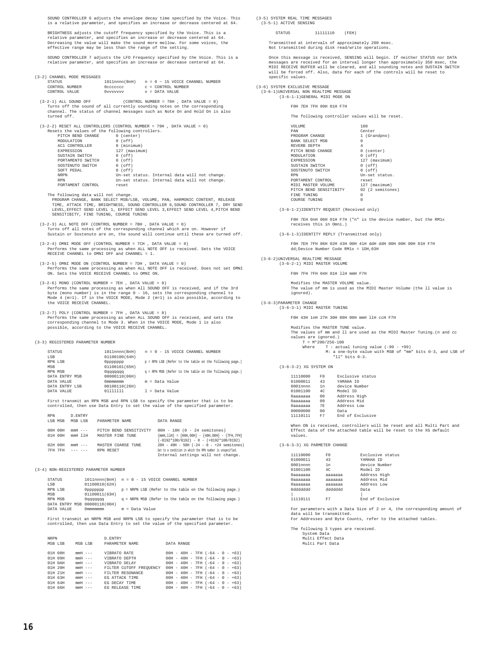SOUND CONTROLLER 6 adjusts the envelope decay time specified by the Voice. This is a relative parameter, and specifies an increase or decrease centered at 64.

BRIGHTNESS adjusts the cutoff frequency specified by the Voice. This is a relative parameter, and specifies an increase or decrease centered at 64. Decreasing the value will make the sound more mellow. For some voices, the effective range may be less than the range of the setting.

SOUND CONTROLLER 7 adjusts the LFO Frequency specified by the Voice. This is a relative parameter, and specifies an increase or decrease centered at 64.

#### (3-2) CHANNEL MODE MESSAGES

| STATUS         | 1011nnnn(BnH) |  |  |                    | $n = 0 - 15$ VOICE CHANNEL NUMBER |  |
|----------------|---------------|--|--|--------------------|-----------------------------------|--|
| CONTROL NUMBER | Occoccoc      |  |  | C = CONTROL NUMBER |                                   |  |
| CONTROL VALUE  | Ovvvvvvv      |  |  | $v =$ DATA VALUE   |                                   |  |

(3-2-1) ALL SOUND OFF  $(CONTROL \text{ NUMBER} = 78H , \text{ DATA VALUE} = 0)$ Turns off the sound of all currently sounding notes on the corresponding channel. The status of channel messages such as Note On and Hold On is also turned off.

 (3-2-2) RESET ALL CONTROLLERS (CONTROL NUMBER = 79H , DATA VALUE = 0) Resets the values of the following controllers.

| PITCH BEND CHANGE | (center)<br>0                                 |
|-------------------|-----------------------------------------------|
| MODIJI.ATTON      | (off)<br>0                                    |
| AC1 CONTROLLER    | (minnum)<br>O                                 |
| EXPRESSION        | 127 (maximum)                                 |
| SUSTAIN SWITCH    | $0$ (off)                                     |
| PORTAMENTO SWITCH | $0$ (off)                                     |
| SOSTENUTO SWITCH  | $0$ (off)                                     |
| SOFT PEDAL        | $0$ (off)                                     |
| <b>NRPN</b>       | Un-set status. Internal data will not change. |
| <b>RPN</b>        | Un-set status. Internal data will not change. |
| PORTAMENT CONTROL | reset                                         |
|                   |                                               |

The following data will not change.

PROGRAM CHANGE, BANK SELECT MSB/LSB, VOLUME, PAN, HARMONIC CONTENT, RELEASE<br>TIME, ATTACK TIME, BRIGHTNESS, SOUND CONTROLLER 6,SOUND CONTROLLER 7, DRY SEND<br>LEVEL,EFFECT SEND LEVEL 1, EFFECT SEND LEVEL 3,EFFECT SEND LEVEL 4, SENSITIBITY, FINE TUNING, COURSE TUNING

- (3-2-3) ALL NOTE OFF (CONTROL NUMBER = 7BH , DATA VALUE = 0) Turns off all notes of the corresponding channel which are on. However if Sustain or Sostenuto are on, the sound will continue until these are turned off.
- (3-2-4) OMNI MODE OFF (CONTROL NUMBER = 7CH , DATA VALUE = 0) Performs the same processing as when ALL NOTE OFF is received. Sets the VOICE RECEIVE CHANNEL to OMNI OFF and CHANNEL = 1.
- (3-2-5) OMNI MODE ON (CONTROL NUMBER = 7DH , DATA VALUE = 0) Performs the same processing as when ALL NOTE OFF is received. Does not set OMNI ON. Sets the VOICE RECEIVE CHANNEL to OMNI ON.
- (3-2-6) MONO (CONTROL NUMBER =  $7EH$ , DATA VALUE = 0) Performs the same processing as when All SOUND OFF is received, and if the 3rd<br>byte (mono number) is in the range 0 - 16, sets the corresponding channel to<br>Mode 4 (m=1). If in the VOICE MODE, Mode 2 (m=1) is also possible,
- (3-2-7) POLY (CONTROL NUMBER = 7FH , DATA VALUE = 0)<br>Performs the same processing as when ALL SOUND OFF is received, and sets the<br>corresponding channel to Mode 3. When in the VOICE MODE, Mode 1 is also<br>possible, according

(3-3) REGISTERED PARAMETER NUMBER

| STATUS         |               | 1011nnnn(BnH) n = 0 - 15 VOICE CHANNEL NUMBER                  |
|----------------|---------------|----------------------------------------------------------------|
| LSB            | 01100100(64H) |                                                                |
| RPN LSB        | aggaggag      | p = RPN LSB (Refer to the table on the following page.)        |
| MSB            | 01100101(65H) |                                                                |
| RPN MSB        | 0 gadadad     | $\sigma$ = RPN MSB (Refer to the table on the following page.) |
| DATA ENTRY MSB | 00000110(06H) |                                                                |
| DATA VALUE     | 0 mmmmmmm     | m = Data Value                                                 |
| DATA ENTRY LSB | 00100110(26H) |                                                                |
| DATA VALUE     | 01111111      | $l = Data Value$                                               |

First transmit an RPN MSB and RPN LSB to specify the parameter that is to be controlled, then use Data Entry to set the value of the specified parameter.

| <b>RPN</b>         | D. ENTRY                                                                                                                                                                                                                                                                                                                                                                                                                                                                                              |                                            |                                                                                                                                                 |
|--------------------|-------------------------------------------------------------------------------------------------------------------------------------------------------------------------------------------------------------------------------------------------------------------------------------------------------------------------------------------------------------------------------------------------------------------------------------------------------------------------------------------------------|--------------------------------------------|-------------------------------------------------------------------------------------------------------------------------------------------------|
| LSB MSB            | MSB LSB                                                                                                                                                                                                                                                                                                                                                                                                                                                                                               | PARAMETER NAME                             | DATA RANGE                                                                                                                                      |
| 00H 00H<br>01H 00H | $mmH$ $---$<br>$mmH$ 11 $H$                                                                                                                                                                                                                                                                                                                                                                                                                                                                           | PITCH BEND SENSITIVITY<br>MASTER FINE TUNE | $00H - 18H (0 - 24$ semitones)<br>${mmH, 11H} = {00H, 00H} - {40H, 00H} - {7FH, 7FH}$<br>$(-8192*100/8192) - 0 - (+8192*100/8192)$              |
| 02H 00H<br>7FH 7FH | $mmH$ $---$<br>$\begin{array}{cccccccccc} \multicolumn{2}{c}{} & \multicolumn{2}{c}{} & \multicolumn{2}{c}{} & \multicolumn{2}{c}{} & \multicolumn{2}{c}{} & \multicolumn{2}{c}{} & \multicolumn{2}{c}{} & \multicolumn{2}{c}{} & \multicolumn{2}{c}{} & \multicolumn{2}{c}{} & \multicolumn{2}{c}{} & \multicolumn{2}{c}{} & \multicolumn{2}{c}{} & \multicolumn{2}{c}{} & \multicolumn{2}{c}{} & \multicolumn{2}{c}{} & \multicolumn{2}{c}{} & \multicolumn{2}{c}{} & \multicolumn{2}{c}{} & \mult$ | MASTER COARSE TUNE<br>RPN RESET            | $28H - 40H - 58H (-24 - 0 - +24$ semitones)<br>Set to a condition in which the RPN number is unspecified.<br>Internal settings will not change. |

(3-4) NON-REGISTERED PARAMETER NUMBER

| 1011nnnn(BnH) n = 0 - 15 VOICE CHANNEL NUMBER<br><b>STATUS</b> |               |  |                |  |  |  |                                                          |  |
|----------------------------------------------------------------|---------------|--|----------------|--|--|--|----------------------------------------------------------|--|
| LSB                                                            | 01100010(62H) |  |                |  |  |  |                                                          |  |
| RPN LSB                                                        | aaaaaaa       |  |                |  |  |  | p = NRPN LSB (Refer to the table on the following page.) |  |
| MSB                                                            | 01100011(63H) |  |                |  |  |  |                                                          |  |
| RPN MSB                                                        | Oaaaaaaa      |  |                |  |  |  | q = NRPN MSB (Refer to the table on the following page.) |  |
| DATA ENTRY MSB 00000110(06H)                                   |               |  |                |  |  |  |                                                          |  |
| DATA VALUE                                                     | Ommmmmmm      |  | m = Data Value |  |  |  |                                                          |  |

First transmit an NRPN MSB and NRPN LSB to specify the parameter that is to be controlled, then use Data Entry to set the value of the specified parameter.

| <b>NRPN</b> |         |             |  | D. ENTRY                |                                   |  |  |  |  |
|-------------|---------|-------------|--|-------------------------|-----------------------------------|--|--|--|--|
| MSB LSB     |         | MSB LSB     |  | PARAMETER NAME          | DATA RANGE                        |  |  |  |  |
|             | 01H 08H | $mmH$ $---$ |  | VIBRATO RATE            | $00H - 40H - 7FH (-64 - 0 - +63)$ |  |  |  |  |
| 01H 09H     |         | $mmH$ ---   |  | VIBRATO DEPTH           | $00H - 40H - 7FH (-64 - 0 - +63)$ |  |  |  |  |
|             | 01H OAH | $mmH$ $---$ |  | VIBRATO DELAY           | $00H - 40H - 7FH (-64 - 0 - +63)$ |  |  |  |  |
| 01H 20H     |         | $mmH$ $---$ |  | FILTER CUTOFF FREOUENCY | $00H - 40H - 7FH (-64 - 0 - +63)$ |  |  |  |  |
| 01H 21H     |         | $mmH$ $---$ |  | FILTER RESONANCE        | $00H - 40H - 7FH (-64 - 0 - +63)$ |  |  |  |  |
| 01H 63H     |         | $mmH$ $---$ |  | EG ATTACK TIME          | $00H - 40H - 7FH (-64 - 0 - +63)$ |  |  |  |  |
| 01H 64H     |         | $mmH$ $---$ |  | EG DECAY TIME           | $00H - 40H - 7FH (-64 - 0 - +63)$ |  |  |  |  |
| $01H$ 66H   |         | $mmH$ $---$ |  | EG RELEASE TIME         | $00H - 40H - 7FH (-64 - 0 - +63)$ |  |  |  |  |

(3-5) SYSTEM REAL TIME MESSAGES (3-5-1) ACTIVE SENSING

#### STATUS 11111110 (FEH)

Transmitted at intervals of approximately 200 msec. Not transmitted during disk read/write operations.

Once this message is received, SENSING will begin. If neither STATUS nor DATA messages are received for an interval longer than approximately 350 msec, the MIDI RECEIVE BUFFER will be cleared, and all sounding notes and SUSTAIN SWITCH will be forced off. Also, data for each of the controls will be reset to specific values.

(3-6) SYSTEM EXCLUSIVE MESSAGE

 (3-6-1)UNIVERSAL NON REALTIME MESSAGE (3-6-1-1)GENERAL MIDI MODE ON

#### F0H 7EH 7FH 09H 01H F7H

The following controller values will be reset.

| <b>VOLUME</b>          | 100              |
|------------------------|------------------|
| PAN                    | Center           |
| PROGRAM CHANGE         | 1 (Grandpno)     |
| <b>BANK SELECT MSB</b> | $\Omega$         |
| REVERB DEPTH           | $\overline{4}$   |
| PITCH BEND CHANGE      | 0 (center)       |
| MODIILATION            | $0$ (off)        |
| <b>EXPRESSION</b>      | 127 (maximum)    |
| SUSTAIN SWITCH         | $0$ (off)        |
| SOSTENUTO SWITCH       | $0$ (off)        |
| <b>RPN</b>             | Un-set status.   |
| PORTAMENT CONTROL      | reset            |
| MIDI MASTER VOLUME     | 127 (maximum)    |
| PITCH BEND SENSITIBITY | 02 (2 semitones) |
| FINE TUNING            | $\Omega$         |
| COURSE TUNING          | O                |
|                        |                  |

(3-6-1-2)IDENTITY REQUEST (Received only)

F0H 7EH 0nH 06H 01H F7H ("n" is the device number, but the RM1x eceives this in Omni.)

(3-6-1-3)IDENTITY REPLY (Transmitted only)

F0H 7EH 7FH 06H 02H 43H 00H 41H ddH ddH 00H 00H 00H 01H F7H dd;Device Number Code RM1x = 1DH,03H

 (3-6-2)UNIVERSAL REALTIME MESSAGE (3-6-2-1) MIDI MASTER VOLUME

F0H 7FH 7FH 04H 01H llH mmH F7H

Modifies the MASTER VOLUME value. The value of mm is used as the MIDI Master Volume (the ll value is ignored).

 (3-6-3)PARAMETER CHANGE (3-6-3-1) MIDI MASTER TUNING

F0H 43H 1nH 27H 30H 00H 00H mmH llH ccH F7H

| Modifies the MASTER TUNE value.                                      |
|----------------------------------------------------------------------|
| The values of mm and ll are used as the MIDI Master Tuning.(n and cc |
| values are ignored.)                                                 |
| $T = M*200/256 - 100$                                                |
| Where $T : actual$ tuning value $(-99 - +99)$                        |
| M: a one-byte value with MSB of "mm" bits 0-3, and LSB of            |
| $"11" bits 0-3.$                                                     |

(3-6-3-2) XG SYSTEM ON

| 11110000 | F()            | Exclusive status |
|----------|----------------|------------------|
| 01000011 | 43             | YAMAHA TD        |
| 0001nnnn | 1n             | device Number    |
| 01001100 | 4C             | Model ID         |
| 0aaaaaaa | 0 <sub>0</sub> | Address High     |
| 0aaaaaaa | 0 <sub>0</sub> | Address Mid      |
| 0aaaaaaa | <b>7E</b>      | Address Low      |
| 00000000 | 0 <sub>0</sub> | Data             |
| 11110111 | F7             | End of Exclusive |
|          |                |                  |

When ON is received, controllers will be reset and all Multi Part and Effect data of the attached table will be reset to the XG default values.

(3-6-3-3) XG PARMETER CHANGE

| 11110000    | F0      | Exclusive status |
|-------------|---------|------------------|
| 01000011    | 43      | YAMAHA TD        |
| $0001$ nnnn | 1n      | device Number    |
| 01001100    | 4C      | Model ID         |
| 0aaaaaaa    | aaaaaaa | Address High     |
| 0aaaaaaa    | aaaaaaa | Address Mid      |
| 0aaaaaaa    | aaaaaaa | Address Low      |
| 099999999   | hhhhhhh | Data             |
|             |         |                  |
| 11110111    | F7      | End of Exclusive |
|             |         |                  |

For parameters with a Data Size of 2 or 4, the corresponding amount of data will be transmitted. For Addresses and Byte Counts, refer to the attached tables.

The following 3 types are received. System Data Multi Effect Data

Multi Part Data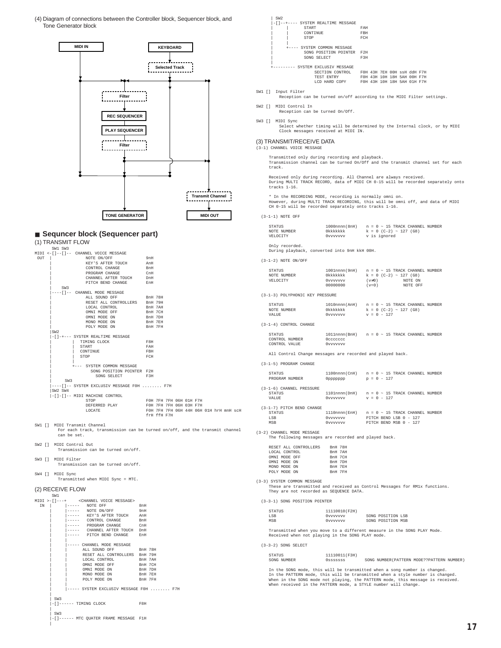(4) Diagram of connections between the Controller block, Sequencer block, and Tone Generator block



#### ■ **Sequncer block (Sequencer part)** (1) TRANSMIT FLOW

|     | SW1 SW3 |                                           |                         |             |  |  |                                         |  |
|-----|---------|-------------------------------------------|-------------------------|-------------|--|--|-----------------------------------------|--|
|     |         | MIDI <-[]--[]-- CHANNEL VOICE MESSAGE     |                         |             |  |  |                                         |  |
| OUT |         | NOTE ON/OFF                               | 9nH                     |             |  |  |                                         |  |
|     |         | KEY'S AFTER TOUCH                         | AnH                     |             |  |  |                                         |  |
|     |         | CONTROL CHANGE                            | BnH                     |             |  |  |                                         |  |
|     |         | PROGRAM CHANGE                            | CnH                     |             |  |  |                                         |  |
|     |         | CHANNEL AFTER TOUCH DnH                   |                         |             |  |  |                                         |  |
|     |         | PITCH BEND CHANGE EnH                     |                         |             |  |  |                                         |  |
|     | SW3     |                                           |                         |             |  |  |                                         |  |
|     |         | ----[]-- CHANNEL MODE MESSAGE             |                         |             |  |  |                                         |  |
|     |         | ALL SOUND OFF BnH 78H                     |                         |             |  |  |                                         |  |
|     |         | RESET ALL CONTROLLERS BnH 79H             |                         |             |  |  |                                         |  |
|     |         | LOCAL CONTROL                             | BnH 7AH                 |             |  |  |                                         |  |
|     |         | OMNI MODE OFF                             | BnH 7CH                 |             |  |  |                                         |  |
|     |         | OMNI MODE ON                              | BnH 7DH                 |             |  |  |                                         |  |
|     |         | MONO MODE ON                              | BnH 7EH                 |             |  |  |                                         |  |
|     |         | POLY MODE ON BNH 7FH                      |                         |             |  |  |                                         |  |
|     | SW2     |                                           |                         |             |  |  |                                         |  |
|     |         | -[]-+--- SYSTEM REALTIME MESSAGE          |                         |             |  |  |                                         |  |
|     |         | TIMING CLOCK                              | F8H                     |             |  |  |                                         |  |
|     |         | START                                     | FAH                     |             |  |  |                                         |  |
|     |         | CONTINUE                                  | FBH                     |             |  |  |                                         |  |
|     |         | STOP                                      | FCH                     |             |  |  |                                         |  |
|     |         |                                           |                         |             |  |  |                                         |  |
|     |         | +--- SYSTEM COMMON MESSAGE                |                         |             |  |  |                                         |  |
|     |         | SONG POSITION POINTER F2H                 |                         |             |  |  |                                         |  |
|     |         | SONG SELECT F3H                           |                         |             |  |  |                                         |  |
|     | SW3     |                                           |                         |             |  |  |                                         |  |
|     |         | ----[]-- SYSTEM EXCLUSIV MESSAGE FOH  F7H |                         |             |  |  |                                         |  |
|     | SW2 SW4 |                                           |                         |             |  |  |                                         |  |
|     |         | -[]-[]-- MIDI MACHINE CONTROL             |                         |             |  |  |                                         |  |
|     |         | <b>STOP</b>                               | F0H 7FH 7FH 06H 01H F7H |             |  |  |                                         |  |
|     |         | DEFERRED PLAY                             | F0H 7FH 7FH 06H 03H F7H |             |  |  |                                         |  |
|     |         | LOCATE                                    |                         |             |  |  | F0H 7FH 7FH 06H 44H 06H 01H hrH mnH scH |  |
|     |         |                                           |                         | frH ffH F7H |  |  |                                         |  |
|     |         |                                           |                         |             |  |  |                                         |  |

- 
- SW1 [] MIDI Transmit Channel For each track, transmission can be turned on/off, and the transmit channel can be set.
- SW2 [] MIDI Control Out Transmission can be turned on/off.
- SW3 [] MIDI Filter Transmission can be turned on/off.
- SW4 [] MIDI Sync Transmitted when MIDI Sync = MTC.

#### (2) RECEIVE FLOW

| SW1 |                                                                                                               |            |  |
|-----|---------------------------------------------------------------------------------------------------------------|------------|--|
|     | MIDI >-[]---+ < CHANNEL VOICE MESSAGE>                                                                        |            |  |
|     | IN    ----- NOTE OFF 8nH                                                                                      |            |  |
|     | $ -----$ NOTE ON/OFF 9nH                                                                                      |            |  |
|     | ----- KEY'S AFTER TOUCH AnH                                                                                   |            |  |
|     | ----- CONTROL CHANGE BnH                                                                                      |            |  |
|     | ----- PROGRAM CHANGE CnH                                                                                      |            |  |
|     | ----- CHANNEL AFTER TOUCH DnH                                                                                 |            |  |
|     | ----- PITCH BEND CHANGE EnH                                                                                   |            |  |
|     | ----- CHANNEL MODE MESSAGE<br>ALL SOUND OFF BnH 78H<br>RESET ALL CONTROLLERS BnH 79H<br>LOCAL CONTROL BnH 7AH |            |  |
|     | OMNI MODE OFF BnH 7CH                                                                                         |            |  |
|     | BnH 7DH<br>OMNI MODE ON                                                                                       |            |  |
|     | MONO MODE ON BnH 7EH                                                                                          |            |  |
|     | POLY MODE ON BRH 7FH                                                                                          |            |  |
|     |                                                                                                               |            |  |
|     | ----- SYSTEM EXCLUSIV MESSAGE FOH  F7H                                                                        |            |  |
| SW3 | -11------ TIMING CLOCK                                                                                        | <b>F8H</b> |  |
| SW3 | -[]------ MTC OUATER FRAME MESSAGE F1H                                                                        |            |  |

| SW <sub>2</sub> |                 |                                 |                             |  |  |                             |  |
|-----------------|-----------------|---------------------------------|-----------------------------|--|--|-----------------------------|--|
| $-1$ 1          |                 | --+---- SYSTEM REALTIME MESSAGE |                             |  |  |                             |  |
|                 | START           |                                 | FAH                         |  |  |                             |  |
|                 | <b>CONTINUE</b> |                                 | FBH                         |  |  |                             |  |
|                 | STOP            |                                 | FCH                         |  |  |                             |  |
|                 |                 |                                 |                             |  |  |                             |  |
| <b>+----</b>    |                 | SYSTEM COMMON MESSAGE           |                             |  |  |                             |  |
|                 |                 | SONG POSITION POINTER           | F2H                         |  |  |                             |  |
|                 | SONG SELECT     |                                 | F3H                         |  |  |                             |  |
|                 |                 |                                 |                             |  |  |                             |  |
| ----            |                 | SYSTEM EXCLUSIV MESSAGE         |                             |  |  |                             |  |
|                 |                 | SECTION CONTROL                 | F0H 43H 7EH 00H SSH ddH F7H |  |  |                             |  |
|                 |                 | TEST ENTRY                      |                             |  |  | F0H 43H 10H 18H 5AH 00H F7H |  |
|                 |                 | LCD HARD COPY                   | FOH 43H 10H 18H 5AH 01H F7H |  |  |                             |  |
|                 |                 |                                 |                             |  |  |                             |  |
|                 |                 |                                 |                             |  |  |                             |  |

SW1 [] Input Filter Reception can be turned on/off according to the MIDI Filter settings.

- SW2 [] MIDI Control In Reception can be turned On/Off.
- SW3 [] MIDI Sync
	- Select whether timing will be determined by the Internal clock, or by MIDI Clock messages received at MIDI IN.

#### (3) TRANSMIT/RECEIVE DATA

#### (3-1) CHANNEL VOICE MESSAGE

Transmitted only during recording and playback. Transmission channel can be turned On/Off and the transmit channel set for each track.

Received only during recording. All Channel are always received. During MULTI TRACK RECORD, data of MIDI CH 0-15 will be recorded separately onto tracks 1-16.

\* In the RECORDING MODE, recording is normally omni on.<br>However, during MULTI TRACK RECORDING, this will be omni off, and data of MIDI<br>CH 0-15 will be recorded separately onto tracks 1-16.

#### (3-1-1) NOTE OFF

| STATUS      | 1000nnnn(8nH) | $n = 0$ ~ 15 TRACK CHANNEL NUMBER |  |
|-------------|---------------|-----------------------------------|--|
| NOTE NUMBER | Okkkkkkk      | $k = 0$ (C-2) ~ 127 (G8)          |  |
| VELOCITY    | Ovvvvvvv      | v is ignored                      |  |
|             |               |                                   |  |

 $S$ Tatus 1001  $(9, 15)$  n  $(9, 15)$   $(9, 15)$   $(9, 15)$   $(9, 15)$   $(9, 15)$   $(9, 15)$   $(9, 15)$   $(9, 15)$   $(9, 15)$   $(9, 15)$   $(9, 15)$   $(9, 15)$   $(9, 15)$   $(9, 15)$   $(9, 15)$   $(9, 15)$   $(9, 15)$   $(9, 15)$   $(9, 15)$   $(9,$ 

Only recorded. During playback, converted into 9nH kkH 00H.

(3-1-2) NOTE ON/OFF

| STATUS<br>NOTE NUMBER<br>VELOCITY                         | 00000000                  | $1001$ nnnn $(9nH)$ n = 0 ~ 15 TRACK CHANNEL NUMBER<br>$0$ vvvvvvv $( v \neq 0 )$ NOTE ON<br>$(v=0)$ NOTE OFF |
|-----------------------------------------------------------|---------------------------|---------------------------------------------------------------------------------------------------------------|
| (3-1-3) POLYPHONIC KEY PRESSURE                           |                           |                                                                                                               |
| STATUS<br>NOTE NUMBER<br>VALUE                            | $0$ vvvvvvv $v = 0 - 127$ | $1010$ nnnn(AnH) $n = 0 \sim 15$ TRACK CHANNEL NUMBER<br>$0$ kkkkkkk k = 0 (C-2) ~ 127 (G8)                   |
| (3-1-4) CONTROL CHANGE                                    |                           |                                                                                                               |
| STATUS<br>CONTROL NUMBER<br>CONTROL VALUE                 | 0ccccccc<br>0vvvvvvv      | $1011$ nnnn (BnH) $n = 0 \sim 15$ TRACK CHANNEL NUMBER                                                        |
| All Control Change messages are recorded and played back. |                           |                                                                                                               |
| (3-1-5) PROGRAM CHANGE                                    |                           |                                                                                                               |
| STATUS<br>PROGRAM NUMBER                                  |                           | $1100$ nnnn(CnH) $n = 0 \sim 15$ TRACK CHANNEL NUMBER                                                         |
| (3-1-6) CHANNEL PRESSURE<br><b>STATUS</b><br><b>VALUE</b> | Ovvvvvvv                  | $1101$ nnnn(DnH) $n = 0 \sim 15$ TRACK CHANNEL NUMBER<br>$v = 0 - 127$                                        |
|                                                           |                           |                                                                                                               |

 $\begin{array}{lll} \text{(3--1--7)} & \text{PITCH} & \text{BEND} & \text{CHANGE} \\ & \text{STATUS} & & \text{1110nnnn} \text{(EnH)} \\ \end{array}$  $STRTUS \hspace{1cm} 1110 \text{nnnn} \text{(EnH)} \hspace{1cm} n = 0 \sim 15 \text{ TRACK } \text{CHANNEL } \text{NUMBER }$  LSB 0 - 127 LSB 0vvvvvvv PITCH BEND LSB 0 - 127 MSB 0vvvvvvv PITCH BEND MSB 0 - 127

(3-2) CHANNEL MODE MESSAGE

The following messages are recorded and played back.

|  |               | RESET ALL CONTROLLERS | BnH 78H        |  |
|--|---------------|-----------------------|----------------|--|
|  | LOCAL CONTROL |                       | RnH 7AH        |  |
|  | OMNI MODE OFF |                       | BnH 7CH        |  |
|  | OMNI MODE ON  |                       | <b>BnH 7DH</b> |  |
|  | MONO MODE ON  |                       | <b>BnH 7EH</b> |  |
|  | POLY MODE ON  |                       | <b>BnH 7FH</b> |  |

(3-3) SYSTEM COMMON MESSAGE

These are transmitted and received as Control Messages for RM1x functions. They are not recorded as SEQUENCE DATA.

(3-3-1) SONG POSITION POINTER

| STATUS     | 11110010(F2H) |                   |  |
|------------|---------------|-------------------|--|
| <b>LSB</b> | Ovvvvvvv      | SONG POSITION LSB |  |
| MSR        | Ovvvvvvv      | SONG POSITION MSB |  |

Transmitted when you move to a different measure in the SONG PLAY Mode. Received when not playing in the SONG PLAY mode.

(3-3-2) SONG SELECT

| STATUS      | 11110011(F3H)   |                                            |  |
|-------------|-----------------|--------------------------------------------|--|
| SONG NUMBER | <b>OSSSSSSS</b> | SONG NUMBER (PATTERN MODE??PATTERN NUMBER) |  |

In the SONG mode, this will be transmitted when a song number is changed.<br>In the PATTERN mode, this will be transmitted when a style number is changed.<br>When in the SONG mode not playing, the PATTERN mode, this message is r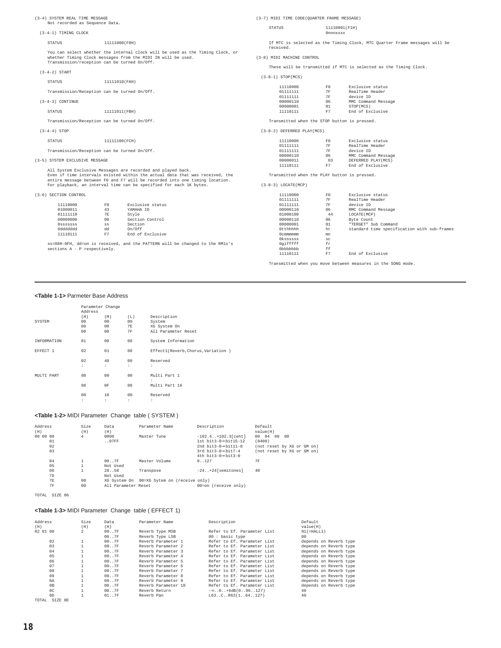(3-4) SYSTEM REAL TIME MESSAGE Not recorded as Sequence Data. (3-4-1) TIMING CLOCK STATUS 11111000(F8H) You can select whether the internal clock will be used as the Timing Clock, or whether Timing Clock messages from the MIDI IN will be used. Transmission/reception can be turned On/Off. (3-4-2) START STATUS 11111010(FAH) Transmission/Reception can be turned On/Off. (3-4-3) CONTINUE STATUS 11111011(FBH) Transmission/Reception can be turned On/Off. (3-4-4) STOP STATUS 11111100(FCH) Transmission/Reception can be turned On/Off. (3-5) SYSTEM EXCLUSIVE MESSAGE All System Exclusive Messages are recorded and played back.<br>Even if time intervals existed within the actual data that was received, the<br>entire message between F0 and F7 will be recorded into one timing location.<br>For playb (3-6) SECTION CONTROL 11110000 F0 Exclusive status 01000011 43 YAMAHA ID 01000011 13<br>011000011 13<br>011111110 7E Style<br>00000000 00 Sectio 00 Section Control<br>ss Section<br>dd On/Off 0sssssss ss Section 0ddddddd dd On/Off 11110111 F7 End of Exclusive (3-7) MIDI TIME CODE(QUARTER FRAME MESSAGE) STATUS 11110001(F1H) 0nnnxxxx If MTC is selected as the Timing Clock, MTC Quarter Frame messages will be received. (3-8) MIDI MACHINE CONTROL These will be transmitted if MTC is selected as the Timing Clock. (3-8-1) STOP(MCS)  $\begin{tabular}{lcccc} 11110000 & & & & & & \textbf{Exclusive status} \\ 01111111 & & & & & \textbf{7F} & & \textbf{RealTime Header} \\ 01111111 & & & & \textbf{7F} & & \textbf{device ID} \\ 00000110 & & & & & \textbf{Newlice ID} & \\ \end{tabular}$ 01111111 7F RealTime Header 01111111 7F device ID 00000110 06 MMC Command Message 00000001 01 STOP(MCS)<br>111101111 F7 End of Exc End of Exclusive Transmitted when the STOP button is pressed. (3-8-2) DEFERRED PLAY(MCS) 11110000 F0 Exclusive status 01111111 7F RealTime Header 01111111 7F device ID 00000110 06 MMC Command Message 00000011 03 DEFERRED PLAY(MCS) 11110111 F7 End of Exclusive Transmitted when the PLAY button is pressed. (3-8-3) LOCATE(MCP) 11110000 F0 Exclusive status 01111111 7F RealTime Header<br>01111111 7F device ID<br>00000110 06 MMC Command Message<br>01000100 44 LOCATE(MCP) 00000110 06 Byte Count 00000001 01 "TERGET" Sub Command 0tthhhhh hr standard time specification with sub-frames 0cmmmmmm mn

ss=08H-0FH, dd=on is received, and the PATTERN will be changed to the RM1x's sections A - P respectively.

#### Transmitted when you move between measures in the SONG mode.

End of Exclusive

0kssssss sc 0gifffff fr 0bbbbbbb ff

#### **<Table 1-1>** Parmeter Base Address

|             | Parameter Change<br>Address |                       |           |                                    |
|-------------|-----------------------------|-----------------------|-----------|------------------------------------|
| SYSTEM      | (H)<br>00                   | (M)<br>0 <sup>0</sup> | (L)<br>00 | Description<br>System              |
|             | 00                          | 0 <sup>0</sup>        | 7E        | XG System On                       |
|             | 00                          | 0 <sup>0</sup>        | 7F        | All Parameter Reset                |
| INFORMATION | 01                          | 00                    | 00        | System Information                 |
| EFFECT 1    | 02                          | 01                    | 00        | Effectl(Reverb, Chorus, Variation) |
|             | 02                          | 40                    | 00        | Reserved                           |
|             | ÷                           | ÷                     | ÷         | ÷                                  |
| MULTI PART  | 08                          | 0 <sup>0</sup>        | 00        | Multi Part 1<br>÷                  |
|             | 08                          | 0F                    | 00        | Multi Part 16                      |
|             | 08                          | 10<br>÷               | 00        | Reserved                           |
|             | ÷                           |                       | ÷         | ÷                                  |

#### **<Table 1-2>** MIDI Parameter Change table ( SYSTEM )

| Address<br>(H)             | Size<br>(H)                      | Data<br>(H)         | Parameter Name                             | Description                                                                                                                               | Default<br>value(H)                                                                     |
|----------------------------|----------------------------------|---------------------|--------------------------------------------|-------------------------------------------------------------------------------------------------------------------------------------------|-----------------------------------------------------------------------------------------|
| 00 00 00<br>01<br>02<br>03 | 4                                | 0000<br>.07FF       | Master Tune                                | $-102.4$ $+102.3$ [cent]<br>$1st$ bit3-0-bit15-12<br>2nd $bit3-0 \rightarrow bit11-8$<br>$3rd \text{ bit3-0} \rightarrow h \text{ it7-4}$ | 00004<br>00<br>nn<br>(0400)<br>(not reset by XG or GM on)<br>(not reset by XG or GM on) |
| 04                         | T.                               | 00.7F<br>Not Used   | Master Volume                              | $4th$ bit3-0- $b$ it3-0<br>0.127                                                                                                          | 7F                                                                                      |
| 05<br>06<br>7D             |                                  | 2858<br>Not Used    | Transpose                                  | $-24$ $+24$ [semitones]                                                                                                                   | 40                                                                                      |
| <b>7E</b><br><b>7F</b>     | 0 <sup>0</sup><br>0 <sub>0</sub> | All Parameter Reset | XG System On 00=XG Sytem on (receive only) | 00=on (receive only)                                                                                                                      |                                                                                         |

TOTAL SIZE 06

#### **<Table 1-3>** MIDI Parameter Change table ( EFFECT 1)

| Address        | Size           | Data   | Parameter Name      | Description                  | Default                |
|----------------|----------------|--------|---------------------|------------------------------|------------------------|
| (H)            | (H)            | (H)    |                     |                              | value(H)               |
| 02 01 00       | $\overline{2}$ | 00.07F | Reverb Type MSB     | Refer to Ef. Parameter List. | $01(=\text{HALL1})$    |
|                |                | 00.07F | Reverb Type LSB     | 00: basic type               | 0 <sub>0</sub>         |
| 02             |                | 00.07F | Reverb Parameter 1  | Refer to Ef. Parameter List. | depends on Reverb type |
| 03             |                | 00.07F | Reverb Parameter 2  | Refer to Ef. Parameter List. | depends on Reverb type |
| 04             |                | 00.07F | Reverb Parameter 3  | Refer to Ef. Parameter List. | depends on Reverb type |
| 05             |                | 00.7F  | Reverb Parameter 4  | Refer to Ef. Parameter List. | depends on Reverb type |
| 06             |                | 00.07F | Reverb Parameter 5  | Refer to Ef. Parameter List. | depends on Reverb type |
| 07             |                | 00.07F | Reverb Parameter 6  | Refer to Ef. Parameter List. | depends on Reverb type |
| 08             |                | 00.07F | Reverb Parameter 7  | Refer to Ef. Parameter List. | depends on Reverb type |
| 09             |                | 00.07F | Reverb Parameter 8  | Refer to Ef. Parameter List. | depends on Reverb type |
| 0A             |                | 00.07F | Reverb Parameter 9  | Refer to Ef. Parameter List. | depends on Reverb type |
| 0B             |                | 00.07F | Reverb Parameter 10 | Refer to Ef. Parameter List. | depends on Reverb type |
| 0 <sup>C</sup> |                | 00.07F | Reverb Return       | $-\infty$ 0 $+6dB(0.96.127)$ | 40                     |
| 0 <sub>D</sub> |                | 01.07F | Reverb Pan          | L63CR63(1.64.127)            | 40                     |
| TOTAL          | SIZE OE        |        |                     |                              |                        |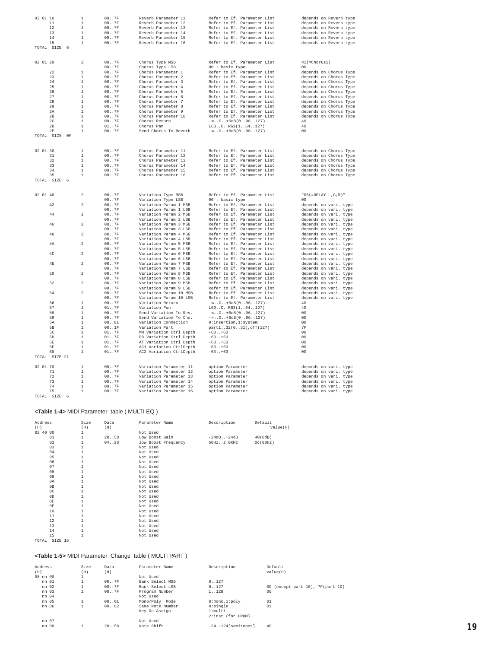| 02 01 10       | $\mathbf 1$    | 007F                  | Reverb Parameter 11     | Refer to Ef. Parameter List  | depends on Reverb type     |
|----------------|----------------|-----------------------|-------------------------|------------------------------|----------------------------|
| $1\,1$         | $\mathbf 1$    | 007F                  | Reverb Parameter 12     | Refer to Ef. Parameter List  | depends on Reverb type     |
| 12             | $\mathbf{1}$   | 007F                  | Reverb Parameter 13     | Refer to Ef. Parameter List  | depends on Reverb type     |
| 13             | $\mathbf{1}$   | 007F                  | Reverb Parameter 14     | Refer to Ef. Parameter List  | depends on Reverb type     |
| 14             | $\overline{1}$ | 00.07F                | Reverb Parameter 15     | Refer to Ef. Parameter List  | depends on Reverb type     |
| 15             | $\mathbf{1}$   | 007F                  | Reverb Parameter 16     | Refer to Ef. Parameter List  | depends on Reverb type     |
| TOTAL SIZE 6   |                |                       |                         |                              |                            |
|                |                |                       |                         |                              |                            |
|                |                |                       |                         |                              |                            |
| 02 01 20       | $\overline{a}$ | $007F$                | Chorus Type MSB         | Refer to Ef. Parameter List  | $41$ (=Chorus1)            |
|                |                | 007F                  | Chorus Type LSB         | 00 : basic type              | 00                         |
| 2.2.           | $\mathbf{1}$   | 007F                  | Chorus Parameter 1      | Refer to Ef. Parameter List  | depends on Chorus Type     |
| 23             | $1\,$          | 007F                  | Chorus Parameter 2      | Refer to Ef. Parameter List  | depends on Chorus Type     |
| 24             | $\mathbf{1}$   | 007F                  | Chorus Parameter 3      | Refer to Ef. Parameter List  | depends on Chorus Type     |
| 25             | $\mathbf{1}$   | 007F                  | Chorus Parameter 4      | Refer to Ef. Parameter List  | depends on Chorus Type     |
| 26             | $\overline{1}$ | 00.07F                | Chorus Parameter 5      | Refer to Ef. Parameter List  | depends on Chorus Type     |
| 27             | $\mathbf{1}$   | 007F                  | Chorus Parameter 6      | Refer to Ef. Parameter List  | depends on Chorus Type     |
| 28             | $1\,$          | 007F                  | Chorus Parameter 7      | Refer to Ef. Parameter List  | depends on Chorus Type     |
| 29             | $\mathbf{1}$   | 007F                  | Chorus Parameter 8      | Refer to Ef. Parameter List  | depends on Chorus Type     |
| 2A             | $\mathbf{1}$   | 007F                  | Chorus Parameter 9      | Refer to Ef. Parameter List  | depends on Chorus Type     |
| 2R             | $\overline{1}$ |                       |                         |                              |                            |
|                |                | 007F                  | Chorus Parameter 10     | Refer to Ef. Parameter List  | depends on Chorus Type     |
| 2 <sup>c</sup> | $\mathbf{1}$   | 007F                  | Chorus Return           | $-\infty$ 0 $+6dB(0.96.127)$ | 40                         |
| 2D             | $\overline{1}$ | 01.07F                | Chorus Pan              | L63CR63(164127)              | 40                         |
| 2E             | $\mathbf{1}$   | 007F                  | Send Chorus To Reverb   | $-\infty$ 0 $+6dB(0.96.127)$ | 00                         |
| TOTAL SIZE OF  |                |                       |                         |                              |                            |
|                |                |                       |                         |                              |                            |
|                |                |                       |                         |                              |                            |
| 02 01 30       | $1\,$          | 007F                  | Chorus Parameter 11     | Refer to Ef. Parameter List  | depends on Chorus Type     |
| 31             | $\mathbf{1}$   | 007F                  | Chorus Parameter 12     | Refer to Ef. Parameter List  | depends on Chorus Type     |
| 32             | $\overline{1}$ | 007F                  | Chorus Parameter 13     | Refer to Ef. Parameter List  | depends on Chorus Type     |
| 33             | $\mathbf{1}$   | 007F                  | Chorus Parameter 14     | Refer to Ef. Parameter List  | depends on Chorus Type     |
| 34             | $\mathbf{1}$   | 007F                  | Chorus Parameter 15     | Refer to Ef. Parameter List  | depends on Chorus Type     |
| 35             | $\mathbf 1$    | 007F                  | Chorus Parameter 16     | Refer to Ef. Parameter List  | depends on Chorus Type     |
|                |                |                       |                         |                              |                            |
| TOTAL SIZE 6   |                |                       |                         |                              |                            |
|                |                |                       |                         |                              |                            |
|                |                |                       |                         |                              |                            |
| 02 01 40       | $\overline{a}$ | 007F                  | Variation Type MSB      | Refer to Ef. Parameter List  | $"05(=\tt DELAY\ L,C,R)$ " |
|                |                | 007F                  | Variation Type LSB      | $00:$ basic type             | 0 <sub>0</sub>             |
| 42             | $\mathbf 2$    | 00.07F                | Variation Param 1 MSB   | Refer to Ef. Parameter List  | depends on vari. type      |
|                |                | 007F                  | Variation Param 1 LSB   | Refer to Ef. Parameter List  | depends on vari. type      |
| 44             | $\mathfrak{D}$ | 007F                  | Variation Param 2 MSB   | Refer to Ef. Parameter List  | depends on vari. type      |
|                |                | 007F                  | Variation Param 2 LSB   | Refer to Ef. Parameter List  | depends on vari. type      |
| 46             | $\overline{a}$ | 007F                  | Variation Param 3 MSB   | Refer to Ef. Parameter List  | depends on vari. type      |
|                |                | 007F                  | Variation Param 3 LSB   | Refer to Ef. Parameter List  | depends on vari. type      |
| 48             | $\overline{c}$ | 00.07F                | Variation Param 4 MSB   | Refer to Ef. Parameter List  | depends on vari. type      |
|                |                |                       |                         |                              |                            |
|                |                | 007F                  | Variation Param 4 LSB   | Refer to Ef. Parameter List  | depends on vari. type      |
| 4A             | $\,2\,$        | 007F                  | Variation Param 5 MSB   | Refer to Ef. Parameter List  | depends on vari. type      |
|                |                | 007F                  | Variation Param 5 LSB   | Refer to Ef. Parameter List  | depends on vari. type      |
| 4C             | $\overline{c}$ | 00.07F                | Variation Param 6 MSB   | Refer to Ef. Parameter List  | depends on vari. type      |
|                |                | 007F                  | Variation Param 6 LSB   | Refer to Ef. Parameter List  | depends on vari. type      |
| 4E             | $\,2\,$        | 007F                  | Variation Param 7 MSB   | Refer to Ef. Parameter List  | depends on vari. type      |
|                |                | 007F                  | Variation Param 7 LSB   | Refer to Ef. Parameter List  | depends on vari. type      |
| 50             | $\mathfrak{D}$ | $007F$                | Variation Param 8 MSB   | Refer to Ef. Parameter List  | depends on vari. type      |
|                |                | 007F                  | Variation Param 8 LSB   | Refer to Ef. Parameter List  | depends on vari. type      |
| 52             | $\,2\,$        | $007F$                | Variation Param 9 MSB   | Refer to Ef. Parameter List  | depends on vari. type      |
|                |                | 007F                  | Variation Param 9 LSB   | Refer to Ef. Parameter List  | depends on vari. type      |
| 54             | $\mathbf 2$    | 007F                  | Variation Param 10 MSB  | Refer to Ef. Parameter List  | depends on vari. type      |
|                |                | 007F                  | Variation Param 10 LSB  | Refer to Ef. Parameter List  | depends on vari. type      |
| 56             | $\mathbf{1}$   | 007F                  | Variation Return        | $-\infty$ 0 $+6dB(096127)$   | 40                         |
| 57             | $\mathbf{1}$   | 01.07F                | Variation Pan           | L63CR63(164127)              | 40                         |
| 58             | $\mathbf{1}$   | 007F                  | Send Variation To Rev.  | $-\infty$ 0 $+6dB(0.96.127)$ | 00                         |
| 59             | $\mathbf{1}$   |                       |                         |                              | 0 <sup>0</sup>             |
|                |                | 007F                  | Send Variation To Cho.  | $-\infty$ 0 $+6dB(0.96.127)$ |                            |
| 5A             | $\overline{1}$ | 0001                  | Variation Connection    | 0:insertion, 1:system        | 0 <sub>0</sub>             |
| 5B             | $\mathbf{1}$   | 001F                  | Variation Part          | part132(031), off(127)       | 7F                         |
| 50             | $\overline{1}$ | $01\ldots7\mathrm{F}$ | MW Variation Ctrl Depth | $-63. . +63$                 | 0 <sub>0</sub>             |
| 5D             | $\mathbf{1}$   | 01.7F                 | PB Variation Ctrl Depth | $-63+63$                     | 00                         |
| 58             | $\mathbf{1}$   | 01.7F                 | AT Variation Ctrl Depth | $-63+63$                     | 0 <sub>0</sub>             |
| 5F             | $\mathbf{1}$   | 01. .7F               | AC1 Variation CtrlDepth | $-63. . +63$                 | 00                         |
| 60             | $\mathbf{1}$   | 01.07F                | AC2 Variation CtrlDepth | $-63. . +63$                 | 00                         |
| TOTAL SIZE 21  |                |                       |                         |                              |                            |
|                |                |                       |                         |                              |                            |
| 02 01 70       | $\mathbf{1}$   | 007F                  | Variation Parameter 11  | option Parameter             | depends on vari. type      |
| 71             | $\mathbf{1}$   | 007F                  | Variation Parameter 12  | option Parameter             | depends on vari. type      |
| 72             | $\overline{1}$ |                       |                         |                              |                            |
|                |                | 007F                  | Variation Parameter 13  | option Parameter             | depends on vari. type      |
| 73             | $\overline{1}$ | 007F                  | Variation Parameter 14  | option Parameter             | depends on vari. type      |
| 74             | $\overline{1}$ | 007F                  | Variation Parameter 15  | option Parameter             | depends on vari. type      |
| 75             | $\mathbf 1$    | 007F                  | Variation Parameter 16  | option Parameter             | depends on vari. type      |
| TOTAL SIZE 6   |                |                       |                         |                              |                            |

#### **<Table 1-4>** MIDI Parameter table ( MULTI EQ )

| Address<br>(H)   | Size<br>(H)  | Data<br>(H) | Parameter Name      | Description   | Default<br>value(H) |
|------------------|--------------|-------------|---------------------|---------------|---------------------|
| 02 40 00         | 1            |             | Not Used            |               |                     |
| 01               | $\mathbf{1}$ | 28.058      | Low Boost Gain      | $-24dB+24dB$  | 40(0dB)             |
| 02               | 1            | 04. .28     | low Boost Frequency | 50Hz. .2.0KHz | 0c(80Hz)            |
| 03               | $\mathbf{1}$ |             | Not Used            |               |                     |
| 04               | $\mathbf{1}$ |             | Not Used            |               |                     |
| 05               | $\mathbf{1}$ |             | Not Used            |               |                     |
| 06               | $\mathbf{1}$ |             | Not Used            |               |                     |
| 07               | $\mathbf{1}$ |             | Not Used            |               |                     |
| 08               | $\mathbf{1}$ |             | Not Used            |               |                     |
| 09               | $\mathbf{1}$ |             | Not Used            |               |                     |
| 0A               | $\mathbf{1}$ |             | Not Used            |               |                     |
| 0B               | $\mathbf{1}$ |             | Not Used            |               |                     |
| 0 <sup>C</sup>   | $\mathbf{1}$ |             | Not Used            |               |                     |
| 0 <sub>D</sub>   | $\mathbf{1}$ |             | Not Used            |               |                     |
| 0E               |              |             | Not Used            |               |                     |
| 0F               | $\mathbf{1}$ |             | Not Used            |               |                     |
| 10               |              |             | Not Used            |               |                     |
| 11               | $\mathbf{1}$ |             | Not Used            |               |                     |
| 12               | 1            |             | Not Used            |               |                     |
| 13               | $\mathbf{1}$ |             | Not Used            |               |                     |
| 14               | $\mathbf{1}$ |             | Not Used            |               |                     |
| 15               | $\mathbf{1}$ |             | Not Used            |               |                     |
| SIZE 15<br>TOTAL |              |             |                     |               |                     |

#### **<Table 1-5>** MIDI Parameter Change table ( MULTI PART )

| Address  | Size | Data   | Parameter Name   | Description              | Default                          |
|----------|------|--------|------------------|--------------------------|----------------------------------|
| (H)      | (H)  | (H)    |                  |                          | value(H)                         |
| 08 nn 00 |      |        | Not Used         |                          |                                  |
| nn 01    |      | 00.07F | Bank Select MSB  | 0.127                    |                                  |
| nn 02    |      | 00.07F | Bank Select LSB  | 0.127                    | 00 (except part 10), 7F(part 10) |
| nn 03    |      | 00.07F | Program Number   | 1128                     | 0 <sup>0</sup>                   |
| nn 04    |      |        | Not Used         |                          |                                  |
| nn 05    |      | 00.01  | Mono/Polv Mode   | $0:$ mono, $1:$ poly     | 01                               |
| nn 06    |      | 00.02  | Same Note Number | 0:single                 | 01                               |
|          |      |        | Key On Assign    | 1:multi                  |                                  |
|          |      |        |                  | 2:inst (for DRUM)        |                                  |
| nn 07    |      |        | Not Used         |                          |                                  |
| nn 08    |      | 2858   | Note Shift       | $-24. . + 24$ semitones] | 40                               |
|          |      |        |                  |                          |                                  |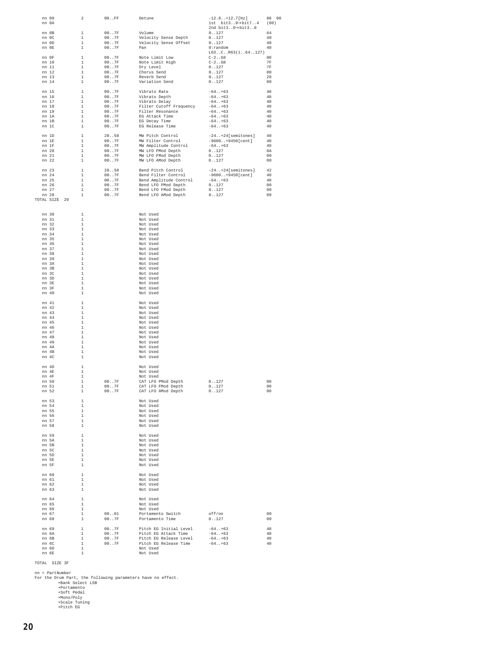| nn 09<br>nn 0A     |                                                                                                                                                          | $\overline{2}$                 | $00.$ . $FF$                     | Detune                                                                                                                                                                                                                       | $-12.8$ $+12.7$ [Hz]<br>1st $bit30 \rightarrow bit74$ | 08 00<br>(80)        |
|--------------------|----------------------------------------------------------------------------------------------------------------------------------------------------------|--------------------------------|----------------------------------|------------------------------------------------------------------------------------------------------------------------------------------------------------------------------------------------------------------------------|-------------------------------------------------------|----------------------|
| nn OB              | $\overline{\phantom{a}}$                                                                                                                                 |                                | 00.7F                            | Volume                                                                                                                                                                                                                       | 2nd bit3 $0 \rightarrow bit30$<br>0.127               | 64                   |
| nn OC              |                                                                                                                                                          | $\quad$ 1                      | $00 \ldots 7F$                   | Velocity Sense Depth                                                                                                                                                                                                         | 0.127                                                 | 40                   |
| nn $0D$<br>nn OE   | $\qquad \qquad 1$                                                                                                                                        | $\mathbf{1}$                   | 007F<br>$00 \ldots 7F$           | Velocity Sense Offset<br>Pan                                                                                                                                                                                                 | 0.127<br>$0:$ random<br>L63CR63(164127)               | 40<br>40             |
| nn OF              | $\begin{array}{c} 1 \\ 1 \\ 1 \\ 1 \\ \end{array}$                                                                                                       |                                |                                  |                                                                                                                                                                                                                              | $C-2. . G8$                                           | 0 <sup>0</sup>       |
| nn 10              |                                                                                                                                                          |                                | $00 \ldots 7F$<br>$00 \ldots 7F$ | Note Limit Low<br>Note Limit High                                                                                                                                                                                            | $C-2. . G8$                                           | <b>7F</b>            |
| nn 11              |                                                                                                                                                          |                                | 00.7F                            | Dry Level<br>Chorus Send                                                                                                                                                                                                     | 0.127                                                 | <b>7F</b>            |
| nn 12<br>nn 13     |                                                                                                                                                          | $\mathbf{1}$                   | 00.7F<br>00.07F                  | Reverb Send                                                                                                                                                                                                                  | 0.127<br>0.127                                        | 0 <sup>0</sup><br>28 |
| nn 14              | $\frac{1}{1}$                                                                                                                                            |                                | 00.07F                           | Variation Send                                                                                                                                                                                                               | 0.127                                                 | 00                   |
| nn 15              | $\begin{array}{cccc} & & & 1 & & & \\ & & 1 & & & \\ & & 1 & & & \\ & & 1 & & & \\ & & & 1 & & \\ & & & 1 & & \\ & & & & 1 & \\ & & & & & 1 \end{array}$ |                                | $007F$<br>$007F$                 | Vibrato Rate                                                                                                                                                                                                                 | $-64. . +63$                                          | 40                   |
| nn 16              |                                                                                                                                                          |                                |                                  | Vibrato Depth                                                                                                                                                                                                                | $-64. . +63$                                          | 40                   |
| nn 17<br>nn 18     |                                                                                                                                                          |                                | 00.7F<br>$00.07F$                | Vibrato Delay<br>Filter Cutoff Frequency<br>Filter Resonance<br>All The Mine                                                                                                                                                 | $-64. . +63$<br>$-64. . +63$                          | 40<br>40             |
| nn 19              |                                                                                                                                                          |                                | $00.07F$                         |                                                                                                                                                                                                                              | $-64. . +63$                                          | 40                   |
| nn 1A              |                                                                                                                                                          |                                | $00 \ldots 7 {\rm F}$            | EG Attack Time                                                                                                                                                                                                               | $-64. . +63$                                          | 40                   |
| nn 1B<br>nn 1C     | $\begin{array}{c} 1 \\ 1 \end{array}$                                                                                                                    |                                | 00.7F<br>007F                    | EG Decay Time<br>EG Release Time                                                                                                                                                                                             | $-64. . +63$<br>$-64+63$                              | 40<br>40             |
|                    |                                                                                                                                                          |                                |                                  |                                                                                                                                                                                                                              |                                                       | 40                   |
| nn 1D<br>nn 1E     | $\begin{array}{c} 1\\ 1\\ 1\\ 1\\ \end{array}$                                                                                                           |                                |                                  | 2858 MW Pitch Control<br>007F MW Filter Control                                                                                                                                                                              | -24+24[semitones]<br>-9600+9450[cent]                 | 40                   |
| nn 1F              |                                                                                                                                                          |                                |                                  |                                                                                                                                                                                                                              | $-64. . +63$                                          | 40                   |
| nn 20              |                                                                                                                                                          | $\quad1$                       |                                  |                                                                                                                                                                                                                              | 0.127                                                 | 0A                   |
| nn 21<br>nn 22     | $\frac{1}{1}$                                                                                                                                            |                                |                                  | 007F MW Amplitude Control<br>007F MW LFO PMod Depth<br>007F MW LFO PMod Depth<br>007F MW LFO AMod Depth                                                                                                                      | 0.127<br>0.127                                        | 0 <sup>0</sup><br>00 |
| nn 23              |                                                                                                                                                          |                                |                                  |                                                                                                                                                                                                                              | $-24+24$ [semitones]                                  | 42                   |
| nn 24              | $\begin{array}{cc} & 1 \\ & 1 \\ & 1 \end{array}$                                                                                                        |                                |                                  | 2858 Bend Pitch Control<br>007F Bend Filter Control<br>Bend Filter Control                                                                                                                                                   | $-9600+9450[cent]$                                    | 40                   |
| nn 25              |                                                                                                                                                          |                                |                                  |                                                                                                                                                                                                                              | $-64. . +63$                                          | 40                   |
| nn 26<br>nn 27     |                                                                                                                                                          | $\mathbf{1}$<br>$\mathbf{1}$   |                                  |                                                                                                                                                                                                                              |                                                       | 0 <sup>0</sup><br>00 |
| nn 28              |                                                                                                                                                          | $\mathbf{1}$                   |                                  | 007F<br>1007F<br>1007F<br>1007F<br>1007F<br>1007F<br>1007F<br>1007F<br>1007F<br>1007F<br>1007F<br>1007F<br>1007F<br>1007F<br>1007F<br>1007F<br>1007F<br>1007F<br>1007F<br>1007F<br>1007F<br>1007F<br>1007F<br>100027<br>1007 |                                                       | 00                   |
|                    | TOTAL SIZE 29                                                                                                                                            |                                |                                  |                                                                                                                                                                                                                              |                                                       |                      |
|                    |                                                                                                                                                          |                                |                                  |                                                                                                                                                                                                                              |                                                       |                      |
| nn 30<br>nn 31     |                                                                                                                                                          | $\mathbf{1}$<br>$\mathbf{1}$   |                                  | Not Used<br>Not Used                                                                                                                                                                                                         |                                                       |                      |
| nn 32              |                                                                                                                                                          | $\,$ $\,$ $\,$                 |                                  | Not Used                                                                                                                                                                                                                     |                                                       |                      |
| nn 33              |                                                                                                                                                          | $\mathbf{1}$                   |                                  | Not Used                                                                                                                                                                                                                     |                                                       |                      |
| nn 34              |                                                                                                                                                          | $\footnotesize\substack{1}$    |                                  | Not Used                                                                                                                                                                                                                     |                                                       |                      |
| nn 35<br>nn 36     |                                                                                                                                                          | $\overline{1}$<br>$\mathbf{1}$ |                                  | Not Used<br>Not Used                                                                                                                                                                                                         |                                                       |                      |
| nn 37              |                                                                                                                                                          | $\mathbf{1}$                   |                                  | Not Used                                                                                                                                                                                                                     |                                                       |                      |
| nn 38              |                                                                                                                                                          | $\mathbf{1}$                   |                                  | Not Used                                                                                                                                                                                                                     |                                                       |                      |
| nn 39<br>nn 3A     |                                                                                                                                                          | $\mathbf{1}$<br>$\overline{1}$ |                                  | Not Used<br>Not Used                                                                                                                                                                                                         |                                                       |                      |
| nn $3\,\mathrm{B}$ |                                                                                                                                                          | $\overline{1}$                 |                                  | Not Used                                                                                                                                                                                                                     |                                                       |                      |
| nn 3C              |                                                                                                                                                          | $\overline{1}$                 |                                  | Not Used                                                                                                                                                                                                                     |                                                       |                      |
| nn 3D<br>nn 3E     |                                                                                                                                                          | $\mathbf{1}$<br>$\overline{1}$ |                                  | Not Used<br>Not Used                                                                                                                                                                                                         |                                                       |                      |
| nn 3F              |                                                                                                                                                          | $\mathbf{1}$                   |                                  | Not Used                                                                                                                                                                                                                     |                                                       |                      |
| nn 40              |                                                                                                                                                          | $\mathbf{1}$                   |                                  | Not Used                                                                                                                                                                                                                     |                                                       |                      |
| nn 41              | $\qquad \qquad 1$                                                                                                                                        |                                |                                  | Not Used                                                                                                                                                                                                                     |                                                       |                      |
| nn 42<br>nn 43     |                                                                                                                                                          | $\mathbf 1$<br>$\mathbf{1}$    |                                  | Not Used<br>Not Used                                                                                                                                                                                                         |                                                       |                      |
| nn 44              |                                                                                                                                                          | $\footnotesize\substack{1}$    |                                  | Not Used                                                                                                                                                                                                                     |                                                       |                      |
| nn 45              |                                                                                                                                                          | $\mathbf{1}$                   |                                  | Not Used                                                                                                                                                                                                                     |                                                       |                      |
| nn 46<br>nn 47     |                                                                                                                                                          | $\mathbf{1}$<br>$\mathbf{1}$   |                                  | Not Used<br>Not Used                                                                                                                                                                                                         |                                                       |                      |
| nn 48              |                                                                                                                                                          | $\overline{1}$                 |                                  | Not Used                                                                                                                                                                                                                     |                                                       |                      |
| nn 49              |                                                                                                                                                          | $\mathbf{1}$<br>$\mathbf{1}$   |                                  | Not Used<br>Not Used                                                                                                                                                                                                         |                                                       |                      |
| nn 4A<br>nn 4B     |                                                                                                                                                          | $\footnotesize\substack{1}$    |                                  | Not Used                                                                                                                                                                                                                     |                                                       |                      |
| nn 4C              |                                                                                                                                                          | $\mathbf{1}$                   |                                  | Not Used                                                                                                                                                                                                                     |                                                       |                      |
| nn 4D              | $\qquad \qquad 1$                                                                                                                                        |                                |                                  | Not Used                                                                                                                                                                                                                     |                                                       |                      |
| nn 4E<br>nn 4F     |                                                                                                                                                          | $\overline{1}$<br>$\mathbf{1}$ |                                  | Not Used<br>Not Used                                                                                                                                                                                                         |                                                       |                      |
| nn 50              |                                                                                                                                                          | $\mathbf{1}$                   | 00.7F                            | CAT LFO PMod Depth                                                                                                                                                                                                           | 0.127                                                 | 00                   |
| nn 51              |                                                                                                                                                          | 1                              | $00 \ldots 7F$                   | CAT LFO FMod Depth                                                                                                                                                                                                           | 0.127                                                 | 0 <sup>0</sup>       |
| nn 52              |                                                                                                                                                          | $\mathbf{1}$                   | 00.7F                            | CAT LFO AMod Depth                                                                                                                                                                                                           | 0.127                                                 | 00                   |
| nn 53              | $\qquad \qquad 1$                                                                                                                                        |                                |                                  | Not Used                                                                                                                                                                                                                     |                                                       |                      |
| nn 54<br>nn 55     |                                                                                                                                                          | $\mathbf 1$<br>$\mathbf 1$     |                                  | Not Used<br>Not Used                                                                                                                                                                                                         |                                                       |                      |
| nn 56              |                                                                                                                                                          | $\mathbf 1$                    |                                  | Not Used                                                                                                                                                                                                                     |                                                       |                      |
| nn 57<br>nn 58     |                                                                                                                                                          | $\mathbf 1$<br>$\!-1\!$        |                                  | Not Used<br>Not Used                                                                                                                                                                                                         |                                                       |                      |
|                    |                                                                                                                                                          |                                |                                  |                                                                                                                                                                                                                              |                                                       |                      |
| nn 59<br>nn 5A     | $\qquad \quad \, 1$                                                                                                                                      | $\mathbf 1$                    |                                  | Not Used<br>Not Used                                                                                                                                                                                                         |                                                       |                      |
| nn 5B              |                                                                                                                                                          | $\mathbf 1$                    |                                  | Not Used                                                                                                                                                                                                                     |                                                       |                      |
| nn 5C              |                                                                                                                                                          | $\mathbf{1}$                   |                                  | Not Used                                                                                                                                                                                                                     |                                                       |                      |
| nn $5D$<br>nn 5E   |                                                                                                                                                          | $\mathbf 1$<br>$\mathbf 1$     |                                  | Not Used<br>Not Used                                                                                                                                                                                                         |                                                       |                      |
| nn 5F              |                                                                                                                                                          | $\mathbf{1}$                   |                                  | Not Used                                                                                                                                                                                                                     |                                                       |                      |
| nn 60              | $\qquad \quad \, 1$                                                                                                                                      |                                |                                  | Not Used                                                                                                                                                                                                                     |                                                       |                      |
| nn 61              |                                                                                                                                                          | $\mathbf 1$                    |                                  | Not Used                                                                                                                                                                                                                     |                                                       |                      |
| nn 62<br>nn 63     |                                                                                                                                                          | $\,$ 1<br>$\mathbf{1}$         |                                  | Not Used<br>Not Used                                                                                                                                                                                                         |                                                       |                      |
|                    |                                                                                                                                                          |                                |                                  |                                                                                                                                                                                                                              |                                                       |                      |
| nn 64<br>nn 65     | $\qquad \qquad 1$                                                                                                                                        | $\mathbf 1$                    |                                  | Not Used<br>Not Used                                                                                                                                                                                                         |                                                       |                      |
| nn 66              |                                                                                                                                                          | $\mathbf 1$                    |                                  | Not Used                                                                                                                                                                                                                     |                                                       |                      |
| nn 67              | $\qquad \qquad 1$                                                                                                                                        | $\quad1$                       | 00.01                            | Portamento Switch                                                                                                                                                                                                            | off/on                                                | 00<br>00             |
| nn 68              |                                                                                                                                                          |                                | 00.07F                           | Portamento Time                                                                                                                                                                                                              | 0.127                                                 |                      |
| nn 69<br>nn 6A     | $\qquad \qquad 1$                                                                                                                                        | $\mathbf{1}$                   | 00.7F<br>007F                    | Pitch EG Initial Level<br>Pitch EG Attack Time                                                                                                                                                                               | $-64. . +63$<br>$-64. . +63$                          | 40<br>40             |
| nn 6B              |                                                                                                                                                          | $\quad1$                       | $00 \ldots 7 {\rm F}$            | Pitch EG Release Level                                                                                                                                                                                                       | $-64+63$                                              | 40                   |
| nn 6C              |                                                                                                                                                          | $\quad1$<br>$\mathbf 1$        | $007F$                           | Pitch EG Release Time                                                                                                                                                                                                        | $-64. . +63$                                          | 40                   |
| nn 6D<br>nn 6E     |                                                                                                                                                          | $\mathbf{1}$                   |                                  | Not Used<br>Not Used                                                                                                                                                                                                         |                                                       |                      |
|                    |                                                                                                                                                          |                                |                                  |                                                                                                                                                                                                                              |                                                       |                      |

TOTAL SIZE 3F

nn = PartNumber<br>
• Drum Part, the following parameters have no effect.<br>
• Pank Select LSB<br>
• Portamento<br>
• Soft Pedal<br>
• Mono/Poly<br>
• Scale Tuning<br>
• Pitch EG<br>
• Pitch EG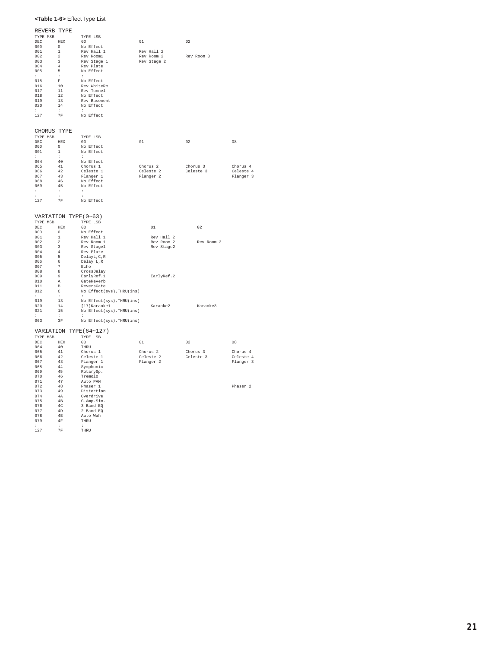#### **<Table 1-6>** Effect Type List

| REVERB TYPE                          |                                |                           |             |            |           |
|--------------------------------------|--------------------------------|---------------------------|-------------|------------|-----------|
| TYPE MSB                             |                                | TYPE LSB                  |             |            |           |
| ${\tt DEC} \hspace{2.3cm} {\tt HEX}$ |                                | 00                        | 01          | 02         |           |
| 000                                  | $\overline{0}$                 | No Effect                 |             |            |           |
| 001                                  | $\mathbf{1}$                   | Rev Hall 1                | Rev Hall 2  |            |           |
| 002                                  | $\overline{2}$                 | Rev Rooml                 | Rev Room 2  | Rev Room 3 |           |
| 003                                  |                                |                           | Rev Stage 2 |            |           |
| 004                                  | $\overline{\phantom{a}}$       | Rev Stage 1<br>Rev Plate  |             |            |           |
|                                      | $4\overline{ }$                |                           |             |            |           |
| 005                                  | 5                              | No Effect                 |             |            |           |
| $\sim$                               | $\sim$                         | $\mathbf{r}$              |             |            |           |
| 015                                  | $\mathbb F$                    | No Effect                 |             |            |           |
| 016                                  | 10                             | Rev WhiteRm               |             |            |           |
| 017                                  | 11                             | Rev Tunnel                |             |            |           |
| 018                                  | 12                             | No Effect                 |             |            |           |
| 019                                  | 13                             | Rev Basement              |             |            |           |
| 020                                  | 14                             | No Effect                 |             |            |           |
| $\sim$                               | $\sim$ 100 $\sim$              | $\sim$                    |             |            |           |
| 127 7F                               |                                | No Effect                 |             |            |           |
|                                      |                                |                           |             |            |           |
|                                      |                                |                           |             |            |           |
| CHORUS TYPE                          |                                |                           |             |            |           |
|                                      |                                |                           |             |            |           |
| TYPE MSB                             |                                | TYPE LSB                  |             |            |           |
| ${\rm DEC} \hspace{20pt} {\rm HEX}$  |                                | 00                        | 01          | 02         | 08        |
| 0.00                                 | $\overline{0}$                 | No Effect                 |             |            |           |
| 001                                  | $1\,$                          | No Effect                 |             |            |           |
|                                      | $\mathbb{C}^{\times}$          |                           |             |            |           |
| 064                                  | 40                             | No Effect                 |             |            |           |
| 065                                  | 41                             | Chorus 1                  | Chorus 2    | Chorus 3   | Chorus 4  |
| 066                                  | 42                             | Celeste 1                 | Celeste 2   | Celeste 3  | Celeste 4 |
| 067                                  | 43                             | Flanger 1                 | Flanger 2   |            | Flanger 3 |
| 068                                  | 46                             | No Effect                 |             |            |           |
| 069                                  | 45                             | No Effect                 |             |            |           |
| $\mathbb{C}$                         | $\sim$                         | $\mathbf{r}$              |             |            |           |
| $\sim$                               | $\pm$                          | $\cdot$                   |             |            |           |
| 127                                  |                                | 7F No Effect              |             |            |           |
|                                      |                                |                           |             |            |           |
|                                      |                                |                           |             |            |           |
|                                      |                                | VARIATION TYPE (0~63)     |             |            |           |
|                                      |                                |                           |             |            |           |
|                                      |                                | TYPE LSB                  |             |            |           |
| TYPE MSB                             |                                |                           |             |            |           |
| ${\rm DEC} \hspace{20pt} {\rm HEX}$  |                                | 00                        | 01          | 02         |           |
| 000                                  | $\overline{0}$                 | No Effect                 |             |            |           |
| 001                                  |                                | Rev Hall 1                | Rev Hall 2  |            |           |
| 002                                  | $\mathbf{1}$<br>$\overline{a}$ | Rev Room 1                | Rev Room 2  | Rev Room 3 |           |
| 003                                  | 3                              |                           | Rev Stage2  |            |           |
| 004                                  | 4                              | Rev Stagel                |             |            |           |
|                                      |                                | Rev Plate                 |             |            |           |
| 005                                  | 5                              | DelayL, C, R              |             |            |           |
| 006                                  | $6\overline{6}$                | Delay L,R                 |             |            |           |
| 007                                  | $7 -$                          | Echo                      |             |            |           |
| 008                                  | $\overline{\mathbf{8}}$        |                           |             |            |           |
| 009                                  | 9                              | CrossDelay<br>EarlyRef.1  | EarlyRef.2  |            |           |
| $010 -$                              | $\,$ A                         | GateReverb                |             |            |           |
| 011                                  | $\,$ B                         | ReversGate                |             |            |           |
| 012                                  | $\mathbb{C}$                   | No Effect(sys), THRU(ins) |             |            |           |
| $\mathbf{r}$                         | $\pm$                          | $\mathbf{r}$              |             |            |           |
| 019                                  | 13                             | No Effect(sys), THRU(ins) |             |            |           |
| 020                                  | $1\,4$                         | [17] Karaokel             | Karaoke2    | Karaoke3   |           |
| 021                                  | 15                             | No Effect(sys), THRU(ins) |             |            |           |
| $\mathbf{r}$                         | $\sim$                         |                           |             |            |           |
| 063                                  | $3F$                           | No Effect(sys), THRU(ins) |             |            |           |
|                                      |                                |                           |             |            |           |
|                                      |                                | VARIATION TYPE (64~127)   |             |            |           |
|                                      |                                |                           |             |            |           |
| TYPE MSB                             |                                | TYPE LSB                  |             |            |           |
| ${\rm DEC} \hspace{20pt} {\rm HEX}$  |                                | 00                        | 01          | 02         | 08        |
| 064                                  | 40                             | THRU                      |             |            |           |
| 065                                  | 41                             | Chorus 1                  | Chorus 2    | Chorus 3   | Chorus 4  |
| 066                                  | 42                             | Celeste 1                 | Celeste 2   | Celeste 3  | Celeste 4 |
| 067                                  | 43                             | Flanger 1                 | Flanger 2   |            | Flanger 3 |
| 068                                  | 44                             | Symphonic                 |             |            |           |
| 069                                  | 45                             |                           |             |            |           |
| 070                                  | 46                             | RotarySp.<br>Tremolo      |             |            |           |
| 071                                  | 47                             | Auto PAN                  |             |            |           |
| 072                                  | 48                             | Phaser 1                  |             |            | Phaser 2  |
| 073                                  | 49                             | Distortion                |             |            |           |
| 074                                  | 4A                             | Overdrive                 |             |            |           |
| 075                                  | 4B                             | G-Amp.Sim.                |             |            |           |
| 076                                  | 4C                             | 3 Band EQ                 |             |            |           |
| 077                                  | 4D                             | 2 Band EQ                 |             |            |           |
| 078                                  | $4E$                           | Auto Wah                  |             |            |           |

079 4F THRU ::: 127 7F THRU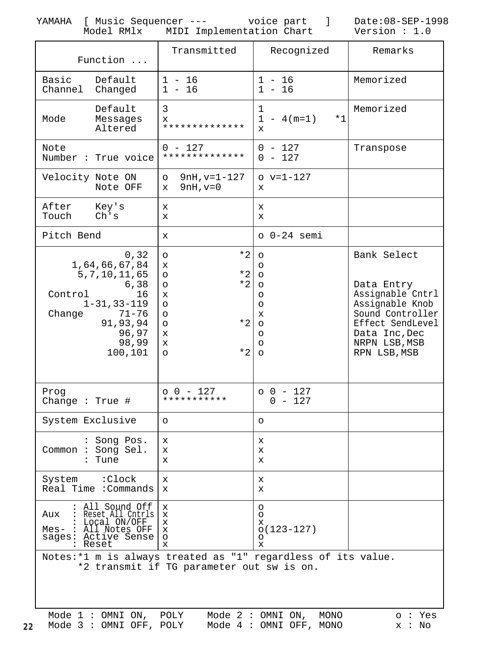<span id="page-21-0"></span>YAMAHA [ Music Sequencer --- voice part ] Date:08-SEP-1998 Model RMlx MIDI Implementation Chart Version : 1.0

| Function                                                                                                  |                                                                                                                                      | Transmitted                                                                                                                     |                                                                                                                     | Recognized               | Remarks                                                                                                                                                    |  |  |
|-----------------------------------------------------------------------------------------------------------|--------------------------------------------------------------------------------------------------------------------------------------|---------------------------------------------------------------------------------------------------------------------------------|---------------------------------------------------------------------------------------------------------------------|--------------------------|------------------------------------------------------------------------------------------------------------------------------------------------------------|--|--|
| Basic<br>Channel                                                                                          | Default<br>Changed                                                                                                                   | $1 - 16$<br>$1 - 16$                                                                                                            |                                                                                                                     | $1 - 16$<br>$1 - 16$     | Memorized                                                                                                                                                  |  |  |
| Mode                                                                                                      | Default<br>Messages<br>Altered                                                                                                       | 3<br>x<br>**************                                                                                                        | 1<br>$\mathbf{1}$<br>X                                                                                              | $*1$<br>$-4(m=1)$        | Memorized                                                                                                                                                  |  |  |
| Note                                                                                                      | Number : True voice                                                                                                                  | $0 - 127$<br>**************                                                                                                     |                                                                                                                     | $0 - 127$<br>$0 - 127$   | Transpose                                                                                                                                                  |  |  |
| Velocity Note ON                                                                                          | Note OFF                                                                                                                             | $9nH, v=1-127$<br>$\circ$<br>$9nH, v=0$<br>X.                                                                                   | x                                                                                                                   | $o v=1-127$              |                                                                                                                                                            |  |  |
| After<br>Touch                                                                                            | Key's<br>Ch's                                                                                                                        | x<br>X                                                                                                                          | X<br>X                                                                                                              |                          |                                                                                                                                                            |  |  |
| Pitch Bend                                                                                                |                                                                                                                                      | x                                                                                                                               |                                                                                                                     | $o$ $0-24$ semi          |                                                                                                                                                            |  |  |
| Control<br>Change                                                                                         | 0, 32<br>1,64,66,67,84<br>5, 7, 10, 11, 65<br>6,38<br>16<br>$1 - 31, 33 - 119$<br>$71 - 76$<br>91,93,94<br>96,97<br>98,99<br>100,101 | $*2$<br>$\circ$<br>x<br>$*2$<br>O<br>$*2$<br>$\circ$<br>x<br>$\circ$<br>$\circ$<br>$*2$<br>$\circ$<br>X<br>X<br>$*2$<br>$\circ$ | $\circ$<br>$\circ$<br>$\circ$<br>$\circ$<br>O<br>$\circ$<br>$\mathbf x$<br>$\circ$<br>$\circ$<br>$\circ$<br>$\circ$ |                          | Bank Select<br>Data Entry<br>Assignable Cntrl<br>Assignable Knob<br>Sound Controller<br>Effect SendLevel<br>Data Inc, Dec<br>NRPN LSB, MSB<br>RPN LSB, MSB |  |  |
| Prog<br>Change : True $#$                                                                                 |                                                                                                                                      | $00 - 127$<br>***********                                                                                                       |                                                                                                                     | $00 - 127$<br>- 127<br>0 |                                                                                                                                                            |  |  |
| System Exclusive                                                                                          |                                                                                                                                      | $\circ$                                                                                                                         | O                                                                                                                   |                          |                                                                                                                                                            |  |  |
| Common : Song Sel.                                                                                        | : Song Pos.<br>Tune                                                                                                                  | х<br>x<br>х                                                                                                                     | х<br>x<br>x                                                                                                         |                          |                                                                                                                                                            |  |  |
| System : Clock                                                                                            | Real Time : Commands                                                                                                                 | x<br>X.                                                                                                                         | x<br>X                                                                                                              |                          |                                                                                                                                                            |  |  |
| Aux<br>Reset                                                                                              | All Sound Off<br>Reset All Cntrls  <br>Local ON/OFF<br>Mes- : All Notes OFF<br>sages: Active Sense                                   | $\mathbf x$<br>x<br>х<br>x<br>$\circ$<br>x                                                                                      | O<br>O<br>х<br>O<br>X                                                                                               | $o(123 - 127)$           |                                                                                                                                                            |  |  |
| Notes:*1 m is always treated as "1" regardless of its value.<br>*2 transmit if TG parameter out sw is on. |                                                                                                                                      |                                                                                                                                 |                                                                                                                     |                          |                                                                                                                                                            |  |  |

|  |  |  | Mode 1: OMNI ON, POLY Mode 2: OMNI ON, MONO        |  |  |  |  | o : Ye |
|--|--|--|----------------------------------------------------|--|--|--|--|--------|
|  |  |  | 22 Mode 3 : OMNI OFF, POLY Mode 4 : OMNI OFF, MONO |  |  |  |  | x : No |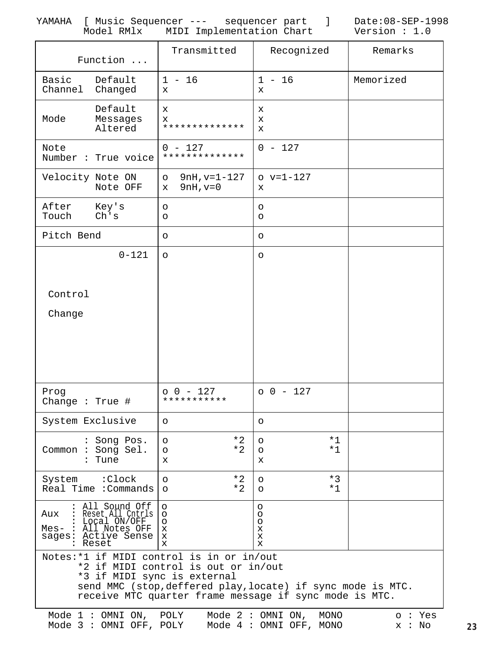YAMAHA [ Music Sequencer --- sequencer part ] Date:08-SEP-1998 Model RMlx MIDI Implementation Chart Version : 1.0

| Function                                                                                                                                                                                                                                 | Transmitted                                                | Recognized                                            | Remarks                 |  |  |  |
|------------------------------------------------------------------------------------------------------------------------------------------------------------------------------------------------------------------------------------------|------------------------------------------------------------|-------------------------------------------------------|-------------------------|--|--|--|
| Basic<br>Default<br>Channel<br>Changed                                                                                                                                                                                                   | $1 - 16$<br>X                                              | $1 - 16$<br>X                                         | Memorized               |  |  |  |
| Default<br>Mode<br>Messages<br>Altered                                                                                                                                                                                                   | X<br>X<br>**************                                   | х<br>X<br>X                                           |                         |  |  |  |
| Note<br>Number : True voice                                                                                                                                                                                                              | $0 - 127$<br>**************                                | $0 - 127$                                             |                         |  |  |  |
| Velocity Note ON<br>Note OFF                                                                                                                                                                                                             | $9nH, v=1-127$<br>$\circ$<br>$9nH, v=0$<br>X               | $o v=1-127$<br>x                                      |                         |  |  |  |
| After<br>Key's<br>Ch's<br>Touch                                                                                                                                                                                                          | $\circ$<br>$\circ$                                         | O<br>O                                                |                         |  |  |  |
| Pitch Bend                                                                                                                                                                                                                               | $\circ$                                                    | O                                                     |                         |  |  |  |
| $0 - 121$                                                                                                                                                                                                                                | $\circ$                                                    | $\circ$                                               |                         |  |  |  |
|                                                                                                                                                                                                                                          |                                                            |                                                       |                         |  |  |  |
| Control                                                                                                                                                                                                                                  |                                                            |                                                       |                         |  |  |  |
| Change                                                                                                                                                                                                                                   |                                                            |                                                       |                         |  |  |  |
|                                                                                                                                                                                                                                          |                                                            |                                                       |                         |  |  |  |
|                                                                                                                                                                                                                                          |                                                            |                                                       |                         |  |  |  |
|                                                                                                                                                                                                                                          |                                                            |                                                       |                         |  |  |  |
| Prog<br>Change : True $#$                                                                                                                                                                                                                | $0 - 127$<br>***********                                   | $00 - 127$                                            |                         |  |  |  |
| System Exclusive                                                                                                                                                                                                                         | $\circ$                                                    | O                                                     |                         |  |  |  |
| : Song Pos.<br>Common : Song Sel.<br>: Tune                                                                                                                                                                                              | $*2$<br>$\circ$<br>$*2$<br>$\circ$<br>X                    | $*1$<br>$\circ$<br>$*1$<br>$\circ$<br>x               |                         |  |  |  |
| System : Clock<br>Real Time : Commands                                                                                                                                                                                                   | $*2$<br>$\circ$<br>$*2$<br>$\circ$                         | $*3$<br>O<br>$*1$<br>$\circ$                          |                         |  |  |  |
| : All Sound Off<br>: Reset All Cntrls<br>Aux<br>Local ON/OFF<br>Mes- : All Notes OFF<br>sages: Active Sense<br>: Reset                                                                                                                   | $\circ$<br>$\circ$<br>O<br>$\mathbf x$<br>X<br>$\mathbf x$ | O<br>O<br>O<br>x<br>x<br>x                            |                         |  |  |  |
| Notes: *1 if MIDI control is in or in/out<br>*2 if MIDI control is out or in/out<br>*3 if MIDI sync is external<br>send MMC (stop, deffered play, locate) if sync mode is MTC.<br>receive MTC quarter frame message if sync mode is MTC. |                                                            |                                                       |                         |  |  |  |
| Mode $1:$ OMNI ON, POLY<br>Mode 3 : OMNI OFF, POLY                                                                                                                                                                                       |                                                            | Mode $2:OMNI ON$ ,<br>MONO<br>Mode 4 : OMNI OFF, MONO | $\circ$ : Yes<br>x : No |  |  |  |